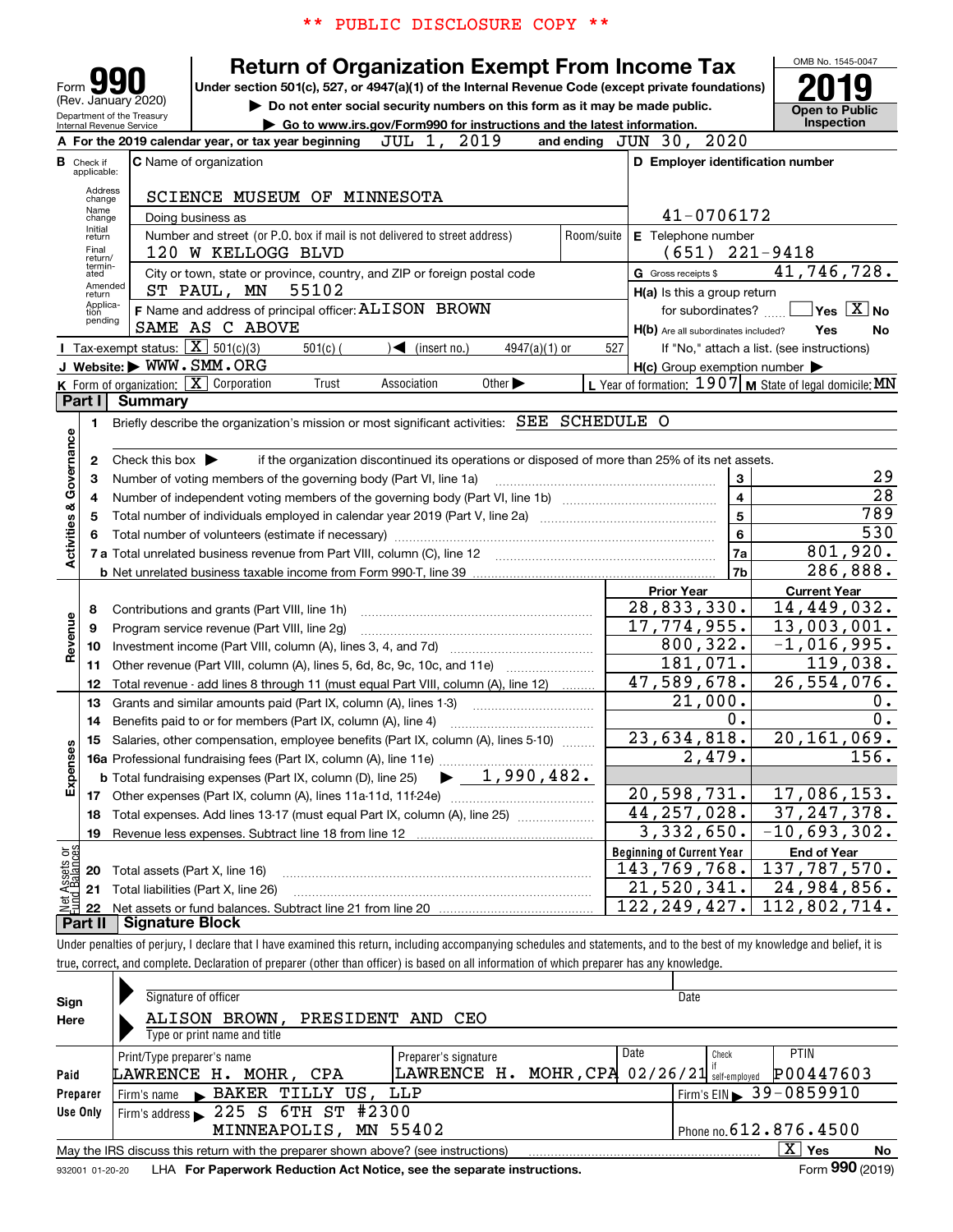| PUBLIC DISCLOSURE COPY                                                                                                                                                                                                                                                                                                                                                                                                                                                                                                        |                                                          |
|-------------------------------------------------------------------------------------------------------------------------------------------------------------------------------------------------------------------------------------------------------------------------------------------------------------------------------------------------------------------------------------------------------------------------------------------------------------------------------------------------------------------------------|----------------------------------------------------------|
| <b>Return of Organization Exempt From Income Tax</b><br>Form 990<br>Under section 501(c), 527, or 4947(a)(1) of the Internal Revenue Code (except private foundations)<br>(Rev. January 2020)<br>Do not enter social security numbers on this form as it may be made public.<br>Department of the Treasury<br>Go to www.irs.gov/Form990 for instructions and the latest information.<br>Internal Revenue Service<br>2019<br>2020<br>JUN<br>30,<br>JUL 1,<br>A For the 2019 calendar year, or tax year beginning<br>and ending | OMB No. 1545-0047<br><b>Open to Public</b><br>Inspection |
| <b>C</b> Name of organization<br>D Employer identification number<br><b>B</b> Check if<br>applicable:<br>Address<br>SCIENCE MUSEUM OF<br>MINNESOTA<br>change<br>Name<br>41-0706172<br>Doing business as<br>change<br>Initial<br>Number and street (or P.O. box if mail is not delivered to street address)<br>Room/suite<br><b>E</b> Telephone number<br>return<br>Final                                                                                                                                                      |                                                          |
| (651)<br>$221 - 9418$<br>120 W KELLOGG BLVD<br>return/<br>termin-<br>City or town, state or province, country, and ZIP or foreign postal code<br>G Gross receipts \$<br>ated<br>Amended<br>55102<br>ST PAUL, MN<br>$H(a)$ is this a group return<br>return<br>Applica-<br>F Name and address of principal officer: ALISON BROWN<br>for subordinates?<br>tion<br>pending<br>AS<br>C ABOVE<br>SAME<br>H(b) Are all subordinates included?                                                                                       | 41,746,728.<br>Yes $X$ No<br>No<br>Yes                   |
| Tax-exempt status: $X \mid 501(c)(3)$<br>$501(c)$ (<br>(insert no.)<br>$4947(a)(1)$ or<br>527<br>If "No," attach a list. (see instructions)<br>J Website: WWW.SMM.ORG<br>$H(c)$ Group exemption number $\blacktriangleright$<br>L Year of formation: 1907   M State of legal domicile: MN<br>K Form of organization: $\boxed{\mathbf{X}}$<br>Corporation<br>Association<br>Other $\blacktriangleright$<br>Trust<br>Part II Summary                                                                                            |                                                          |

|                     | Part I         | Summary                                                                                                                                 |                                  |                     |
|---------------------|----------------|-----------------------------------------------------------------------------------------------------------------------------------------|----------------------------------|---------------------|
|                     | 1.             | Briefly describe the organization's mission or most significant activities: SEE SCHEDULE O                                              |                                  |                     |
| Governance          | 2              | Check this box $\blacktriangleright$<br>if the organization discontinued its operations or disposed of more than 25% of its net assets. |                                  |                     |
|                     | 3              | Number of voting members of the governing body (Part VI, line 1a)                                                                       | 3                                | 29                  |
|                     | 4              |                                                                                                                                         | $\overline{4}$                   | $\overline{28}$     |
| త                   | 5              |                                                                                                                                         | 5                                | 789                 |
| Activities          |                | Total number of volunteers (estimate if necessary)                                                                                      | 6                                | 530                 |
|                     |                | 7 a Total unrelated business revenue from Part VIII, column (C), line 12                                                                | 7a                               | 801,920.            |
|                     |                |                                                                                                                                         | 7b                               | 286,888.            |
|                     |                |                                                                                                                                         | <b>Prior Year</b>                | <b>Current Year</b> |
|                     | 8              | Contributions and grants (Part VIII, line 1h)                                                                                           | 28,833,330.                      | 14,449,032.         |
|                     | 9              | Program service revenue (Part VIII, line 2g)                                                                                            | $\overline{17}$ , 774, 955.      | 13,003,001.         |
| Revenue             | 10             |                                                                                                                                         | 800, 322.                        | $-1,016,995.$       |
|                     | 11             | Other revenue (Part VIII, column (A), lines 5, 6d, 8c, 9c, 10c, and 11e)                                                                | 181,071.                         | 119,038.            |
|                     | 12             | Total revenue - add lines 8 through 11 (must equal Part VIII, column (A), line 12)                                                      | 47,589,678.                      | 26,554,076.         |
|                     | 13             | Grants and similar amounts paid (Part IX, column (A), lines 1-3)                                                                        | 21,000.                          | 0.                  |
|                     | 14             | Benefits paid to or for members (Part IX, column (A), line 4)                                                                           | 0.                               | $\overline{0}$ .    |
|                     | 15             | Salaries, other compensation, employee benefits (Part IX, column (A), lines 5-10)                                                       | 23,634,818.                      | 20, 161, 069.       |
|                     |                |                                                                                                                                         | 2,479.                           | 156.                |
| Expenses            |                | <b>b</b> Total fundraising expenses (Part IX, column (D), line 25) $\rightarrow$ 1, 990, 482.                                           |                                  |                     |
|                     | 17             |                                                                                                                                         | 20,598,731.                      | 17,086,153.         |
|                     | 18             |                                                                                                                                         | 44, 257, 028.                    | 37, 247, 378.       |
|                     | 19             |                                                                                                                                         | 3,332,650.                       | $-10,693,302.$      |
| ្តិផ្ញ              |                |                                                                                                                                         | <b>Beginning of Current Year</b> | <b>End of Year</b>  |
|                     | 20             | Total assets (Part X, line 16)                                                                                                          | 143,769,768.                     | 137,787,570.        |
| t Assets<br>dBalanc | 21             | Total liabilities (Part X, line 26)                                                                                                     | 21,520,341.                      | 24,984,856.         |
|                     | 22             |                                                                                                                                         | 122, 249, 427.                   | 112,802,714.        |
|                     | <b>Part II</b> | <b>Signature Block</b>                                                                                                                  |                                  |                     |

Under penalties of perjury, I declare that I have examined this return, including accompanying schedules and statements, and to the best of my knowledge and belief, it is true, correct, and complete. Declaration of preparer (other than officer) is based on all information of which preparer has any knowledge.

| Sign<br>Here     | Signature of officer<br>Date<br>ALISON BROWN,<br>PRESIDENT AND CEO<br>Type or print name and title                                                                                                                                                                                                                                                          |                                                        |                                                                                                  |  |  |  |  |  |  |  |
|------------------|-------------------------------------------------------------------------------------------------------------------------------------------------------------------------------------------------------------------------------------------------------------------------------------------------------------------------------------------------------------|--------------------------------------------------------|--------------------------------------------------------------------------------------------------|--|--|--|--|--|--|--|
| Paid<br>Preparer | Print/Type preparer's name<br>LAWRENCE H. MOHR, CPA<br>Firm's name BAKER TILLY US, LLP                                                                                                                                                                                                                                                                      | Preparer's signature<br>LAWRENCE H. MOHR, CPA 02/26/21 | Date<br>PTIN<br>Check<br>P00447603<br>self-emploved<br>$\sqrt{5}$ Firm's EIN $\geq 39 - 0859910$ |  |  |  |  |  |  |  |
| Use Only         | Firm's address $\geq 225$ S 6 TH $\overline{ST}$ # 2300<br>Phone no. $612$ $\bm{.}\,876$ $\bm{.}\,4500$<br>MINNEAPOLIS, MN 55402<br>$\overline{X}$ Yes<br>May the IRS discuss this return with the preparer shown above? (see instructions)<br>Form 990 (2019)<br>LHA For Paperwork Reduction Act Notice, see the separate instructions.<br>932001 01-20-20 |                                                        |                                                                                                  |  |  |  |  |  |  |  |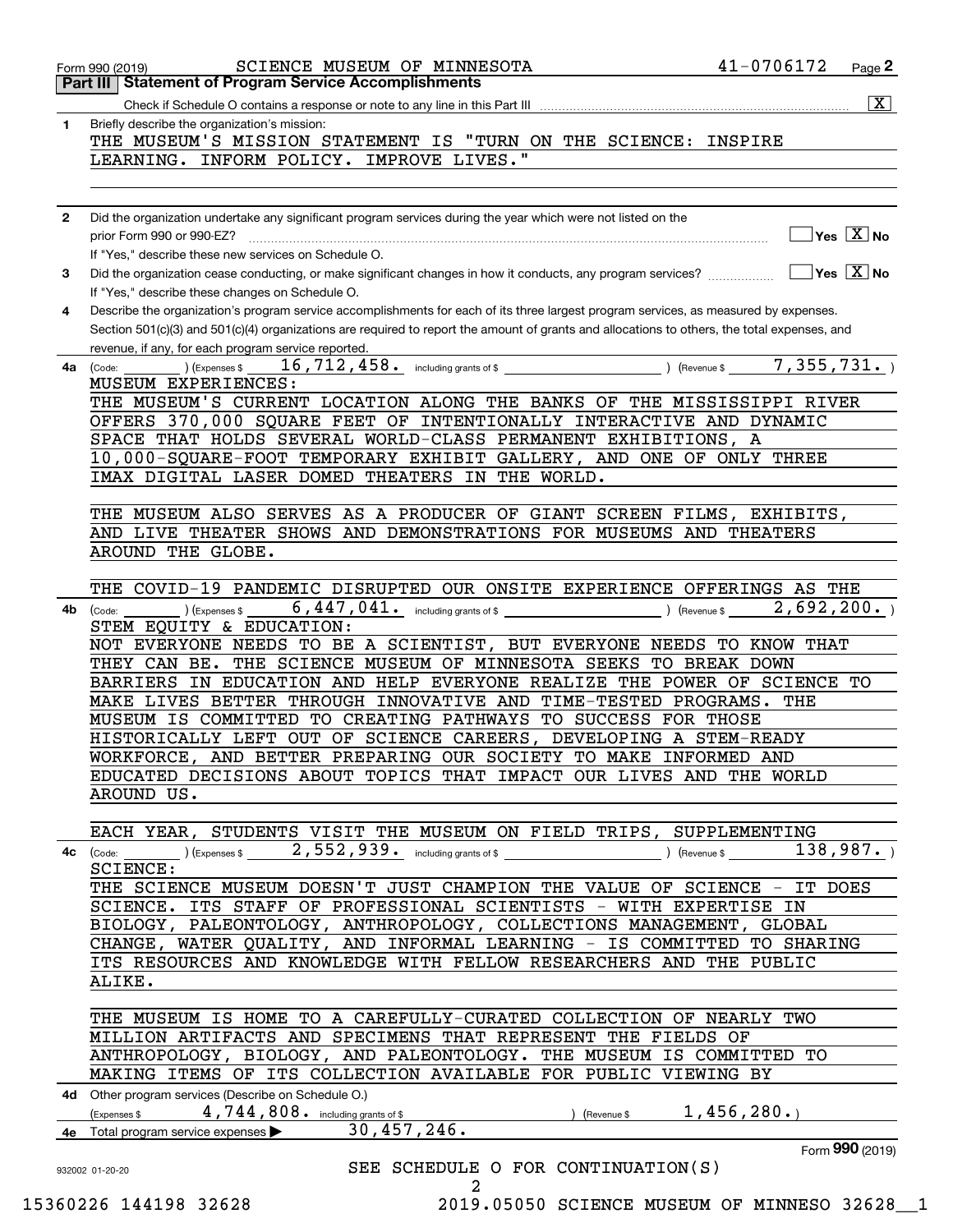|              | 41-0706172<br>SCIENCE MUSEUM OF MINNESOTA<br>Page 2<br>Form 990 (2019)<br>Part III   Statement of Program Service Accomplishments                                                                                                                                                                                                        |
|--------------|------------------------------------------------------------------------------------------------------------------------------------------------------------------------------------------------------------------------------------------------------------------------------------------------------------------------------------------|
|              | $\overline{\mathtt{x}}$                                                                                                                                                                                                                                                                                                                  |
| 1            | Briefly describe the organization's mission:<br>THE MUSEUM'S MISSION STATEMENT IS "TURN ON THE SCIENCE: INSPIRE<br>LEARNING. INFORM POLICY. IMPROVE LIVES."                                                                                                                                                                              |
|              |                                                                                                                                                                                                                                                                                                                                          |
| $\mathbf{2}$ | Did the organization undertake any significant program services during the year which were not listed on the<br>$\overline{\ }$ Yes $\overline{\phantom{a}X}$ No<br>prior Form 990 or 990-EZ?<br>If "Yes," describe these new services on Schedule O.                                                                                    |
| 3            | $\overline{\mathsf{Yes} \mathrel{\hspace{0.5pt}\mathsf{X}}}$ No<br>Did the organization cease conducting, or make significant changes in how it conducts, any program services?<br>If "Yes," describe these changes on Schedule O.                                                                                                       |
| 4            | Describe the organization's program service accomplishments for each of its three largest program services, as measured by expenses.<br>Section 501(c)(3) and 501(c)(4) organizations are required to report the amount of grants and allocations to others, the total expenses, and                                                     |
| 4a           | revenue, if any, for each program service reported.<br>7,355,731.<br>16, 712, 458. including grants of \$ $\frac{1}{2}$<br>$\sqrt{$ (Revenue \$<br>(Code:<br>(Expenses \$<br>MUSEUM EXPERIENCES:                                                                                                                                         |
|              | THE MUSEUM'S CURRENT LOCATION ALONG THE BANKS OF THE MISSISSIPPI RIVER<br>OFFERS 370,000 SQUARE FEET OF INTENTIONALLY INTERACTIVE AND DYNAMIC<br>SPACE THAT HOLDS SEVERAL WORLD-CLASS PERMANENT EXHIBITIONS, A<br>10,000-SQUARE-FOOT TEMPORARY EXHIBIT GALLERY, AND ONE OF ONLY THREE<br>IMAX DIGITAL LASER DOMED THEATERS IN THE WORLD. |
|              | THE MUSEUM ALSO SERVES AS A PRODUCER OF GIANT SCREEN FILMS, EXHIBITS,<br>AND LIVE THEATER SHOWS AND DEMONSTRATIONS FOR MUSEUMS AND THEATERS<br>AROUND THE GLOBE.                                                                                                                                                                         |
|              |                                                                                                                                                                                                                                                                                                                                          |
| 4b           | THE COVID-19 PANDEMIC DISRUPTED OUR ONSITE EXPERIENCE OFFERINGS AS THE<br>2,692,200.<br>) (Expenses \$<br>Revenue \$<br>(Code:<br>STEM EQUITY & EDUCATION:<br>NOT EVERYONE NEEDS TO BE A SCIENTIST, BUT EVERYONE NEEDS TO KNOW THAT                                                                                                      |
|              | THEY CAN BE. THE SCIENCE MUSEUM OF MINNESOTA SEEKS TO BREAK DOWN<br>BARRIERS IN EDUCATION AND HELP EVERYONE REALIZE THE POWER OF SCIENCE TO<br>MAKE LIVES BETTER THROUGH INNOVATIVE AND TIME-TESTED PROGRAMS. THE<br>MUSEUM IS COMMITTED TO CREATING PATHWAYS TO SUCCESS FOR THOSE                                                       |
|              | HISTORICALLY LEFT OUT OF SCIENCE CAREERS, DEVELOPING A STEM-READY<br>WORKFORCE, AND BETTER PREPARING OUR SOCIETY TO MAKE INFORMED AND<br>EDUCATED DECISIONS ABOUT TOPICS THAT IMPACT OUR LIVES AND THE WORLD<br>AROUND US.                                                                                                               |
|              |                                                                                                                                                                                                                                                                                                                                          |
|              | EACH YEAR, STUDENTS VISIT THE MUSEUM ON FIELD TRIPS, SUPPLEMENTING<br><b>4c</b> (Code: ) (Expenses $\$$ , 552, 939. including grants of $\$$ ) (Revenue $\$$ 138, 987. )<br><b>SCIENCE:</b>                                                                                                                                              |
|              | THE SCIENCE MUSEUM DOESN'T JUST CHAMPION THE VALUE OF SCIENCE - IT DOES<br>SCIENCE. ITS STAFF OF PROFESSIONAL SCIENTISTS - WITH EXPERTISE IN                                                                                                                                                                                             |
|              | BIOLOGY, PALEONTOLOGY, ANTHROPOLOGY, COLLECTIONS MANAGEMENT, GLOBAL<br>CHANGE, WATER QUALITY, AND INFORMAL LEARNING - IS COMMITTED TO SHARING<br>ITS RESOURCES AND KNOWLEDGE WITH FELLOW RESEARCHERS AND THE PUBLIC                                                                                                                      |
|              | ALIKE.<br>THE MUSEUM IS HOME TO A CAREFULLY-CURATED COLLECTION OF NEARLY TWO<br>MILLION ARTIFACTS AND SPECIMENS THAT REPRESENT THE FIELDS OF                                                                                                                                                                                             |
|              | ANTHROPOLOGY, BIOLOGY, AND PALEONTOLOGY. THE MUSEUM IS COMMITTED TO<br>MAKING ITEMS OF ITS COLLECTION AVAILABLE FOR PUBLIC VIEWING BY                                                                                                                                                                                                    |
|              | 4d Other program services (Describe on Schedule O.)<br>(Expenses \$4,744,808. including grants of \$<br>) (Revenue \$ 1, 456, 280.)<br>30,457,246.<br>4e Total program service expenses                                                                                                                                                  |
|              | Form 990 (2019)                                                                                                                                                                                                                                                                                                                          |
|              | SEE SCHEDULE O FOR CONTINUATION(S)                                                                                                                                                                                                                                                                                                       |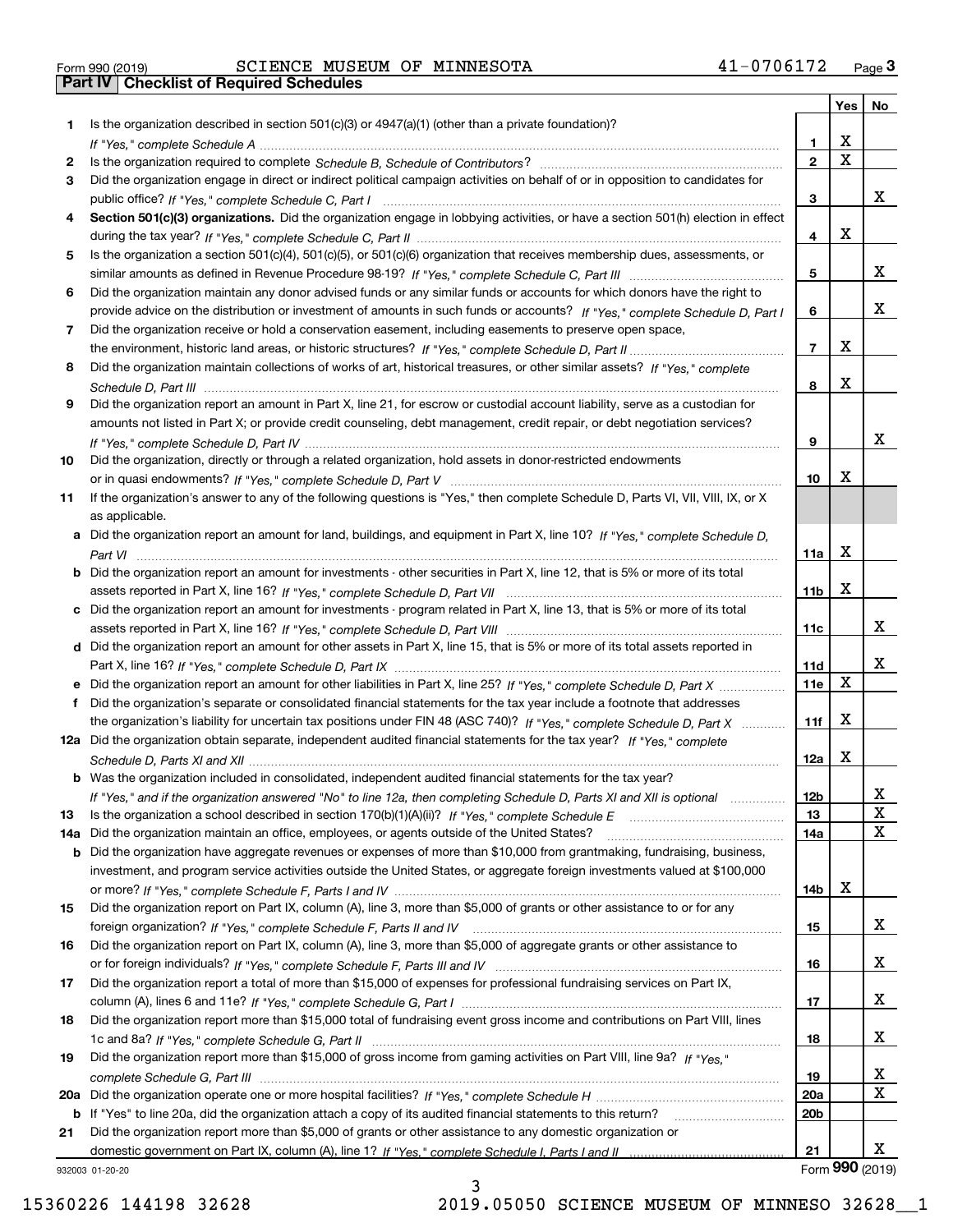| Form 990 (2019) |  |  |
|-----------------|--|--|

# Form 990 (2019) SCIENCE MUSEUM OF MINNESOTA 41-0706172 <sub>Page</sub> 3<br>**Part IV | Checklist of Required Schedules**

|     |                                                                                                                                  |                 | Yes                     | No              |
|-----|----------------------------------------------------------------------------------------------------------------------------------|-----------------|-------------------------|-----------------|
| 1   | Is the organization described in section $501(c)(3)$ or $4947(a)(1)$ (other than a private foundation)?                          |                 |                         |                 |
|     |                                                                                                                                  | 1.              | X                       |                 |
| 2   |                                                                                                                                  | $\overline{2}$  | $\overline{\mathbf{x}}$ |                 |
| 3   | Did the organization engage in direct or indirect political campaign activities on behalf of or in opposition to candidates for  |                 |                         | x               |
|     |                                                                                                                                  | 3               |                         |                 |
| 4   | Section 501(c)(3) organizations. Did the organization engage in lobbying activities, or have a section 501(h) election in effect | 4               | X                       |                 |
| 5   | Is the organization a section 501(c)(4), 501(c)(5), or 501(c)(6) organization that receives membership dues, assessments, or     |                 |                         |                 |
|     |                                                                                                                                  | 5               |                         | x               |
| 6   | Did the organization maintain any donor advised funds or any similar funds or accounts for which donors have the right to        |                 |                         |                 |
|     | provide advice on the distribution or investment of amounts in such funds or accounts? If "Yes," complete Schedule D, Part I     | 6               |                         | x               |
| 7   | Did the organization receive or hold a conservation easement, including easements to preserve open space,                        |                 |                         |                 |
|     |                                                                                                                                  | $\overline{7}$  | X                       |                 |
| 8   | Did the organization maintain collections of works of art, historical treasures, or other similar assets? If "Yes," complete     |                 |                         |                 |
|     |                                                                                                                                  | 8               | X                       |                 |
| 9   | Did the organization report an amount in Part X, line 21, for escrow or custodial account liability, serve as a custodian for    |                 |                         |                 |
|     | amounts not listed in Part X; or provide credit counseling, debt management, credit repair, or debt negotiation services?        |                 |                         |                 |
|     |                                                                                                                                  | 9               |                         | х               |
| 10  | Did the organization, directly or through a related organization, hold assets in donor-restricted endowments                     |                 |                         |                 |
|     |                                                                                                                                  | 10              | Х                       |                 |
| 11  | If the organization's answer to any of the following questions is "Yes," then complete Schedule D, Parts VI, VII, VIII, IX, or X |                 |                         |                 |
|     | as applicable.                                                                                                                   |                 |                         |                 |
|     | a Did the organization report an amount for land, buildings, and equipment in Part X, line 10? If "Yes," complete Schedule D,    | 11a             | X                       |                 |
|     | Did the organization report an amount for investments - other securities in Part X, line 12, that is 5% or more of its total     |                 |                         |                 |
|     |                                                                                                                                  | 11 <sub>b</sub> | X                       |                 |
|     | Did the organization report an amount for investments - program related in Part X, line 13, that is 5% or more of its total      |                 |                         |                 |
|     |                                                                                                                                  | 11c             |                         | x               |
| d   | Did the organization report an amount for other assets in Part X, line 15, that is 5% or more of its total assets reported in    |                 |                         |                 |
|     |                                                                                                                                  | 11d             |                         | х               |
|     | Did the organization report an amount for other liabilities in Part X, line 25? If "Yes," complete Schedule D, Part X            | 11e             | $\mathbf X$             |                 |
|     | Did the organization's separate or consolidated financial statements for the tax year include a footnote that addresses          |                 |                         |                 |
|     | the organization's liability for uncertain tax positions under FIN 48 (ASC 740)? If "Yes," complete Schedule D, Part X           | 11f             | X                       |                 |
|     | 12a Did the organization obtain separate, independent audited financial statements for the tax year? If "Yes," complete          |                 |                         |                 |
|     |                                                                                                                                  | 12a             | X                       |                 |
|     | <b>b</b> Was the organization included in consolidated, independent audited financial statements for the tax year?               |                 |                         |                 |
| 13  | If "Yes," and if the organization answered "No" to line 12a, then completing Schedule D, Parts XI and XII is optional            | 12b<br>13       |                         | ᅀ<br>X          |
| 14a | Did the organization maintain an office, employees, or agents outside of the United States?                                      | 14a             |                         | X               |
| b   | Did the organization have aggregate revenues or expenses of more than \$10,000 from grantmaking, fundraising, business,          |                 |                         |                 |
|     | investment, and program service activities outside the United States, or aggregate foreign investments valued at \$100,000       |                 |                         |                 |
|     |                                                                                                                                  | 14b             | х                       |                 |
| 15  | Did the organization report on Part IX, column (A), line 3, more than \$5,000 of grants or other assistance to or for any        |                 |                         |                 |
|     |                                                                                                                                  | 15              |                         | x               |
| 16  | Did the organization report on Part IX, column (A), line 3, more than \$5,000 of aggregate grants or other assistance to         |                 |                         |                 |
|     |                                                                                                                                  | 16              |                         | x               |
| 17  | Did the organization report a total of more than \$15,000 of expenses for professional fundraising services on Part IX,          |                 |                         |                 |
|     |                                                                                                                                  | 17              |                         | x               |
| 18  | Did the organization report more than \$15,000 total of fundraising event gross income and contributions on Part VIII, lines     |                 |                         |                 |
|     |                                                                                                                                  | 18              |                         | x               |
| 19  | Did the organization report more than \$15,000 of gross income from gaming activities on Part VIII, line 9a? If "Yes."           |                 |                         | x               |
| 20a |                                                                                                                                  | 19<br>20a       |                         | X               |
| b   | If "Yes" to line 20a, did the organization attach a copy of its audited financial statements to this return?                     | 20 <sub>b</sub> |                         |                 |
| 21  | Did the organization report more than \$5,000 of grants or other assistance to any domestic organization or                      |                 |                         |                 |
|     |                                                                                                                                  | 21              |                         | x               |
|     | 932003 01-20-20                                                                                                                  |                 |                         | Form 990 (2019) |

932003 01-20-20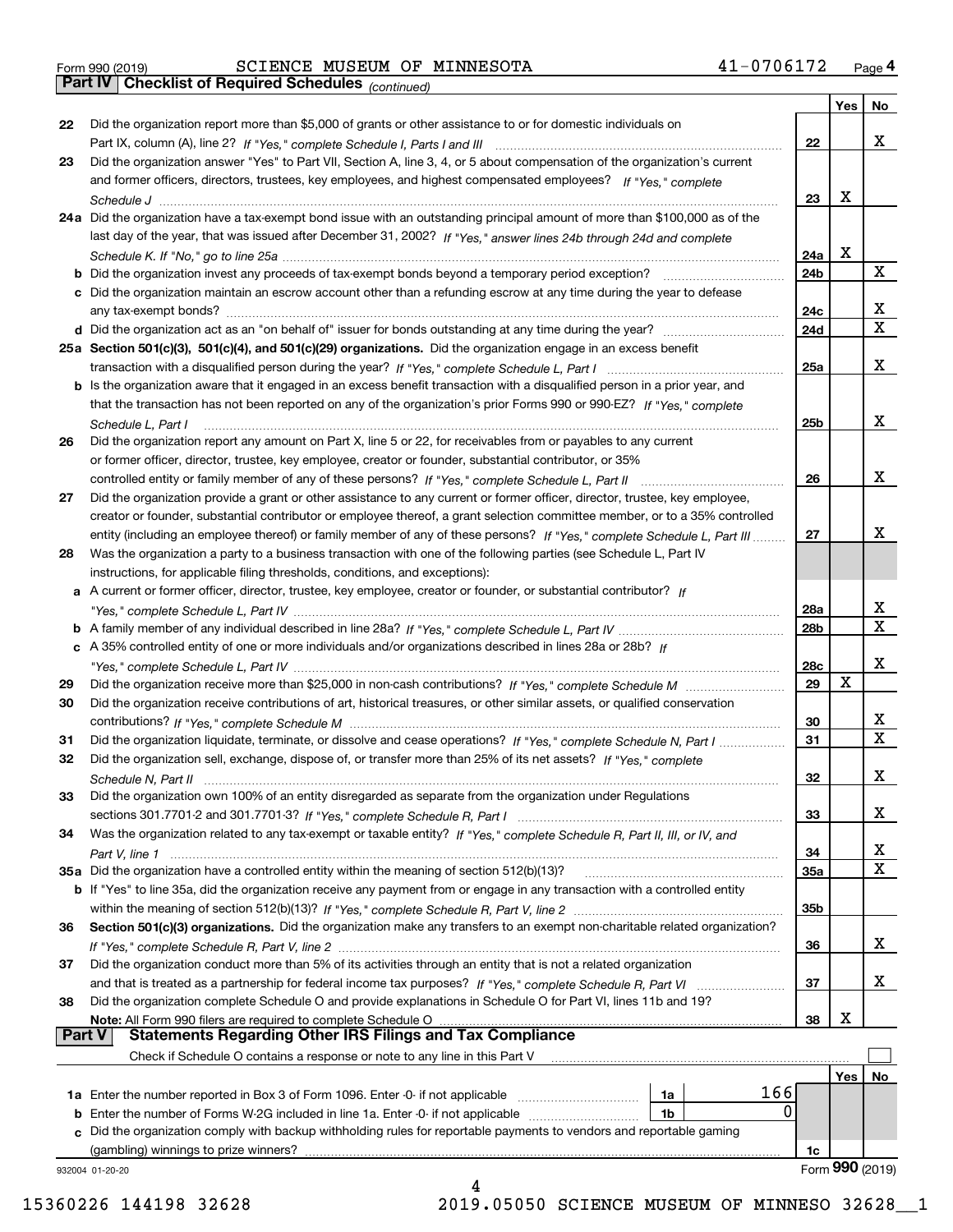| Form 990 (2019) |  |  |
|-----------------|--|--|

# Form 990 (2019) SCIENCE MUSEUM OF MINNESOTA 41-0706172 <sub>Page</sub> 4<br>**Part IV | Checklist of Required Schedules** <sub>(continued)</sub>

*(continued)*

|               |                                                                                                                                    |                 | Yes | No              |
|---------------|------------------------------------------------------------------------------------------------------------------------------------|-----------------|-----|-----------------|
| 22            | Did the organization report more than \$5,000 of grants or other assistance to or for domestic individuals on                      |                 |     |                 |
|               |                                                                                                                                    | 22              |     | x               |
| 23            | Did the organization answer "Yes" to Part VII, Section A, line 3, 4, or 5 about compensation of the organization's current         |                 |     |                 |
|               | and former officers, directors, trustees, key employees, and highest compensated employees? If "Yes," complete                     |                 |     |                 |
|               |                                                                                                                                    | 23              | х   |                 |
|               | 24a Did the organization have a tax-exempt bond issue with an outstanding principal amount of more than \$100,000 as of the        |                 |     |                 |
|               | last day of the year, that was issued after December 31, 2002? If "Yes," answer lines 24b through 24d and complete                 |                 |     |                 |
|               |                                                                                                                                    | 24a             | x   |                 |
|               | <b>b</b> Did the organization invest any proceeds of tax-exempt bonds beyond a temporary period exception?                         | 24b             |     | x               |
|               | c Did the organization maintain an escrow account other than a refunding escrow at any time during the year to defease             |                 |     |                 |
|               | any tax-exempt bonds?                                                                                                              | 24c             |     | x               |
|               |                                                                                                                                    | 24d             |     | $\mathbf X$     |
|               | 25a Section 501(c)(3), 501(c)(4), and 501(c)(29) organizations. Did the organization engage in an excess benefit                   |                 |     |                 |
|               |                                                                                                                                    | 25a             |     | х               |
|               | b Is the organization aware that it engaged in an excess benefit transaction with a disqualified person in a prior year, and       |                 |     |                 |
|               | that the transaction has not been reported on any of the organization's prior Forms 990 or 990-EZ? If "Yes," complete              |                 |     |                 |
|               | Schedule L, Part I                                                                                                                 | 25b             |     | x               |
| 26            | Did the organization report any amount on Part X, line 5 or 22, for receivables from or payables to any current                    |                 |     |                 |
|               | or former officer, director, trustee, key employee, creator or founder, substantial contributor, or 35%                            |                 |     |                 |
|               |                                                                                                                                    | 26              |     | x               |
| 27            | Did the organization provide a grant or other assistance to any current or former officer, director, trustee, key employee,        |                 |     |                 |
|               | creator or founder, substantial contributor or employee thereof, a grant selection committee member, or to a 35% controlled        |                 |     |                 |
|               | entity (including an employee thereof) or family member of any of these persons? If "Yes," complete Schedule L. Part III           | 27              |     | x               |
| 28            | Was the organization a party to a business transaction with one of the following parties (see Schedule L, Part IV                  |                 |     |                 |
|               | instructions, for applicable filing thresholds, conditions, and exceptions):                                                       |                 |     |                 |
|               | a A current or former officer, director, trustee, key employee, creator or founder, or substantial contributor? If                 |                 |     |                 |
|               |                                                                                                                                    | 28a             |     | x               |
|               |                                                                                                                                    | 28 <sub>b</sub> |     | x               |
|               | c A 35% controlled entity of one or more individuals and/or organizations described in lines 28a or 28b? If                        |                 |     |                 |
|               |                                                                                                                                    | 28c             |     | х               |
| 29            |                                                                                                                                    | 29              | х   |                 |
| 30            | Did the organization receive contributions of art, historical treasures, or other similar assets, or qualified conservation        |                 |     |                 |
|               |                                                                                                                                    | 30              |     | x               |
| 31            | Did the organization liquidate, terminate, or dissolve and cease operations? If "Yes," complete Schedule N, Part I                 | 31              |     | X               |
| 32            | Did the organization sell, exchange, dispose of, or transfer more than 25% of its net assets? If "Yes," complete                   |                 |     |                 |
|               |                                                                                                                                    | 32              |     | х               |
| 33            | Did the organization own 100% of an entity disregarded as separate from the organization under Regulations                         |                 |     |                 |
|               |                                                                                                                                    | 33              |     | х               |
| 34            | Was the organization related to any tax-exempt or taxable entity? If "Yes," complete Schedule R, Part II, III, or IV, and          |                 |     |                 |
|               |                                                                                                                                    | 34              |     | х               |
|               | 35a Did the organization have a controlled entity within the meaning of section 512(b)(13)?                                        | 35a             |     | х               |
|               | <b>b</b> If "Yes" to line 35a, did the organization receive any payment from or engage in any transaction with a controlled entity |                 |     |                 |
|               |                                                                                                                                    | 35b             |     |                 |
| 36            | Section 501(c)(3) organizations. Did the organization make any transfers to an exempt non-charitable related organization?         |                 |     |                 |
|               |                                                                                                                                    | 36              |     | x               |
| 37            | Did the organization conduct more than 5% of its activities through an entity that is not a related organization                   |                 |     |                 |
|               | and that is treated as a partnership for federal income tax purposes? If "Yes," complete Schedule R, Part VI                       | 37              |     | х               |
| 38            | Did the organization complete Schedule O and provide explanations in Schedule O for Part VI, lines 11b and 19?                     |                 |     |                 |
|               | Note: All Form 990 filers are required to complete Schedule O                                                                      | 38              | X   |                 |
| <b>Part V</b> | <b>Statements Regarding Other IRS Filings and Tax Compliance</b>                                                                   |                 |     |                 |
|               | Check if Schedule O contains a response or note to any line in this Part V                                                         |                 |     |                 |
|               |                                                                                                                                    |                 | Yes | No              |
|               | 166<br>1a                                                                                                                          |                 |     |                 |
|               | 0<br><b>b</b> Enter the number of Forms W-2G included in line 1a. Enter -0- if not applicable<br>1b                                |                 |     |                 |
|               | c Did the organization comply with backup withholding rules for reportable payments to vendors and reportable gaming               |                 |     |                 |
|               | (gambling) winnings to prize winners?                                                                                              | 1c              |     |                 |
|               | 932004 01-20-20                                                                                                                    |                 |     | Form 990 (2019) |
|               | 4                                                                                                                                  |                 |     |                 |

15360226 144198 32628 2019.05050 SCIENCE MUSEUM OF MINNESO 32628\_\_1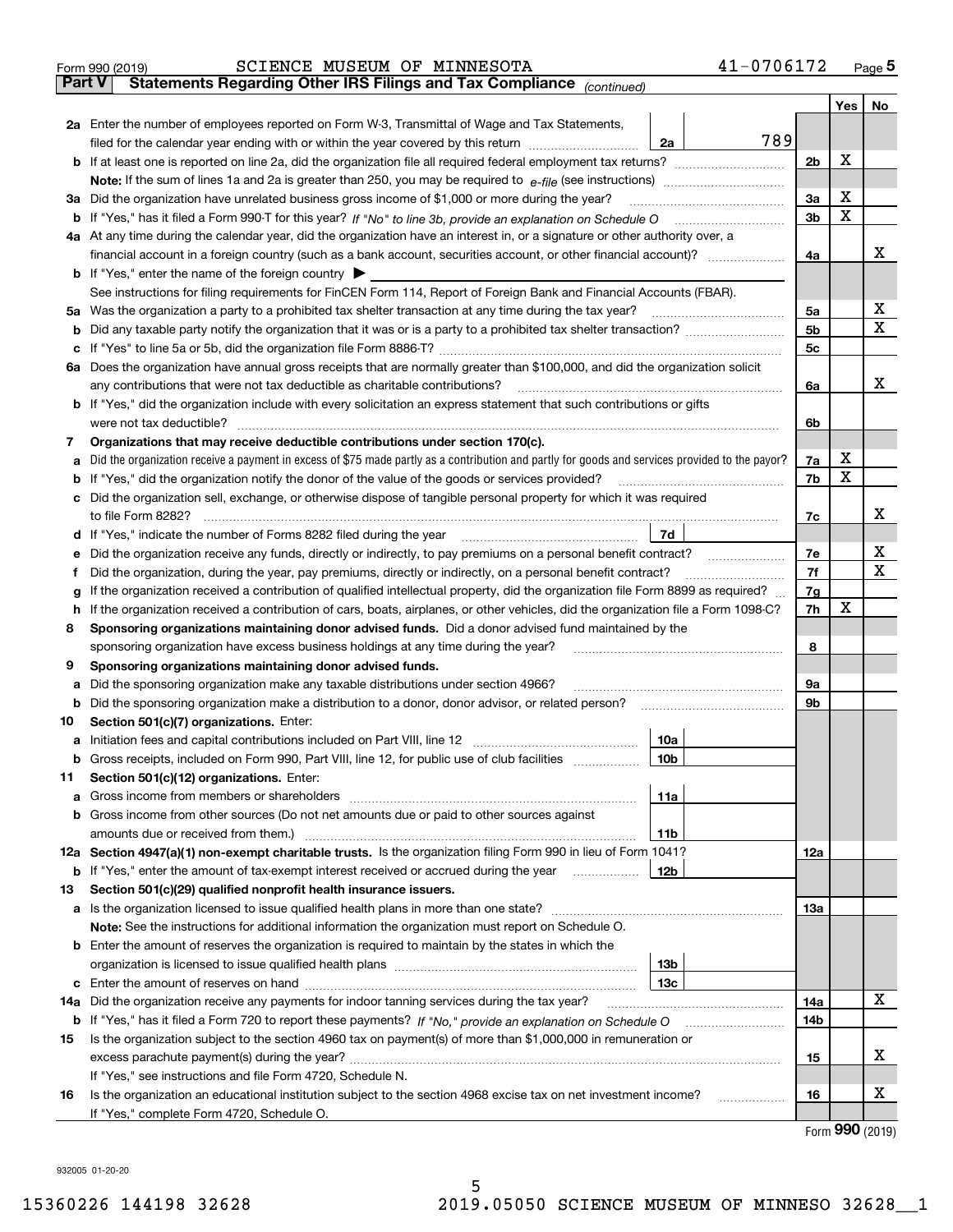|               | 41-0706172<br>SCIENCE MUSEUM OF MINNESOTA<br>Form 990 (2019)                                                                                                                                                                        |                |     | $_{\text{Page}}$ 5 |  |  |  |
|---------------|-------------------------------------------------------------------------------------------------------------------------------------------------------------------------------------------------------------------------------------|----------------|-----|--------------------|--|--|--|
| <b>Part V</b> | Statements Regarding Other IRS Filings and Tax Compliance (continued)                                                                                                                                                               |                |     |                    |  |  |  |
|               |                                                                                                                                                                                                                                     |                | Yes | No                 |  |  |  |
|               | 2a Enter the number of employees reported on Form W-3, Transmittal of Wage and Tax Statements,                                                                                                                                      |                |     |                    |  |  |  |
|               | 789<br>filed for the calendar year ending with or within the year covered by this return <i>[[[[[[[[[[[[[[]]]</i> ]]<br>2a                                                                                                          |                |     |                    |  |  |  |
|               |                                                                                                                                                                                                                                     | 2b             | х   |                    |  |  |  |
|               |                                                                                                                                                                                                                                     |                |     |                    |  |  |  |
|               | 3a Did the organization have unrelated business gross income of \$1,000 or more during the year?                                                                                                                                    | 3a             | x   |                    |  |  |  |
|               |                                                                                                                                                                                                                                     | 3b             | X   |                    |  |  |  |
|               | 4a At any time during the calendar year, did the organization have an interest in, or a signature or other authority over, a                                                                                                        |                |     |                    |  |  |  |
|               |                                                                                                                                                                                                                                     | 4a             |     | х                  |  |  |  |
|               | <b>b</b> If "Yes," enter the name of the foreign country $\blacktriangleright$                                                                                                                                                      |                |     |                    |  |  |  |
|               | See instructions for filing requirements for FinCEN Form 114, Report of Foreign Bank and Financial Accounts (FBAR).                                                                                                                 |                |     |                    |  |  |  |
|               | 5a Was the organization a party to a prohibited tax shelter transaction at any time during the tax year?                                                                                                                            | 5a             |     | х                  |  |  |  |
| b             |                                                                                                                                                                                                                                     | 5 <sub>b</sub> |     | х                  |  |  |  |
| c             |                                                                                                                                                                                                                                     | 5c             |     |                    |  |  |  |
|               | 6a Does the organization have annual gross receipts that are normally greater than \$100,000, and did the organization solicit                                                                                                      |                |     |                    |  |  |  |
|               | any contributions that were not tax deductible as charitable contributions?                                                                                                                                                         | 6a             |     | х                  |  |  |  |
|               | <b>b</b> If "Yes," did the organization include with every solicitation an express statement that such contributions or gifts                                                                                                       |                |     |                    |  |  |  |
|               | were not tax deductible?                                                                                                                                                                                                            | 6b             |     |                    |  |  |  |
| 7             | Organizations that may receive deductible contributions under section 170(c).                                                                                                                                                       |                |     |                    |  |  |  |
| а             | Did the organization receive a payment in excess of \$75 made partly as a contribution and partly for goods and services provided to the payor?                                                                                     | 7a             | x   |                    |  |  |  |
| b             | If "Yes," did the organization notify the donor of the value of the goods or services provided?                                                                                                                                     | 7b             | X   |                    |  |  |  |
|               | c Did the organization sell, exchange, or otherwise dispose of tangible personal property for which it was required                                                                                                                 |                |     |                    |  |  |  |
|               |                                                                                                                                                                                                                                     | 7c             |     | х                  |  |  |  |
|               | 7d<br>d If "Yes," indicate the number of Forms 8282 filed during the year [11] [11] The summinimum minimum in the summinimum of the Numminimum minimum in the Numminimum minimum in the Numminimum of the Numminimum minimum in the |                |     |                    |  |  |  |
| е             | Did the organization receive any funds, directly or indirectly, to pay premiums on a personal benefit contract?                                                                                                                     | 7e             |     | x                  |  |  |  |
| f             | Did the organization, during the year, pay premiums, directly or indirectly, on a personal benefit contract?                                                                                                                        | 7f             |     | х                  |  |  |  |
| g             | If the organization received a contribution of qualified intellectual property, did the organization file Form 8899 as required?                                                                                                    | 7g             |     |                    |  |  |  |
| h.            | If the organization received a contribution of cars, boats, airplanes, or other vehicles, did the organization file a Form 1098-C?                                                                                                  |                |     |                    |  |  |  |
| 8             | Sponsoring organizations maintaining donor advised funds. Did a donor advised fund maintained by the                                                                                                                                |                |     |                    |  |  |  |
|               | sponsoring organization have excess business holdings at any time during the year?                                                                                                                                                  | 8              |     |                    |  |  |  |
| 9             | Sponsoring organizations maintaining donor advised funds.                                                                                                                                                                           |                |     |                    |  |  |  |
| а             | Did the sponsoring organization make any taxable distributions under section 4966?                                                                                                                                                  | 9а             |     |                    |  |  |  |
| b             | Did the sponsoring organization make a distribution to a donor, donor advisor, or related person?                                                                                                                                   | 9b             |     |                    |  |  |  |
| 10            | Section 501(c)(7) organizations. Enter:                                                                                                                                                                                             |                |     |                    |  |  |  |
|               | 10a                                                                                                                                                                                                                                 |                |     |                    |  |  |  |
|               | 10b <br>Gross receipts, included on Form 990, Part VIII, line 12, for public use of club facilities                                                                                                                                 |                |     |                    |  |  |  |
| 11            | Section 501(c)(12) organizations. Enter:                                                                                                                                                                                            |                |     |                    |  |  |  |
| a             | 11a                                                                                                                                                                                                                                 |                |     |                    |  |  |  |
|               | b Gross income from other sources (Do not net amounts due or paid to other sources against                                                                                                                                          |                |     |                    |  |  |  |
|               | 11b                                                                                                                                                                                                                                 |                |     |                    |  |  |  |
|               | 12a Section 4947(a)(1) non-exempt charitable trusts. Is the organization filing Form 990 in lieu of Form 1041?                                                                                                                      | <b>12a</b>     |     |                    |  |  |  |
|               | 12b<br><b>b</b> If "Yes," enter the amount of tax-exempt interest received or accrued during the year                                                                                                                               |                |     |                    |  |  |  |
| 13            | Section 501(c)(29) qualified nonprofit health insurance issuers.                                                                                                                                                                    |                |     |                    |  |  |  |
|               | a Is the organization licensed to issue qualified health plans in more than one state?                                                                                                                                              | <b>13a</b>     |     |                    |  |  |  |
|               | Note: See the instructions for additional information the organization must report on Schedule O.                                                                                                                                   |                |     |                    |  |  |  |
|               | <b>b</b> Enter the amount of reserves the organization is required to maintain by the states in which the                                                                                                                           |                |     |                    |  |  |  |
|               | 13b                                                                                                                                                                                                                                 |                |     |                    |  |  |  |
|               | 13с                                                                                                                                                                                                                                 |                |     |                    |  |  |  |
| 14a           | Did the organization receive any payments for indoor tanning services during the tax year?                                                                                                                                          | 14a            |     | x                  |  |  |  |
| b             |                                                                                                                                                                                                                                     | 14b            |     |                    |  |  |  |
| 15            | Is the organization subject to the section 4960 tax on payment(s) of more than \$1,000,000 in remuneration or                                                                                                                       |                |     |                    |  |  |  |
|               |                                                                                                                                                                                                                                     | 15             |     | x                  |  |  |  |
|               | If "Yes," see instructions and file Form 4720, Schedule N.                                                                                                                                                                          |                |     |                    |  |  |  |
| 16            | Is the organization an educational institution subject to the section 4968 excise tax on net investment income?                                                                                                                     | 16             |     | x                  |  |  |  |
|               | If "Yes," complete Form 4720, Schedule O.                                                                                                                                                                                           |                |     |                    |  |  |  |

5

Form (2019) **990**

932005 01-20-20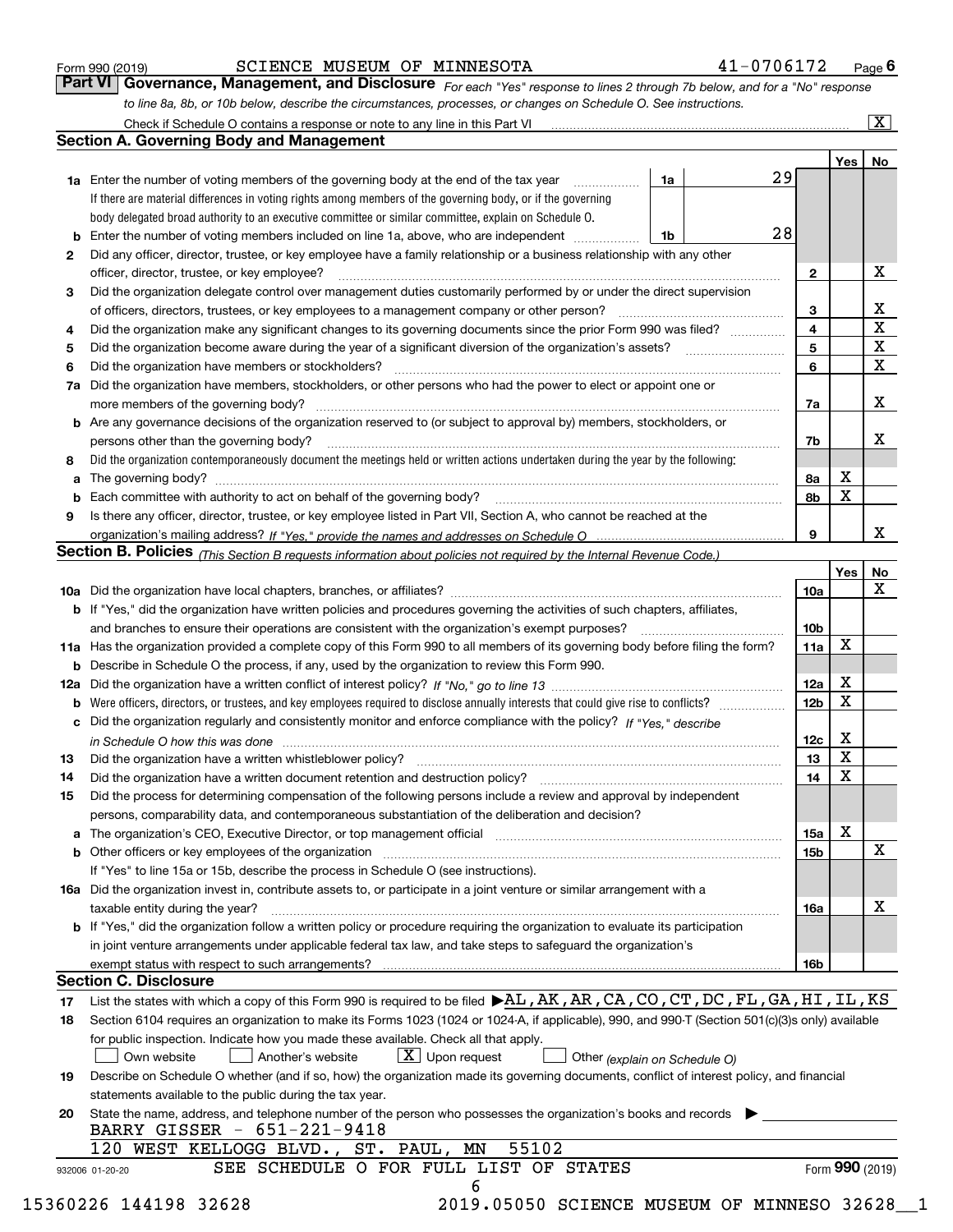| Form 990 (2019) |  |  |
|-----------------|--|--|
|                 |  |  |

#### SCIENCE MUSEUM OF MINNESOTA 41-0706172

*For each "Yes" response to lines 2 through 7b below, and for a "No" response to line 8a, 8b, or 10b below, describe the circumstances, processes, or changes on Schedule O. See instructions.* Form 990 (2019) **COLENCE MUSEUM OF MINNESOTA** 41 – 0706172 Page 6<br>**Part VI Governance, Management, and Disclosure** For each "Yes" response to lines 2 through 7b below, and for a "No" response

|                                                                                                                   |                                                                                                                                                                            |    |  |    |                 | Yes         | No                      |
|-------------------------------------------------------------------------------------------------------------------|----------------------------------------------------------------------------------------------------------------------------------------------------------------------------|----|--|----|-----------------|-------------|-------------------------|
|                                                                                                                   | <b>1a</b> Enter the number of voting members of the governing body at the end of the tax year <i>manumum</i>                                                               | 1a |  | 29 |                 |             |                         |
|                                                                                                                   | If there are material differences in voting rights among members of the governing body, or if the governing                                                                |    |  |    |                 |             |                         |
|                                                                                                                   | body delegated broad authority to an executive committee or similar committee, explain on Schedule O.                                                                      |    |  |    |                 |             |                         |
|                                                                                                                   |                                                                                                                                                                            | 1b |  | 28 |                 |             |                         |
| 2                                                                                                                 | Did any officer, director, trustee, or key employee have a family relationship or a business relationship with any other                                                   |    |  |    |                 |             |                         |
|                                                                                                                   | officer, director, trustee, or key employee?                                                                                                                               |    |  |    | $\mathbf{2}$    |             | X                       |
| 3                                                                                                                 | Did the organization delegate control over management duties customarily performed by or under the direct supervision                                                      |    |  |    |                 |             |                         |
|                                                                                                                   |                                                                                                                                                                            |    |  |    | 3               |             | X                       |
| 4                                                                                                                 | Did the organization make any significant changes to its governing documents since the prior Form 990 was filed?                                                           |    |  |    | 4               |             | $\overline{\mathbf{x}}$ |
| 5                                                                                                                 |                                                                                                                                                                            |    |  |    | 5               |             | $\mathbf X$             |
| 6                                                                                                                 | Did the organization have members or stockholders?                                                                                                                         |    |  |    | 6               |             | $\mathbf X$             |
| 7a Did the organization have members, stockholders, or other persons who had the power to elect or appoint one or |                                                                                                                                                                            |    |  |    |                 |             |                         |
|                                                                                                                   |                                                                                                                                                                            |    |  |    | 7a              |             | X                       |
|                                                                                                                   | <b>b</b> Are any governance decisions of the organization reserved to (or subject to approval by) members, stockholders, or                                                |    |  |    |                 |             |                         |
|                                                                                                                   | persons other than the governing body?                                                                                                                                     |    |  |    | 7b              |             | X                       |
| 8                                                                                                                 | Did the organization contemporaneously document the meetings held or written actions undertaken during the year by the following:                                          |    |  |    |                 |             |                         |
| a                                                                                                                 |                                                                                                                                                                            |    |  |    | 8a              | X           |                         |
|                                                                                                                   |                                                                                                                                                                            |    |  |    | 8b              | X           |                         |
| 9                                                                                                                 | Is there any officer, director, trustee, or key employee listed in Part VII, Section A, who cannot be reached at the                                                       |    |  |    |                 |             |                         |
|                                                                                                                   |                                                                                                                                                                            |    |  |    | 9               |             | x                       |
|                                                                                                                   | Section B. Policies (This Section B requests information about policies not required by the Internal Revenue Code.)                                                        |    |  |    |                 |             |                         |
|                                                                                                                   |                                                                                                                                                                            |    |  |    |                 | Yes∣        | No                      |
|                                                                                                                   |                                                                                                                                                                            |    |  |    | 10a             |             | X                       |
|                                                                                                                   | <b>b</b> If "Yes," did the organization have written policies and procedures governing the activities of such chapters, affiliates,                                        |    |  |    |                 |             |                         |
|                                                                                                                   |                                                                                                                                                                            |    |  |    | 10 <sub>b</sub> |             |                         |
|                                                                                                                   | 11a Has the organization provided a complete copy of this Form 990 to all members of its governing body before filing the form?                                            |    |  |    |                 |             |                         |
|                                                                                                                   |                                                                                                                                                                            |    |  |    | 11a             | $\mathbf X$ |                         |
|                                                                                                                   | <b>b</b> Describe in Schedule O the process, if any, used by the organization to review this Form 990.                                                                     |    |  |    |                 | X           |                         |
|                                                                                                                   |                                                                                                                                                                            |    |  |    | 12a             | X           |                         |
| b                                                                                                                 |                                                                                                                                                                            |    |  |    | 12b             |             |                         |
|                                                                                                                   | c Did the organization regularly and consistently monitor and enforce compliance with the policy? If "Yes," describe                                                       |    |  |    |                 |             |                         |
|                                                                                                                   | in Schedule O how this was done www.communication.com/www.communications.com/www.communications.com/                                                                       |    |  |    | 12c             | X<br>X      |                         |
| 13                                                                                                                |                                                                                                                                                                            |    |  |    | 13              |             |                         |
| 14                                                                                                                | Did the organization have a written document retention and destruction policy? manufactured and the organization have a written document retention and destruction policy? |    |  |    | 14              | $\mathbf X$ |                         |
| 15                                                                                                                | Did the process for determining compensation of the following persons include a review and approval by independent                                                         |    |  |    |                 |             |                         |
|                                                                                                                   | persons, comparability data, and contemporaneous substantiation of the deliberation and decision?                                                                          |    |  |    |                 |             |                         |
|                                                                                                                   |                                                                                                                                                                            |    |  |    | 15a             | X           |                         |
|                                                                                                                   | <b>b</b> Other officers or key employees of the organization                                                                                                               |    |  |    | 15 <sub>b</sub> |             | X                       |
|                                                                                                                   | If "Yes" to line 15a or 15b, describe the process in Schedule O (see instructions).                                                                                        |    |  |    |                 |             |                         |
|                                                                                                                   | 16a Did the organization invest in, contribute assets to, or participate in a joint venture or similar arrangement with a                                                  |    |  |    |                 |             |                         |
|                                                                                                                   | taxable entity during the year?                                                                                                                                            |    |  |    | 16a             |             | X                       |
|                                                                                                                   | b If "Yes," did the organization follow a written policy or procedure requiring the organization to evaluate its participation                                             |    |  |    |                 |             |                         |
|                                                                                                                   | in joint venture arrangements under applicable federal tax law, and take steps to safeguard the organization's                                                             |    |  |    |                 |             |                         |
|                                                                                                                   |                                                                                                                                                                            |    |  |    | 16b             |             |                         |
|                                                                                                                   | <b>Section C. Disclosure</b>                                                                                                                                               |    |  |    |                 |             |                         |
| 17                                                                                                                | List the states with which a copy of this Form 990 is required to be filed $\blacktriangleright$ AL, AK, AR, CA, CO, CT, DC, FL, GA, HI, IL, KS                            |    |  |    |                 |             |                         |
| 18                                                                                                                | Section 6104 requires an organization to make its Forms 1023 (1024 or 1024-A, if applicable), 990, and 990-T (Section 501(c)(3)s only) available                           |    |  |    |                 |             |                         |
|                                                                                                                   | for public inspection. Indicate how you made these available. Check all that apply.                                                                                        |    |  |    |                 |             |                         |
|                                                                                                                   | $X$ Upon request<br>Another's website<br>Own website<br>Other (explain on Schedule O)                                                                                      |    |  |    |                 |             |                         |
| 19                                                                                                                | Describe on Schedule O whether (and if so, how) the organization made its governing documents, conflict of interest policy, and financial                                  |    |  |    |                 |             |                         |
|                                                                                                                   | statements available to the public during the tax year.                                                                                                                    |    |  |    |                 |             |                         |
| 20                                                                                                                | State the name, address, and telephone number of the person who possesses the organization's books and records                                                             |    |  |    |                 |             |                         |
|                                                                                                                   | BARRY GISSER - 651-221-9418                                                                                                                                                |    |  |    |                 |             |                         |
|                                                                                                                   | 55102<br>WEST KELLOGG BLVD., ST. PAUL, MN<br>120                                                                                                                           |    |  |    |                 |             |                         |
|                                                                                                                   |                                                                                                                                                                            |    |  |    |                 |             |                         |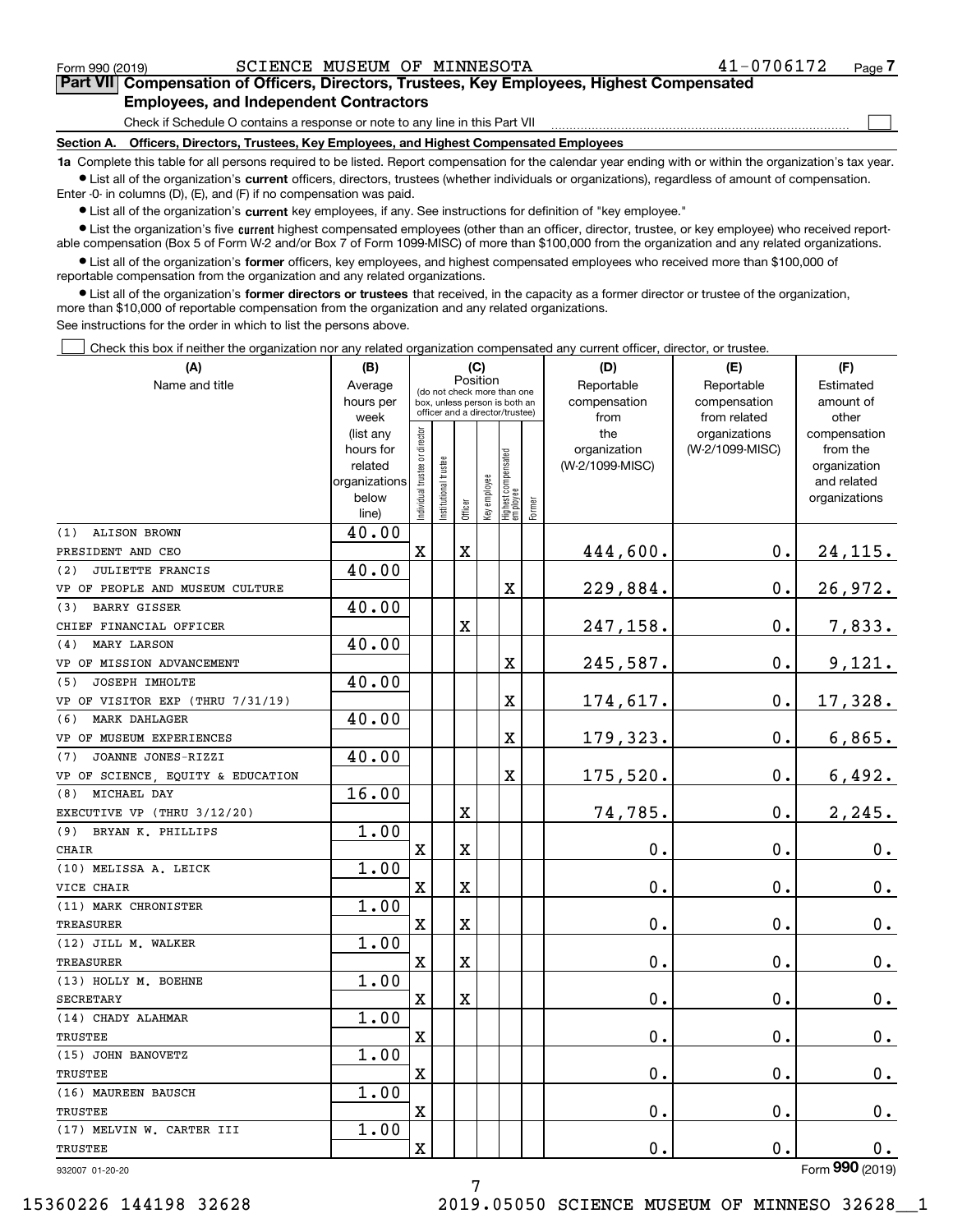$\mathcal{L}^{\text{max}}$ 

# **7Part VII Compensation of Officers, Directors, Trustees, Key Employees, Highest Compensated Employees, and Independent Contractors**

Check if Schedule O contains a response or note to any line in this Part VII

**Section A. Officers, Directors, Trustees, Key Employees, and Highest Compensated Employees**

**1a**  Complete this table for all persons required to be listed. Report compensation for the calendar year ending with or within the organization's tax year. **•** List all of the organization's current officers, directors, trustees (whether individuals or organizations), regardless of amount of compensation.

Enter -0- in columns (D), (E), and (F) if no compensation was paid.

 $\bullet$  List all of the organization's  $\,$ current key employees, if any. See instructions for definition of "key employee."

**•** List the organization's five current highest compensated employees (other than an officer, director, trustee, or key employee) who received reportable compensation (Box 5 of Form W-2 and/or Box 7 of Form 1099-MISC) of more than \$100,000 from the organization and any related organizations.

**•** List all of the organization's former officers, key employees, and highest compensated employees who received more than \$100,000 of reportable compensation from the organization and any related organizations.

**former directors or trustees**  ¥ List all of the organization's that received, in the capacity as a former director or trustee of the organization, more than \$10,000 of reportable compensation from the organization and any related organizations.

See instructions for the order in which to list the persons above.

Check this box if neither the organization nor any related organization compensated any current officer, director, or trustee.  $\mathcal{L}^{\text{max}}$ 

| (A)                               | (B)                      | (C)                           |                                                              |             |              |                                                            | (D)       | (E)             | (F)             |                             |
|-----------------------------------|--------------------------|-------------------------------|--------------------------------------------------------------|-------------|--------------|------------------------------------------------------------|-----------|-----------------|-----------------|-----------------------------|
| Name and title                    | Average                  | Position                      |                                                              | Reportable  | Reportable   | Estimated                                                  |           |                 |                 |                             |
|                                   | hours per                |                               | (do not check more than one<br>box, unless person is both an |             | compensation | compensation                                               | amount of |                 |                 |                             |
|                                   | week                     |                               | officer and a director/trustee)                              |             |              |                                                            | from      | from related    | other           |                             |
|                                   | (list any                |                               |                                                              |             |              |                                                            |           | the             | organizations   | compensation                |
|                                   | hours for                |                               |                                                              |             |              |                                                            |           | organization    | (W-2/1099-MISC) | from the                    |
|                                   | related<br>organizations |                               |                                                              |             |              |                                                            |           | (W-2/1099-MISC) |                 | organization<br>and related |
|                                   | below                    |                               |                                                              |             |              |                                                            |           |                 |                 | organizations               |
|                                   | line)                    | ndividual trustee or director | nstitutional trustee                                         |             |              | Officer<br>Key employee<br>Highest compensated<br>employee | Former    |                 |                 |                             |
| <b>ALISON BROWN</b><br>(1)        | 40.00                    |                               |                                                              |             |              |                                                            |           |                 |                 |                             |
| PRESIDENT AND CEO                 |                          | X                             |                                                              | $\mathbf X$ |              |                                                            |           | 444,600.        | 0.              | <u>24,115.</u>              |
| <b>JULIETTE FRANCIS</b><br>(2)    | 40.00                    |                               |                                                              |             |              |                                                            |           |                 |                 |                             |
| VP OF PEOPLE AND MUSEUM CULTURE   |                          |                               |                                                              |             |              | X                                                          |           | 229,884.        | $\mathbf 0$ .   | 26,972.                     |
| <b>BARRY GISSER</b><br>(3)        | 40.00                    |                               |                                                              |             |              |                                                            |           |                 |                 |                             |
| CHIEF FINANCIAL OFFICER           |                          |                               |                                                              | X           |              |                                                            |           | 247,158.        | $\mathbf 0$ .   | 7,833.                      |
| <b>MARY LARSON</b><br>(4)         | 40.00                    |                               |                                                              |             |              |                                                            |           |                 |                 |                             |
| VP OF MISSION ADVANCEMENT         |                          |                               |                                                              |             |              | X                                                          |           | 245,587.        | $\mathbf 0$ .   | <u>9,121.</u>               |
| JOSEPH IMHOLTE<br>(5)             | 40.00                    |                               |                                                              |             |              |                                                            |           |                 |                 |                             |
| VP OF VISITOR EXP (THRU 7/31/19)  |                          |                               |                                                              |             |              | X                                                          |           | 174,617.        | 0.              | 17,328.                     |
| (6) MARK DAHLAGER                 | 40.00                    |                               |                                                              |             |              |                                                            |           |                 |                 |                             |
| VP OF MUSEUM EXPERIENCES          |                          |                               |                                                              |             |              | X                                                          |           | 179,323.        | $\mathbf 0$ .   | 6,865.                      |
| JOANNE JONES-RIZZI<br>(7)         | 40.00                    |                               |                                                              |             |              |                                                            |           |                 |                 |                             |
| VP OF SCIENCE, EQUITY & EDUCATION |                          |                               |                                                              |             |              | X                                                          |           | 175,520.        | $\mathbf 0$ .   | 6,492.                      |
| (8) MICHAEL DAY                   | 16.00                    |                               |                                                              |             |              |                                                            |           |                 |                 |                             |
| EXECUTIVE VP (THRU 3/12/20)       |                          |                               |                                                              | X           |              |                                                            |           | 74,785.         | 0.              | 2, 245.                     |
| (9) BRYAN K. PHILLIPS             | 1.00                     |                               |                                                              |             |              |                                                            |           |                 |                 |                             |
| <b>CHAIR</b>                      |                          | X                             |                                                              | X           |              |                                                            |           | $\mathbf 0$ .   | 0.              | $0_{.}$                     |
| (10) MELISSA A. LEICK             | 1.00                     |                               |                                                              |             |              |                                                            |           |                 |                 |                             |
| VICE CHAIR                        |                          | X                             |                                                              | X           |              |                                                            |           | $\mathbf 0$ .   | 0.              | 0.                          |
| (11) MARK CHRONISTER              | 1.00                     |                               |                                                              |             |              |                                                            |           |                 |                 |                             |
| <b>TREASURER</b>                  |                          | X                             |                                                              | X           |              |                                                            |           | 0.              | 0.              | 0.                          |
| (12) JILL M. WALKER               | 1.00                     |                               |                                                              |             |              |                                                            |           |                 |                 |                             |
| <b>TREASURER</b>                  |                          | $\mathbf X$                   |                                                              | X           |              |                                                            |           | 0.              | 0.              | 0.                          |
| (13) HOLLY M. BOEHNE              | 1.00                     |                               |                                                              |             |              |                                                            |           |                 |                 |                             |
| <b>SECRETARY</b>                  |                          | $\mathbf X$                   |                                                              | X           |              |                                                            |           | 0.              | $\mathbf 0$ .   | 0.                          |
| (14) CHADY ALAHMAR                | 1.00                     |                               |                                                              |             |              |                                                            |           |                 |                 |                             |
| <b>TRUSTEE</b>                    |                          | $\mathbf X$                   |                                                              |             |              |                                                            |           | $\mathbf 0$ .   | 0.              | $0_{.}$                     |
| (15) JOHN BANOVETZ                | 1.00                     |                               |                                                              |             |              |                                                            |           |                 |                 |                             |
| TRUSTEE                           |                          | $\mathbf X$                   |                                                              |             |              |                                                            |           | $\mathbf 0$ .   | $\mathbf 0$ .   | $0_{.}$                     |
| (16) MAUREEN BAUSCH               | 1.00                     |                               |                                                              |             |              |                                                            |           |                 |                 |                             |
| TRUSTEE                           |                          | $\mathbf X$                   |                                                              |             |              |                                                            |           | $\mathbf 0$ .   | 0.              | $0_{.}$                     |
| (17) MELVIN W. CARTER III         | 1.00                     |                               |                                                              |             |              |                                                            |           |                 |                 |                             |
| TRUSTEE                           |                          | Χ                             |                                                              |             |              |                                                            |           | 0.              | $\mathbf 0$ .   | 0.                          |
| 932007 01-20-20                   |                          |                               |                                                              |             |              |                                                            |           |                 |                 | Form 990 (2019)             |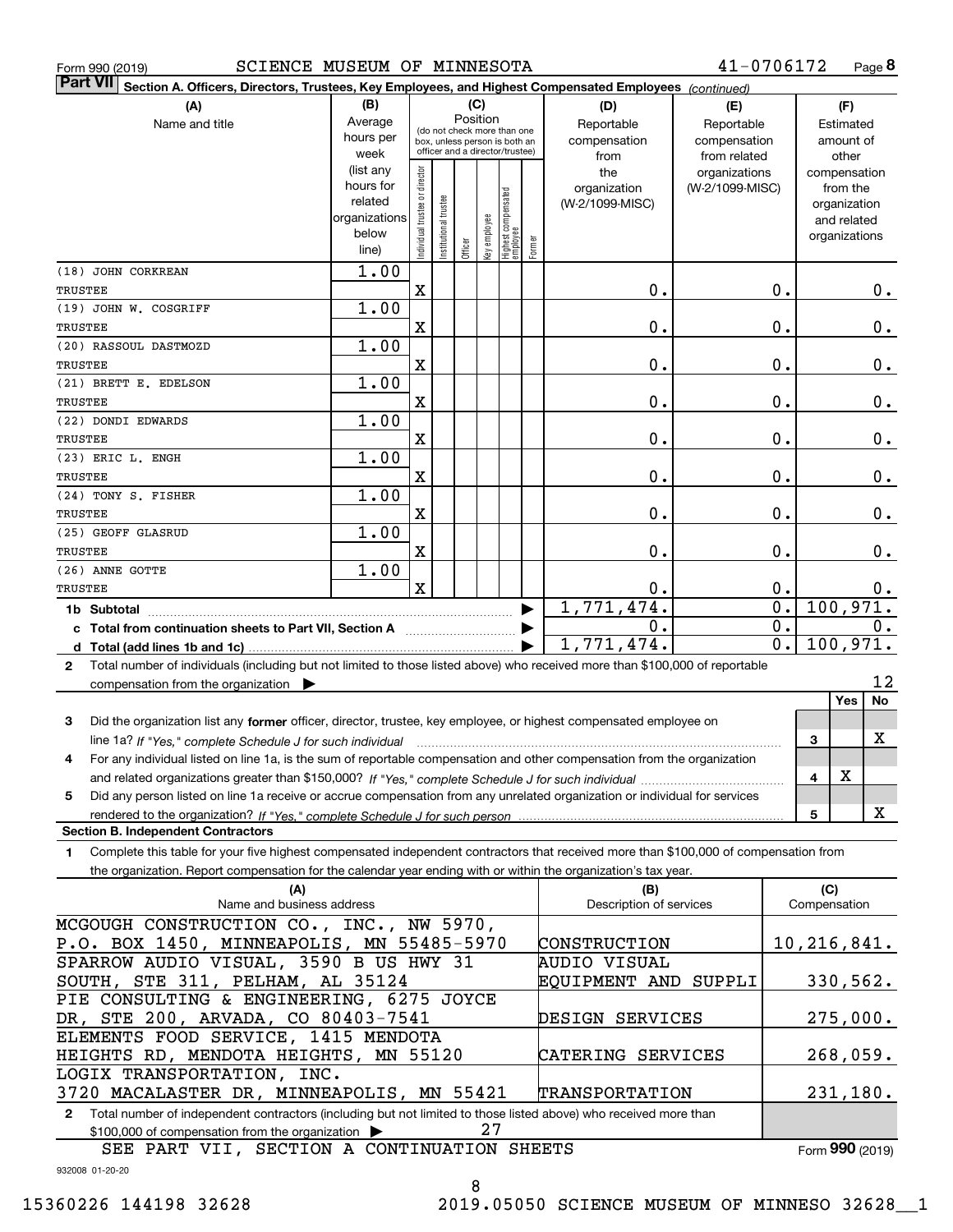| SCIENCE MUSEUM OF MINNESOTA<br>Form 990 (2019)                                                                                                                                                                                 |                        |                                |                      |          |              |                                                                  |        |                         | 41-0706172      |                  |              |                             | Page 8         |
|--------------------------------------------------------------------------------------------------------------------------------------------------------------------------------------------------------------------------------|------------------------|--------------------------------|----------------------|----------|--------------|------------------------------------------------------------------|--------|-------------------------|-----------------|------------------|--------------|-----------------------------|----------------|
| <b>Part VII</b><br>Section A. Officers, Directors, Trustees, Key Employees, and Highest Compensated Employees (continued)                                                                                                      |                        |                                |                      |          |              |                                                                  |        |                         |                 |                  |              |                             |                |
| (A)                                                                                                                                                                                                                            | (B)                    |                                |                      | (C)      |              |                                                                  |        | (D)                     | (E)             |                  |              | (F)                         |                |
| Name and title                                                                                                                                                                                                                 | Average                |                                |                      | Position |              | (do not check more than one                                      |        | Reportable              | Reportable      |                  |              | Estimated                   |                |
|                                                                                                                                                                                                                                | hours per              |                                |                      |          |              | box, unless person is both an<br>officer and a director/trustee) |        | compensation            | compensation    |                  |              | amount of                   |                |
|                                                                                                                                                                                                                                | week                   |                                |                      |          |              |                                                                  |        | from                    | from related    |                  |              | other                       |                |
|                                                                                                                                                                                                                                | (list any<br>hours for |                                |                      |          |              |                                                                  |        | the                     | organizations   |                  |              | compensation                |                |
|                                                                                                                                                                                                                                | related                |                                |                      |          |              |                                                                  |        | organization            | (W-2/1099-MISC) |                  |              | from the                    |                |
|                                                                                                                                                                                                                                | organizations          |                                |                      |          |              |                                                                  |        | (W-2/1099-MISC)         |                 |                  |              | organization<br>and related |                |
|                                                                                                                                                                                                                                | below                  |                                |                      |          |              |                                                                  |        |                         |                 |                  |              | organizations               |                |
|                                                                                                                                                                                                                                | line)                  | Individual trustee or director | nstitutional trustee | Officer  | Key employee | Highest compensated<br>  employee                                | Former |                         |                 |                  |              |                             |                |
| (18) JOHN CORKREAN                                                                                                                                                                                                             | 1.00                   |                                |                      |          |              |                                                                  |        |                         |                 |                  |              |                             |                |
| TRUSTEE                                                                                                                                                                                                                        |                        | $\mathbf X$                    |                      |          |              |                                                                  |        | 0.                      |                 | 0.               |              |                             | $0$ .          |
| (19) JOHN W. COSGRIFF                                                                                                                                                                                                          | 1.00                   |                                |                      |          |              |                                                                  |        |                         |                 |                  |              |                             |                |
| TRUSTEE                                                                                                                                                                                                                        |                        | X                              |                      |          |              |                                                                  |        | 0.                      |                 | 0.               |              |                             | $0$ .          |
| (20) RASSOUL DASTMOZD                                                                                                                                                                                                          | 1.00                   |                                |                      |          |              |                                                                  |        |                         |                 |                  |              |                             |                |
| TRUSTEE                                                                                                                                                                                                                        |                        | X                              |                      |          |              |                                                                  |        | 0.                      |                 | 0.               |              |                             | $0$ .          |
| (21) BRETT E. EDELSON                                                                                                                                                                                                          | 1.00                   |                                |                      |          |              |                                                                  |        |                         |                 |                  |              |                             |                |
| <b>TRUSTEE</b>                                                                                                                                                                                                                 |                        | X                              |                      |          |              |                                                                  |        | 0.                      |                 | 0.               |              |                             | 0.             |
| (22) DONDI EDWARDS                                                                                                                                                                                                             | 1.00                   |                                |                      |          |              |                                                                  |        |                         |                 |                  |              |                             |                |
| TRUSTEE                                                                                                                                                                                                                        |                        | X                              |                      |          |              |                                                                  |        | 0.                      |                 | 0.               |              |                             | 0.             |
| (23) ERIC L. ENGH                                                                                                                                                                                                              | 1.00                   |                                |                      |          |              |                                                                  |        |                         |                 |                  |              |                             |                |
| TRUSTEE                                                                                                                                                                                                                        |                        | X                              |                      |          |              |                                                                  |        | 0.                      |                 | 0.               |              |                             | 0.             |
| (24) TONY S. FISHER                                                                                                                                                                                                            | 1.00                   |                                |                      |          |              |                                                                  |        |                         |                 |                  |              |                             |                |
| TRUSTEE                                                                                                                                                                                                                        |                        | X                              |                      |          |              |                                                                  |        | 0.                      |                 | 0.               |              |                             | 0.             |
| (25) GEOFF GLASRUD                                                                                                                                                                                                             | 1.00                   |                                |                      |          |              |                                                                  |        |                         |                 |                  |              |                             |                |
| <b>TRUSTEE</b>                                                                                                                                                                                                                 |                        | X                              |                      |          |              |                                                                  |        | 0.                      |                 | 0.               |              |                             | 0.             |
| (26) ANNE GOTTE                                                                                                                                                                                                                | 1.00                   | $\mathbf X$                    |                      |          |              |                                                                  |        |                         |                 | 0.               |              |                             |                |
| TRUSTEE                                                                                                                                                                                                                        |                        |                                |                      |          |              |                                                                  |        | 0.<br>1,771,474.        |                 | $\overline{0}$ . |              |                             | 0.<br>100,971. |
| 1b Subtotal                                                                                                                                                                                                                    |                        |                                |                      |          |              |                                                                  |        | 0.                      |                 | $\overline{0}$ . |              |                             | $0$ .          |
|                                                                                                                                                                                                                                |                        |                                |                      |          |              |                                                                  |        | 1,771,474.              |                 | $\overline{0}$ . |              |                             | 100,971.       |
| Total number of individuals (including but not limited to those listed above) who received more than \$100,000 of reportable                                                                                                   |                        |                                |                      |          |              |                                                                  |        |                         |                 |                  |              |                             |                |
| $\mathbf{2}$<br>compensation from the organization $\blacktriangleright$                                                                                                                                                       |                        |                                |                      |          |              |                                                                  |        |                         |                 |                  |              |                             | 12             |
|                                                                                                                                                                                                                                |                        |                                |                      |          |              |                                                                  |        |                         |                 |                  |              | Yes                         | No             |
| Did the organization list any former officer, director, trustee, key employee, or highest compensated employee on<br>3                                                                                                         |                        |                                |                      |          |              |                                                                  |        |                         |                 |                  |              |                             |                |
| line 1a? If "Yes," complete Schedule J for such individual material content content to the content of the content of the 12 for such an intervals and the 12 for such a such as the 100 for the 12 for the 12 for the 12 for t |                        |                                |                      |          |              |                                                                  |        |                         |                 |                  | 3            |                             | х              |
| For any individual listed on line 1a, is the sum of reportable compensation and other compensation from the organization                                                                                                       |                        |                                |                      |          |              |                                                                  |        |                         |                 |                  |              |                             |                |
|                                                                                                                                                                                                                                |                        |                                |                      |          |              |                                                                  |        |                         |                 |                  | 4            | X                           |                |
| Did any person listed on line 1a receive or accrue compensation from any unrelated organization or individual for services<br>5                                                                                                |                        |                                |                      |          |              |                                                                  |        |                         |                 |                  |              |                             |                |
| rendered to the organization? If "Yes." complete Schedule J for such person                                                                                                                                                    |                        |                                |                      |          |              |                                                                  |        |                         |                 |                  | 5            |                             | x              |
| <b>Section B. Independent Contractors</b>                                                                                                                                                                                      |                        |                                |                      |          |              |                                                                  |        |                         |                 |                  |              |                             |                |
| Complete this table for your five highest compensated independent contractors that received more than \$100,000 of compensation from<br>1.                                                                                     |                        |                                |                      |          |              |                                                                  |        |                         |                 |                  |              |                             |                |
| the organization. Report compensation for the calendar year ending with or within the organization's tax year.                                                                                                                 |                        |                                |                      |          |              |                                                                  |        |                         |                 |                  |              |                             |                |
| (A)                                                                                                                                                                                                                            |                        |                                |                      |          |              |                                                                  |        | (B)                     |                 |                  | (C)          |                             |                |
| Name and business address                                                                                                                                                                                                      |                        |                                |                      |          |              |                                                                  |        | Description of services |                 |                  | Compensation |                             |                |
| MCGOUGH CONSTRUCTION CO., INC., NW 5970,                                                                                                                                                                                       |                        |                                |                      |          |              |                                                                  |        |                         |                 |                  |              |                             |                |
| P.O. BOX 1450, MINNEAPOLIS, MN 55485-5970                                                                                                                                                                                      |                        |                                |                      |          |              |                                                                  |        | CONSTRUCTION            |                 |                  | 10,216,841.  |                             |                |
| SPARROW AUDIO VISUAL, 3590 B US HWY 31                                                                                                                                                                                         |                        |                                |                      |          |              |                                                                  |        | AUDIO VISUAL            |                 |                  |              |                             |                |
| SOUTH, STE 311, PELHAM, AL 35124                                                                                                                                                                                               |                        |                                |                      |          |              |                                                                  |        | EQUIPMENT AND SUPPLI    |                 |                  |              |                             | 330,562.       |
| PIE CONSULTING & ENGINEERING, 6275 JOYCE                                                                                                                                                                                       |                        |                                |                      |          |              |                                                                  |        |                         |                 |                  |              |                             |                |
| DR, STE 200, ARVADA, CO 80403-7541                                                                                                                                                                                             |                        |                                |                      |          |              |                                                                  |        | DESIGN SERVICES         |                 |                  |              |                             | 275,000.       |
| ELEMENTS FOOD SERVICE, 1415 MENDOTA                                                                                                                                                                                            |                        |                                |                      |          |              |                                                                  |        |                         |                 |                  |              |                             |                |
| HEIGHTS RD, MENDOTA HEIGHTS, MN 55120                                                                                                                                                                                          |                        |                                |                      |          |              |                                                                  |        | CATERING SERVICES       |                 |                  |              |                             | 268,059.       |

**2**Total number of independent contractors (including but not limited to those listed above) who received more than \$100,000 of compensation from the organization  $\blacktriangleright$ 3720 MACALASTER DR, MINNEAPOLIS, MN 55421 27 TRANSPORTATION

932008 01-20-20 Form (2019) **990** SEE PART VII, SECTION A CONTINUATION SHEETS

LOGIX TRANSPORTATION, INC.

231,180.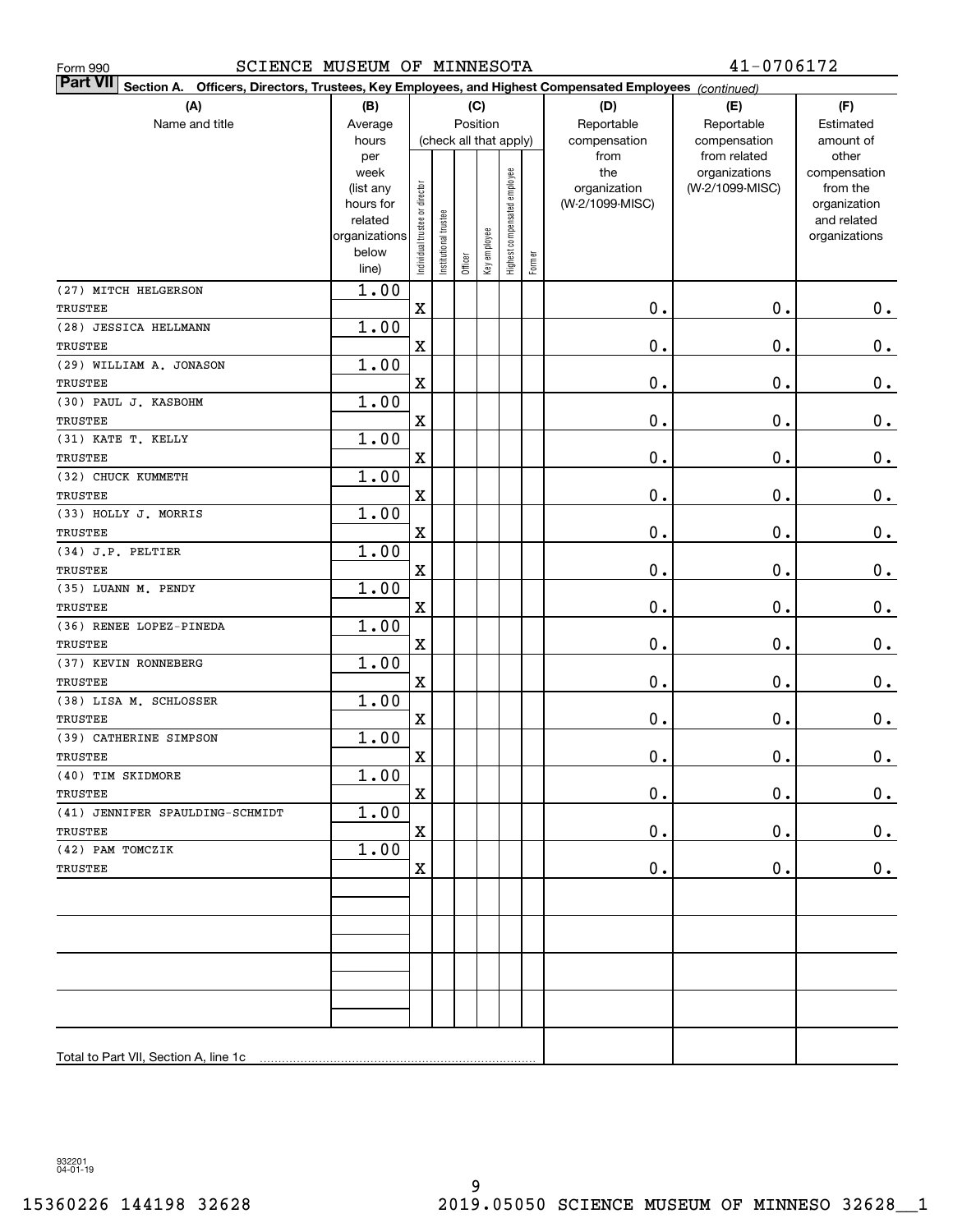| SCIENCE MUSEUM OF MINNESOTA<br>Form 990                                                                                   |                |                                |                       |                        |              |                              |        |                 | 41-0706172                    |                       |
|---------------------------------------------------------------------------------------------------------------------------|----------------|--------------------------------|-----------------------|------------------------|--------------|------------------------------|--------|-----------------|-------------------------------|-----------------------|
| <b>Part VII</b><br>Section A. Officers, Directors, Trustees, Key Employees, and Highest Compensated Employees (continued) |                |                                |                       |                        |              |                              |        |                 |                               |                       |
| (A)                                                                                                                       | (B)            |                                |                       |                        | (C)          |                              |        | (D)             | (E)                           | (F)                   |
| Name and title                                                                                                            | Average        |                                |                       | Position               |              |                              |        | Reportable      | Reportable                    | Estimated             |
|                                                                                                                           | hours          |                                |                       | (check all that apply) |              |                              |        | compensation    | compensation                  | amount of             |
|                                                                                                                           | per<br>week    |                                |                       |                        |              |                              |        | from<br>the     | from related<br>organizations | other<br>compensation |
|                                                                                                                           | (list any      |                                |                       |                        |              |                              |        | organization    | (W-2/1099-MISC)               | from the              |
|                                                                                                                           | hours for      |                                |                       |                        |              |                              |        | (W-2/1099-MISC) |                               | organization          |
|                                                                                                                           | related        |                                |                       |                        |              |                              |        |                 |                               | and related           |
|                                                                                                                           | organizations  |                                |                       |                        |              |                              |        |                 |                               | organizations         |
|                                                                                                                           | below<br>line) | Individual trustee or director | Institutional trustee | Officer                | Key employee | Highest compensated employee | Former |                 |                               |                       |
| (27) MITCH HELGERSON                                                                                                      | 1.00           |                                |                       |                        |              |                              |        |                 |                               |                       |
| TRUSTEE                                                                                                                   |                | $\mathbf X$                    |                       |                        |              |                              |        | 0.              | 0.                            | 0.                    |
| (28) JESSICA HELLMANN                                                                                                     | 1.00           |                                |                       |                        |              |                              |        |                 |                               |                       |
| TRUSTEE                                                                                                                   |                | X                              |                       |                        |              |                              |        | 0.              | $\mathbf 0$ .                 | 0.                    |
| (29) WILLIAM A. JONASON                                                                                                   | 1.00           |                                |                       |                        |              |                              |        |                 |                               |                       |
| <b>TRUSTEE</b>                                                                                                            |                | X                              |                       |                        |              |                              |        | 0.              | $\mathbf 0$ .                 | $\mathbf 0$ .         |
| (30) PAUL J. KASBOHM                                                                                                      | 1.00           |                                |                       |                        |              |                              |        |                 |                               |                       |
| TRUSTEE                                                                                                                   |                | $\mathbf X$                    |                       |                        |              |                              |        | 0.              | $\mathbf 0$ .                 | 0.                    |
| (31) KATE T. KELLY                                                                                                        | 1.00           |                                |                       |                        |              |                              |        |                 |                               |                       |
| <b>TRUSTEE</b>                                                                                                            |                | $\mathbf X$                    |                       |                        |              |                              |        | 0.              | $\mathbf 0$ .                 | 0.                    |
| (32) CHUCK KUMMETH                                                                                                        | 1.00           |                                |                       |                        |              |                              |        |                 |                               |                       |
| <b>TRUSTEE</b>                                                                                                            |                | $\mathbf X$                    |                       |                        |              |                              |        | 0.              | $\mathbf 0$ .                 | 0.                    |
| (33) HOLLY J. MORRIS                                                                                                      | 1.00           |                                |                       |                        |              |                              |        |                 |                               |                       |
| TRUSTEE                                                                                                                   |                | $\mathbf X$                    |                       |                        |              |                              |        | 0.              | $\mathbf 0$ .                 | 0.                    |
| (34) J.P. PELTIER                                                                                                         | 1.00           |                                |                       |                        |              |                              |        |                 |                               |                       |
| TRUSTEE                                                                                                                   |                | X                              |                       |                        |              |                              |        | 0.              | $\mathbf 0$ .                 | 0.                    |
| (35) LUANN M. PENDY                                                                                                       | 1.00           |                                |                       |                        |              |                              |        |                 |                               |                       |
| TRUSTEE                                                                                                                   |                | X                              |                       |                        |              |                              |        | 0.              | $\mathbf 0$ .                 | 0.                    |
| (36) RENEE LOPEZ-PINEDA                                                                                                   | 1.00           |                                |                       |                        |              |                              |        |                 |                               |                       |
| TRUSTEE                                                                                                                   |                | X                              |                       |                        |              |                              |        | 0.              | $\mathbf 0$ .                 | 0.                    |
| (37) KEVIN RONNEBERG                                                                                                      | 1.00           |                                |                       |                        |              |                              |        |                 |                               |                       |
| <b>TRUSTEE</b>                                                                                                            |                | X                              |                       |                        |              |                              |        | 0.              | $\mathbf 0$ .                 | $\mathbf 0$ .         |
| (38) LISA M. SCHLOSSER                                                                                                    | 1.00           |                                |                       |                        |              |                              |        |                 |                               |                       |
| TRUSTEE                                                                                                                   |                | X                              |                       |                        |              |                              |        | 0.              | $\mathbf 0$ .                 | 0.                    |
| (39) CATHERINE SIMPSON                                                                                                    | 1.00           |                                |                       |                        |              |                              |        | $\mathbf 0$ .   | $\mathbf 0$ .                 |                       |
| TRUSTEE<br>(40) TIM SKIDMORE                                                                                              | 1.00           | X                              |                       |                        |              |                              |        |                 |                               | $\mathbf 0$ .         |
| TRUSTEE                                                                                                                   |                | $\mathbf X$                    |                       |                        |              |                              |        | $0$ .           | $\mathbf 0$ .                 | 0.                    |
| (41) JENNIFER SPAULDING-SCHMIDT                                                                                           | 1.00           |                                |                       |                        |              |                              |        |                 |                               |                       |
| TRUSTEE                                                                                                                   |                | $\mathbf X$                    |                       |                        |              |                              |        | $\mathbf 0$ .   | $\mathbf 0$ .                 | $0\cdot$              |
| (42) PAM TOMCZIK                                                                                                          | 1.00           |                                |                       |                        |              |                              |        |                 |                               |                       |
| TRUSTEE                                                                                                                   |                | $\mathbf X$                    |                       |                        |              |                              |        | 0.              | $\mathbf 0$ .                 | 0.                    |
|                                                                                                                           |                |                                |                       |                        |              |                              |        |                 |                               |                       |
|                                                                                                                           |                |                                |                       |                        |              |                              |        |                 |                               |                       |
|                                                                                                                           |                |                                |                       |                        |              |                              |        |                 |                               |                       |
|                                                                                                                           |                |                                |                       |                        |              |                              |        |                 |                               |                       |
|                                                                                                                           |                |                                |                       |                        |              |                              |        |                 |                               |                       |
|                                                                                                                           |                |                                |                       |                        |              |                              |        |                 |                               |                       |
|                                                                                                                           |                |                                |                       |                        |              |                              |        |                 |                               |                       |
|                                                                                                                           |                |                                |                       |                        |              |                              |        |                 |                               |                       |
|                                                                                                                           |                |                                |                       |                        |              |                              |        |                 |                               |                       |
|                                                                                                                           |                |                                |                       |                        |              |                              |        |                 |                               |                       |

932201 04-01-19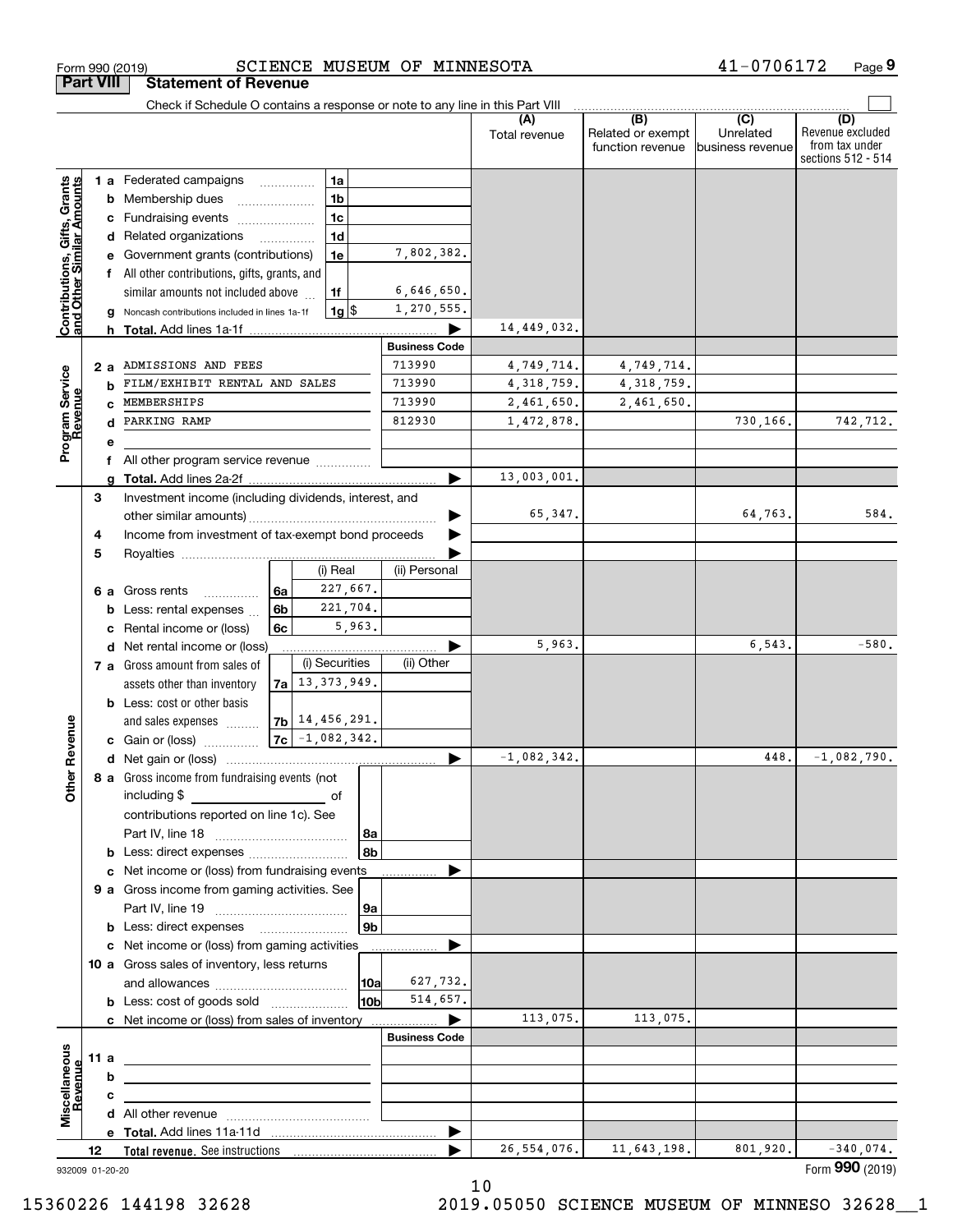|                                                           |    |      | Check if Schedule O contains a response or note to any line in this Part VIII |    |                      |                |      |                      |               |                                              |                                      |                                                                 |
|-----------------------------------------------------------|----|------|-------------------------------------------------------------------------------|----|----------------------|----------------|------|----------------------|---------------|----------------------------------------------|--------------------------------------|-----------------------------------------------------------------|
|                                                           |    |      |                                                                               |    |                      |                |      |                      | Total revenue | (B)<br>Related or exempt<br>function revenue | (C)<br>Unrelated<br>business revenue | (D)<br>Revenue excluded<br>from tax under<br>sections 512 - 514 |
|                                                           |    |      | 1 a Federated campaigns                                                       |    | .                    | 1a             |      |                      |               |                                              |                                      |                                                                 |
| Contributions, Gifts, Grants<br>and Other Similar Amounts |    |      | <b>b</b> Membership dues                                                      |    |                      | 1 <sub>b</sub> |      |                      |               |                                              |                                      |                                                                 |
|                                                           |    |      | c Fundraising events                                                          |    |                      | 1 <sub>c</sub> |      |                      |               |                                              |                                      |                                                                 |
|                                                           |    |      | d Related organizations                                                       |    | .                    | 1 <sub>d</sub> |      |                      |               |                                              |                                      |                                                                 |
|                                                           |    |      | e Government grants (contributions)                                           |    |                      | 1e             |      | 7,802,382.           |               |                                              |                                      |                                                                 |
|                                                           |    |      | f All other contributions, gifts, grants, and                                 |    |                      |                |      |                      |               |                                              |                                      |                                                                 |
|                                                           |    |      | similar amounts not included above                                            |    |                      | 1f             |      | 6,646,650.           |               |                                              |                                      |                                                                 |
|                                                           |    |      | g Noncash contributions included in lines 1a-1f                               |    |                      | $1g$ \$        |      | 1,270,555.           |               |                                              |                                      |                                                                 |
|                                                           |    |      | h Total. Add lines 1a-1f                                                      |    |                      |                |      |                      | 14,449,032.   |                                              |                                      |                                                                 |
|                                                           |    |      |                                                                               |    |                      |                |      | <b>Business Code</b> |               |                                              |                                      |                                                                 |
|                                                           |    | 2a   | ADMISSIONS AND FEES                                                           |    |                      |                |      | 713990               | 4,749,714.    | 4,749,714.                                   |                                      |                                                                 |
|                                                           |    | b    | FILM/EXHIBIT RENTAL AND SALES                                                 |    |                      |                |      | 713990               | 4, 318, 759.  | 4, 318, 759.                                 |                                      |                                                                 |
| Program Service<br>Revenue                                |    |      | MEMBERSHIPS                                                                   |    |                      |                |      | 713990               | 2,461,650.    | 2,461,650.                                   |                                      |                                                                 |
|                                                           |    |      | PARKING RAMP                                                                  |    |                      |                |      | 812930               | 1,472,878.    |                                              | 730,166.                             | 742,712.                                                        |
|                                                           |    |      |                                                                               |    |                      |                |      |                      |               |                                              |                                      |                                                                 |
|                                                           |    |      |                                                                               |    |                      |                |      |                      |               |                                              |                                      |                                                                 |
|                                                           |    |      | All other program service revenue                                             |    |                      |                |      |                      | 13,003,001.   |                                              |                                      |                                                                 |
|                                                           |    | a    |                                                                               |    |                      |                |      |                      |               |                                              |                                      |                                                                 |
|                                                           | 3  |      | Investment income (including dividends, interest, and                         |    |                      |                |      |                      | 65,347.       |                                              | 64,763.                              | 584.                                                            |
|                                                           |    |      |                                                                               |    |                      |                |      |                      |               |                                              |                                      |                                                                 |
|                                                           | 4  |      | Income from investment of tax-exempt bond proceeds                            |    |                      |                |      |                      |               |                                              |                                      |                                                                 |
|                                                           | 5  |      |                                                                               |    |                      |                |      |                      |               |                                              |                                      |                                                                 |
|                                                           |    |      |                                                                               |    |                      | (i) Real       |      | (ii) Personal        |               |                                              |                                      |                                                                 |
|                                                           |    |      | 6 a Gross rents<br>.                                                          | 6a |                      | 227,667.       |      |                      |               |                                              |                                      |                                                                 |
|                                                           |    |      | <b>b</b> Less: rental expenses                                                | 6b |                      | 221,704.       |      |                      |               |                                              |                                      |                                                                 |
|                                                           |    |      | c Rental income or (loss)                                                     | 6c |                      | 5,963.         |      |                      |               |                                              |                                      |                                                                 |
|                                                           |    |      | d Net rental income or (loss)                                                 |    |                      |                |      |                      | 5,963.        |                                              | 6,543.                               | $-580.$                                                         |
|                                                           |    |      | 7 a Gross amount from sales of                                                |    |                      | (i) Securities |      | (ii) Other           |               |                                              |                                      |                                                                 |
|                                                           |    |      | assets other than inventory                                                   |    | $7a$   13, 373, 949. |                |      |                      |               |                                              |                                      |                                                                 |
|                                                           |    |      | <b>b</b> Less: cost or other basis                                            |    |                      |                |      |                      |               |                                              |                                      |                                                                 |
|                                                           |    |      | and sales expenses                                                            |    | $7b$   14, 456, 291. |                |      |                      |               |                                              |                                      |                                                                 |
| Revenue                                                   |    |      | <b>c</b> Gain or (loss)                                                       | 7c | $-1,082,342.$        |                |      |                      |               |                                              |                                      |                                                                 |
|                                                           |    |      |                                                                               |    |                      |                |      |                      | $-1,082,342.$ |                                              | 448.                                 | $-1,082,790.$                                                   |
| à                                                         |    |      | 8 a Gross income from fundraising events (not                                 |    |                      |                |      |                      |               |                                              |                                      |                                                                 |
| ŏ                                                         |    |      | including \$                                                                  |    |                      | оf             |      |                      |               |                                              |                                      |                                                                 |
|                                                           |    |      | contributions reported on line 1c). See                                       |    |                      |                |      |                      |               |                                              |                                      |                                                                 |
|                                                           |    |      |                                                                               |    |                      |                | 8a   |                      |               |                                              |                                      |                                                                 |
|                                                           |    |      | <b>b</b> Less: direct expenses <i>manually contained</i>                      |    |                      |                | 8b   |                      |               |                                              |                                      |                                                                 |
|                                                           |    |      | c Net income or (loss) from fundraising events                                |    |                      |                |      |                      |               |                                              |                                      |                                                                 |
|                                                           |    |      | 9 a Gross income from gaming activities. See                                  |    |                      |                |      |                      |               |                                              |                                      |                                                                 |
|                                                           |    |      |                                                                               |    |                      |                | 9a   |                      |               |                                              |                                      |                                                                 |
|                                                           |    |      | <b>b</b> Less: direct expenses <b>manually</b>                                |    |                      |                | 9b   |                      |               |                                              |                                      |                                                                 |
|                                                           |    |      | c Net income or (loss) from gaming activities                                 |    |                      |                |      |                      |               |                                              |                                      |                                                                 |
|                                                           |    |      | 10 a Gross sales of inventory, less returns                                   |    |                      |                |      |                      |               |                                              |                                      |                                                                 |
|                                                           |    |      |                                                                               |    |                      |                | 10a  | 627,732.             |               |                                              |                                      |                                                                 |
|                                                           |    |      | <b>b</b> Less: cost of goods sold                                             |    |                      |                | l10b | 514,657.             |               |                                              |                                      |                                                                 |
|                                                           |    |      |                                                                               |    |                      |                |      |                      | 113,075.      | 113,075.                                     |                                      |                                                                 |
|                                                           |    |      | c Net income or (loss) from sales of inventory                                |    |                      |                |      | <b>Business Code</b> |               |                                              |                                      |                                                                 |
|                                                           |    |      |                                                                               |    |                      |                |      |                      |               |                                              |                                      |                                                                 |
|                                                           |    | 11 a |                                                                               |    |                      |                |      |                      |               |                                              |                                      |                                                                 |
|                                                           |    | b    |                                                                               |    |                      |                |      |                      |               |                                              |                                      |                                                                 |
| Miscellaneous<br>Revenue                                  |    | c    |                                                                               |    |                      |                |      |                      |               |                                              |                                      |                                                                 |
|                                                           |    |      |                                                                               |    |                      |                |      |                      |               |                                              |                                      |                                                                 |
|                                                           |    |      |                                                                               |    |                      |                |      |                      |               |                                              |                                      |                                                                 |
|                                                           | 12 |      |                                                                               |    |                      |                |      |                      | 26,554,076.   | 11,643,198.                                  | 801,920.                             | $-340,074.$                                                     |
| 932009 01-20-20                                           |    |      |                                                                               |    |                      |                |      |                      |               |                                              |                                      | Form 990 (2019)                                                 |

**Part VIII Statement of Revenue**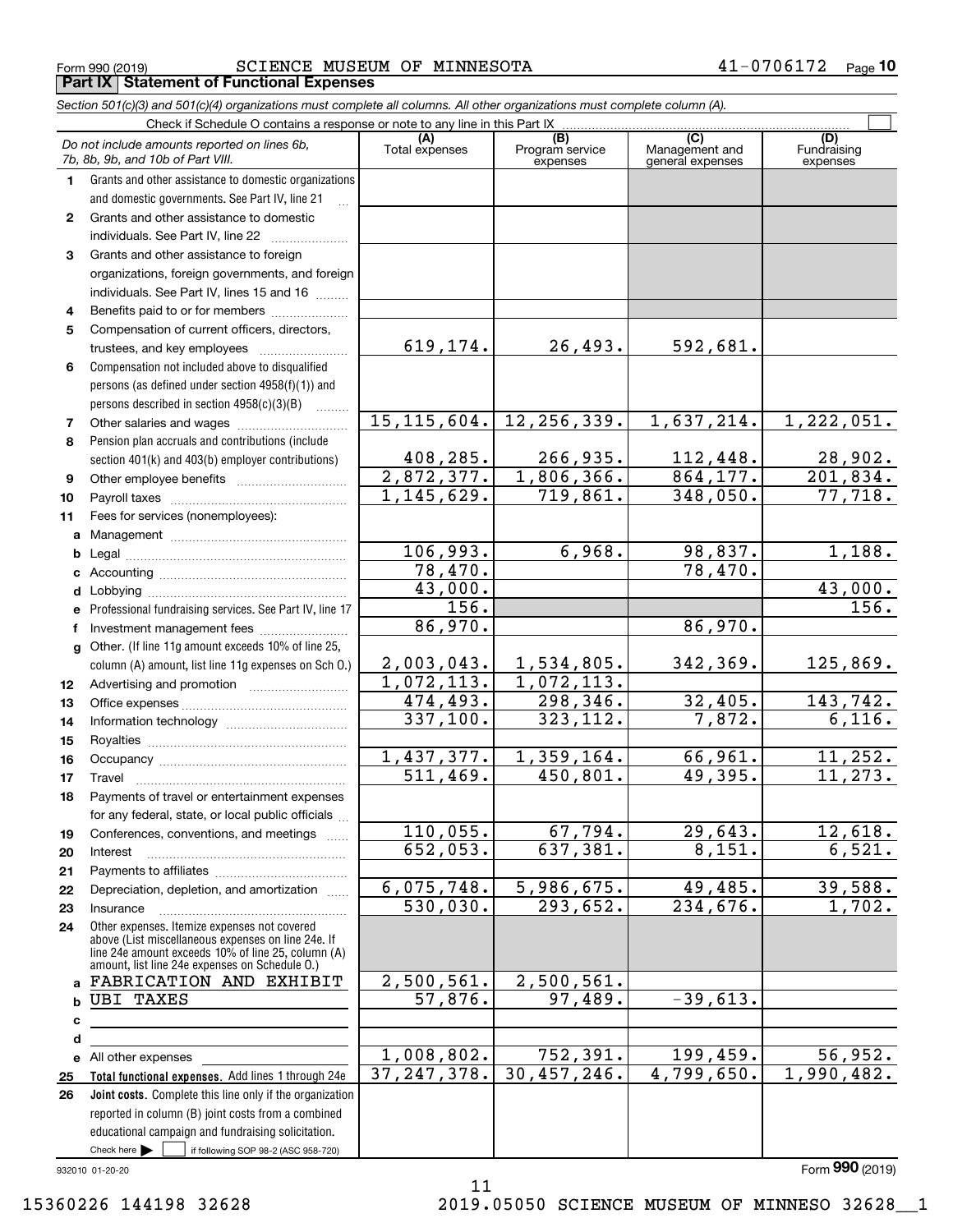Form 990 (2019) Page **Part IX Statement of Functional Expenses** SCIENCE MUSEUM OF MINNESOTA 41-0706172

*Section 501(c)(3) and 501(c)(4) organizations must complete all columns. All other organizations must complete column (A).*

|              | Do not include amounts reported on lines 6b,<br>7b, 8b, 9b, and 10b of Part VIII.                    | (A)<br>Total expenses   | (B)<br>Program service<br>expenses | (C)<br>Management and<br>general expenses | (D)<br>Fundraising<br>expenses |
|--------------|------------------------------------------------------------------------------------------------------|-------------------------|------------------------------------|-------------------------------------------|--------------------------------|
| 1.           | Grants and other assistance to domestic organizations                                                |                         |                                    |                                           |                                |
|              | and domestic governments. See Part IV, line 21                                                       |                         |                                    |                                           |                                |
| $\mathbf{2}$ | Grants and other assistance to domestic                                                              |                         |                                    |                                           |                                |
|              | individuals. See Part IV, line 22                                                                    |                         |                                    |                                           |                                |
| 3            | Grants and other assistance to foreign                                                               |                         |                                    |                                           |                                |
|              | organizations, foreign governments, and foreign                                                      |                         |                                    |                                           |                                |
|              | individuals. See Part IV, lines 15 and 16                                                            |                         |                                    |                                           |                                |
| 4            | Benefits paid to or for members                                                                      |                         |                                    |                                           |                                |
| 5            | Compensation of current officers, directors,                                                         |                         |                                    |                                           |                                |
|              | trustees, and key employees                                                                          | 619,174.                | 26,493.                            | 592,681.                                  |                                |
| 6            | Compensation not included above to disqualified                                                      |                         |                                    |                                           |                                |
|              | persons (as defined under section 4958(f)(1)) and                                                    |                         |                                    |                                           |                                |
|              | persons described in section 4958(c)(3)(B)<br>.                                                      |                         |                                    |                                           |                                |
| 7            |                                                                                                      | 15, 115, 604.           | 12, 256, 339.                      | 1,637,214.                                | 1,222,051.                     |
| 8            | Pension plan accruals and contributions (include                                                     |                         |                                    |                                           |                                |
|              | section 401(k) and 403(b) employer contributions)                                                    | 408,285.                | 266,935.                           | 112,448.                                  | 28,902.                        |
| 9            |                                                                                                      | 2,872,377.              | 1,806,366.                         | 864, 177.                                 | 201,834.                       |
| 10           |                                                                                                      | 1,145,629.              | $\overline{719,861}$ .             | 348,050.                                  | 77,718.                        |
| 11           | Fees for services (nonemployees):                                                                    |                         |                                    |                                           |                                |
|              |                                                                                                      |                         |                                    |                                           |                                |
|              |                                                                                                      | 106,993.                | 6,968.                             | 98,837.                                   | 1,188.                         |
|              |                                                                                                      | 78,470.                 |                                    | 78,470.                                   |                                |
|              |                                                                                                      | 43,000.                 |                                    |                                           | 43,000.                        |
|              | e Professional fundraising services. See Part IV, line 17                                            | 156.                    |                                    |                                           | 156.                           |
| f            | Investment management fees                                                                           | 86,970.                 |                                    | 86,970.                                   |                                |
|              | g Other. (If line 11g amount exceeds 10% of line 25,                                                 |                         |                                    |                                           |                                |
|              | column (A) amount, list line 11g expenses on Sch O.)                                                 | 2,003,043.              | 1,534,805.                         | 342,369.                                  | 125,869.                       |
| 12           |                                                                                                      | 1,072,113.              | 1,072,113.                         |                                           |                                |
| 13           |                                                                                                      | $\overline{474}$ , 493. | 298,346.                           | 32,405.                                   | 143,742.                       |
| 14           |                                                                                                      | 337,100.                | 323, 112.                          | 7,872.                                    | 6,116.                         |
| 15           |                                                                                                      |                         |                                    |                                           |                                |
| 16           |                                                                                                      | 1,437,377.<br>511, 469. | 1,359,164.                         | 66,961.                                   | 11, 252.<br>11, 273.           |
| 17           |                                                                                                      |                         | 450,801.                           | 49,395.                                   |                                |
| 18           | Payments of travel or entertainment expenses                                                         |                         |                                    |                                           |                                |
|              | for any federal, state, or local public officials                                                    | 110,055.                | 67,794.                            | 29,643.                                   | 12,618.                        |
| 19           | Conferences, conventions, and meetings                                                               | 652,053.                | 637,381.                           | 8,151.                                    | 6,521.                         |
| 20           | Interest                                                                                             |                         |                                    |                                           |                                |
| 21           | Depreciation, depletion, and amortization                                                            | 6,075,748.              | 5,986,675.                         | 49,485.                                   | 39,588.                        |
| 22<br>23     | Insurance                                                                                            | $\overline{530,030}$ .  | 293,652.                           | 234,676.                                  | 1,702.                         |
|              | Other expenses. Itemize expenses not covered                                                         |                         |                                    |                                           |                                |
| 24           | above (List miscellaneous expenses on line 24e. If                                                   |                         |                                    |                                           |                                |
|              | line 24e amount exceeds 10% of line 25, column (A)<br>amount, list line 24e expenses on Schedule O.) |                         |                                    |                                           |                                |
|              | a FABRICATION AND EXHIBIT                                                                            | 2,500,561.              | 2,500,561.                         |                                           |                                |
| b            | <b>UBI TAXES</b>                                                                                     | $\overline{57,876}$ .   | 97,489.                            | $-39,613.$                                |                                |
| c            | the control of the control of the control of the control of the control of                           |                         |                                    |                                           |                                |
| d            |                                                                                                      |                         |                                    |                                           |                                |
|              | e All other expenses                                                                                 | 1,008,802.              | 752, 391.                          | 199,459.                                  | 56,952.                        |
| 25           | Total functional expenses. Add lines 1 through 24e                                                   | 37, 247, 378.           | 30,457,246.                        | 4,799,650.                                | 1,990,482.                     |
| 26           | Joint costs. Complete this line only if the organization                                             |                         |                                    |                                           |                                |
|              | reported in column (B) joint costs from a combined                                                   |                         |                                    |                                           |                                |
|              | educational campaign and fundraising solicitation.                                                   |                         |                                    |                                           |                                |
|              | Check here $\blacktriangleright$<br>if following SOP 98-2 (ASC 958-720)                              |                         |                                    |                                           |                                |

11

932010 01-20-20

Form (2019) **990**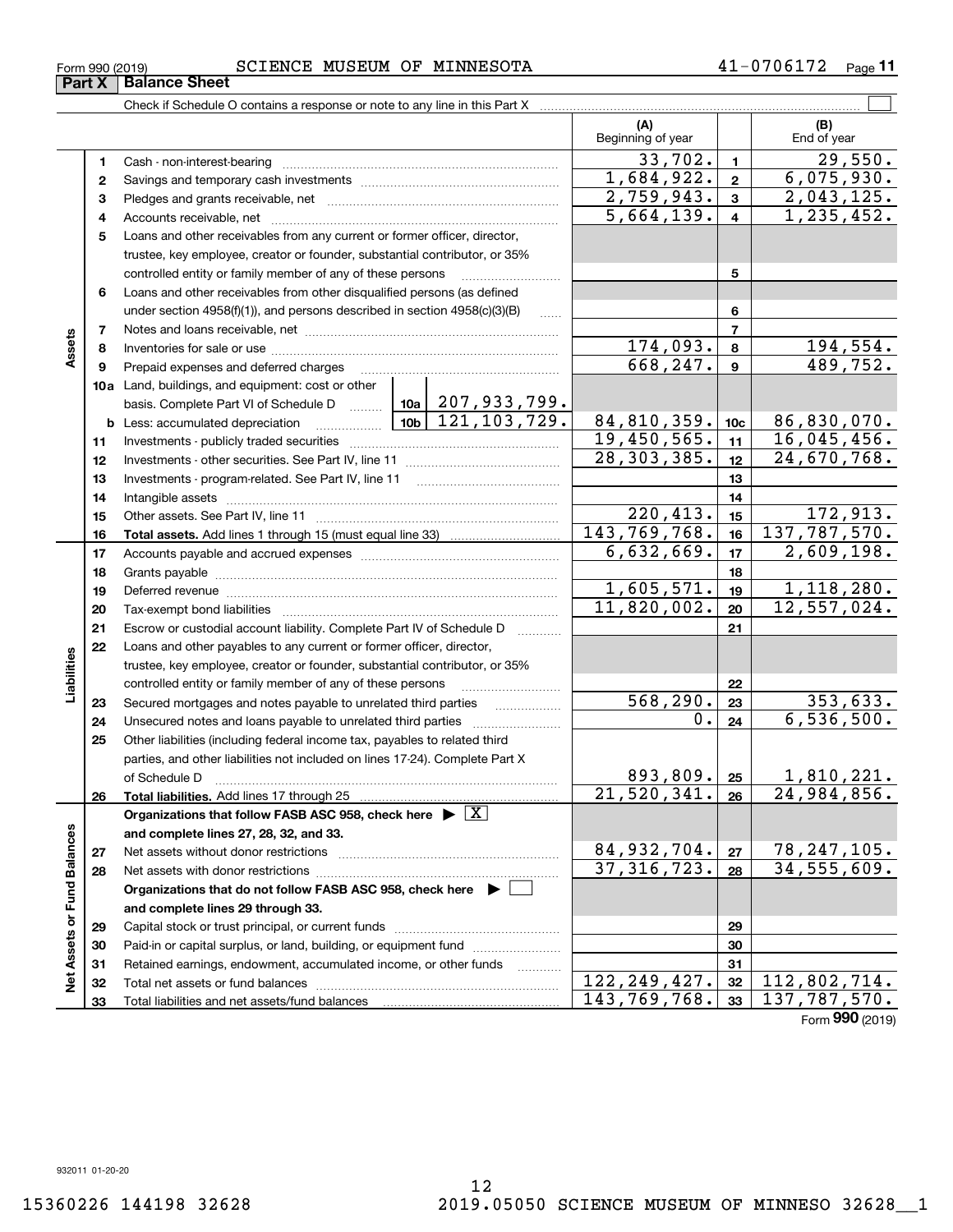#### Form 990 (2019) SCIENCE MUSEUM OF MINNESOTA 4 $1$ -0706172  $\,$  Page **Part X Balance Sheet**

Check if Schedule O contains a response or note to any line in this Part X

|                             |    |                                                                                                                                                                                                                               |               |                            | (A)<br>Beginning of year |                 | (B)<br>End of year |
|-----------------------------|----|-------------------------------------------------------------------------------------------------------------------------------------------------------------------------------------------------------------------------------|---------------|----------------------------|--------------------------|-----------------|--------------------|
|                             | 1  | Cash - non-interest-bearing                                                                                                                                                                                                   |               |                            | 33,702.                  | $\mathbf{1}$    | 29,550.            |
|                             | 2  |                                                                                                                                                                                                                               |               |                            | 1,684,922.               | $\overline{2}$  | 6,075,930.         |
|                             | з  |                                                                                                                                                                                                                               |               |                            | 2,759,943.               | 3               | 2,043,125.         |
|                             | 4  |                                                                                                                                                                                                                               |               |                            | 5,664,139.               | $\overline{4}$  | 1, 235, 452.       |
|                             | 5  | Loans and other receivables from any current or former officer, director,                                                                                                                                                     |               |                            |                          |                 |                    |
|                             |    | trustee, key employee, creator or founder, substantial contributor, or 35%                                                                                                                                                    |               |                            |                          |                 |                    |
|                             |    | controlled entity or family member of any of these persons                                                                                                                                                                    |               |                            |                          | 5               |                    |
|                             | 6  | Loans and other receivables from other disqualified persons (as defined                                                                                                                                                       |               |                            |                          |                 |                    |
|                             |    | under section 4958(f)(1)), and persons described in section 4958(c)(3)(B)                                                                                                                                                     |               | 1.1.1.1                    |                          | 6               |                    |
|                             | 7  |                                                                                                                                                                                                                               |               |                            | 7                        |                 |                    |
| Assets                      | 8  |                                                                                                                                                                                                                               |               |                            | 174,093.                 | 8               | 194,554.           |
|                             | 9  | Prepaid expenses and deferred charges                                                                                                                                                                                         |               |                            | 668,247.                 | 9               | 489,752.           |
|                             |    | 10a Land, buildings, and equipment: cost or other                                                                                                                                                                             |               |                            |                          |                 |                    |
|                             |    | basis. Complete Part VI of Schedule D    10a   207, 933, 799.                                                                                                                                                                 |               |                            |                          |                 |                    |
|                             |    | <u>  10b</u><br><b>b</b> Less: accumulated depreciation                                                                                                                                                                       |               | $\mid 121, 103, 729. \mid$ | 84,810,359.              | 10 <sub>c</sub> | 86,830,070.        |
|                             | 11 |                                                                                                                                                                                                                               | 19,450,565.   | 11                         | 16,045,456.              |                 |                    |
|                             | 12 |                                                                                                                                                                                                                               | 28, 303, 385. | 12                         | 24,670,768.              |                 |                    |
|                             | 13 | Investments - program-related. See Part IV, line 11                                                                                                                                                                           |               |                            |                          | 13              |                    |
|                             | 14 |                                                                                                                                                                                                                               |               | 14                         |                          |                 |                    |
|                             | 15 |                                                                                                                                                                                                                               |               |                            | 220,413.                 | 15              | 172,913.           |
|                             | 16 |                                                                                                                                                                                                                               |               |                            | 143, 769, 768.           | 16              | 137,787,570.       |
|                             | 17 |                                                                                                                                                                                                                               |               |                            | 6,632,669.               | 17              | 2,609,198.         |
|                             | 18 |                                                                                                                                                                                                                               |               | 18                         |                          |                 |                    |
|                             | 19 | Deferred revenue information and contain an area of the contained and area of the contained and contained and contain an area of the contained and contain an area of the contained and contained and contained and contained | 1,605,571.    | 19                         | 1,118,280.               |                 |                    |
|                             | 20 |                                                                                                                                                                                                                               | 11,820,002.   | 20                         | 12,557,024.              |                 |                    |
|                             | 21 | Escrow or custodial account liability. Complete Part IV of Schedule D                                                                                                                                                         |               | 21                         |                          |                 |                    |
|                             | 22 | Loans and other payables to any current or former officer, director,                                                                                                                                                          |               |                            |                          |                 |                    |
| Liabilities                 |    | trustee, key employee, creator or founder, substantial contributor, or 35%                                                                                                                                                    |               |                            |                          |                 |                    |
|                             |    | controlled entity or family member of any of these persons                                                                                                                                                                    |               |                            |                          | 22              |                    |
|                             | 23 | Secured mortgages and notes payable to unrelated third parties                                                                                                                                                                |               | .                          | 568,290.                 | 23              | 353,633.           |
|                             | 24 |                                                                                                                                                                                                                               |               |                            | Ο.                       | 24              | 6,536,500.         |
|                             | 25 | Other liabilities (including federal income tax, payables to related third                                                                                                                                                    |               |                            |                          |                 |                    |
|                             |    | parties, and other liabilities not included on lines 17-24). Complete Part X                                                                                                                                                  |               |                            | 893, 809.                |                 | 1,810,221.         |
|                             |    | of Schedule D                                                                                                                                                                                                                 |               |                            | 21,520,341.              | 25<br>26        | 24,984,856.        |
|                             | 26 | Organizations that follow FASB ASC 958, check here $\blacktriangleright \boxed{X}$                                                                                                                                            |               |                            |                          |                 |                    |
|                             |    | and complete lines 27, 28, 32, and 33.                                                                                                                                                                                        |               |                            |                          |                 |                    |
|                             | 27 | Net assets without donor restrictions                                                                                                                                                                                         |               |                            | 84,932,704.              | 27              | 78, 247, 105.      |
|                             | 28 | Net assets with donor restrictions                                                                                                                                                                                            |               |                            | 37, 316, 723.            | 28              | 34, 555, 609.      |
|                             |    | Organizations that do not follow FASB ASC 958, check here ▶ │                                                                                                                                                                 |               |                            |                          |                 |                    |
|                             |    | and complete lines 29 through 33.                                                                                                                                                                                             |               |                            |                          |                 |                    |
|                             | 29 |                                                                                                                                                                                                                               |               |                            | 29                       |                 |                    |
|                             | 30 | Paid-in or capital surplus, or land, building, or equipment fund                                                                                                                                                              |               |                            | 30                       |                 |                    |
|                             | 31 | Retained earnings, endowment, accumulated income, or other funds                                                                                                                                                              |               | $\cdots$                   |                          | 31              |                    |
| Net Assets or Fund Balances | 32 |                                                                                                                                                                                                                               |               |                            | 122, 249, 427.           | 32              | 112,802,714.       |
|                             | 33 | Total liabilities and net assets/fund balances                                                                                                                                                                                |               |                            | 143,769,768.             | 33              | 137, 787, 570.     |

Form (2019) **990**

 $\mathcal{L}^{\text{max}}$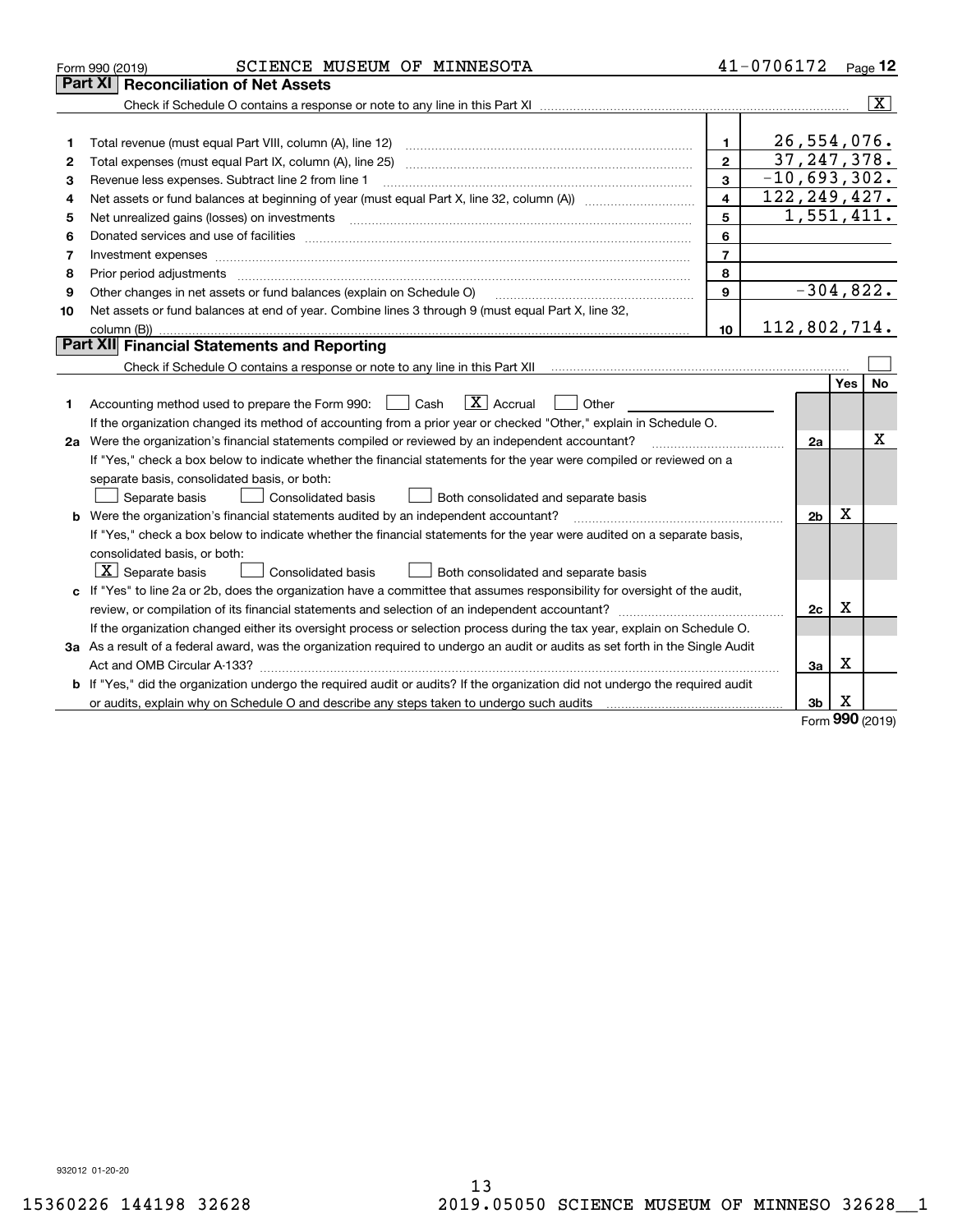|    | SCIENCE MUSEUM OF MINNESOTA<br>Form 990 (2019)                                                                                                                                                                                                                                                                                                                                                                                                                          |                         | 41-0706172     |            | Page $12$      |
|----|-------------------------------------------------------------------------------------------------------------------------------------------------------------------------------------------------------------------------------------------------------------------------------------------------------------------------------------------------------------------------------------------------------------------------------------------------------------------------|-------------------------|----------------|------------|----------------|
|    | <b>Reconciliation of Net Assets</b><br><b>Part XI</b>                                                                                                                                                                                                                                                                                                                                                                                                                   |                         |                |            |                |
|    |                                                                                                                                                                                                                                                                                                                                                                                                                                                                         |                         |                |            | $ \mathbf{X} $ |
|    |                                                                                                                                                                                                                                                                                                                                                                                                                                                                         |                         |                |            |                |
| 1  | Total revenue (must equal Part VIII, column (A), line 12)                                                                                                                                                                                                                                                                                                                                                                                                               | $\mathbf{1}$            | 26,554,076.    |            |                |
| 2  |                                                                                                                                                                                                                                                                                                                                                                                                                                                                         | $\mathbf{2}$            | 37, 247, 378.  |            |                |
| 3  | Revenue less expenses. Subtract line 2 from line 1                                                                                                                                                                                                                                                                                                                                                                                                                      | 3                       | $-10,693,302.$ |            |                |
| 4  |                                                                                                                                                                                                                                                                                                                                                                                                                                                                         | $\overline{\mathbf{4}}$ | 122, 249, 427. |            |                |
| 5  | Net unrealized gains (losses) on investments                                                                                                                                                                                                                                                                                                                                                                                                                            | 5                       | 1,551,411.     |            |                |
| 6  |                                                                                                                                                                                                                                                                                                                                                                                                                                                                         | 6                       |                |            |                |
| 7  | Investment expenses www.communication.com/www.communication.com/www.communication.com/www.com                                                                                                                                                                                                                                                                                                                                                                           | $\overline{7}$          |                |            |                |
| 8  | Prior period adjustments<br>$\begin{minipage}{0.5\textwidth} \begin{tabular}{ l l l } \hline \multicolumn{1}{ l l l } \hline \multicolumn{1}{ l l } \multicolumn{1}{ l } \multicolumn{1}{ l } \multicolumn{1}{ l } \multicolumn{1}{ l } \multicolumn{1}{ l } \multicolumn{1}{ l } \multicolumn{1}{ l } \multicolumn{1}{ l } \multicolumn{1}{ l } \multicolumn{1}{ l } \multicolumn{1}{ l } \multicolumn{1}{ l } \multicolumn{1}{ l } \multicolumn{1}{ l } \multicolumn$ | 8                       |                |            |                |
| 9  | Other changes in net assets or fund balances (explain on Schedule O)                                                                                                                                                                                                                                                                                                                                                                                                    | 9                       | $-304,822.$    |            |                |
| 10 | Net assets or fund balances at end of year. Combine lines 3 through 9 (must equal Part X, line 32,                                                                                                                                                                                                                                                                                                                                                                      |                         |                |            |                |
|    |                                                                                                                                                                                                                                                                                                                                                                                                                                                                         | 10                      | 112,802,714.   |            |                |
|    | Part XII Financial Statements and Reporting                                                                                                                                                                                                                                                                                                                                                                                                                             |                         |                |            |                |
|    |                                                                                                                                                                                                                                                                                                                                                                                                                                                                         |                         |                |            |                |
|    |                                                                                                                                                                                                                                                                                                                                                                                                                                                                         |                         |                | <b>Yes</b> | No             |
| 1. | $\boxed{\text{X}}$ Accrual<br>Accounting method used to prepare the Form 990: <u>I</u> Cash<br>Other                                                                                                                                                                                                                                                                                                                                                                    |                         |                |            |                |
|    | If the organization changed its method of accounting from a prior year or checked "Other," explain in Schedule O.                                                                                                                                                                                                                                                                                                                                                       |                         |                |            |                |
|    | 2a Were the organization's financial statements compiled or reviewed by an independent accountant?                                                                                                                                                                                                                                                                                                                                                                      |                         | 2a             |            | Χ              |
|    | If "Yes," check a box below to indicate whether the financial statements for the year were compiled or reviewed on a                                                                                                                                                                                                                                                                                                                                                    |                         |                |            |                |
|    | separate basis, consolidated basis, or both:                                                                                                                                                                                                                                                                                                                                                                                                                            |                         |                |            |                |
|    | Separate basis<br>Consolidated basis<br>Both consolidated and separate basis                                                                                                                                                                                                                                                                                                                                                                                            |                         |                |            |                |
|    | <b>b</b> Were the organization's financial statements audited by an independent accountant?                                                                                                                                                                                                                                                                                                                                                                             |                         | 2 <sub>b</sub> | х          |                |
|    | If "Yes," check a box below to indicate whether the financial statements for the year were audited on a separate basis,                                                                                                                                                                                                                                                                                                                                                 |                         |                |            |                |
|    | consolidated basis, or both:                                                                                                                                                                                                                                                                                                                                                                                                                                            |                         |                |            |                |
|    | $\mid$ $\rm X\mid$ Separate basis<br><b>Consolidated basis</b><br>Both consolidated and separate basis                                                                                                                                                                                                                                                                                                                                                                  |                         |                |            |                |
|    | c If "Yes" to line 2a or 2b, does the organization have a committee that assumes responsibility for oversight of the audit,                                                                                                                                                                                                                                                                                                                                             |                         |                |            |                |
|    | review, or compilation of its financial statements and selection of an independent accountant?                                                                                                                                                                                                                                                                                                                                                                          |                         | 2c             | x          |                |
|    | If the organization changed either its oversight process or selection process during the tax year, explain on Schedule O.                                                                                                                                                                                                                                                                                                                                               |                         |                |            |                |
|    | 3a As a result of a federal award, was the organization required to undergo an audit or audits as set forth in the Single Audit                                                                                                                                                                                                                                                                                                                                         |                         |                |            |                |
|    |                                                                                                                                                                                                                                                                                                                                                                                                                                                                         |                         | За             | x          |                |
|    | b If "Yes," did the organization undergo the required audit or audits? If the organization did not undergo the required audit                                                                                                                                                                                                                                                                                                                                           |                         |                |            |                |
|    |                                                                                                                                                                                                                                                                                                                                                                                                                                                                         |                         | 3b             | X          |                |

Form (2019) **990**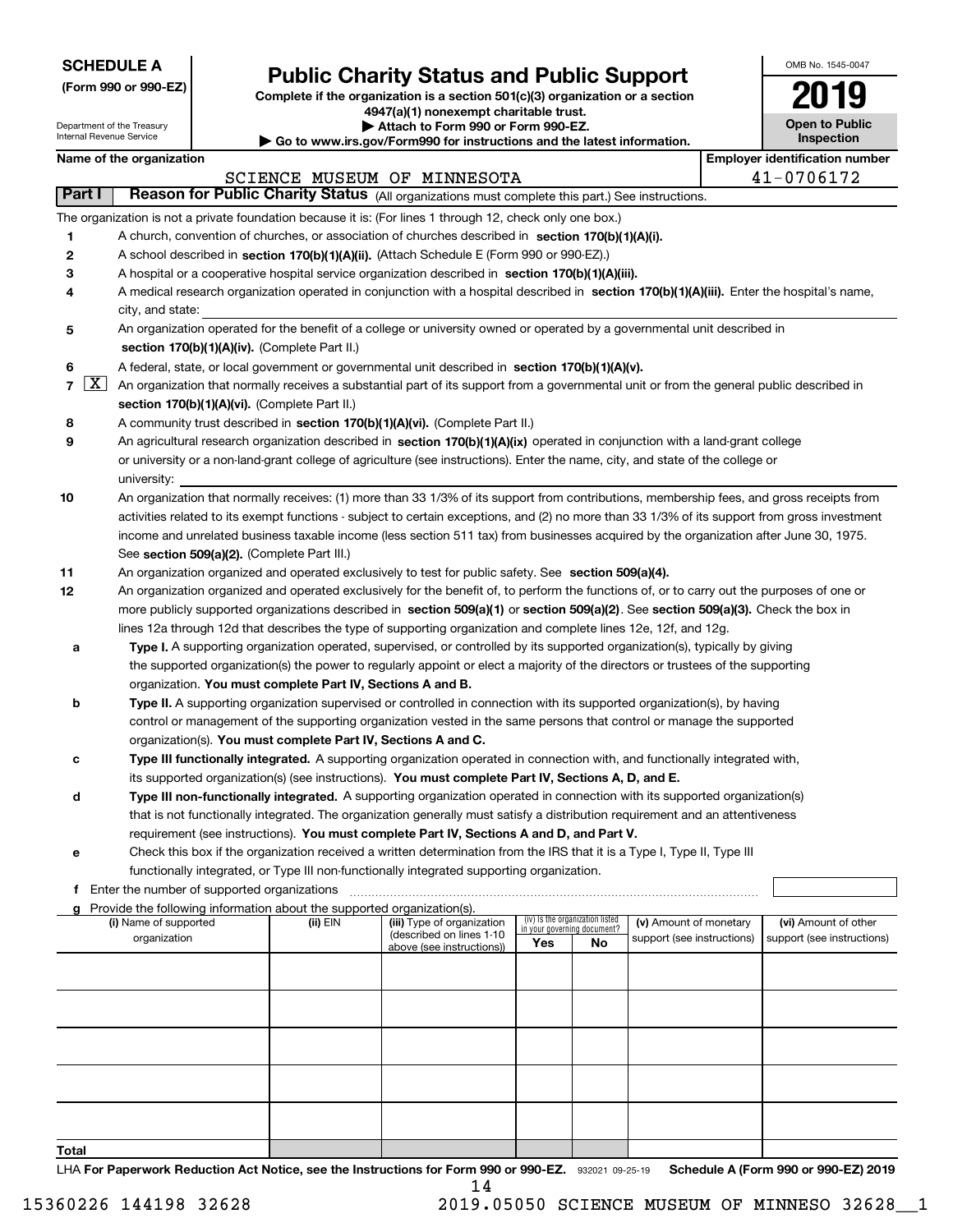| <b>SCHEDULE A</b> |  |
|-------------------|--|
|-------------------|--|

Department of the Treasury Internal Revenue Service

|  |  |  | (Form 990 or 990-EZ) |  |
|--|--|--|----------------------|--|
|--|--|--|----------------------|--|

# **Public Charity Status and Public Support**

**Complete if the organization is a section 501(c)(3) organization or a section 4947(a)(1) nonexempt charitable trust.**

**| Attach to Form 990 or Form 990-EZ.** 

**| Go to www.irs.gov/Form990 for instructions and the latest information.**

| OMB No. 1545-0047                   |
|-------------------------------------|
|                                     |
| <b>Open to Public</b><br>Inspection |

 $\blacksquare$ 

|                |                    | Name of the organization                                                                                                                                                                                            |          |                                                       |                             |                                 |                            | <b>Employer identification number</b> |
|----------------|--------------------|---------------------------------------------------------------------------------------------------------------------------------------------------------------------------------------------------------------------|----------|-------------------------------------------------------|-----------------------------|---------------------------------|----------------------------|---------------------------------------|
|                |                    |                                                                                                                                                                                                                     |          | SCIENCE MUSEUM OF MINNESOTA                           |                             |                                 |                            | 41-0706172                            |
| <b>Part I</b>  |                    | Reason for Public Charity Status (All organizations must complete this part.) See instructions.                                                                                                                     |          |                                                       |                             |                                 |                            |                                       |
|                |                    | The organization is not a private foundation because it is: (For lines 1 through 12, check only one box.)                                                                                                           |          |                                                       |                             |                                 |                            |                                       |
| 1              |                    | A church, convention of churches, or association of churches described in section 170(b)(1)(A)(i).                                                                                                                  |          |                                                       |                             |                                 |                            |                                       |
| 2              |                    | A school described in section 170(b)(1)(A)(ii). (Attach Schedule E (Form 990 or 990-EZ).)                                                                                                                           |          |                                                       |                             |                                 |                            |                                       |
| 3              |                    | A hospital or a cooperative hospital service organization described in section 170(b)(1)(A)(iii).                                                                                                                   |          |                                                       |                             |                                 |                            |                                       |
| 4              |                    | A medical research organization operated in conjunction with a hospital described in section 170(b)(1)(A)(iii). Enter the hospital's name,<br>city, and state:                                                      |          |                                                       |                             |                                 |                            |                                       |
| 5              |                    | An organization operated for the benefit of a college or university owned or operated by a governmental unit described in                                                                                           |          |                                                       |                             |                                 |                            |                                       |
|                |                    | section 170(b)(1)(A)(iv). (Complete Part II.)                                                                                                                                                                       |          |                                                       |                             |                                 |                            |                                       |
| 6              |                    | A federal, state, or local government or governmental unit described in section 170(b)(1)(A)(v).                                                                                                                    |          |                                                       |                             |                                 |                            |                                       |
| $\overline{7}$ | $\boxed{\text{X}}$ | An organization that normally receives a substantial part of its support from a governmental unit or from the general public described in                                                                           |          |                                                       |                             |                                 |                            |                                       |
|                |                    | section 170(b)(1)(A)(vi). (Complete Part II.)                                                                                                                                                                       |          |                                                       |                             |                                 |                            |                                       |
| 8              |                    | A community trust described in section 170(b)(1)(A)(vi). (Complete Part II.)                                                                                                                                        |          |                                                       |                             |                                 |                            |                                       |
| 9              |                    | An agricultural research organization described in section 170(b)(1)(A)(ix) operated in conjunction with a land-grant college                                                                                       |          |                                                       |                             |                                 |                            |                                       |
|                |                    | or university or a non-land-grant college of agriculture (see instructions). Enter the name, city, and state of the college or                                                                                      |          |                                                       |                             |                                 |                            |                                       |
|                |                    | university:                                                                                                                                                                                                         |          |                                                       |                             |                                 |                            |                                       |
| 10             |                    | An organization that normally receives: (1) more than 33 1/3% of its support from contributions, membership fees, and gross receipts from                                                                           |          |                                                       |                             |                                 |                            |                                       |
|                |                    | activities related to its exempt functions - subject to certain exceptions, and (2) no more than 33 1/3% of its support from gross investment                                                                       |          |                                                       |                             |                                 |                            |                                       |
|                |                    | income and unrelated business taxable income (less section 511 tax) from businesses acquired by the organization after June 30, 1975.                                                                               |          |                                                       |                             |                                 |                            |                                       |
|                |                    | See section 509(a)(2). (Complete Part III.)                                                                                                                                                                         |          |                                                       |                             |                                 |                            |                                       |
| 11             |                    | An organization organized and operated exclusively to test for public safety. See section 509(a)(4).                                                                                                                |          |                                                       |                             |                                 |                            |                                       |
| 12             |                    | An organization organized and operated exclusively for the benefit of, to perform the functions of, or to carry out the purposes of one or                                                                          |          |                                                       |                             |                                 |                            |                                       |
|                |                    | more publicly supported organizations described in section 509(a)(1) or section 509(a)(2). See section 509(a)(3). Check the box in                                                                                  |          |                                                       |                             |                                 |                            |                                       |
|                |                    | lines 12a through 12d that describes the type of supporting organization and complete lines 12e, 12f, and 12g.                                                                                                      |          |                                                       |                             |                                 |                            |                                       |
| а              |                    | <b>Type I.</b> A supporting organization operated, supervised, or controlled by its supported organization(s), typically by giving                                                                                  |          |                                                       |                             |                                 |                            |                                       |
|                |                    | the supported organization(s) the power to regularly appoint or elect a majority of the directors or trustees of the supporting                                                                                     |          |                                                       |                             |                                 |                            |                                       |
|                |                    | organization. You must complete Part IV, Sections A and B.                                                                                                                                                          |          |                                                       |                             |                                 |                            |                                       |
| b              |                    | Type II. A supporting organization supervised or controlled in connection with its supported organization(s), by having                                                                                             |          |                                                       |                             |                                 |                            |                                       |
|                |                    | control or management of the supporting organization vested in the same persons that control or manage the supported                                                                                                |          |                                                       |                             |                                 |                            |                                       |
|                |                    | organization(s). You must complete Part IV, Sections A and C.                                                                                                                                                       |          |                                                       |                             |                                 |                            |                                       |
| с              |                    | Type III functionally integrated. A supporting organization operated in connection with, and functionally integrated with,                                                                                          |          |                                                       |                             |                                 |                            |                                       |
|                |                    | its supported organization(s) (see instructions). You must complete Part IV, Sections A, D, and E.                                                                                                                  |          |                                                       |                             |                                 |                            |                                       |
| d              |                    | Type III non-functionally integrated. A supporting organization operated in connection with its supported organization(s)                                                                                           |          |                                                       |                             |                                 |                            |                                       |
|                |                    | that is not functionally integrated. The organization generally must satisfy a distribution requirement and an attentiveness                                                                                        |          |                                                       |                             |                                 |                            |                                       |
|                |                    | requirement (see instructions). You must complete Part IV, Sections A and D, and Part V.<br>Check this box if the organization received a written determination from the IRS that it is a Type I, Type II, Type III |          |                                                       |                             |                                 |                            |                                       |
|                |                    | functionally integrated, or Type III non-functionally integrated supporting organization.                                                                                                                           |          |                                                       |                             |                                 |                            |                                       |
|                |                    | f Enter the number of supported organizations                                                                                                                                                                       |          |                                                       |                             |                                 |                            |                                       |
| a              |                    | Provide the following information about the supported organization(s).                                                                                                                                              |          |                                                       |                             |                                 |                            |                                       |
|                |                    | (i) Name of supported                                                                                                                                                                                               | (ii) EIN | (iii) Type of organization                            | in your governing document? | (iv) Is the organization listed | (v) Amount of monetary     | (vi) Amount of other                  |
|                |                    | organization                                                                                                                                                                                                        |          | (described on lines 1-10<br>above (see instructions)) | Yes                         | No                              | support (see instructions) | support (see instructions)            |
|                |                    |                                                                                                                                                                                                                     |          |                                                       |                             |                                 |                            |                                       |
|                |                    |                                                                                                                                                                                                                     |          |                                                       |                             |                                 |                            |                                       |
|                |                    |                                                                                                                                                                                                                     |          |                                                       |                             |                                 |                            |                                       |
|                |                    |                                                                                                                                                                                                                     |          |                                                       |                             |                                 |                            |                                       |
|                |                    |                                                                                                                                                                                                                     |          |                                                       |                             |                                 |                            |                                       |
|                |                    |                                                                                                                                                                                                                     |          |                                                       |                             |                                 |                            |                                       |
|                |                    |                                                                                                                                                                                                                     |          |                                                       |                             |                                 |                            |                                       |
|                |                    |                                                                                                                                                                                                                     |          |                                                       |                             |                                 |                            |                                       |
| Total          |                    |                                                                                                                                                                                                                     |          |                                                       |                             |                                 |                            |                                       |

14

LHA For Paperwork Reduction Act Notice, see the Instructions for Form 990 or 990-EZ. 932021 09-25-19 Schedule A (Form 990 or 990-EZ) 2019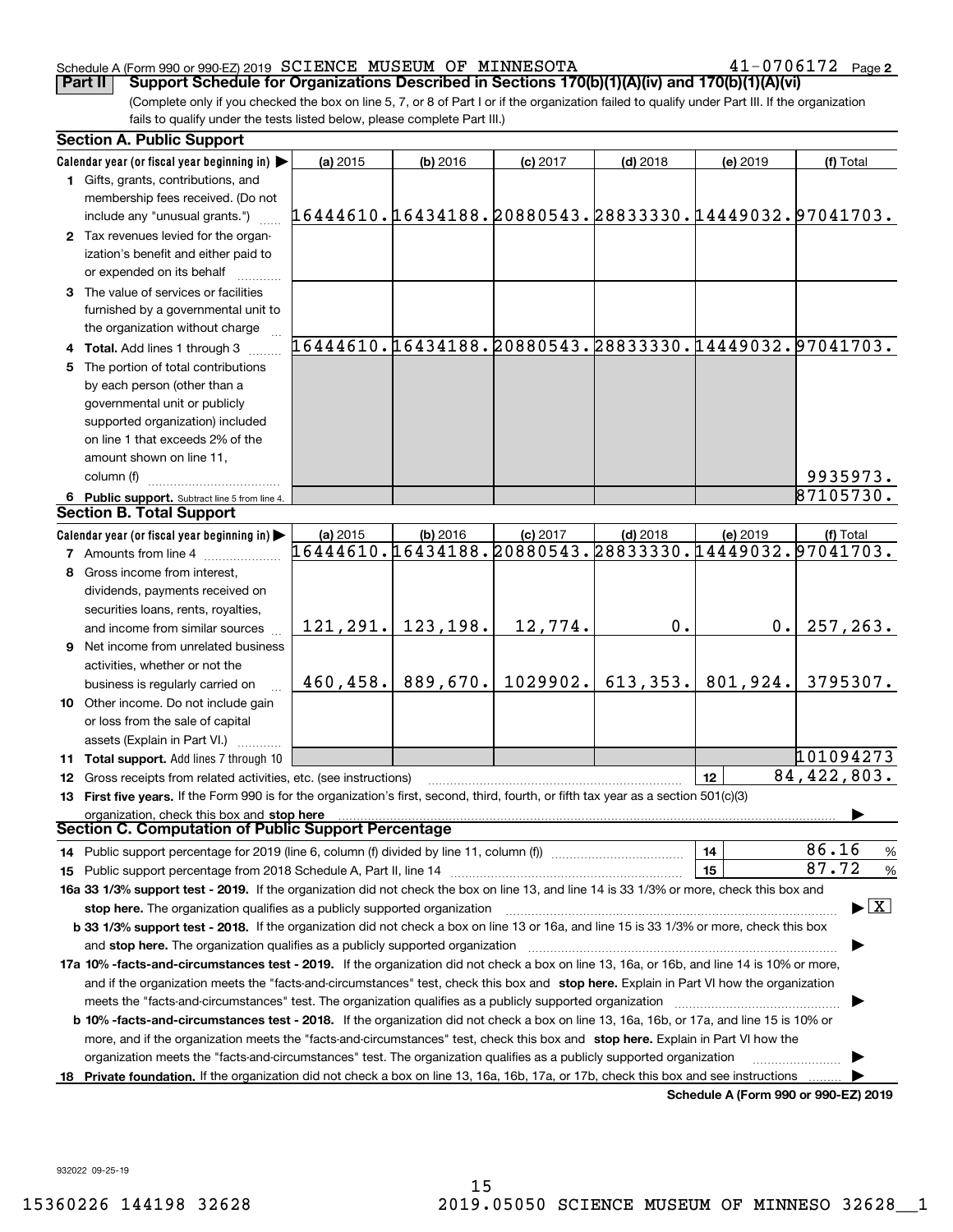#### Schedule A (Form 990 or 990-EZ) 2019 Page SCIENCE MUSEUM OF MINNESOTA 41-0706172

**2**

(Complete only if you checked the box on line 5, 7, or 8 of Part I or if the organization failed to qualify under Part III. If the organization fails to qualify under the tests listed below, please complete Part III.) **Part II Comport Schedule for Organizations Described in Sections 170(b)(1)(A)(iv) and 170(b)(1)(A)(vi)** 

|    | <b>Section A. Public Support</b>                                                                                                               |                                                                    |                       |            |            |                                      |                                                        |  |  |
|----|------------------------------------------------------------------------------------------------------------------------------------------------|--------------------------------------------------------------------|-----------------------|------------|------------|--------------------------------------|--------------------------------------------------------|--|--|
|    | Calendar year (or fiscal year beginning in)                                                                                                    | (a) 2015                                                           | $(b)$ 2016            | $(c)$ 2017 | $(d)$ 2018 | (e) 2019                             | (f) Total                                              |  |  |
|    | 1 Gifts, grants, contributions, and                                                                                                            |                                                                    |                       |            |            |                                      |                                                        |  |  |
|    | membership fees received. (Do not                                                                                                              |                                                                    |                       |            |            |                                      |                                                        |  |  |
|    | include any "unusual grants.")                                                                                                                 | 16444610.16434188.20880543.28833330.14449032.97041703.             |                       |            |            |                                      |                                                        |  |  |
|    | 2 Tax revenues levied for the organ-                                                                                                           |                                                                    |                       |            |            |                                      |                                                        |  |  |
|    | ization's benefit and either paid to                                                                                                           |                                                                    |                       |            |            |                                      |                                                        |  |  |
|    | or expended on its behalf                                                                                                                      |                                                                    |                       |            |            |                                      |                                                        |  |  |
|    | 3 The value of services or facilities                                                                                                          |                                                                    |                       |            |            |                                      |                                                        |  |  |
|    | furnished by a governmental unit to                                                                                                            |                                                                    |                       |            |            |                                      |                                                        |  |  |
|    | the organization without charge                                                                                                                |                                                                    |                       |            |            |                                      |                                                        |  |  |
|    | 4 Total. Add lines 1 through 3                                                                                                                 |                                                                    |                       |            |            |                                      | 16444610.16434188.20880543.28833330.14449032.97041703. |  |  |
|    | 5 The portion of total contributions                                                                                                           |                                                                    |                       |            |            |                                      |                                                        |  |  |
|    | by each person (other than a                                                                                                                   |                                                                    |                       |            |            |                                      |                                                        |  |  |
|    | governmental unit or publicly                                                                                                                  |                                                                    |                       |            |            |                                      |                                                        |  |  |
|    | supported organization) included                                                                                                               |                                                                    |                       |            |            |                                      |                                                        |  |  |
|    | on line 1 that exceeds 2% of the                                                                                                               |                                                                    |                       |            |            |                                      |                                                        |  |  |
|    | amount shown on line 11,                                                                                                                       |                                                                    |                       |            |            |                                      |                                                        |  |  |
|    | column (f)                                                                                                                                     |                                                                    |                       |            |            |                                      | 9935973.                                               |  |  |
|    | 6 Public support. Subtract line 5 from line 4.                                                                                                 |                                                                    |                       |            |            |                                      | 87105730.                                              |  |  |
|    | <b>Section B. Total Support</b>                                                                                                                |                                                                    |                       |            |            |                                      |                                                        |  |  |
|    | Calendar year (or fiscal year beginning in)                                                                                                    | (a) 2015<br>16444610.16434188.20880543.28833330.14449032.97041703. | $(b)$ 2016            | $(c)$ 2017 | $(d)$ 2018 | (e) 2019                             | (f) Total                                              |  |  |
|    | <b>7</b> Amounts from line 4                                                                                                                   |                                                                    |                       |            |            |                                      |                                                        |  |  |
| 8  | Gross income from interest,                                                                                                                    |                                                                    |                       |            |            |                                      |                                                        |  |  |
|    | dividends, payments received on                                                                                                                |                                                                    |                       |            |            |                                      |                                                        |  |  |
|    | securities loans, rents, royalties,                                                                                                            |                                                                    |                       |            |            |                                      |                                                        |  |  |
|    | and income from similar sources                                                                                                                |                                                                    | $121, 291.$ 123, 198. | 12,774.    | 0.         | $0$ .                                | 257, 263.                                              |  |  |
|    | <b>9</b> Net income from unrelated business                                                                                                    |                                                                    |                       |            |            |                                      |                                                        |  |  |
|    | activities, whether or not the                                                                                                                 |                                                                    |                       |            |            |                                      |                                                        |  |  |
|    | business is regularly carried on                                                                                                               | 460, 458.                                                          | 889,670.              | 1029902.   | 613, 353.  | 801,924.                             | 3795307.                                               |  |  |
|    | 10 Other income. Do not include gain                                                                                                           |                                                                    |                       |            |            |                                      |                                                        |  |  |
|    | or loss from the sale of capital                                                                                                               |                                                                    |                       |            |            |                                      |                                                        |  |  |
|    | assets (Explain in Part VI.)                                                                                                                   |                                                                    |                       |            |            |                                      |                                                        |  |  |
|    | 11 Total support. Add lines 7 through 10                                                                                                       |                                                                    |                       |            |            |                                      | 101094273                                              |  |  |
|    | 12 Gross receipts from related activities, etc. (see instructions)                                                                             |                                                                    |                       |            |            | 12                                   | 84,422,803.                                            |  |  |
|    | 13 First five years. If the Form 990 is for the organization's first, second, third, fourth, or fifth tax year as a section 501(c)(3)          |                                                                    |                       |            |            |                                      |                                                        |  |  |
|    | organization, check this box and stop here<br>Section C. Computation of Public Support Percentage                                              |                                                                    |                       |            |            |                                      |                                                        |  |  |
|    | 14 Public support percentage for 2019 (line 6, column (f) divided by line 11, column (f) <i>manumeronominimi</i> ng.                           |                                                                    |                       |            |            | 14                                   | 86.16<br>$\frac{9}{6}$                                 |  |  |
|    |                                                                                                                                                |                                                                    |                       |            |            | 15                                   | 87.72<br>%                                             |  |  |
|    | 16a 33 1/3% support test - 2019. If the organization did not check the box on line 13, and line 14 is 33 1/3% or more, check this box and      |                                                                    |                       |            |            |                                      |                                                        |  |  |
|    | stop here. The organization qualifies as a publicly supported organization                                                                     |                                                                    |                       |            |            |                                      | $\blacktriangleright$ $\vert$ X $\vert$                |  |  |
|    | b 33 1/3% support test - 2018. If the organization did not check a box on line 13 or 16a, and line 15 is 33 1/3% or more, check this box       |                                                                    |                       |            |            |                                      |                                                        |  |  |
|    |                                                                                                                                                |                                                                    |                       |            |            |                                      |                                                        |  |  |
|    | 17a 10% -facts-and-circumstances test - 2019. If the organization did not check a box on line 13, 16a, or 16b, and line 14 is 10% or more,     |                                                                    |                       |            |            |                                      |                                                        |  |  |
|    | and if the organization meets the "facts-and-circumstances" test, check this box and stop here. Explain in Part VI how the organization        |                                                                    |                       |            |            |                                      |                                                        |  |  |
|    | meets the "facts-and-circumstances" test. The organization qualifies as a publicly supported organization                                      |                                                                    |                       |            |            |                                      |                                                        |  |  |
|    | <b>b 10% -facts-and-circumstances test - 2018.</b> If the organization did not check a box on line 13, 16a, 16b, or 17a, and line 15 is 10% or |                                                                    |                       |            |            |                                      |                                                        |  |  |
|    | more, and if the organization meets the "facts-and-circumstances" test, check this box and stop here. Explain in Part VI how the               |                                                                    |                       |            |            |                                      |                                                        |  |  |
|    | organization meets the "facts-and-circumstances" test. The organization qualifies as a publicly supported organization                         |                                                                    |                       |            |            |                                      |                                                        |  |  |
| 18 | Private foundation. If the organization did not check a box on line 13, 16a, 16b, 17a, or 17b, check this box and see instructions             |                                                                    |                       |            |            |                                      |                                                        |  |  |
|    |                                                                                                                                                |                                                                    |                       |            |            | Schedule A (Form 990 or 990-EZ) 2019 |                                                        |  |  |

932022 09-25-19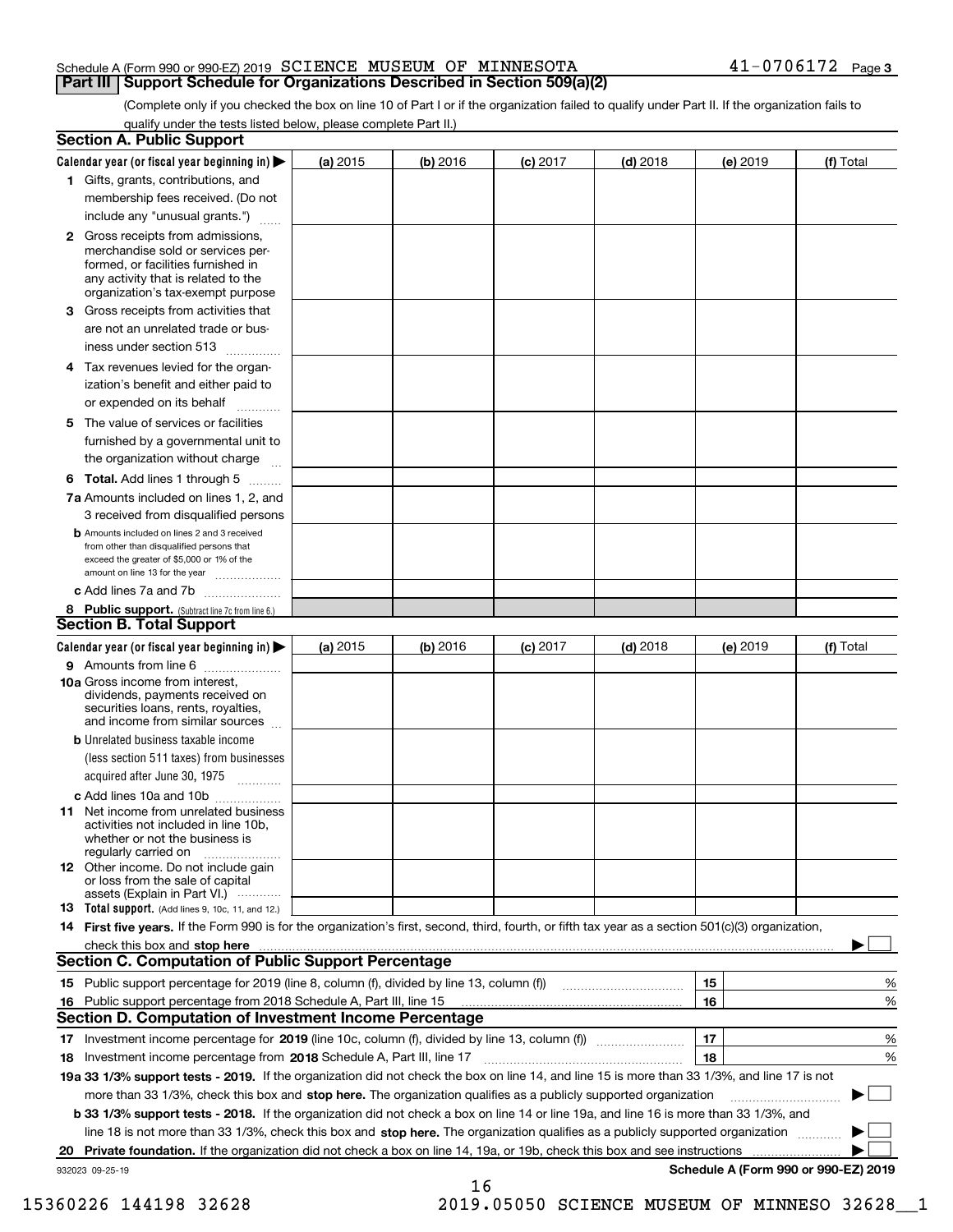#### Schedule A (Form 990 or 990-EZ) 2019 Page SCIENCE MUSEUM OF MINNESOTA 41-0706172 **Part III Support Schedule for Organizations Described in Section 509(a)(2)**

(Complete only if you checked the box on line 10 of Part I or if the organization failed to qualify under Part II. If the organization fails to qualify under the tests listed below, please complete Part II.)

|    | <b>Section A. Public Support</b>                                                                                                                                                                                               |          |          |                 |            |          |                                      |
|----|--------------------------------------------------------------------------------------------------------------------------------------------------------------------------------------------------------------------------------|----------|----------|-----------------|------------|----------|--------------------------------------|
|    | Calendar year (or fiscal year beginning in) $\blacktriangleright$                                                                                                                                                              | (a) 2015 | (b) 2016 | <b>(c)</b> 2017 | $(d)$ 2018 | (e) 2019 | (f) Total                            |
|    | 1 Gifts, grants, contributions, and                                                                                                                                                                                            |          |          |                 |            |          |                                      |
|    | membership fees received. (Do not                                                                                                                                                                                              |          |          |                 |            |          |                                      |
|    | include any "unusual grants.")                                                                                                                                                                                                 |          |          |                 |            |          |                                      |
|    | <b>2</b> Gross receipts from admissions,<br>merchandise sold or services per-<br>formed, or facilities furnished in<br>any activity that is related to the<br>organization's tax-exempt purpose                                |          |          |                 |            |          |                                      |
|    | 3 Gross receipts from activities that<br>are not an unrelated trade or bus-                                                                                                                                                    |          |          |                 |            |          |                                      |
|    | iness under section 513                                                                                                                                                                                                        |          |          |                 |            |          |                                      |
|    | 4 Tax revenues levied for the organ-<br>ization's benefit and either paid to                                                                                                                                                   |          |          |                 |            |          |                                      |
|    | or expended on its behalf                                                                                                                                                                                                      |          |          |                 |            |          |                                      |
|    | 5 The value of services or facilities<br>furnished by a governmental unit to                                                                                                                                                   |          |          |                 |            |          |                                      |
|    | the organization without charge                                                                                                                                                                                                |          |          |                 |            |          |                                      |
|    | <b>6 Total.</b> Add lines 1 through 5                                                                                                                                                                                          |          |          |                 |            |          |                                      |
|    | 7a Amounts included on lines 1, 2, and<br>3 received from disqualified persons                                                                                                                                                 |          |          |                 |            |          |                                      |
|    | <b>b</b> Amounts included on lines 2 and 3 received<br>from other than disqualified persons that<br>exceed the greater of \$5,000 or 1% of the<br>amount on line 13 for the year                                               |          |          |                 |            |          |                                      |
|    | c Add lines 7a and 7b                                                                                                                                                                                                          |          |          |                 |            |          |                                      |
|    | 8 Public support. (Subtract line 7c from line 6.)<br><b>Section B. Total Support</b>                                                                                                                                           |          |          |                 |            |          |                                      |
|    | Calendar year (or fiscal year beginning in)                                                                                                                                                                                    | (a) 2015 | (b) 2016 | $(c)$ 2017      | $(d)$ 2018 | (e) 2019 | (f) Total                            |
|    | 9 Amounts from line 6                                                                                                                                                                                                          |          |          |                 |            |          |                                      |
|    | <b>10a</b> Gross income from interest,<br>dividends, payments received on<br>securities loans, rents, royalties,<br>and income from similar sources                                                                            |          |          |                 |            |          |                                      |
|    | <b>b</b> Unrelated business taxable income<br>(less section 511 taxes) from businesses                                                                                                                                         |          |          |                 |            |          |                                      |
|    | acquired after June 30, 1975                                                                                                                                                                                                   |          |          |                 |            |          |                                      |
|    | c Add lines 10a and 10b<br>11 Net income from unrelated business<br>activities not included in line 10b,<br>whether or not the business is                                                                                     |          |          |                 |            |          |                                      |
|    | regularly carried on<br><b>12</b> Other income. Do not include gain<br>or loss from the sale of capital<br>assets (Explain in Part VI.)                                                                                        |          |          |                 |            |          |                                      |
|    | 13 Total support. (Add lines 9, 10c, 11, and 12.)                                                                                                                                                                              |          |          |                 |            |          |                                      |
|    | 14 First five years. If the Form 990 is for the organization's first, second, third, fourth, or fifth tax year as a section 501(c)(3) organization,                                                                            |          |          |                 |            |          |                                      |
|    | check this box and stop here measurements and contact the contract of the contract of the contract of the contract of the contract of the contract of the contract of the contract of the contract of the contract of the cont |          |          |                 |            |          |                                      |
|    | <b>Section C. Computation of Public Support Percentage</b>                                                                                                                                                                     |          |          |                 |            |          |                                      |
|    |                                                                                                                                                                                                                                |          |          |                 |            | 15       | %                                    |
| 16 | Public support percentage from 2018 Schedule A, Part III, line 15                                                                                                                                                              |          |          |                 |            | 16       | %                                    |
|    | <b>Section D. Computation of Investment Income Percentage</b>                                                                                                                                                                  |          |          |                 |            |          |                                      |
|    | 17 Investment income percentage for 2019 (line 10c, column (f), divided by line 13, column (f))                                                                                                                                |          |          |                 |            | 17       | %                                    |
|    | 18 Investment income percentage from 2018 Schedule A, Part III, line 17                                                                                                                                                        |          |          |                 |            | 18       | %                                    |
|    | 19a 33 1/3% support tests - 2019. If the organization did not check the box on line 14, and line 15 is more than 33 1/3%, and line 17 is not                                                                                   |          |          |                 |            |          |                                      |
|    | more than 33 1/3%, check this box and stop here. The organization qualifies as a publicly supported organization                                                                                                               |          |          |                 |            |          |                                      |
|    | b 33 1/3% support tests - 2018. If the organization did not check a box on line 14 or line 19a, and line 16 is more than 33 1/3%, and                                                                                          |          |          |                 |            |          |                                      |
|    | line 18 is not more than 33 1/3%, check this box and stop here. The organization qualifies as a publicly supported organization                                                                                                |          |          |                 |            |          |                                      |
| 20 | <b>Private foundation.</b> If the organization did not check a box on line 14, 19a, or 19b, check this box and see instructions                                                                                                |          |          |                 |            |          | .                                    |
|    | 932023 09-25-19                                                                                                                                                                                                                |          | 16       |                 |            |          | Schedule A (Form 990 or 990-EZ) 2019 |

15360226 144198 32628 2019.05050 SCIENCE MUSEUM OF MINNESO 32628\_\_1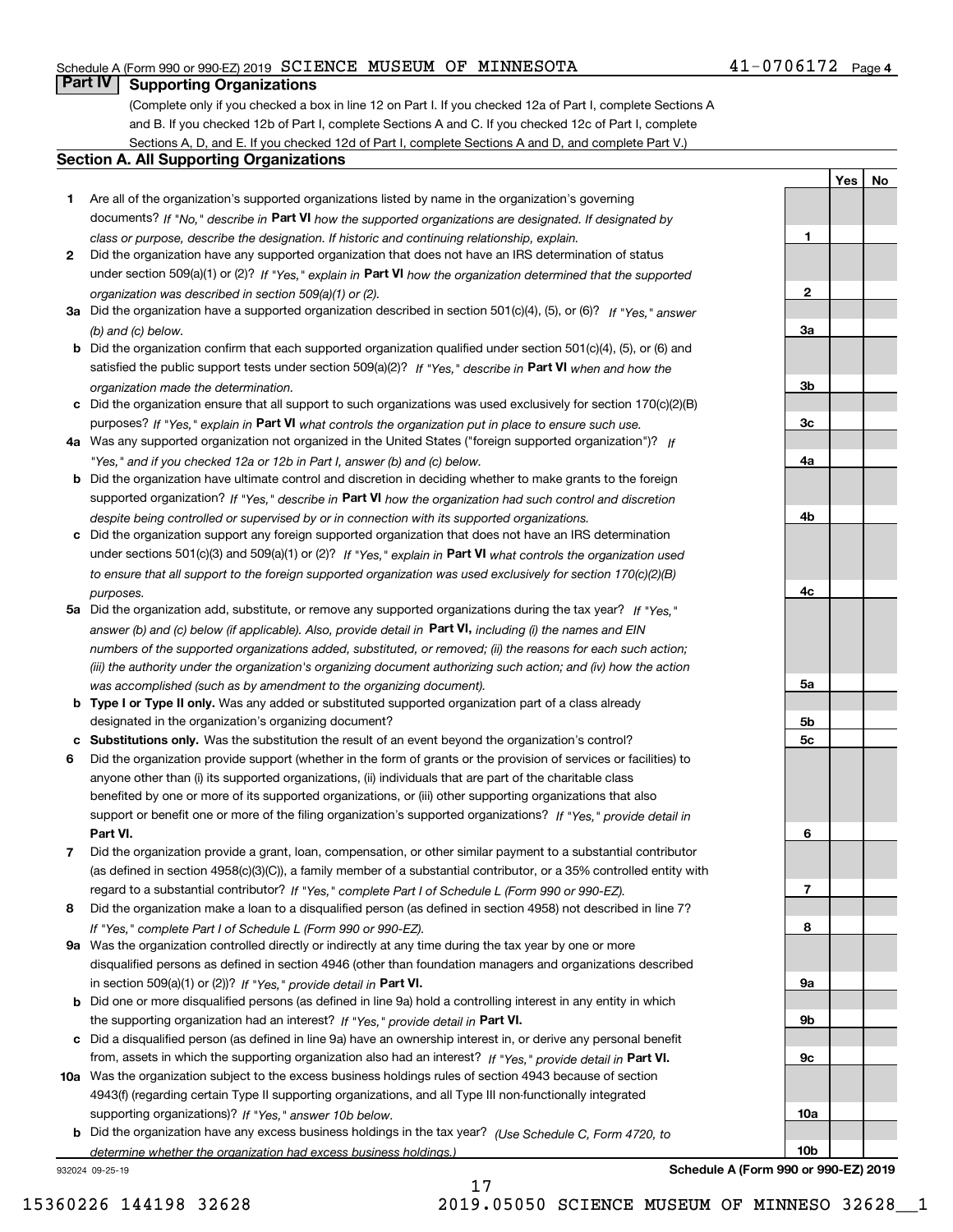#### Schedule A (Form 990 or 990-EZ) 2019 Page SCIENCE MUSEUM OF MINNESOTA 41-0706172

### **Part IV Supporting Organizations**

(Complete only if you checked a box in line 12 on Part I. If you checked 12a of Part I, complete Sections A and B. If you checked 12b of Part I, complete Sections A and C. If you checked 12c of Part I, complete Sections A, D, and E. If you checked 12d of Part I, complete Sections A and D, and complete Part V.)

#### **Section A. All Supporting Organizations**

- **1** Are all of the organization's supported organizations listed by name in the organization's governing documents? If "No," describe in **Part VI** how the supported organizations are designated. If designated by *class or purpose, describe the designation. If historic and continuing relationship, explain.*
- **2** Did the organization have any supported organization that does not have an IRS determination of status under section 509(a)(1) or (2)? If "Yes," explain in Part VI how the organization determined that the supported *organization was described in section 509(a)(1) or (2).*
- **3a** Did the organization have a supported organization described in section 501(c)(4), (5), or (6)? If "Yes," answer *(b) and (c) below.*
- **b** Did the organization confirm that each supported organization qualified under section 501(c)(4), (5), or (6) and satisfied the public support tests under section 509(a)(2)? If "Yes," describe in **Part VI** when and how the *organization made the determination.*
- **c**Did the organization ensure that all support to such organizations was used exclusively for section 170(c)(2)(B) purposes? If "Yes," explain in **Part VI** what controls the organization put in place to ensure such use.
- **4a***If* Was any supported organization not organized in the United States ("foreign supported organization")? *"Yes," and if you checked 12a or 12b in Part I, answer (b) and (c) below.*
- **b** Did the organization have ultimate control and discretion in deciding whether to make grants to the foreign supported organization? If "Yes," describe in **Part VI** how the organization had such control and discretion *despite being controlled or supervised by or in connection with its supported organizations.*
- **c** Did the organization support any foreign supported organization that does not have an IRS determination under sections 501(c)(3) and 509(a)(1) or (2)? If "Yes," explain in **Part VI** what controls the organization used *to ensure that all support to the foreign supported organization was used exclusively for section 170(c)(2)(B) purposes.*
- **5a** Did the organization add, substitute, or remove any supported organizations during the tax year? If "Yes," answer (b) and (c) below (if applicable). Also, provide detail in **Part VI,** including (i) the names and EIN *numbers of the supported organizations added, substituted, or removed; (ii) the reasons for each such action; (iii) the authority under the organization's organizing document authorizing such action; and (iv) how the action was accomplished (such as by amendment to the organizing document).*
- **b** Type I or Type II only. Was any added or substituted supported organization part of a class already designated in the organization's organizing document?
- **cSubstitutions only.**  Was the substitution the result of an event beyond the organization's control?
- **6** Did the organization provide support (whether in the form of grants or the provision of services or facilities) to **Part VI.** *If "Yes," provide detail in* support or benefit one or more of the filing organization's supported organizations? anyone other than (i) its supported organizations, (ii) individuals that are part of the charitable class benefited by one or more of its supported organizations, or (iii) other supporting organizations that also
- **7**Did the organization provide a grant, loan, compensation, or other similar payment to a substantial contributor *If "Yes," complete Part I of Schedule L (Form 990 or 990-EZ).* regard to a substantial contributor? (as defined in section 4958(c)(3)(C)), a family member of a substantial contributor, or a 35% controlled entity with
- **8** Did the organization make a loan to a disqualified person (as defined in section 4958) not described in line 7? *If "Yes," complete Part I of Schedule L (Form 990 or 990-EZ).*
- **9a** Was the organization controlled directly or indirectly at any time during the tax year by one or more in section 509(a)(1) or (2))? If "Yes," *provide detail in* <code>Part VI.</code> disqualified persons as defined in section 4946 (other than foundation managers and organizations described
- **b** Did one or more disqualified persons (as defined in line 9a) hold a controlling interest in any entity in which the supporting organization had an interest? If "Yes," provide detail in P**art VI**.
- **c**Did a disqualified person (as defined in line 9a) have an ownership interest in, or derive any personal benefit from, assets in which the supporting organization also had an interest? If "Yes," provide detail in P**art VI.**
- **10a** Was the organization subject to the excess business holdings rules of section 4943 because of section supporting organizations)? If "Yes," answer 10b below. 4943(f) (regarding certain Type II supporting organizations, and all Type III non-functionally integrated
- **b** Did the organization have any excess business holdings in the tax year? (Use Schedule C, Form 4720, to *determine whether the organization had excess business holdings.)*

932024 09-25-19

**23a3b3c4a4b4c5a 5b5c6789a 9b9c10a**

**Schedule A (Form 990 or 990-EZ) 2019**

**10b**

**1**

**Yes No**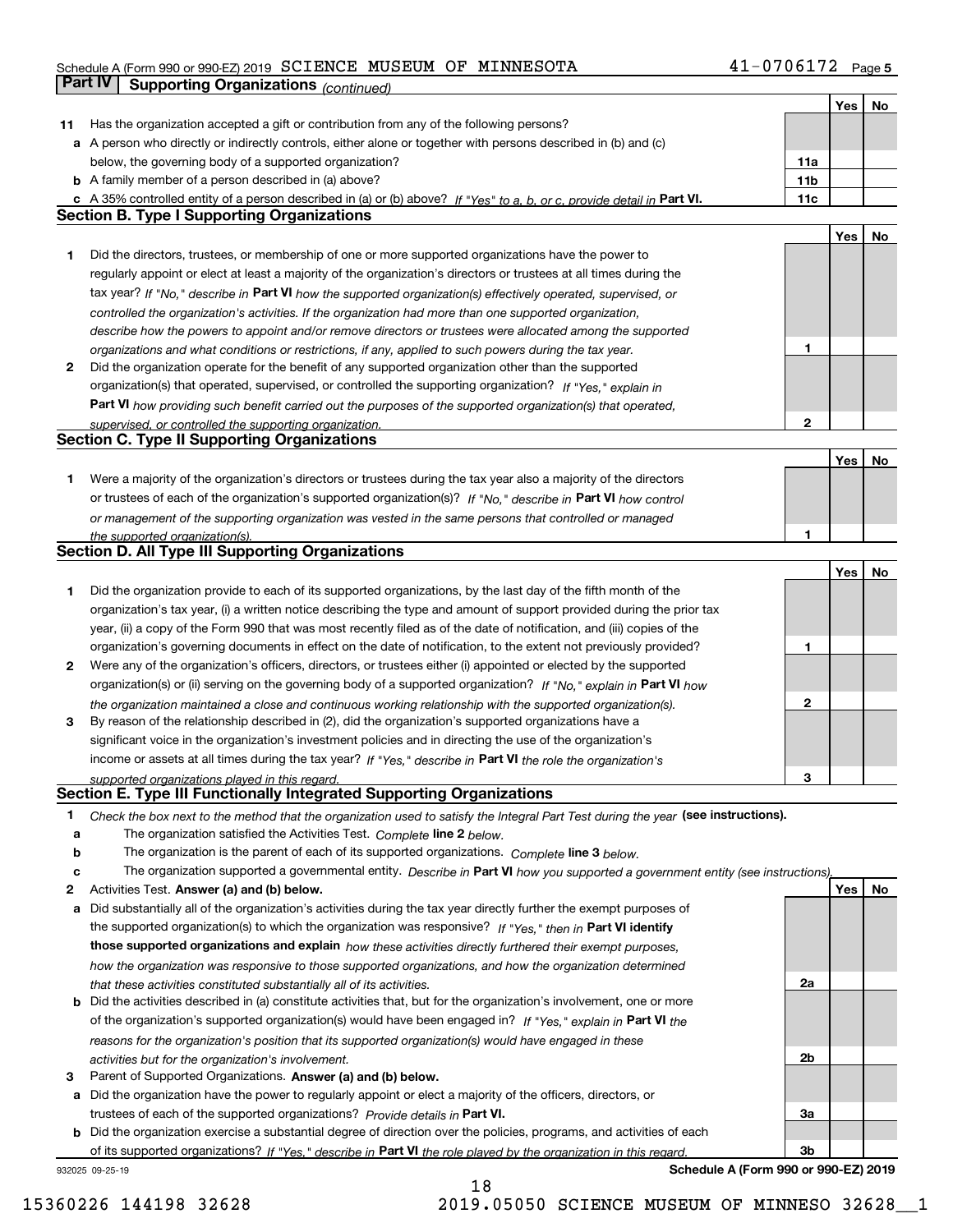#### Schedule A (Form 990 or 990-EZ) 2019 Page SCIENCE MUSEUM OF MINNESOTA 41-0706172

|              | Part IV<br>Supporting Organizations (continued)                                                                                   |                 |     |    |
|--------------|-----------------------------------------------------------------------------------------------------------------------------------|-----------------|-----|----|
|              |                                                                                                                                   |                 | Yes | No |
| 11           | Has the organization accepted a gift or contribution from any of the following persons?                                           |                 |     |    |
|              | a A person who directly or indirectly controls, either alone or together with persons described in (b) and (c)                    |                 |     |    |
|              | below, the governing body of a supported organization?                                                                            | 11a             |     |    |
|              | <b>b</b> A family member of a person described in (a) above?                                                                      | 11 <sub>b</sub> |     |    |
|              | c A 35% controlled entity of a person described in (a) or (b) above? If "Yes" to a, b, or c, provide detail in Part VI.           | 11c             |     |    |
|              | <b>Section B. Type I Supporting Organizations</b>                                                                                 |                 |     |    |
|              |                                                                                                                                   |                 | Yes | No |
| 1            | Did the directors, trustees, or membership of one or more supported organizations have the power to                               |                 |     |    |
|              | regularly appoint or elect at least a majority of the organization's directors or trustees at all times during the                |                 |     |    |
|              | tax year? If "No," describe in Part VI how the supported organization(s) effectively operated, supervised, or                     |                 |     |    |
|              | controlled the organization's activities. If the organization had more than one supported organization,                           |                 |     |    |
|              | describe how the powers to appoint and/or remove directors or trustees were allocated among the supported                         |                 |     |    |
|              | organizations and what conditions or restrictions, if any, applied to such powers during the tax year.                            | 1               |     |    |
| $\mathbf{2}$ | Did the organization operate for the benefit of any supported organization other than the supported                               |                 |     |    |
|              | organization(s) that operated, supervised, or controlled the supporting organization? If "Yes," explain in                        |                 |     |    |
|              | Part VI how providing such benefit carried out the purposes of the supported organization(s) that operated,                       |                 |     |    |
|              | supervised, or controlled the supporting organization.                                                                            | 2               |     |    |
|              | <b>Section C. Type II Supporting Organizations</b>                                                                                |                 |     |    |
|              |                                                                                                                                   |                 | Yes | No |
| 1            | Were a majority of the organization's directors or trustees during the tax year also a majority of the directors                  |                 |     |    |
|              | or trustees of each of the organization's supported organization(s)? If "No," describe in Part VI how control                     |                 |     |    |
|              |                                                                                                                                   |                 |     |    |
|              | or management of the supporting organization was vested in the same persons that controlled or managed                            | 1               |     |    |
|              | the supported organization(s).<br><b>Section D. All Type III Supporting Organizations</b>                                         |                 |     |    |
|              |                                                                                                                                   |                 |     |    |
|              |                                                                                                                                   |                 | Yes | No |
| 1            | Did the organization provide to each of its supported organizations, by the last day of the fifth month of the                    |                 |     |    |
|              | organization's tax year, (i) a written notice describing the type and amount of support provided during the prior tax             |                 |     |    |
|              | year, (ii) a copy of the Form 990 that was most recently filed as of the date of notification, and (iii) copies of the            |                 |     |    |
|              | organization's governing documents in effect on the date of notification, to the extent not previously provided?                  | 1               |     |    |
| 2            | Were any of the organization's officers, directors, or trustees either (i) appointed or elected by the supported                  |                 |     |    |
|              | organization(s) or (ii) serving on the governing body of a supported organization? If "No," explain in Part VI how                |                 |     |    |
|              | the organization maintained a close and continuous working relationship with the supported organization(s).                       | 2               |     |    |
| 3            | By reason of the relationship described in (2), did the organization's supported organizations have a                             |                 |     |    |
|              | significant voice in the organization's investment policies and in directing the use of the organization's                        |                 |     |    |
|              | income or assets at all times during the tax year? If "Yes," describe in Part VI the role the organization's                      |                 |     |    |
|              | supported organizations played in this regard.                                                                                    | 3               |     |    |
|              | Section E. Type III Functionally Integrated Supporting Organizations                                                              |                 |     |    |
| 1            | Check the box next to the method that the organization used to satisfy the Integral Part Test during the year (see instructions). |                 |     |    |
| а            | The organization satisfied the Activities Test. Complete line 2 below.                                                            |                 |     |    |
| b            | The organization is the parent of each of its supported organizations. Complete line 3 below.                                     |                 |     |    |
| с            | The organization supported a governmental entity. Describe in Part VI how you supported a government entity (see instructions),   |                 |     |    |
| 2            | Activities Test. Answer (a) and (b) below.                                                                                        |                 | Yes | No |
| а            | Did substantially all of the organization's activities during the tax year directly further the exempt purposes of                |                 |     |    |
|              | the supported organization(s) to which the organization was responsive? If "Yes," then in Part VI identify                        |                 |     |    |
|              | those supported organizations and explain how these activities directly furthered their exempt purposes,                          |                 |     |    |
|              | how the organization was responsive to those supported organizations, and how the organization determined                         |                 |     |    |
|              | that these activities constituted substantially all of its activities.                                                            | 2a              |     |    |
|              | <b>b</b> Did the activities described in (a) constitute activities that, but for the organization's involvement, one or more      |                 |     |    |
|              | of the organization's supported organization(s) would have been engaged in? If "Yes," explain in Part VI the                      |                 |     |    |
|              | reasons for the organization's position that its supported organization(s) would have engaged in these                            |                 |     |    |
|              | activities but for the organization's involvement.                                                                                | 2b              |     |    |
| з            | Parent of Supported Organizations. Answer (a) and (b) below.                                                                      |                 |     |    |
| а            | Did the organization have the power to regularly appoint or elect a majority of the officers, directors, or                       |                 |     |    |
|              | trustees of each of the supported organizations? Provide details in Part VI.                                                      | За              |     |    |
|              | <b>b</b> Did the organization exercise a substantial degree of direction over the policies, programs, and activities of each      |                 |     |    |
|              | of its supported organizations? If "Yes." describe in Part VI the role played by the organization in this regard.                 | Зb              |     |    |
|              |                                                                                                                                   |                 |     |    |

932025 09-25-19

**Schedule A (Form 990 or 990-EZ) 2019**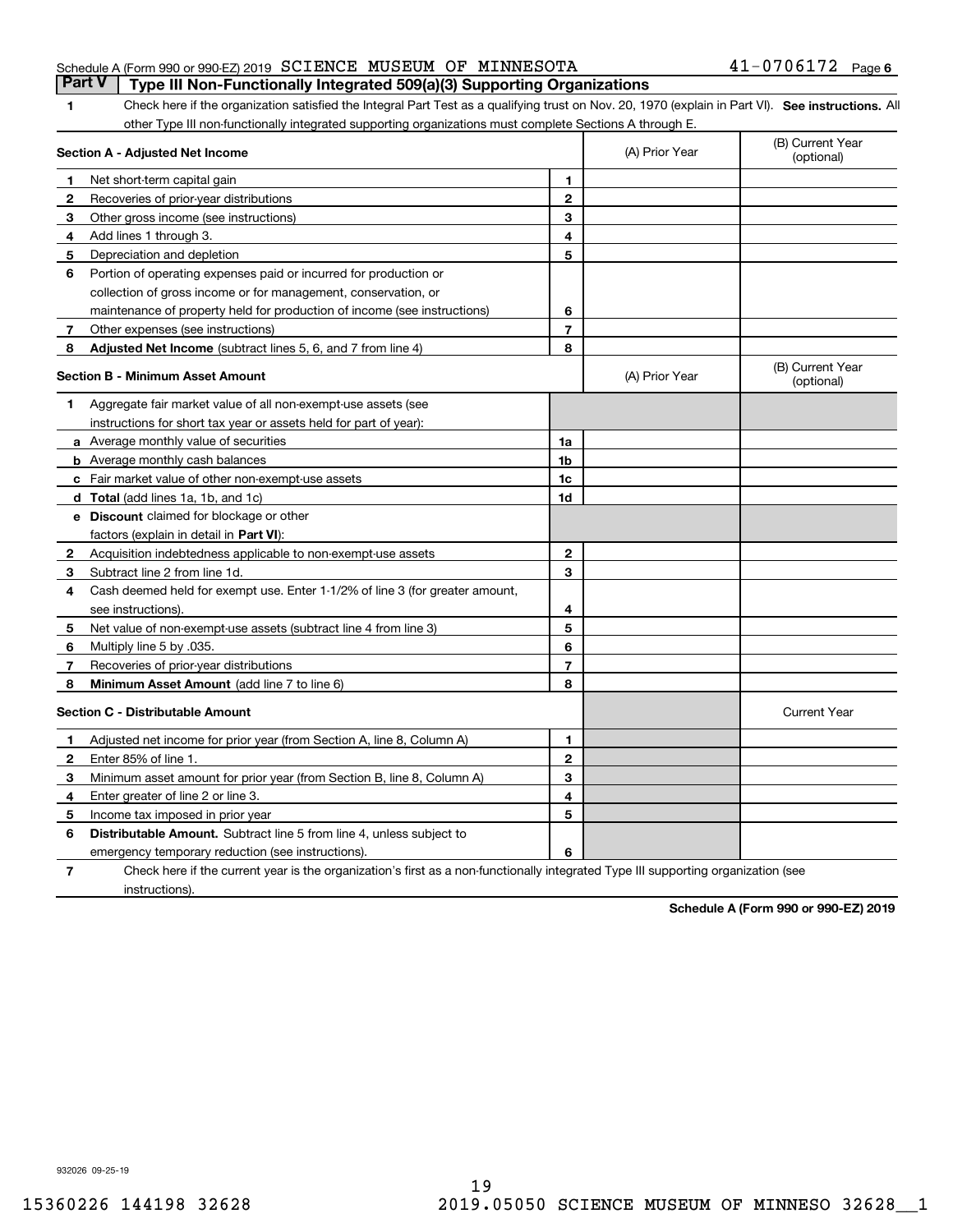| 1            | Check here if the organization satisfied the Integral Part Test as a qualifying trust on Nov. 20, 1970 (explain in Part VI). See instructions. All |                |                                |                                |
|--------------|----------------------------------------------------------------------------------------------------------------------------------------------------|----------------|--------------------------------|--------------------------------|
|              | other Type III non-functionally integrated supporting organizations must complete Sections A through E.                                            |                |                                |                                |
|              | Section A - Adjusted Net Income                                                                                                                    | (A) Prior Year | (B) Current Year<br>(optional) |                                |
| 1.           | Net short-term capital gain                                                                                                                        | 1              |                                |                                |
| 2            | Recoveries of prior-year distributions                                                                                                             | $\overline{2}$ |                                |                                |
| 3            | Other gross income (see instructions)                                                                                                              | 3              |                                |                                |
| 4            | Add lines 1 through 3.                                                                                                                             | 4              |                                |                                |
| 5            | Depreciation and depletion                                                                                                                         | 5              |                                |                                |
| 6            | Portion of operating expenses paid or incurred for production or                                                                                   |                |                                |                                |
|              | collection of gross income or for management, conservation, or                                                                                     |                |                                |                                |
|              | maintenance of property held for production of income (see instructions)                                                                           | 6              |                                |                                |
| 7            | Other expenses (see instructions)                                                                                                                  | $\overline{7}$ |                                |                                |
| 8            | Adjusted Net Income (subtract lines 5, 6, and 7 from line 4)                                                                                       | 8              |                                |                                |
|              | Section B - Minimum Asset Amount                                                                                                                   |                | (A) Prior Year                 | (B) Current Year<br>(optional) |
| 1            | Aggregate fair market value of all non-exempt-use assets (see                                                                                      |                |                                |                                |
|              | instructions for short tax year or assets held for part of year):                                                                                  |                |                                |                                |
|              | <b>a</b> Average monthly value of securities                                                                                                       | 1a             |                                |                                |
|              | <b>b</b> Average monthly cash balances                                                                                                             | 1b             |                                |                                |
|              | c Fair market value of other non-exempt-use assets                                                                                                 | 1c             |                                |                                |
|              | d Total (add lines 1a, 1b, and 1c)                                                                                                                 | 1d             |                                |                                |
|              | <b>e</b> Discount claimed for blockage or other                                                                                                    |                |                                |                                |
|              | factors (explain in detail in Part VI):                                                                                                            |                |                                |                                |
| $\mathbf{2}$ | Acquisition indebtedness applicable to non-exempt-use assets                                                                                       | $\mathbf{2}$   |                                |                                |
| 3            | Subtract line 2 from line 1d.                                                                                                                      | 3              |                                |                                |
| 4            | Cash deemed held for exempt use. Enter 1-1/2% of line 3 (for greater amount,                                                                       |                |                                |                                |
|              | see instructions).                                                                                                                                 | 4              |                                |                                |
| 5            | Net value of non-exempt-use assets (subtract line 4 from line 3)                                                                                   | 5              |                                |                                |
| 6            | Multiply line 5 by .035.                                                                                                                           | 6              |                                |                                |
| 7            | Recoveries of prior-year distributions                                                                                                             | $\overline{7}$ |                                |                                |
| 8            | <b>Minimum Asset Amount</b> (add line 7 to line 6)                                                                                                 | 8              |                                |                                |
|              | <b>Section C - Distributable Amount</b>                                                                                                            |                |                                | <b>Current Year</b>            |
| 1            | Adjusted net income for prior year (from Section A, line 8, Column A)                                                                              | 1              |                                |                                |
| 2            | Enter 85% of line 1.                                                                                                                               | $\overline{2}$ |                                |                                |
| 3            | Minimum asset amount for prior year (from Section B, line 8, Column A)                                                                             | 3              |                                |                                |
| 4            | Enter greater of line 2 or line 3.                                                                                                                 | 4              |                                |                                |

|--|

**6** Distributable Amount. Subtract line 5 from line 4, unless subject to

Check here if the current year is the organization's first as a non-functionally

emergency temporary reduction (see instructions).

Income tax imposed in prior year

instructions).

**Part V Type III Non-Functionally Integrated 509(a)(3) Supporting Organizations** 

| integrated Type III supporting organization (see |
|--------------------------------------------------|
|                                                  |

**5**

**6**

**Schedule A (Form 990 or 990-EZ) 2019**

**5**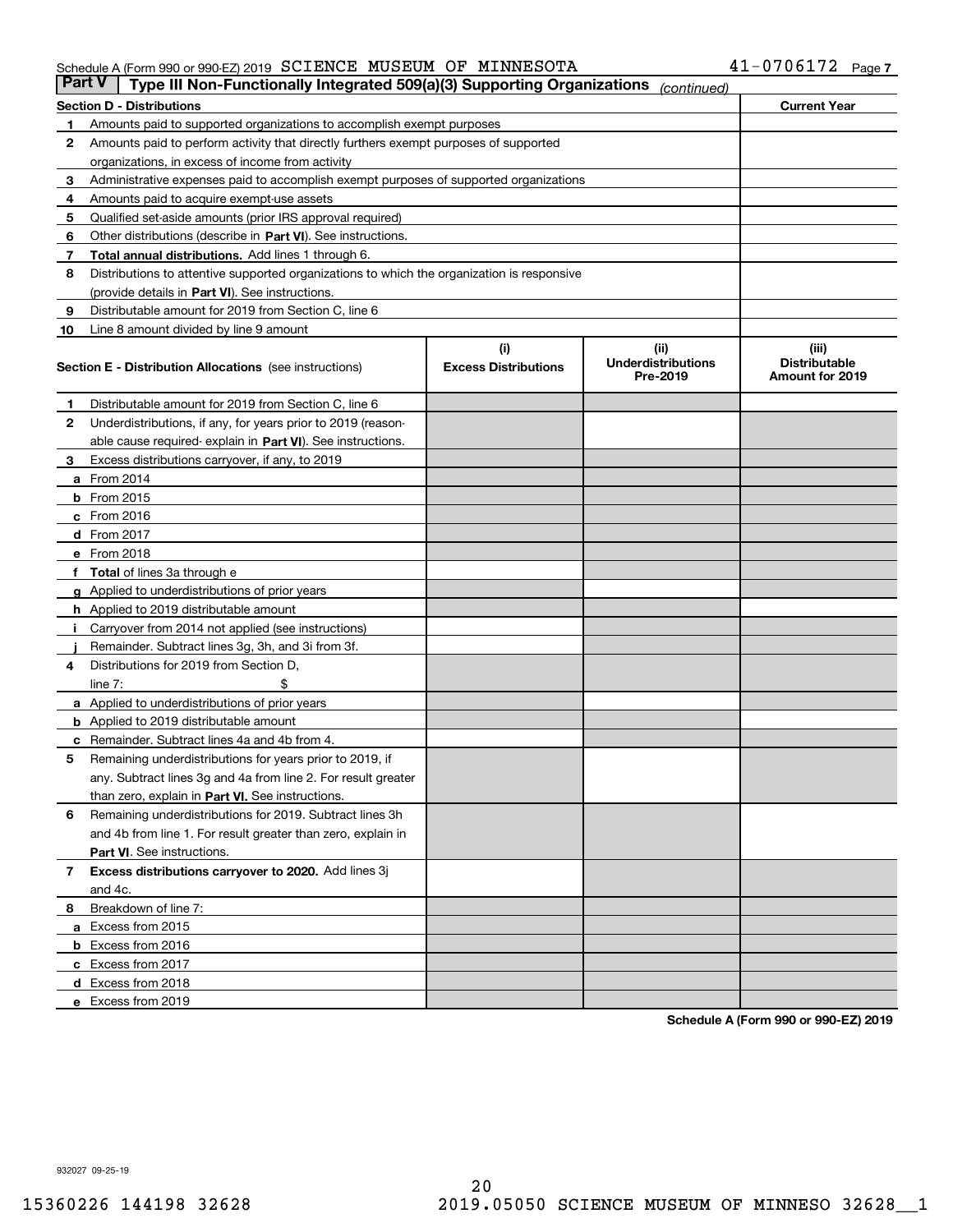#### Schedule A (Form 990 or 990-EZ) 2019 Page SCIENCE MUSEUM OF MINNESOTA 41-0706172

| <b>Part V</b> | Type III Non-Functionally Integrated 509(a)(3) Supporting Organizations                    |                                    | (continued)                                    |                                                  |  |  |
|---------------|--------------------------------------------------------------------------------------------|------------------------------------|------------------------------------------------|--------------------------------------------------|--|--|
|               | <b>Section D - Distributions</b>                                                           | <b>Current Year</b>                |                                                |                                                  |  |  |
| 1             | Amounts paid to supported organizations to accomplish exempt purposes                      |                                    |                                                |                                                  |  |  |
| 2             | Amounts paid to perform activity that directly furthers exempt purposes of supported       |                                    |                                                |                                                  |  |  |
|               | organizations, in excess of income from activity                                           |                                    |                                                |                                                  |  |  |
| 3             | Administrative expenses paid to accomplish exempt purposes of supported organizations      |                                    |                                                |                                                  |  |  |
| 4             | Amounts paid to acquire exempt-use assets                                                  |                                    |                                                |                                                  |  |  |
| 5             | Qualified set-aside amounts (prior IRS approval required)                                  |                                    |                                                |                                                  |  |  |
| 6             | Other distributions (describe in Part VI). See instructions.                               |                                    |                                                |                                                  |  |  |
| 7             | <b>Total annual distributions.</b> Add lines 1 through 6.                                  |                                    |                                                |                                                  |  |  |
| 8             | Distributions to attentive supported organizations to which the organization is responsive |                                    |                                                |                                                  |  |  |
|               | (provide details in Part VI). See instructions.                                            |                                    |                                                |                                                  |  |  |
| 9             | Distributable amount for 2019 from Section C, line 6                                       |                                    |                                                |                                                  |  |  |
| 10            | Line 8 amount divided by line 9 amount                                                     |                                    |                                                |                                                  |  |  |
|               | <b>Section E - Distribution Allocations</b> (see instructions)                             | (i)<br><b>Excess Distributions</b> | (iii)<br><b>Underdistributions</b><br>Pre-2019 | (iii)<br><b>Distributable</b><br>Amount for 2019 |  |  |
| 1             | Distributable amount for 2019 from Section C, line 6                                       |                                    |                                                |                                                  |  |  |
| 2             | Underdistributions, if any, for years prior to 2019 (reason-                               |                                    |                                                |                                                  |  |  |
|               | able cause required- explain in Part VI). See instructions.                                |                                    |                                                |                                                  |  |  |
| З             | Excess distributions carryover, if any, to 2019                                            |                                    |                                                |                                                  |  |  |
|               | <b>a</b> From 2014                                                                         |                                    |                                                |                                                  |  |  |
|               | <b>b</b> From 2015                                                                         |                                    |                                                |                                                  |  |  |
|               | $c$ From 2016                                                                              |                                    |                                                |                                                  |  |  |
|               | d From 2017                                                                                |                                    |                                                |                                                  |  |  |
|               | e From 2018                                                                                |                                    |                                                |                                                  |  |  |
|               | Total of lines 3a through e                                                                |                                    |                                                |                                                  |  |  |
| g             | Applied to underdistributions of prior years                                               |                                    |                                                |                                                  |  |  |
|               | <b>h</b> Applied to 2019 distributable amount                                              |                                    |                                                |                                                  |  |  |
|               | Carryover from 2014 not applied (see instructions)                                         |                                    |                                                |                                                  |  |  |
|               | Remainder. Subtract lines 3g, 3h, and 3i from 3f.                                          |                                    |                                                |                                                  |  |  |
| 4             | Distributions for 2019 from Section D,                                                     |                                    |                                                |                                                  |  |  |
|               | line $7:$                                                                                  |                                    |                                                |                                                  |  |  |
|               | <b>a</b> Applied to underdistributions of prior years                                      |                                    |                                                |                                                  |  |  |
|               | <b>b</b> Applied to 2019 distributable amount                                              |                                    |                                                |                                                  |  |  |
|               | c Remainder. Subtract lines 4a and 4b from 4.                                              |                                    |                                                |                                                  |  |  |
| 5             | Remaining underdistributions for years prior to 2019, if                                   |                                    |                                                |                                                  |  |  |
|               | any. Subtract lines 3g and 4a from line 2. For result greater                              |                                    |                                                |                                                  |  |  |
|               | than zero, explain in Part VI. See instructions.                                           |                                    |                                                |                                                  |  |  |
| 6             | Remaining underdistributions for 2019. Subtract lines 3h                                   |                                    |                                                |                                                  |  |  |
|               | and 4b from line 1. For result greater than zero, explain in                               |                                    |                                                |                                                  |  |  |
|               | Part VI. See instructions.                                                                 |                                    |                                                |                                                  |  |  |
| 7             | Excess distributions carryover to 2020. Add lines 3j                                       |                                    |                                                |                                                  |  |  |
|               | and 4c.                                                                                    |                                    |                                                |                                                  |  |  |
| 8             | Breakdown of line 7:                                                                       |                                    |                                                |                                                  |  |  |
|               | a Excess from 2015                                                                         |                                    |                                                |                                                  |  |  |
|               | <b>b</b> Excess from 2016                                                                  |                                    |                                                |                                                  |  |  |
|               | c Excess from 2017                                                                         |                                    |                                                |                                                  |  |  |
|               | d Excess from 2018                                                                         |                                    |                                                |                                                  |  |  |
|               | e Excess from 2019                                                                         |                                    |                                                |                                                  |  |  |

**Schedule A (Form 990 or 990-EZ) 2019**

932027 09-25-19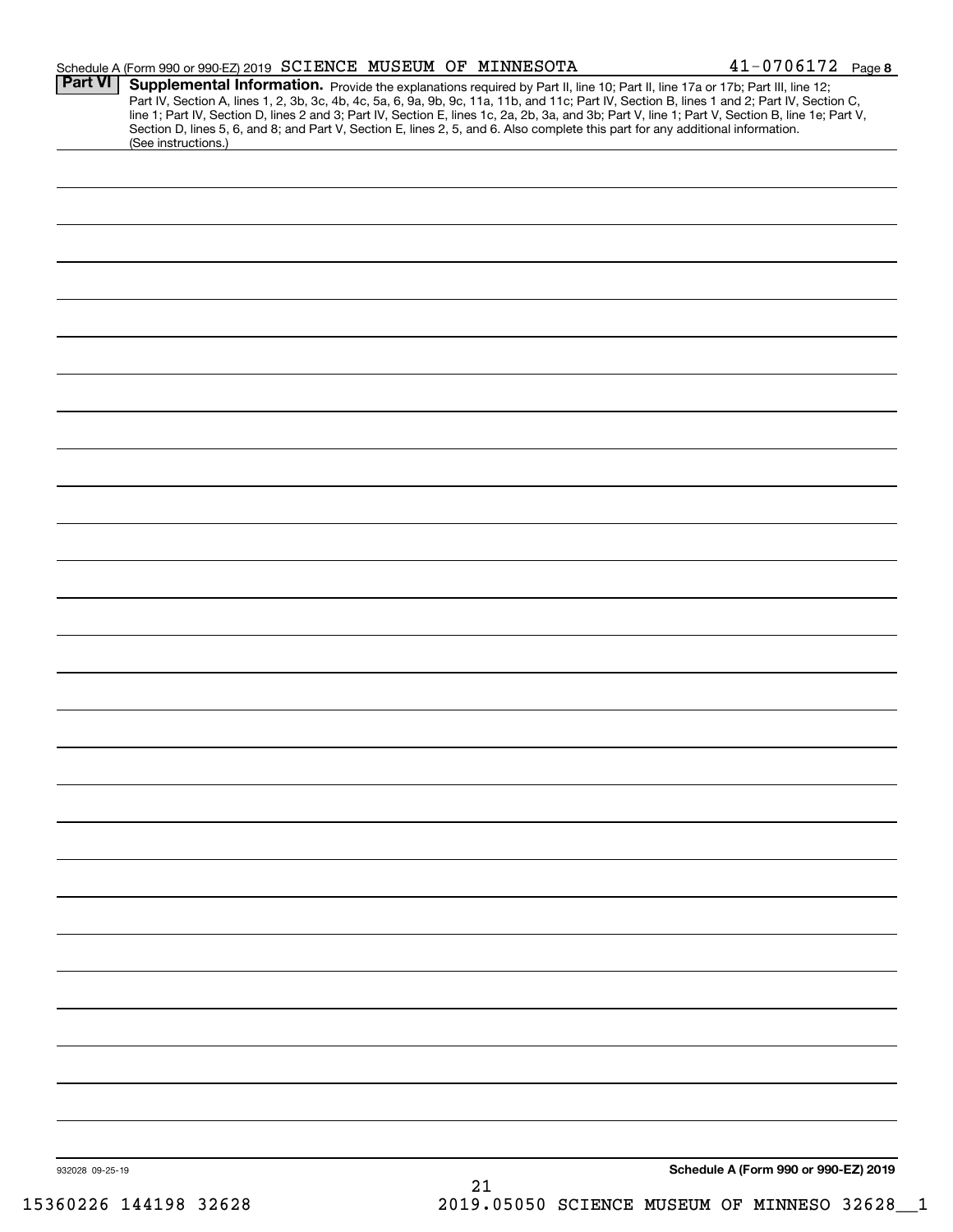|                 | Schedule A (Form 990 or 990-EZ) 2019 SCIENCE MUSEUM OF MINNESOTA                                                                                                                                                                                                                                                                                                                                                                                                                                                                                                                            |    | $41 - 0706172$ Page 8                |
|-----------------|---------------------------------------------------------------------------------------------------------------------------------------------------------------------------------------------------------------------------------------------------------------------------------------------------------------------------------------------------------------------------------------------------------------------------------------------------------------------------------------------------------------------------------------------------------------------------------------------|----|--------------------------------------|
| Part VI         | Supplemental Information. Provide the explanations required by Part II, line 10; Part II, line 17a or 17b; Part III, line 12;<br>Part IV, Section A, lines 1, 2, 3b, 3c, 4b, 4c, 5a, 6, 9a, 9b, 9c, 11a, 11b, and 11c; Part IV, Section B, lines 1 and 2; Part IV, Section C,<br>line 1; Part IV, Section D, lines 2 and 3; Part IV, Section E, lines 1c, 2a, 2b, 3a, and 3b; Part V, line 1; Part V, Section B, line 1e; Part V,<br>Section D, lines 5, 6, and 8; and Part V, Section E, lines 2, 5, and 6. Also complete this part for any additional information.<br>(See instructions.) |    |                                      |
|                 |                                                                                                                                                                                                                                                                                                                                                                                                                                                                                                                                                                                             |    |                                      |
|                 |                                                                                                                                                                                                                                                                                                                                                                                                                                                                                                                                                                                             |    |                                      |
|                 |                                                                                                                                                                                                                                                                                                                                                                                                                                                                                                                                                                                             |    |                                      |
|                 |                                                                                                                                                                                                                                                                                                                                                                                                                                                                                                                                                                                             |    |                                      |
|                 |                                                                                                                                                                                                                                                                                                                                                                                                                                                                                                                                                                                             |    |                                      |
|                 |                                                                                                                                                                                                                                                                                                                                                                                                                                                                                                                                                                                             |    |                                      |
|                 |                                                                                                                                                                                                                                                                                                                                                                                                                                                                                                                                                                                             |    |                                      |
|                 |                                                                                                                                                                                                                                                                                                                                                                                                                                                                                                                                                                                             |    |                                      |
|                 |                                                                                                                                                                                                                                                                                                                                                                                                                                                                                                                                                                                             |    |                                      |
|                 |                                                                                                                                                                                                                                                                                                                                                                                                                                                                                                                                                                                             |    |                                      |
|                 |                                                                                                                                                                                                                                                                                                                                                                                                                                                                                                                                                                                             |    |                                      |
|                 |                                                                                                                                                                                                                                                                                                                                                                                                                                                                                                                                                                                             |    |                                      |
|                 |                                                                                                                                                                                                                                                                                                                                                                                                                                                                                                                                                                                             |    |                                      |
|                 |                                                                                                                                                                                                                                                                                                                                                                                                                                                                                                                                                                                             |    |                                      |
|                 |                                                                                                                                                                                                                                                                                                                                                                                                                                                                                                                                                                                             |    |                                      |
|                 |                                                                                                                                                                                                                                                                                                                                                                                                                                                                                                                                                                                             |    |                                      |
|                 |                                                                                                                                                                                                                                                                                                                                                                                                                                                                                                                                                                                             |    |                                      |
|                 |                                                                                                                                                                                                                                                                                                                                                                                                                                                                                                                                                                                             |    |                                      |
|                 |                                                                                                                                                                                                                                                                                                                                                                                                                                                                                                                                                                                             |    |                                      |
|                 |                                                                                                                                                                                                                                                                                                                                                                                                                                                                                                                                                                                             |    |                                      |
|                 |                                                                                                                                                                                                                                                                                                                                                                                                                                                                                                                                                                                             |    |                                      |
|                 |                                                                                                                                                                                                                                                                                                                                                                                                                                                                                                                                                                                             |    |                                      |
|                 |                                                                                                                                                                                                                                                                                                                                                                                                                                                                                                                                                                                             |    |                                      |
|                 |                                                                                                                                                                                                                                                                                                                                                                                                                                                                                                                                                                                             |    |                                      |
|                 |                                                                                                                                                                                                                                                                                                                                                                                                                                                                                                                                                                                             |    |                                      |
|                 |                                                                                                                                                                                                                                                                                                                                                                                                                                                                                                                                                                                             |    |                                      |
|                 |                                                                                                                                                                                                                                                                                                                                                                                                                                                                                                                                                                                             |    |                                      |
| 932028 09-25-19 |                                                                                                                                                                                                                                                                                                                                                                                                                                                                                                                                                                                             |    | Schedule A (Form 990 or 990-EZ) 2019 |
|                 |                                                                                                                                                                                                                                                                                                                                                                                                                                                                                                                                                                                             | 21 |                                      |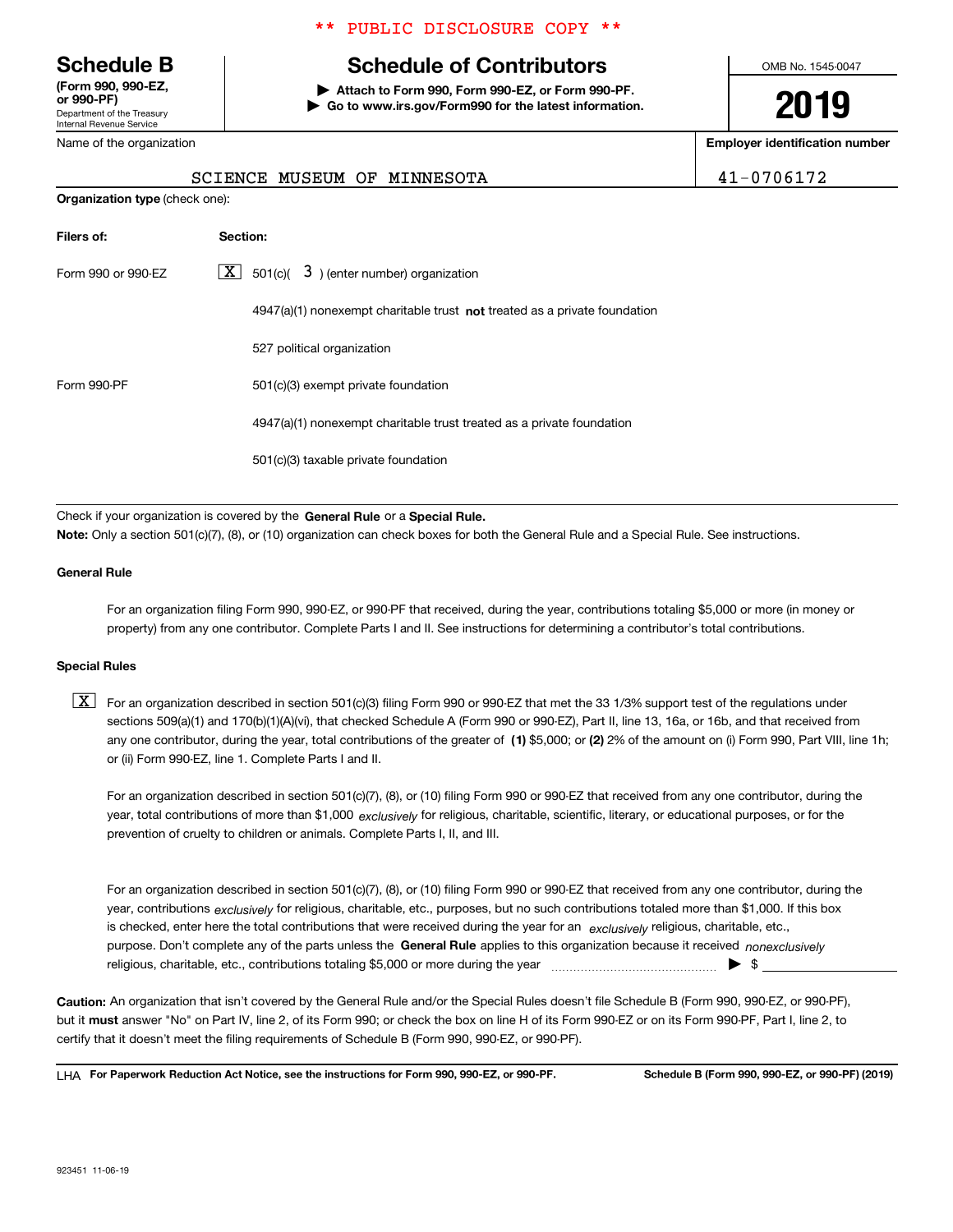Department of the Treasury Internal Revenue Service **(Form 990, 990-EZ, or 990-PF)** Nam

**Organization type** (check one):

#### \*\* PUBLIC DISCLOSURE COPY \*\*

# **Schedule B Schedule of Contributors**

**| Attach to Form 990, Form 990-EZ, or Form 990-PF. | Go to www.irs.gov/Form990 for the latest information.** OMB No. 1545-0047

# **2019**

**Employer identification number**

| -070617 |  |
|---------|--|
|---------|--|

| e of the organization |  |  |  | Em                          |  |
|-----------------------|--|--|--|-----------------------------|--|
|                       |  |  |  | SCIENCE MUSEUM OF MINNESOTA |  |

| Filers of:         | Section:                                                                           |
|--------------------|------------------------------------------------------------------------------------|
| Form 990 or 990-EZ | $\boxed{\text{X}}$ 501(c)( 3) (enter number) organization                          |
|                    | $4947(a)(1)$ nonexempt charitable trust <b>not</b> treated as a private foundation |
|                    | 527 political organization                                                         |
| Form 990-PF        | 501(c)(3) exempt private foundation                                                |
|                    | 4947(a)(1) nonexempt charitable trust treated as a private foundation              |
|                    | 501(c)(3) taxable private foundation                                               |

Check if your organization is covered by the **General Rule** or a **Special Rule.**<br>Nota: Only a section 501(c)(7), (8), or (10) erganization can chock boxes for be **Note:**  Only a section 501(c)(7), (8), or (10) organization can check boxes for both the General Rule and a Special Rule. See instructions.

#### **General Rule**

For an organization filing Form 990, 990-EZ, or 990-PF that received, during the year, contributions totaling \$5,000 or more (in money or property) from any one contributor. Complete Parts I and II. See instructions for determining a contributor's total contributions.

#### **Special Rules**

any one contributor, during the year, total contributions of the greater of  $\,$  (1) \$5,000; or **(2)** 2% of the amount on (i) Form 990, Part VIII, line 1h;  $\boxed{\textbf{X}}$  For an organization described in section 501(c)(3) filing Form 990 or 990-EZ that met the 33 1/3% support test of the regulations under sections 509(a)(1) and 170(b)(1)(A)(vi), that checked Schedule A (Form 990 or 990-EZ), Part II, line 13, 16a, or 16b, and that received from or (ii) Form 990-EZ, line 1. Complete Parts I and II.

year, total contributions of more than \$1,000 *exclusively* for religious, charitable, scientific, literary, or educational purposes, or for the For an organization described in section 501(c)(7), (8), or (10) filing Form 990 or 990-EZ that received from any one contributor, during the prevention of cruelty to children or animals. Complete Parts I, II, and III.

purpose. Don't complete any of the parts unless the **General Rule** applies to this organization because it received *nonexclusively* year, contributions <sub>exclusively</sub> for religious, charitable, etc., purposes, but no such contributions totaled more than \$1,000. If this box is checked, enter here the total contributions that were received during the year for an  $\;$ exclusively religious, charitable, etc., For an organization described in section 501(c)(7), (8), or (10) filing Form 990 or 990-EZ that received from any one contributor, during the religious, charitable, etc., contributions totaling \$5,000 or more during the year  $\Box$ — $\Box$   $\Box$ 

**Caution:**  An organization that isn't covered by the General Rule and/or the Special Rules doesn't file Schedule B (Form 990, 990-EZ, or 990-PF), but it **must** answer "No" on Part IV, line 2, of its Form 990; or check the box on line H of its Form 990-EZ or on its Form 990-PF, Part I, line 2, to<br>cortify that it doesn't meet the filipe requirements of Schodule B (Fer certify that it doesn't meet the filing requirements of Schedule B (Form 990, 990-EZ, or 990-PF).

**For Paperwork Reduction Act Notice, see the instructions for Form 990, 990-EZ, or 990-PF. Schedule B (Form 990, 990-EZ, or 990-PF) (2019)** LHA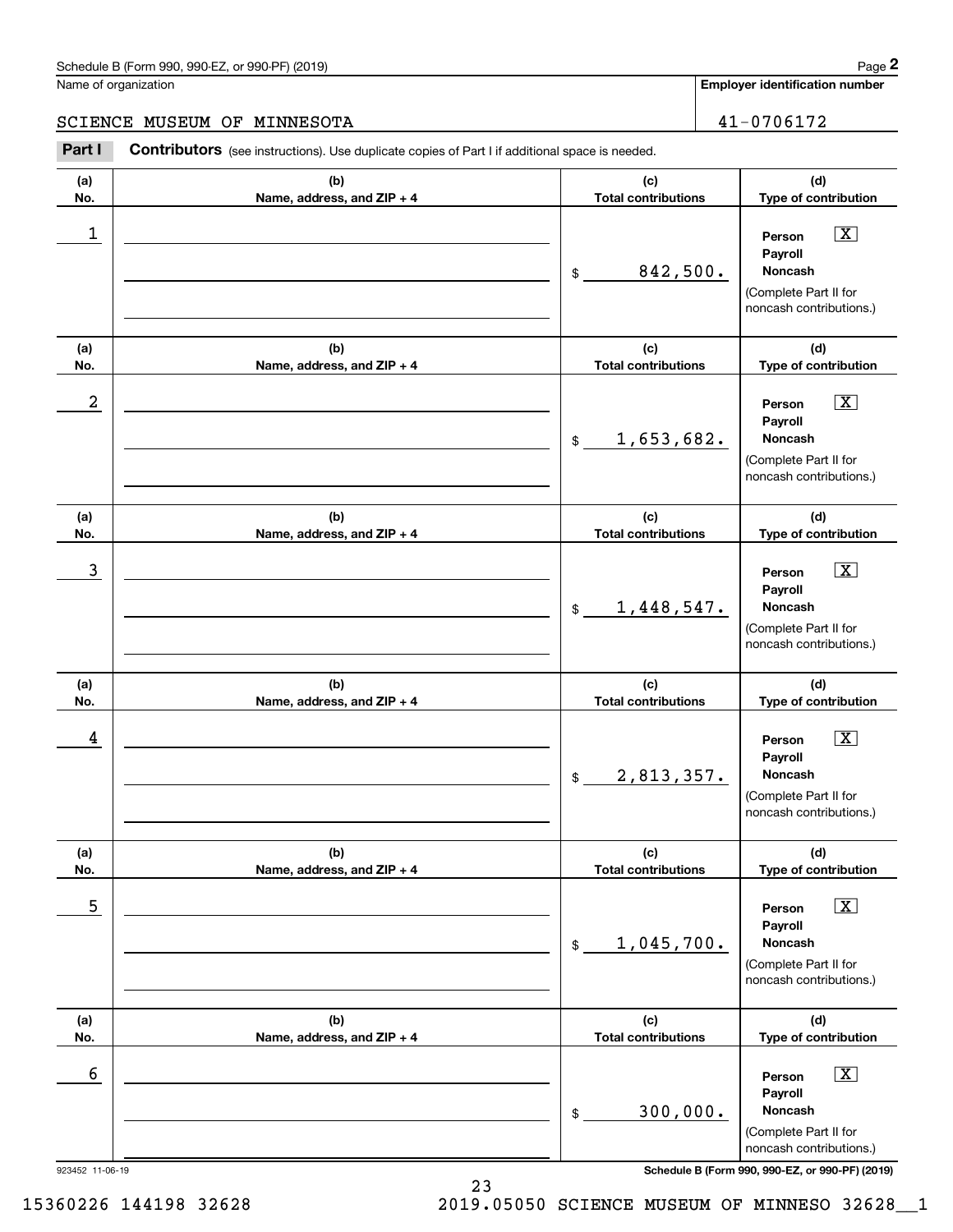#### Schedule B (Form 990, 990-EZ, or 990-PF) (2019) **Page 2** and the state of the state of the state of the state of the state of the state of the state of the state of the state of the state of the state of the state of the s

Name of organization

**Employer identification number**

#### SCIENCE MUSEUM OF MINNESOTA **11-0706172**

923452 11-06-19 **Schedule B (Form 990, 990-EZ, or 990-PF) (2019) (a)No.(b)Name, address, and ZIP + 4 (c)Total contributions (d)Type of contribution PersonPayrollNoncash(a)No.(b)Name, address, and ZIP + 4 (c)Total contributions (d)Type of contribution PersonPayrollNoncash(a)No.(b)Name, address, and ZIP + 4 (c)Total contributions (d)Type of contribution PersonPayrollNoncash(a) No.(b) Name, address, and ZIP + 4 (c) Total contributions (d) Type of contribution PersonPayrollNoncash(a) No.(b)Name, address, and ZIP + 4 (c) Total contributions (d) Type of contribution PersonPayrollNoncash(a) No.(b)Name, address, and ZIP + 4 (c)Total contributions (d)Type of contribution PersonPayrollNoncashContributors** (see instructions). Use duplicate copies of Part I if additional space is needed. \$(Complete Part II for noncash contributions.) \$(Complete Part II for noncash contributions.) \$(Complete Part II for noncash contributions.) \$(Complete Part II for noncash contributions.) \$(Complete Part II for noncash contributions.) \$(Complete Part II for noncash contributions.) **2** Chedule B (Form 990, 990-EZ, or 990-PF) (2019)<br> **2Part I 2Part I CONTIBUTION** OF **MINNESOTA**<br> **2Part I Contributors** (see instructions). Use duplicate copies of Part I if additional space is needed.  $\boxed{\mathbf{X}}$  $\boxed{\mathbf{X}}$  $\sqrt{X}$  $\sqrt{X}$  $\boxed{\text{X}}$  $\boxed{\text{X}}$  $\begin{array}{c|c|c|c|c|c} 1 & \hspace{1.5cm} & \hspace{1.5cm} & \hspace{1.5cm} & \hspace{1.5cm} & \hspace{1.5cm} & \hspace{1.5cm} & \hspace{1.5cm} & \hspace{1.5cm} & \hspace{1.5cm} & \hspace{1.5cm} & \hspace{1.5cm} & \hspace{1.5cm} & \hspace{1.5cm} & \hspace{1.5cm} & \hspace{1.5cm} & \hspace{1.5cm} & \hspace{1.5cm} & \hspace{1.5cm} & \hspace{1.5cm} & \hspace{1.5cm} &$ 842,500.  $2$  | Person  $\overline{\text{X}}$ 1,653,682.  $\overline{3}$  | Person  $\overline{X}$ 1,448,547.  $4$  | Person  $\overline{\text{X}}$ 2,813,357.  $\sim$  5 | Person X 1,045,700.  $\sim$  6 | Person X 300,000.

15360226 144198 32628 2019.05050 SCIENCE MUSEUM OF MINNESO 32628\_\_1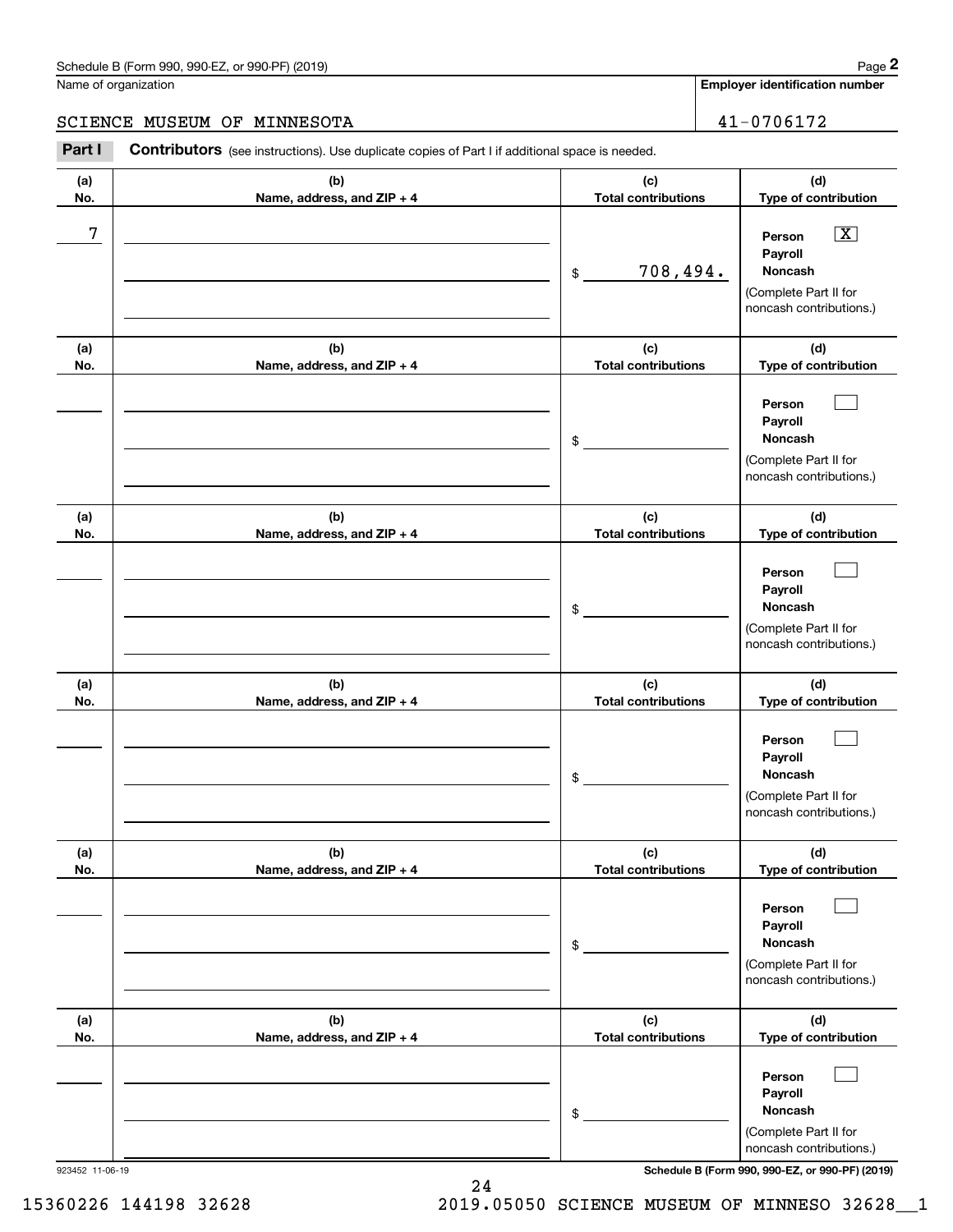### Schedule B (Form 990, 990-EZ, or 990-PF) (2019) Page 2

### SCIENCE MUSEUM OF MINNESOTA 41-0706172

|                      | Schedule B (Form 990, 990-EZ, or 990-PF) (2019)                                                |                                   | Page 2                                                                                                                              |
|----------------------|------------------------------------------------------------------------------------------------|-----------------------------------|-------------------------------------------------------------------------------------------------------------------------------------|
| Name of organization |                                                                                                |                                   | <b>Employer identification number</b>                                                                                               |
|                      | SCIENCE MUSEUM OF MINNESOTA                                                                    |                                   | 41-0706172                                                                                                                          |
| Part I               | Contributors (see instructions). Use duplicate copies of Part I if additional space is needed. |                                   |                                                                                                                                     |
| (a)<br>No.           | (b)<br>Name, address, and ZIP + 4                                                              | (c)<br><b>Total contributions</b> | (d)<br>Type of contribution                                                                                                         |
| 7                    |                                                                                                | 708,494.<br>\$                    | $\boxed{\text{X}}$<br>Person<br>Payroll<br>Noncash<br>(Complete Part II for<br>noncash contributions.)                              |
| (a)<br>No.           | (b)<br>Name, address, and ZIP + 4                                                              | (c)<br><b>Total contributions</b> | (d)<br>Type of contribution                                                                                                         |
|                      |                                                                                                | \$                                | Person<br>Payroll<br>Noncash<br>(Complete Part II for<br>noncash contributions.)                                                    |
| (a)<br>No.           | (b)<br>Name, address, and ZIP + 4                                                              | (c)<br><b>Total contributions</b> | (d)<br>Type of contribution                                                                                                         |
|                      |                                                                                                | \$                                | Person<br>Payroll<br>Noncash<br>(Complete Part II for<br>noncash contributions.)                                                    |
| (a)<br>No.           | (b)<br>Name, address, and ZIP + 4                                                              | (c)<br><b>Total contributions</b> | (d)<br>Type of contribution                                                                                                         |
|                      |                                                                                                | \$                                | Person<br>Payroll<br>Noncash<br>(Complete Part II for<br>noncash contributions.)                                                    |
| (a)<br>No.           | (b)<br>Name, address, and ZIP + 4                                                              | (c)<br><b>Total contributions</b> | (d)<br>Type of contribution                                                                                                         |
|                      |                                                                                                | \$                                | Person<br>Payroll<br>Noncash<br>(Complete Part II for<br>noncash contributions.)                                                    |
| (a)<br>No.           | (b)<br>Name, address, and ZIP + 4                                                              | (c)<br><b>Total contributions</b> | (d)<br>Type of contribution                                                                                                         |
|                      |                                                                                                | \$                                | Person<br>Payroll<br>Noncash<br>(Complete Part II for<br>noncash contributions.)<br>Schedule B (Form 990, 990-EZ, or 990-PF) (2019) |

24

15360226 144198 32628 2019.05050 SCIENCE MUSEUM OF MINNESO 32628\_\_1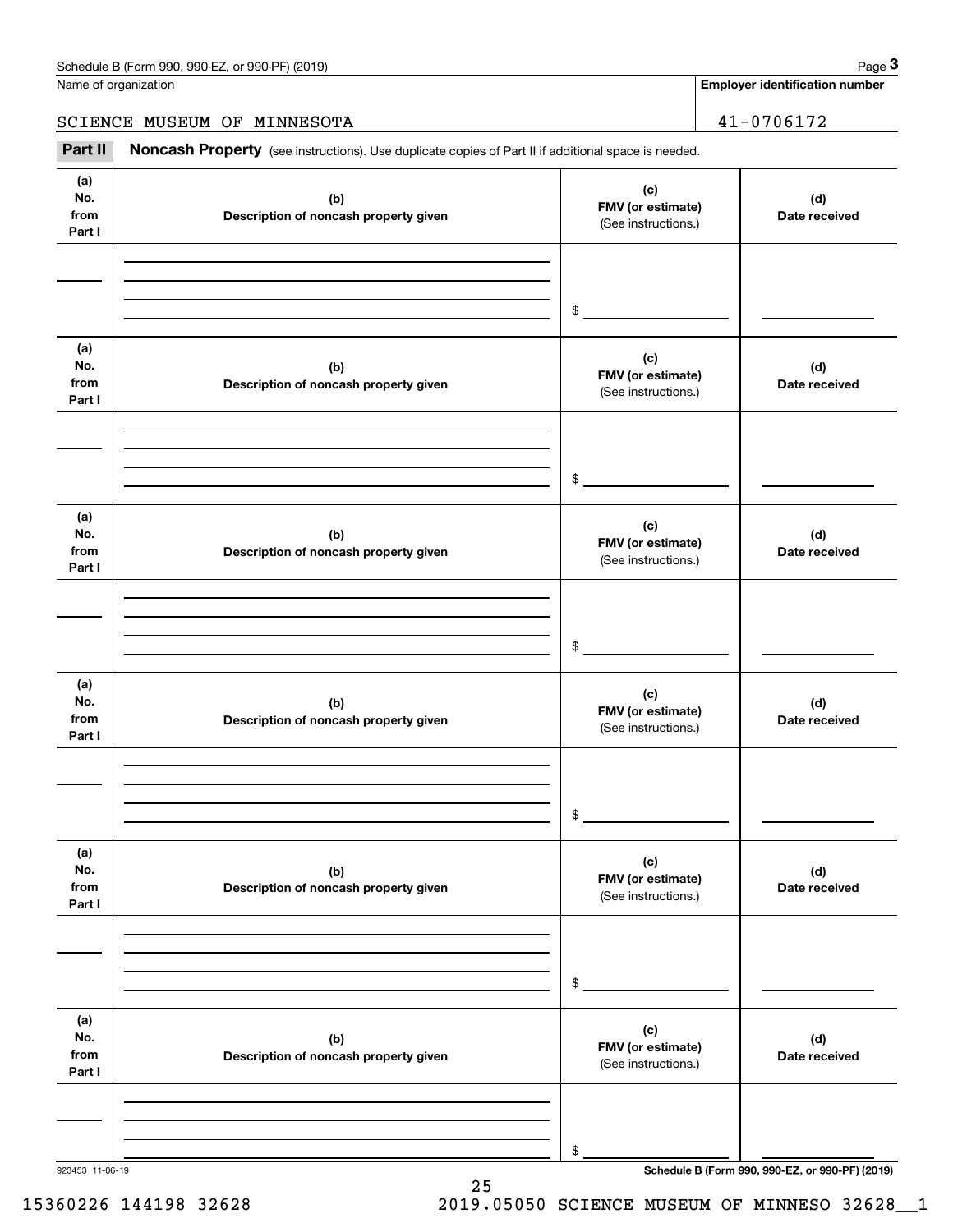Name of organization

**Employer identification number**

SCIENCE MUSEUM OF MINNESOTA 41-0706172

Chedule B (Form 990, 990-EZ, or 990-PF) (2019)<br> **3Page 3** anne of organization<br> **3CIENCE MUSEUM OF MINNESOTA**<br> **3Part II Noncash Property** (see instructions). Use duplicate copies of Part II if additional space is needed

| (a)<br>No.<br>from<br>Part I | (b)<br>Description of noncash property given | (c)<br>FMV (or estimate)<br>(See instructions.) | (d)<br>Date received                            |
|------------------------------|----------------------------------------------|-------------------------------------------------|-------------------------------------------------|
|                              |                                              |                                                 |                                                 |
|                              |                                              | $\frac{1}{2}$                                   |                                                 |
| (a)<br>No.<br>from<br>Part I | (b)<br>Description of noncash property given | (c)<br>FMV (or estimate)<br>(See instructions.) | (d)<br>Date received                            |
|                              |                                              | $\frac{1}{2}$                                   |                                                 |
| (a)<br>No.<br>from<br>Part I | (b)<br>Description of noncash property given | (c)<br>FMV (or estimate)<br>(See instructions.) | (d)<br>Date received                            |
|                              |                                              | $\frac{1}{2}$                                   |                                                 |
| (a)<br>No.<br>from<br>Part I | (b)<br>Description of noncash property given | (c)<br>FMV (or estimate)<br>(See instructions.) | (d)<br>Date received                            |
|                              |                                              | $\mathsf{\$}$                                   |                                                 |
| (a)<br>No.<br>from<br>Part I | (b)<br>Description of noncash property given | (c)<br>FMV (or estimate)<br>(See instructions.) | (d)<br>Date received                            |
|                              |                                              | $\$$                                            |                                                 |
| (a)<br>No.<br>from<br>Part I | (b)<br>Description of noncash property given | (c)<br>FMV (or estimate)<br>(See instructions.) | (d)<br>Date received                            |
|                              |                                              |                                                 |                                                 |
| 923453 11-06-19              |                                              | \$                                              | Schedule B (Form 990, 990-EZ, or 990-PF) (2019) |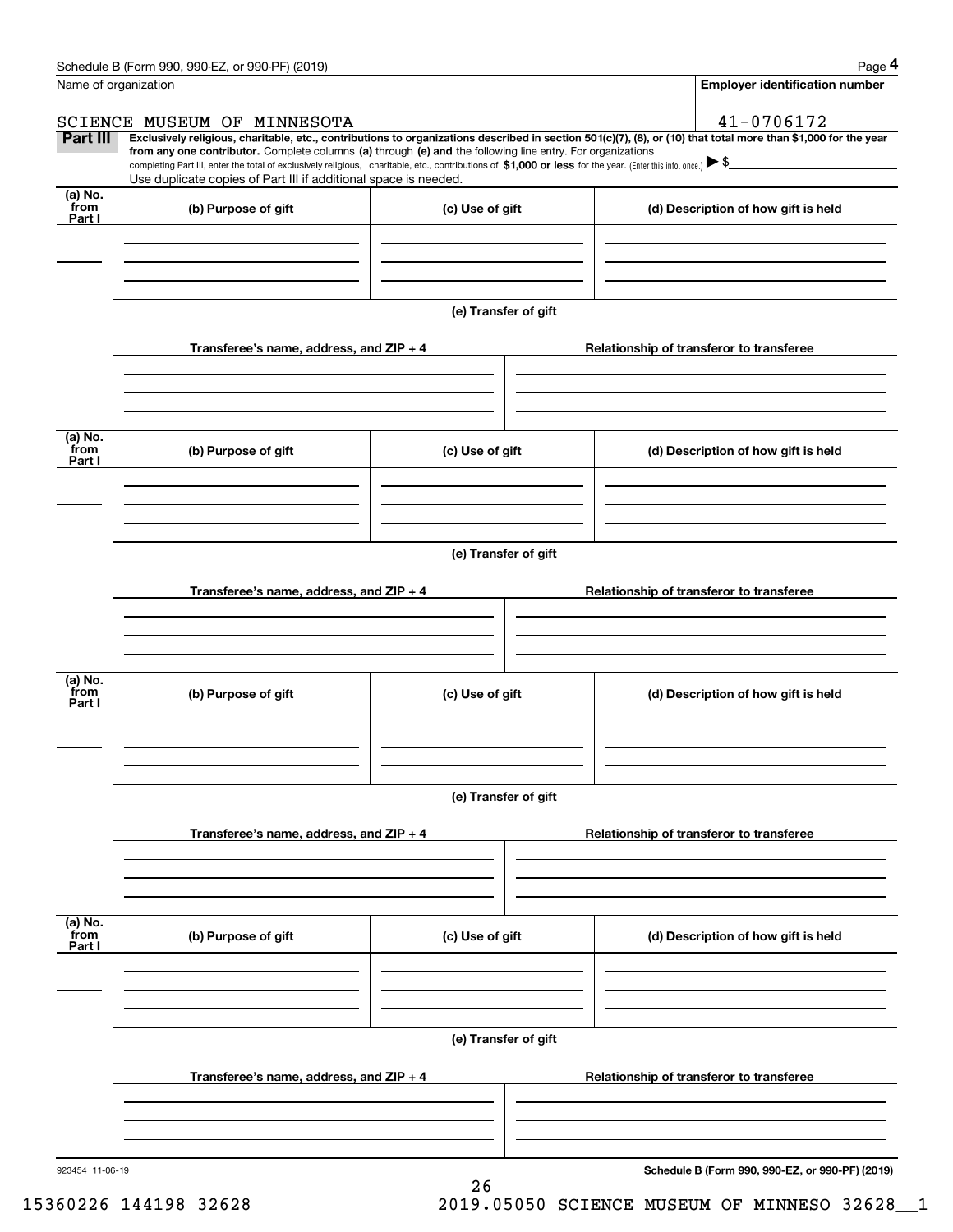|                           | Schedule B (Form 990, 990-EZ, or 990-PF) (2019)                                                                                                                                                                                                                                                 |                      |                                                 | Page 4                                |  |
|---------------------------|-------------------------------------------------------------------------------------------------------------------------------------------------------------------------------------------------------------------------------------------------------------------------------------------------|----------------------|-------------------------------------------------|---------------------------------------|--|
|                           | Name of organization                                                                                                                                                                                                                                                                            |                      |                                                 | <b>Employer identification number</b> |  |
|                           | SCIENCE MUSEUM OF MINNESOTA                                                                                                                                                                                                                                                                     |                      | 41-0706172                                      |                                       |  |
| Part III                  | Exclusively religious, charitable, etc., contributions to organizations described in section 501(c)(7), (8), or (10) that total more than \$1,000 for the year                                                                                                                                  |                      |                                                 |                                       |  |
|                           | from any one contributor. Complete columns (a) through (e) and the following line entry. For organizations<br>completing Part III, enter the total of exclusively religious, charitable, etc., contributions of \$1,000 or less for the year. (Enter this info. once.) $\blacktriangleright$ \$ |                      |                                                 |                                       |  |
|                           | Use duplicate copies of Part III if additional space is needed.                                                                                                                                                                                                                                 |                      |                                                 |                                       |  |
| (a) No.<br>from<br>Part I | (b) Purpose of gift                                                                                                                                                                                                                                                                             | (c) Use of gift      | (d) Description of how gift is held             |                                       |  |
|                           |                                                                                                                                                                                                                                                                                                 |                      |                                                 |                                       |  |
|                           |                                                                                                                                                                                                                                                                                                 |                      |                                                 |                                       |  |
|                           |                                                                                                                                                                                                                                                                                                 | (e) Transfer of gift |                                                 |                                       |  |
|                           | Transferee's name, address, and ZIP + 4                                                                                                                                                                                                                                                         |                      | Relationship of transferor to transferee        |                                       |  |
|                           |                                                                                                                                                                                                                                                                                                 |                      |                                                 |                                       |  |
| (a) No.<br>from<br>Part I | (b) Purpose of gift                                                                                                                                                                                                                                                                             | (c) Use of gift      | (d) Description of how gift is held             |                                       |  |
|                           |                                                                                                                                                                                                                                                                                                 |                      |                                                 |                                       |  |
|                           |                                                                                                                                                                                                                                                                                                 |                      |                                                 |                                       |  |
|                           |                                                                                                                                                                                                                                                                                                 | (e) Transfer of gift |                                                 |                                       |  |
|                           | Transferee's name, address, and ZIP + 4                                                                                                                                                                                                                                                         |                      | Relationship of transferor to transferee        |                                       |  |
|                           |                                                                                                                                                                                                                                                                                                 |                      |                                                 |                                       |  |
| (a) No.                   |                                                                                                                                                                                                                                                                                                 |                      |                                                 |                                       |  |
| from<br>Part I            | (b) Purpose of gift                                                                                                                                                                                                                                                                             | (c) Use of gift      | (d) Description of how gift is held             |                                       |  |
|                           |                                                                                                                                                                                                                                                                                                 |                      |                                                 |                                       |  |
|                           |                                                                                                                                                                                                                                                                                                 | (e) Transfer of gift |                                                 |                                       |  |
|                           | Transferee's name, address, and ZIP + 4                                                                                                                                                                                                                                                         |                      | Relationship of transferor to transferee        |                                       |  |
|                           |                                                                                                                                                                                                                                                                                                 |                      |                                                 |                                       |  |
|                           |                                                                                                                                                                                                                                                                                                 |                      |                                                 |                                       |  |
| (a) No.<br>from<br>Part I | (b) Purpose of gift                                                                                                                                                                                                                                                                             | (c) Use of gift      | (d) Description of how gift is held             |                                       |  |
|                           |                                                                                                                                                                                                                                                                                                 |                      |                                                 |                                       |  |
|                           |                                                                                                                                                                                                                                                                                                 |                      |                                                 |                                       |  |
|                           | (e) Transfer of gift                                                                                                                                                                                                                                                                            |                      |                                                 |                                       |  |
|                           | Transferee's name, address, and ZIP + 4                                                                                                                                                                                                                                                         |                      | Relationship of transferor to transferee        |                                       |  |
|                           |                                                                                                                                                                                                                                                                                                 |                      |                                                 |                                       |  |
| 923454 11-06-19           |                                                                                                                                                                                                                                                                                                 |                      | Schedule B (Form 990, 990-EZ, or 990-PF) (2019) |                                       |  |

26

**Schedule B (Form 990, 990-EZ, or 990-PF) (2019)**

15360226 144198 32628 2019.05050 SCIENCE MUSEUM OF MINNESO 32628\_\_1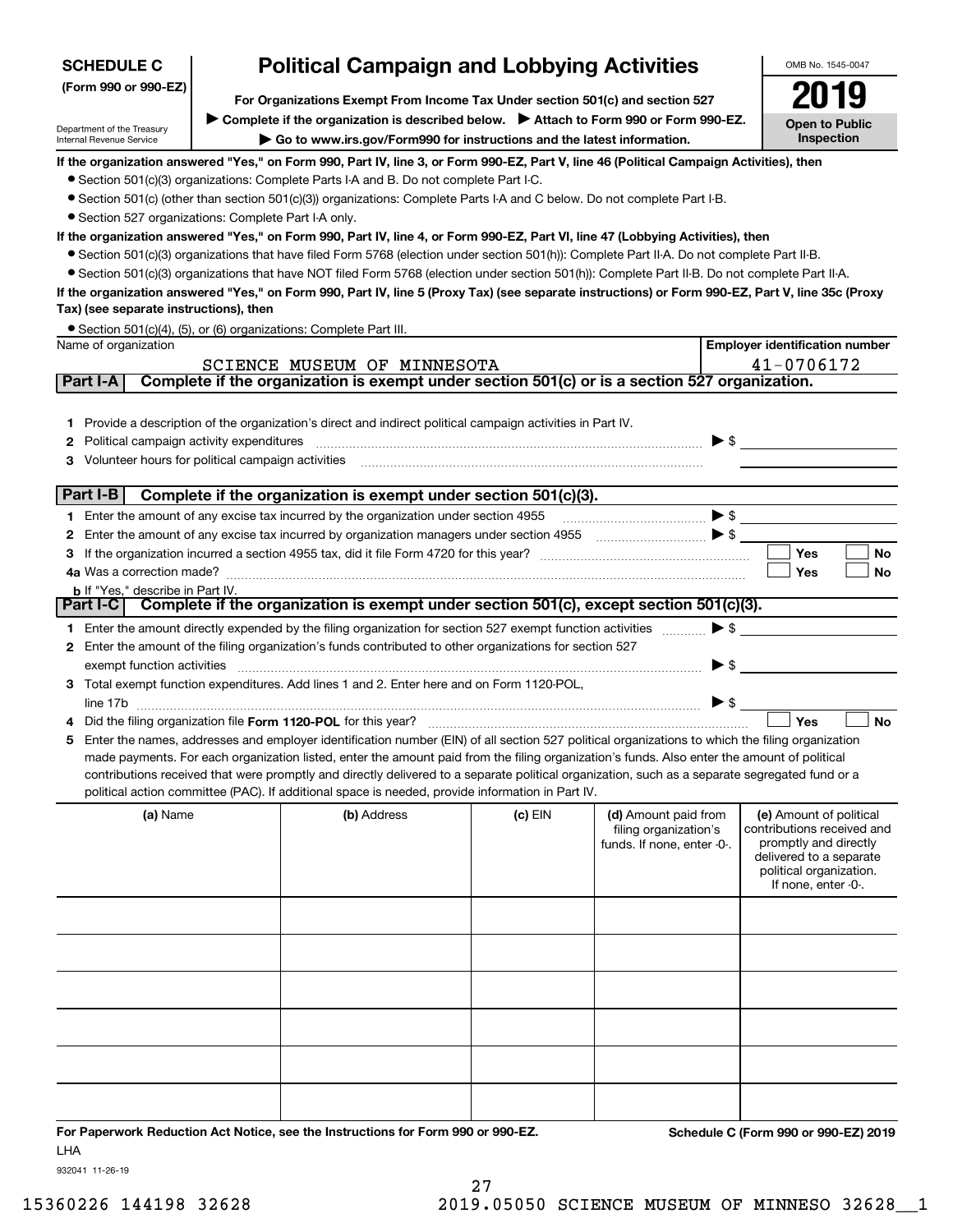| <b>SCHEDULE C</b>                                                                                                                                                        | <b>Political Campaign and Lobbying Activities</b> |                                                                                                                                                   |           |                                                                             |                          |                                                                                                                                                             |
|--------------------------------------------------------------------------------------------------------------------------------------------------------------------------|---------------------------------------------------|---------------------------------------------------------------------------------------------------------------------------------------------------|-----------|-----------------------------------------------------------------------------|--------------------------|-------------------------------------------------------------------------------------------------------------------------------------------------------------|
| (Form 990 or 990-EZ)                                                                                                                                                     |                                                   |                                                                                                                                                   |           |                                                                             |                          |                                                                                                                                                             |
| For Organizations Exempt From Income Tax Under section 501(c) and section 527<br>▶ Complete if the organization is described below. ▶ Attach to Form 990 or Form 990-EZ. |                                                   |                                                                                                                                                   |           |                                                                             |                          |                                                                                                                                                             |
| Department of the Treasury<br>Internal Revenue Service                                                                                                                   |                                                   | Go to www.irs.gov/Form990 for instructions and the latest information.                                                                            |           |                                                                             |                          | <b>Open to Public</b><br>Inspection                                                                                                                         |
|                                                                                                                                                                          |                                                   | If the organization answered "Yes," on Form 990, Part IV, line 3, or Form 990-EZ, Part V, line 46 (Political Campaign Activities), then           |           |                                                                             |                          |                                                                                                                                                             |
|                                                                                                                                                                          |                                                   | • Section 501(c)(3) organizations: Complete Parts I-A and B. Do not complete Part I-C.                                                            |           |                                                                             |                          |                                                                                                                                                             |
|                                                                                                                                                                          |                                                   | • Section 501(c) (other than section 501(c)(3)) organizations: Complete Parts I-A and C below. Do not complete Part I-B.                          |           |                                                                             |                          |                                                                                                                                                             |
| • Section 527 organizations: Complete Part I-A only.                                                                                                                     |                                                   |                                                                                                                                                   |           |                                                                             |                          |                                                                                                                                                             |
|                                                                                                                                                                          |                                                   | If the organization answered "Yes," on Form 990, Part IV, line 4, or Form 990-EZ, Part VI, line 47 (Lobbying Activities), then                    |           |                                                                             |                          |                                                                                                                                                             |
|                                                                                                                                                                          |                                                   | • Section 501(c)(3) organizations that have filed Form 5768 (election under section 501(h)): Complete Part II-A. Do not complete Part II-B.       |           |                                                                             |                          |                                                                                                                                                             |
|                                                                                                                                                                          |                                                   | • Section 501(c)(3) organizations that have NOT filed Form 5768 (election under section 501(h)): Complete Part II-B. Do not complete Part II-A.   |           |                                                                             |                          |                                                                                                                                                             |
| Tax) (see separate instructions), then                                                                                                                                   |                                                   | If the organization answered "Yes," on Form 990, Part IV, line 5 (Proxy Tax) (see separate instructions) or Form 990-EZ, Part V, line 35c (Proxy  |           |                                                                             |                          |                                                                                                                                                             |
|                                                                                                                                                                          |                                                   | • Section 501(c)(4), (5), or (6) organizations: Complete Part III.                                                                                |           |                                                                             |                          |                                                                                                                                                             |
| Name of organization                                                                                                                                                     |                                                   |                                                                                                                                                   |           |                                                                             |                          | <b>Employer identification number</b>                                                                                                                       |
| Part I-A                                                                                                                                                                 |                                                   | SCIENCE MUSEUM OF MINNESOTA<br>Complete if the organization is exempt under section 501(c) or is a section 527 organization.                      |           |                                                                             |                          | 41-0706172                                                                                                                                                  |
|                                                                                                                                                                          |                                                   |                                                                                                                                                   |           |                                                                             |                          |                                                                                                                                                             |
|                                                                                                                                                                          |                                                   |                                                                                                                                                   |           |                                                                             |                          |                                                                                                                                                             |
|                                                                                                                                                                          |                                                   | 1 Provide a description of the organization's direct and indirect political campaign activities in Part IV.                                       |           |                                                                             | $\blacktriangleright$ \$ |                                                                                                                                                             |
| Political campaign activity expenditures<br>2                                                                                                                            |                                                   |                                                                                                                                                   |           |                                                                             |                          |                                                                                                                                                             |
| Volunteer hours for political campaign activities<br>3                                                                                                                   |                                                   |                                                                                                                                                   |           |                                                                             |                          |                                                                                                                                                             |
| Part I-B                                                                                                                                                                 |                                                   | Complete if the organization is exempt under section 501(c)(3).                                                                                   |           |                                                                             |                          |                                                                                                                                                             |
|                                                                                                                                                                          |                                                   | 1 Enter the amount of any excise tax incurred by the organization under section 4955                                                              |           |                                                                             |                          | $\bullet$ s $\overline{\phantom{a}}$                                                                                                                        |
| 2                                                                                                                                                                        |                                                   | Enter the amount of any excise tax incurred by organization managers under section 4955                                                           |           |                                                                             |                          |                                                                                                                                                             |
| 3                                                                                                                                                                        |                                                   |                                                                                                                                                   |           |                                                                             |                          | Yes<br>No                                                                                                                                                   |
|                                                                                                                                                                          |                                                   |                                                                                                                                                   |           |                                                                             |                          | Yes<br>No                                                                                                                                                   |
| <b>b</b> If "Yes," describe in Part IV.                                                                                                                                  |                                                   | Complete if the organization is exempt under section 501(c), except section 501(c)(3).                                                            |           |                                                                             |                          |                                                                                                                                                             |
| Part I-C                                                                                                                                                                 |                                                   |                                                                                                                                                   |           |                                                                             |                          |                                                                                                                                                             |
|                                                                                                                                                                          |                                                   | 1 Enter the amount directly expended by the filing organization for section 527 exempt function activities                                        |           |                                                                             | $\blacktriangleright$ \$ |                                                                                                                                                             |
|                                                                                                                                                                          |                                                   | 2 Enter the amount of the filing organization's funds contributed to other organizations for section 527                                          |           |                                                                             |                          |                                                                                                                                                             |
| exempt function activities                                                                                                                                               |                                                   |                                                                                                                                                   |           |                                                                             | $\blacktriangleright$ \$ |                                                                                                                                                             |
|                                                                                                                                                                          |                                                   | 3 Total exempt function expenditures. Add lines 1 and 2. Enter here and on Form 1120-POL,                                                         |           |                                                                             |                          |                                                                                                                                                             |
|                                                                                                                                                                          |                                                   |                                                                                                                                                   |           |                                                                             |                          | Yes<br><b>No</b>                                                                                                                                            |
|                                                                                                                                                                          |                                                   | 5 Enter the names, addresses and employer identification number (EIN) of all section 527 political organizations to which the filing organization |           |                                                                             |                          |                                                                                                                                                             |
|                                                                                                                                                                          |                                                   | made payments. For each organization listed, enter the amount paid from the filing organization's funds. Also enter the amount of political       |           |                                                                             |                          |                                                                                                                                                             |
|                                                                                                                                                                          |                                                   | contributions received that were promptly and directly delivered to a separate political organization, such as a separate segregated fund or a    |           |                                                                             |                          |                                                                                                                                                             |
|                                                                                                                                                                          |                                                   | political action committee (PAC). If additional space is needed, provide information in Part IV.                                                  |           |                                                                             |                          |                                                                                                                                                             |
| (a) Name                                                                                                                                                                 |                                                   | (b) Address                                                                                                                                       | $(c)$ EIN | (d) Amount paid from<br>filing organization's<br>funds. If none, enter -0-. |                          | (e) Amount of political<br>contributions received and<br>promptly and directly<br>delivered to a separate<br>political organization.<br>If none, enter -0-. |
|                                                                                                                                                                          |                                                   |                                                                                                                                                   |           |                                                                             |                          |                                                                                                                                                             |
|                                                                                                                                                                          |                                                   |                                                                                                                                                   |           |                                                                             |                          |                                                                                                                                                             |
|                                                                                                                                                                          |                                                   |                                                                                                                                                   |           |                                                                             |                          |                                                                                                                                                             |
|                                                                                                                                                                          |                                                   |                                                                                                                                                   |           |                                                                             |                          |                                                                                                                                                             |
|                                                                                                                                                                          |                                                   |                                                                                                                                                   |           |                                                                             |                          |                                                                                                                                                             |
|                                                                                                                                                                          |                                                   |                                                                                                                                                   |           |                                                                             |                          |                                                                                                                                                             |
|                                                                                                                                                                          |                                                   |                                                                                                                                                   |           |                                                                             |                          |                                                                                                                                                             |

**For Paperwork Reduction Act Notice, see the Instructions for Form 990 or 990-EZ. Schedule C (Form 990 or 990-EZ) 2019** LHA

932041 11-26-19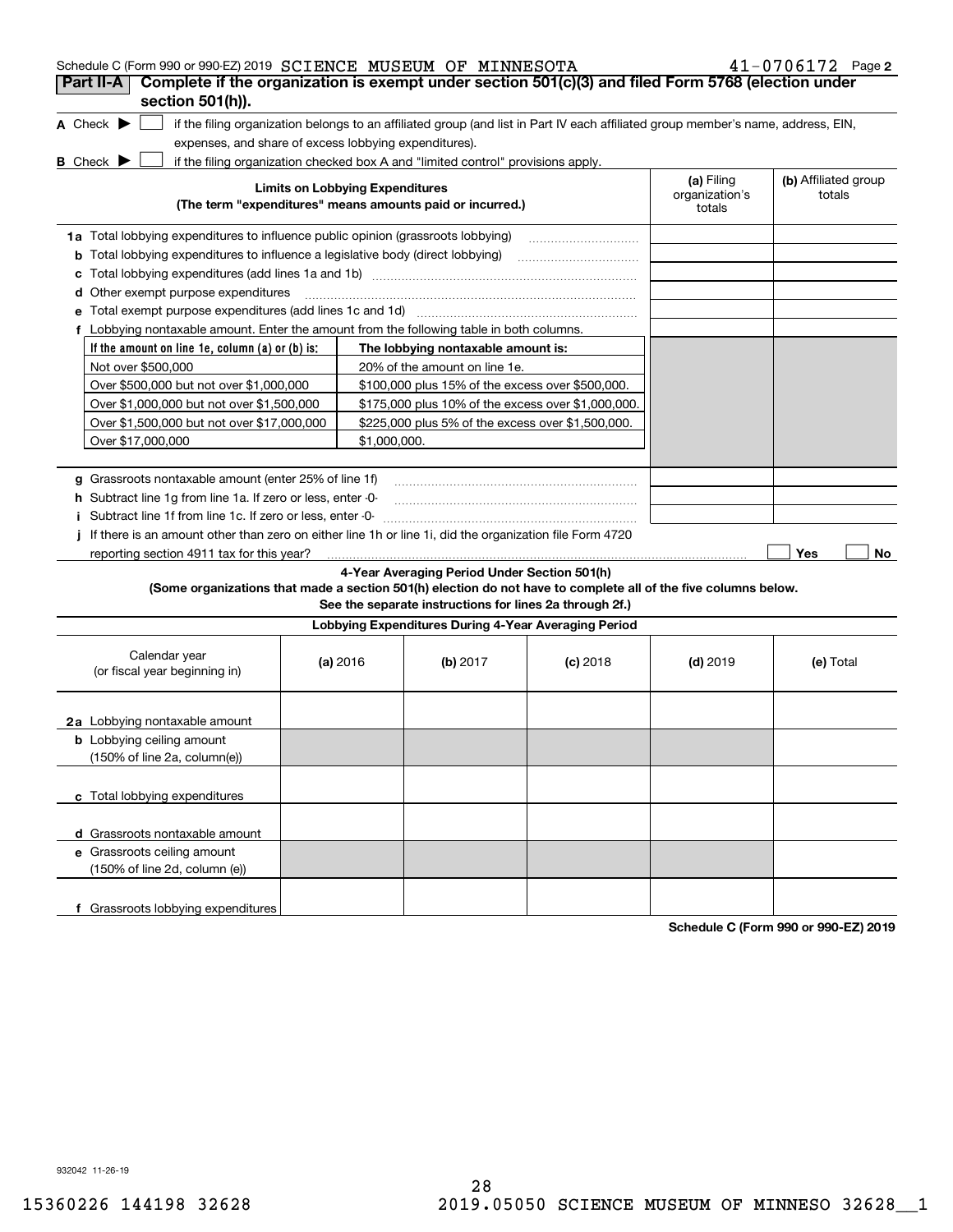| Schedule C (Form 990 or 990-EZ) 2019 SCIENCE MUSEUM OF MINNESOTA                                                                                                                                                   |                                        |                                                                                                         |                                                                                                                                   |                                        | $41 - 0706172$ Page 2          |
|--------------------------------------------------------------------------------------------------------------------------------------------------------------------------------------------------------------------|----------------------------------------|---------------------------------------------------------------------------------------------------------|-----------------------------------------------------------------------------------------------------------------------------------|----------------------------------------|--------------------------------|
| Complete if the organization is exempt under section 501(c)(3) and filed Form 5768 (election under<br>Part II-A<br>section 501(h)).                                                                                |                                        |                                                                                                         |                                                                                                                                   |                                        |                                |
| A Check $\blacktriangleright$<br>expenses, and share of excess lobbying expenditures).<br>if the filing organization checked box A and "limited control" provisions apply.<br><b>B</b> Check $\blacktriangleright$ |                                        |                                                                                                         | if the filing organization belongs to an affiliated group (and list in Part IV each affiliated group member's name, address, EIN, |                                        |                                |
|                                                                                                                                                                                                                    | <b>Limits on Lobbying Expenditures</b> | (The term "expenditures" means amounts paid or incurred.)                                               |                                                                                                                                   | (a) Filing<br>organization's<br>totals | (b) Affiliated group<br>totals |
| 1a Total lobbying expenditures to influence public opinion (grassroots lobbying)                                                                                                                                   |                                        |                                                                                                         |                                                                                                                                   |                                        |                                |
| <b>b</b> Total lobbying expenditures to influence a legislative body (direct lobbying)                                                                                                                             |                                        |                                                                                                         |                                                                                                                                   |                                        |                                |
| c                                                                                                                                                                                                                  |                                        |                                                                                                         |                                                                                                                                   |                                        |                                |
| <b>d</b> Other exempt purpose expenditures                                                                                                                                                                         |                                        |                                                                                                         |                                                                                                                                   |                                        |                                |
| е                                                                                                                                                                                                                  |                                        |                                                                                                         |                                                                                                                                   |                                        |                                |
| f Lobbying nontaxable amount. Enter the amount from the following table in both columns.                                                                                                                           |                                        |                                                                                                         |                                                                                                                                   |                                        |                                |
| If the amount on line 1e, column $(a)$ or $(b)$ is:                                                                                                                                                                |                                        | The lobbying nontaxable amount is:                                                                      |                                                                                                                                   |                                        |                                |
| Not over \$500,000                                                                                                                                                                                                 |                                        | 20% of the amount on line 1e.                                                                           |                                                                                                                                   |                                        |                                |
| Over \$500,000 but not over \$1,000,000                                                                                                                                                                            |                                        | \$100,000 plus 15% of the excess over \$500,000.                                                        |                                                                                                                                   |                                        |                                |
| Over \$1,000,000 but not over \$1,500,000                                                                                                                                                                          |                                        | \$175,000 plus 10% of the excess over \$1,000,000.                                                      |                                                                                                                                   |                                        |                                |
| Over \$1,500,000 but not over \$17,000,000                                                                                                                                                                         |                                        | \$225,000 plus 5% of the excess over \$1,500,000.                                                       |                                                                                                                                   |                                        |                                |
| Over \$17,000,000                                                                                                                                                                                                  | \$1,000,000.                           |                                                                                                         |                                                                                                                                   |                                        |                                |
| g Grassroots nontaxable amount (enter 25% of line 1f)                                                                                                                                                              |                                        |                                                                                                         |                                                                                                                                   |                                        |                                |
| h Subtract line 1g from line 1a. If zero or less, enter -0-                                                                                                                                                        |                                        |                                                                                                         |                                                                                                                                   |                                        |                                |
| Subtract line 1f from line 1c. If zero or less, enter -0-<br>Ť.                                                                                                                                                    |                                        |                                                                                                         |                                                                                                                                   |                                        |                                |
| If there is an amount other than zero on either line 1h or line 1i, did the organization file Form 4720                                                                                                            |                                        |                                                                                                         |                                                                                                                                   |                                        |                                |
| reporting section 4911 tax for this year?                                                                                                                                                                          |                                        |                                                                                                         |                                                                                                                                   |                                        | Yes<br>No                      |
| (Some organizations that made a section 501(h) election do not have to complete all of the five columns below.                                                                                                     |                                        | 4-Year Averaging Period Under Section 501(h)<br>See the separate instructions for lines 2a through 2f.) |                                                                                                                                   |                                        |                                |
|                                                                                                                                                                                                                    |                                        | Lobbying Expenditures During 4-Year Averaging Period                                                    |                                                                                                                                   |                                        |                                |
| Calendar year<br>(or fiscal year beginning in)                                                                                                                                                                     | (a) 2016                               | (b) $2017$                                                                                              | $(c)$ 2018                                                                                                                        | $(d)$ 2019                             | (e) Total                      |
| 2a Lobbying nontaxable amount                                                                                                                                                                                      |                                        |                                                                                                         |                                                                                                                                   |                                        |                                |
| <b>b</b> Lobbying ceiling amount<br>(150% of line 2a, column(e))                                                                                                                                                   |                                        |                                                                                                         |                                                                                                                                   |                                        |                                |
| c Total lobbying expenditures                                                                                                                                                                                      |                                        |                                                                                                         |                                                                                                                                   |                                        |                                |
| d Grassroots nontaxable amount                                                                                                                                                                                     |                                        |                                                                                                         |                                                                                                                                   |                                        |                                |
| e Grassroots ceiling amount<br>(150% of line 2d, column (e))                                                                                                                                                       |                                        |                                                                                                         |                                                                                                                                   |                                        |                                |
| f Grassroots lobbying expenditures                                                                                                                                                                                 |                                        |                                                                                                         |                                                                                                                                   |                                        |                                |

**Schedule C (Form 990 or 990-EZ) 2019**

932042 11-26-19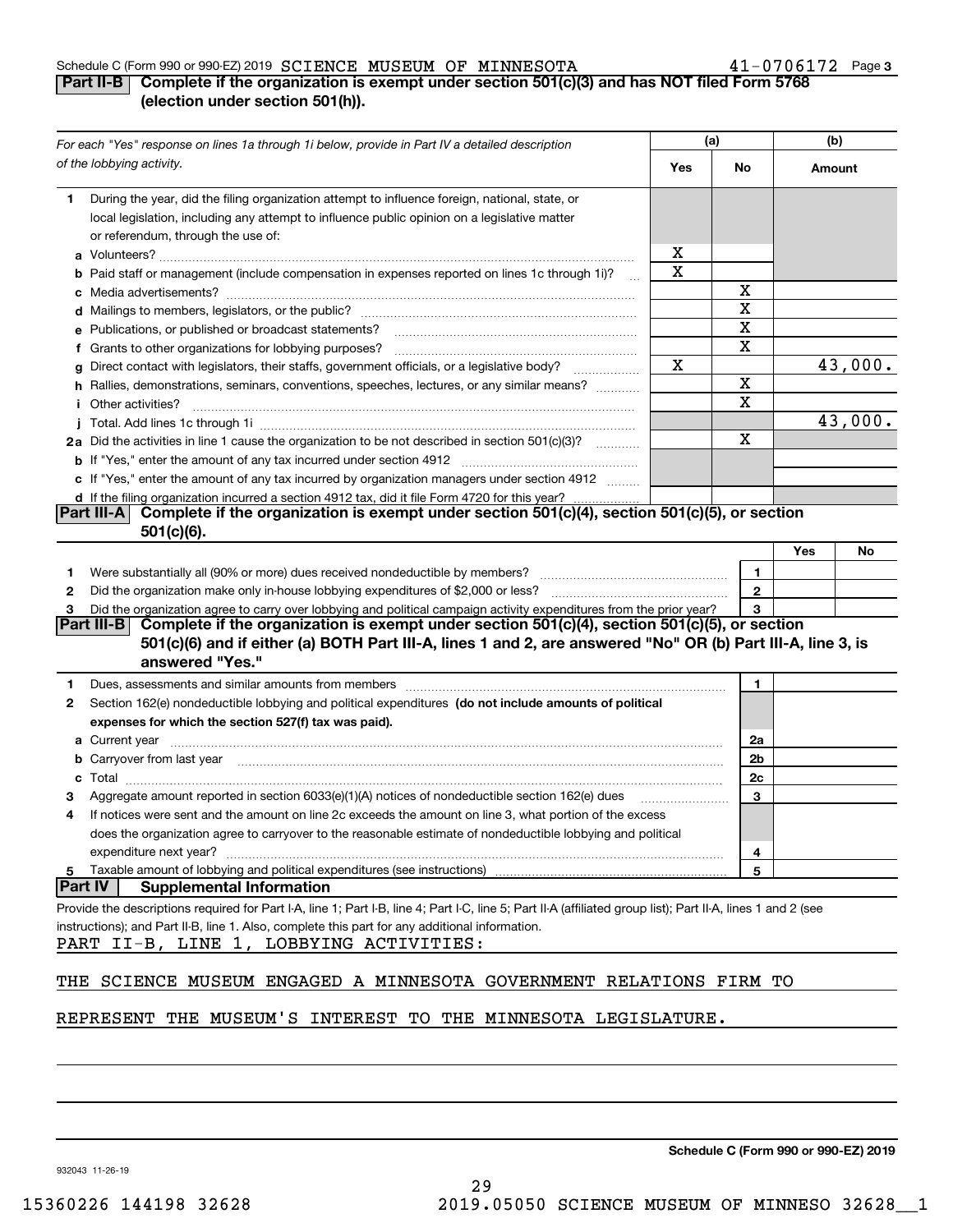#### Schedule C (Form 990 or 990-EZ) 2019 Page SCIENCE MUSEUM OF MINNESOTA 41-0706172

### **3**

### **Part II-B Complete if the organization is exempt under section 501(c)(3) and has NOT filed Form 5768 (election under section 501(h)).**

| For each "Yes" response on lines 1a through 1i below, provide in Part IV a detailed description                                                                                                                                           | (a) |              | (b)    |         |
|-------------------------------------------------------------------------------------------------------------------------------------------------------------------------------------------------------------------------------------------|-----|--------------|--------|---------|
| of the lobbying activity.                                                                                                                                                                                                                 | Yes | No           | Amount |         |
| During the year, did the filing organization attempt to influence foreign, national, state, or<br>1                                                                                                                                       |     |              |        |         |
| local legislation, including any attempt to influence public opinion on a legislative matter                                                                                                                                              |     |              |        |         |
| or referendum, through the use of:                                                                                                                                                                                                        |     |              |        |         |
|                                                                                                                                                                                                                                           | x   |              |        |         |
| b Paid staff or management (include compensation in expenses reported on lines 1c through 1i)?                                                                                                                                            | х   |              |        |         |
|                                                                                                                                                                                                                                           |     | x            |        |         |
|                                                                                                                                                                                                                                           |     | X            |        |         |
| e Publications, or published or broadcast statements?                                                                                                                                                                                     |     | х            |        |         |
| f Grants to other organizations for lobbying purposes?                                                                                                                                                                                    |     | х            |        |         |
| Direct contact with legislators, their staffs, government officials, or a legislative body?<br>g                                                                                                                                          | х   |              |        | 43,000. |
| h Rallies, demonstrations, seminars, conventions, speeches, lectures, or any similar means?                                                                                                                                               |     | х            |        |         |
| <i>i</i> Other activities?                                                                                                                                                                                                                |     | х            |        |         |
|                                                                                                                                                                                                                                           |     |              |        | 43,000. |
| 2a Did the activities in line 1 cause the organization to be not described in section 501(c)(3)?                                                                                                                                          |     | Χ            |        |         |
|                                                                                                                                                                                                                                           |     |              |        |         |
| c If "Yes," enter the amount of any tax incurred by organization managers under section 4912                                                                                                                                              |     |              |        |         |
| d If the filing organization incurred a section 4912 tax, did it file Form 4720 for this year?                                                                                                                                            |     |              |        |         |
| Complete if the organization is exempt under section 501(c)(4), section 501(c)(5), or section<br><b>Part III-A</b>                                                                                                                        |     |              |        |         |
| $501(c)(6)$ .                                                                                                                                                                                                                             |     |              |        |         |
|                                                                                                                                                                                                                                           |     |              | Yes    | No      |
| 1.                                                                                                                                                                                                                                        |     | 1.           |        |         |
| 2                                                                                                                                                                                                                                         |     | $\mathbf{2}$ |        |         |
| Did the organization agree to carry over lobbying and political campaign activity expenditures from the prior year?<br>З<br>Complete if the organization is exempt under section 501(c)(4), section 501(c)(5), or section<br> Part III-B  |     | 3            |        |         |
| 501(c)(6) and if either (a) BOTH Part III-A, lines 1 and 2, are answered "No" OR (b) Part III-A, line 3, is                                                                                                                               |     |              |        |         |
| answered "Yes."                                                                                                                                                                                                                           |     |              |        |         |
| Dues, assessments and similar amounts from members [11] matter contracts and similar amounts from members [11] matter contracts and similar amounts from members [11] matter contracts and similar amounts from members [11] m<br>1       |     | 1.           |        |         |
| Section 162(e) nondeductible lobbying and political expenditures (do not include amounts of political<br>2                                                                                                                                |     |              |        |         |
| expenses for which the section 527(f) tax was paid).                                                                                                                                                                                      |     |              |        |         |
| <b>a</b> Current year                                                                                                                                                                                                                     |     | 2a           |        |         |
| <b>b</b> Carryover from last year <i>maching and a content of the content of the content of the content of the content of the content of the content of the content of the content of the content of the content of the content of th</i> |     | 2b           |        |         |
|                                                                                                                                                                                                                                           |     | 2c           |        |         |
| Aggregate amount reported in section 6033(e)(1)(A) notices of nondeductible section 162(e) dues                                                                                                                                           |     | з            |        |         |
| If notices were sent and the amount on line 2c exceeds the amount on line 3, what portion of the excess<br>4                                                                                                                              |     |              |        |         |
| does the organization agree to carryover to the reasonable estimate of nondeductible lobbying and political                                                                                                                               |     |              |        |         |
| expenditure next year?                                                                                                                                                                                                                    |     | 4            |        |         |
| Taxable amount of lobbying and political expenditures (see instructions)<br>5                                                                                                                                                             |     | 5            |        |         |
| <b>Part IV</b><br><b>Supplemental Information</b>                                                                                                                                                                                         |     |              |        |         |
| Provide the descriptions required for Part I-A, line 1; Part I-B, line 4; Part I-C, line 5; Part II-A (affiliated group list); Part II-A, lines 1 and 2 (see                                                                              |     |              |        |         |
| instructions); and Part II-B, line 1. Also, complete this part for any additional information.<br>PART II-B, LINE 1, LOBBYING ACTIVITIES:                                                                                                 |     |              |        |         |
| THE SCIENCE MUSEUM ENGAGED A MINNESOTA GOVERNMENT RELATIONS FIRM TO                                                                                                                                                                       |     |              |        |         |
|                                                                                                                                                                                                                                           |     |              |        |         |
| REPRESENT THE MUSEUM'S INTEREST TO THE MINNESOTA LEGISLATURE.                                                                                                                                                                             |     |              |        |         |

**Schedule C (Form 990 or 990-EZ) 2019**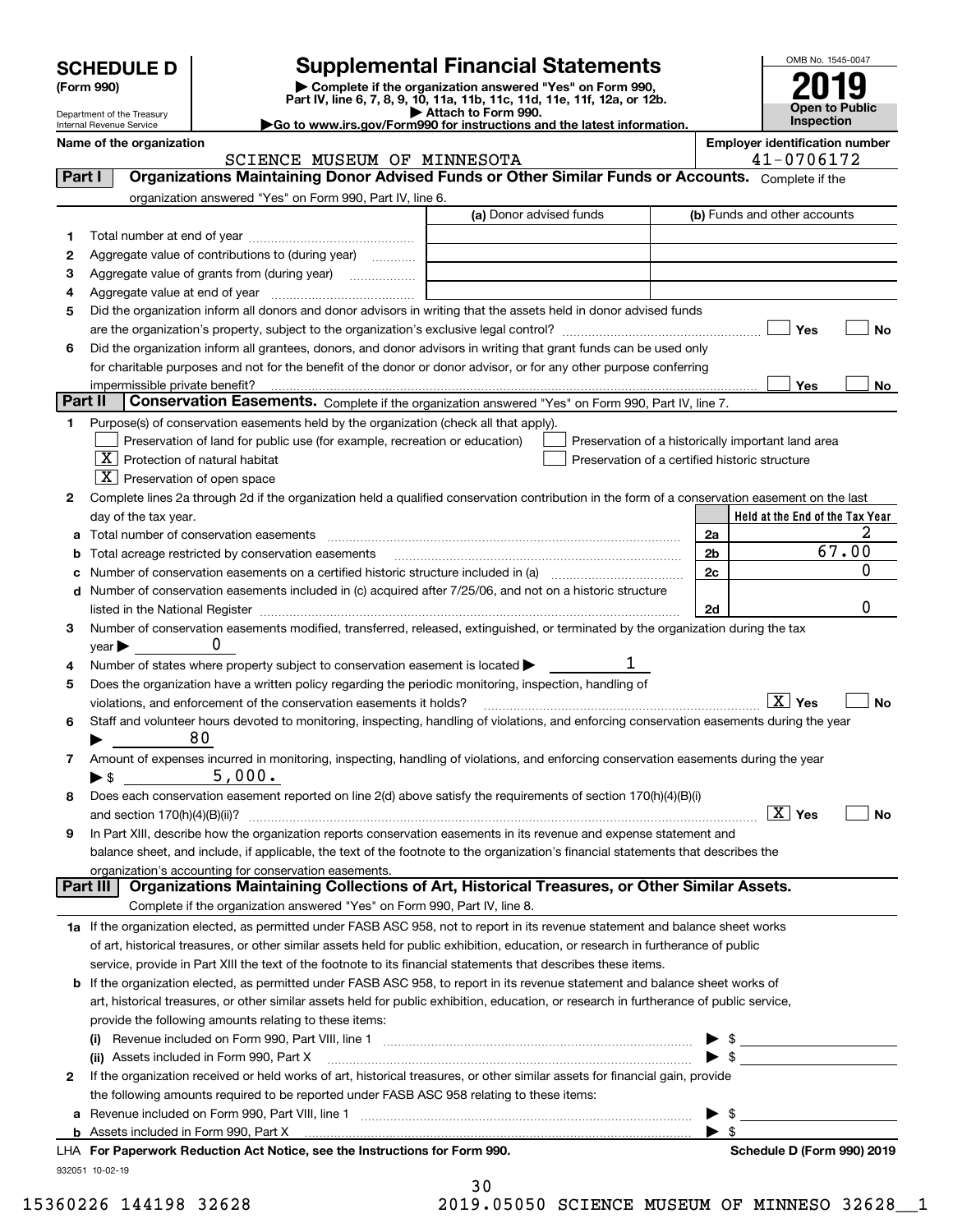Department of the Treasury

| (Form 990) |  |
|------------|--|
|------------|--|

# **SCHEDULE D Supplemental Financial Statements**

(Form 990)<br>
Pepartment of the Treasury<br>
Department of the Treasury<br>
Department of the Treasury<br>
Department of the Treasury<br> **Co to www.irs.gov/Form990 for instructions and the latest information.**<br> **Co to www.irs.gov/Form9** 



Internal Revenue Service

#### **Name of the organization**<br> **Employer identification number**<br> **Employer identification number**<br> **Employer identification number**<br> **A1** - 0706172 SCIENCE MUSEUM OF MINNESOTA 41-0706172

| Part I  | SCIENCE MUSEUM OF MINNESOTA<br>Organizations Maintaining Donor Advised Funds or Other Similar Funds or Accounts. Complete if the               | $41 - 0100112$                                     |
|---------|------------------------------------------------------------------------------------------------------------------------------------------------|----------------------------------------------------|
|         |                                                                                                                                                |                                                    |
|         | organization answered "Yes" on Form 990, Part IV, line 6.<br>(a) Donor advised funds                                                           | (b) Funds and other accounts                       |
|         |                                                                                                                                                |                                                    |
| 1       |                                                                                                                                                |                                                    |
| 2       | Aggregate value of contributions to (during year)                                                                                              |                                                    |
| 3       | Aggregate value of grants from (during year)                                                                                                   |                                                    |
| 4       |                                                                                                                                                |                                                    |
| 5       | Did the organization inform all donors and donor advisors in writing that the assets held in donor advised funds                               |                                                    |
|         |                                                                                                                                                | Yes<br>No                                          |
| 6       | Did the organization inform all grantees, donors, and donor advisors in writing that grant funds can be used only                              |                                                    |
|         | for charitable purposes and not for the benefit of the donor or donor advisor, or for any other purpose conferring                             |                                                    |
|         | impermissible private benefit?                                                                                                                 | Yes<br>No                                          |
| Part II | Conservation Easements. Complete if the organization answered "Yes" on Form 990, Part IV, line 7.                                              |                                                    |
| 1.      | Purpose(s) of conservation easements held by the organization (check all that apply).                                                          |                                                    |
|         | Preservation of land for public use (for example, recreation or education)                                                                     | Preservation of a historically important land area |
|         | $\boxed{\text{X}}$ Protection of natural habitat<br>Preservation of a certified historic structure                                             |                                                    |
|         | $\lfloor x \rfloor$ Preservation of open space                                                                                                 |                                                    |
| 2       | Complete lines 2a through 2d if the organization held a qualified conservation contribution in the form of a conservation easement on the last |                                                    |
|         | day of the tax year.                                                                                                                           | Held at the End of the Tax Year                    |
|         | Total number of conservation easements                                                                                                         | 2a                                                 |
| b       | Total acreage restricted by conservation easements                                                                                             | 67.00<br>2 <sub>b</sub>                            |
|         | Number of conservation easements on a certified historic structure included in (a) manufacture included in (a)                                 | 0<br>2c                                            |
|         | d Number of conservation easements included in (c) acquired after 7/25/06, and not on a historic structure                                     |                                                    |
|         |                                                                                                                                                | 0<br>2d                                            |
| з       | Number of conservation easements modified, transferred, released, extinguished, or terminated by the organization during the tax               |                                                    |
|         | 0<br>year                                                                                                                                      |                                                    |
| 4       | Number of states where property subject to conservation easement is located >                                                                  |                                                    |
| 5       | Does the organization have a written policy regarding the periodic monitoring, inspection, handling of                                         |                                                    |
|         | violations, and enforcement of the conservation easements it holds?                                                                            | $\boxed{\text{X}}$ Yes<br><b>No</b>                |
| 6       | Staff and volunteer hours devoted to monitoring, inspecting, handling of violations, and enforcing conservation easements during the year      |                                                    |
|         | 80                                                                                                                                             |                                                    |
| 7       | Amount of expenses incurred in monitoring, inspecting, handling of violations, and enforcing conservation easements during the year            |                                                    |
|         | 5,000.<br>▶ \$                                                                                                                                 |                                                    |
| 8       | Does each conservation easement reported on line 2(d) above satisfy the requirements of section 170(h)(4)(B)(i)                                |                                                    |
|         |                                                                                                                                                | $\boxed{\text{X}}$ Yes<br>No                       |
| 9       | In Part XIII, describe how the organization reports conservation easements in its revenue and expense statement and                            |                                                    |
|         | balance sheet, and include, if applicable, the text of the footnote to the organization's financial statements that describes the              |                                                    |
|         | organization's accounting for conservation easements.                                                                                          |                                                    |
|         | Organizations Maintaining Collections of Art, Historical Treasures, or Other Similar Assets.<br>Part III                                       |                                                    |
|         | Complete if the organization answered "Yes" on Form 990, Part IV, line 8.                                                                      |                                                    |
|         | 1a If the organization elected, as permitted under FASB ASC 958, not to report in its revenue statement and balance sheet works                |                                                    |
|         | of art, historical treasures, or other similar assets held for public exhibition, education, or research in furtherance of public              |                                                    |
|         | service, provide in Part XIII the text of the footnote to its financial statements that describes these items.                                 |                                                    |
|         | <b>b</b> If the organization elected, as permitted under FASB ASC 958, to report in its revenue statement and balance sheet works of           |                                                    |
|         | art, historical treasures, or other similar assets held for public exhibition, education, or research in furtherance of public service,        |                                                    |
|         | provide the following amounts relating to these items:                                                                                         |                                                    |
|         |                                                                                                                                                | $\blacktriangleright$ \$                           |
|         | (ii) Assets included in Form 990, Part X                                                                                                       | $\blacktriangleright$ \$                           |
| 2       | If the organization received or held works of art, historical treasures, or other similar assets for financial gain, provide                   |                                                    |
|         | the following amounts required to be reported under FASB ASC 958 relating to these items:                                                      |                                                    |
|         |                                                                                                                                                | -\$<br>▶                                           |
|         | <b>b</b> Assets included in Form 990, Part X                                                                                                   | $\blacktriangleright$ \$                           |
|         | LHA For Paperwork Reduction Act Notice, see the Instructions for Form 990.                                                                     | Schedule D (Form 990) 2019                         |
|         | 932051 10-02-19                                                                                                                                |                                                    |

| 30 |     |   |   |  |
|----|-----|---|---|--|
|    | . . | - | - |  |

15360226 144198 32628 2019.05050 SCIENCE MUSEUM OF MINNESO 32628\_\_1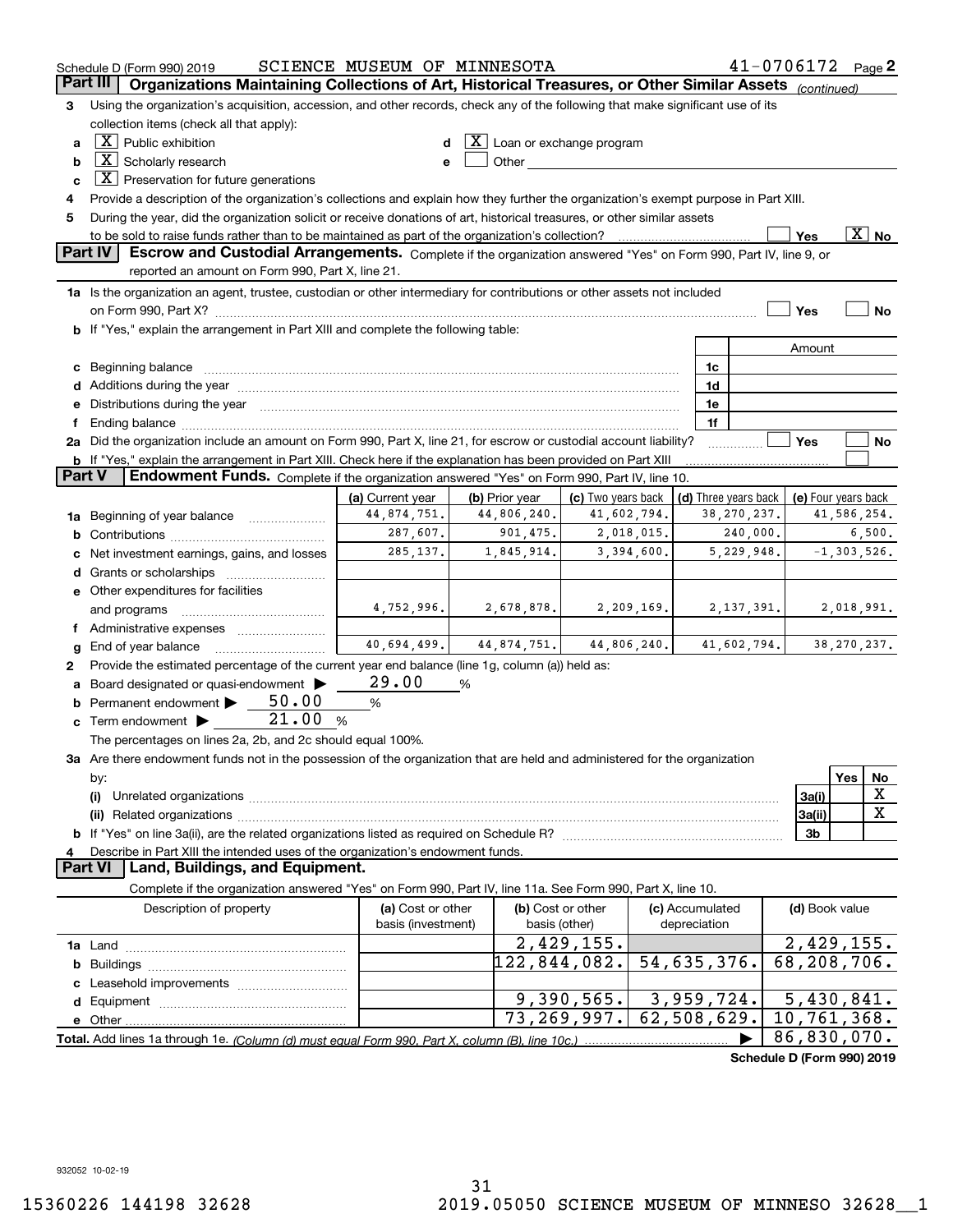|               | Schedule D (Form 990) 2019                                                                                                                                                                                                     | SCIENCE MUSEUM OF MINNESOTA |                              |                                                                                                                                                                                                                               |             |                           |               | $41 - 0706172$ Page 2       |        |                     |
|---------------|--------------------------------------------------------------------------------------------------------------------------------------------------------------------------------------------------------------------------------|-----------------------------|------------------------------|-------------------------------------------------------------------------------------------------------------------------------------------------------------------------------------------------------------------------------|-------------|---------------------------|---------------|-----------------------------|--------|---------------------|
|               | Organizations Maintaining Collections of Art, Historical Treasures, or Other Similar Assets (continued)<br>Part III                                                                                                            |                             |                              |                                                                                                                                                                                                                               |             |                           |               |                             |        |                     |
| 3             | Using the organization's acquisition, accession, and other records, check any of the following that make significant use of its                                                                                                |                             |                              |                                                                                                                                                                                                                               |             |                           |               |                             |        |                     |
|               | collection items (check all that apply):                                                                                                                                                                                       |                             |                              |                                                                                                                                                                                                                               |             |                           |               |                             |        |                     |
| a             | $X$ Public exhibition                                                                                                                                                                                                          |                             | $X$ Loan or exchange program |                                                                                                                                                                                                                               |             |                           |               |                             |        |                     |
| b             | $X$ Scholarly research                                                                                                                                                                                                         |                             |                              | Other and the contract of the contract of the contract of the contract of the contract of the contract of the contract of the contract of the contract of the contract of the contract of the contract of the contract of the |             |                           |               |                             |        |                     |
| c             | $\boxed{\textbf{X}}$ Preservation for future generations                                                                                                                                                                       |                             |                              |                                                                                                                                                                                                                               |             |                           |               |                             |        |                     |
| 4             | Provide a description of the organization's collections and explain how they further the organization's exempt purpose in Part XIII.                                                                                           |                             |                              |                                                                                                                                                                                                                               |             |                           |               |                             |        |                     |
| 5             | During the year, did the organization solicit or receive donations of art, historical treasures, or other similar assets                                                                                                       |                             |                              |                                                                                                                                                                                                                               |             |                           |               |                             |        |                     |
|               | $\overline{\text{X}}$ No<br>to be sold to raise funds rather than to be maintained as part of the organization's collection?<br>Yes<br>. <u>.</u>                                                                              |                             |                              |                                                                                                                                                                                                                               |             |                           |               |                             |        |                     |
|               | Part IV<br>Escrow and Custodial Arrangements. Complete if the organization answered "Yes" on Form 990, Part IV, line 9, or<br>reported an amount on Form 990, Part X, line 21.                                                 |                             |                              |                                                                                                                                                                                                                               |             |                           |               |                             |        |                     |
|               | 1a Is the organization an agent, trustee, custodian or other intermediary for contributions or other assets not included                                                                                                       |                             |                              |                                                                                                                                                                                                                               |             |                           |               |                             |        |                     |
|               |                                                                                                                                                                                                                                |                             |                              |                                                                                                                                                                                                                               |             |                           |               | Yes                         |        | <b>No</b>           |
|               | b If "Yes," explain the arrangement in Part XIII and complete the following table:                                                                                                                                             |                             |                              |                                                                                                                                                                                                                               |             |                           |               |                             |        |                     |
|               |                                                                                                                                                                                                                                |                             |                              |                                                                                                                                                                                                                               |             |                           |               | Amount                      |        |                     |
|               | c Beginning balance measurements and the contract of the contract of the contract of the contract of the contract of the contract of the contract of the contract of the contract of the contract of the contract of the contr |                             |                              |                                                                                                                                                                                                                               |             | 1c                        |               |                             |        |                     |
|               |                                                                                                                                                                                                                                |                             |                              |                                                                                                                                                                                                                               |             | 1d                        |               |                             |        |                     |
|               | e Distributions during the year manufactured and an according to the distributions during the year manufactured and the state of the state of the state of the state of the state of the state of the state of the state of th |                             |                              |                                                                                                                                                                                                                               |             | 1e                        |               |                             |        |                     |
| f             |                                                                                                                                                                                                                                |                             |                              |                                                                                                                                                                                                                               |             | 1f                        |               |                             |        |                     |
|               | 2a Did the organization include an amount on Form 990, Part X, line 21, for escrow or custodial account liability?                                                                                                             |                             |                              |                                                                                                                                                                                                                               |             |                           |               | Yes                         |        | No                  |
|               | b If "Yes," explain the arrangement in Part XIII. Check here if the explanation has been provided on Part XIII                                                                                                                 |                             |                              |                                                                                                                                                                                                                               |             |                           |               |                             |        |                     |
| <b>Part V</b> | Endowment Funds. Complete if the organization answered "Yes" on Form 990, Part IV, line 10.                                                                                                                                    |                             |                              |                                                                                                                                                                                                                               |             |                           |               |                             |        |                     |
|               |                                                                                                                                                                                                                                | (a) Current year            | (b) Prior year               | (c) Two years back                                                                                                                                                                                                            |             | (d) Three years back      |               |                             |        | (e) Four years back |
|               | 1a Beginning of year balance                                                                                                                                                                                                   | 44,874,751.                 | 44,806,240.                  | 41,602,794.                                                                                                                                                                                                                   |             |                           | 38, 270, 237. |                             |        | 41,586,254.         |
| b             | 287,607.<br>901, 475.<br>2,018,015.<br>240,000.                                                                                                                                                                                |                             |                              |                                                                                                                                                                                                                               |             |                           |               |                             | 6,500. |                     |
| c             | Net investment earnings, gains, and losses                                                                                                                                                                                     | 285, 137.                   | 1,845,914.                   |                                                                                                                                                                                                                               | 3,394,600.  |                           | 5,229,948.    |                             |        | $-1, 303, 526.$     |
|               |                                                                                                                                                                                                                                |                             |                              |                                                                                                                                                                                                                               |             |                           |               |                             |        |                     |
|               | e Other expenditures for facilities                                                                                                                                                                                            | 4,752,996.                  |                              |                                                                                                                                                                                                                               | 2,209,169.  |                           |               |                             |        |                     |
|               | and programs                                                                                                                                                                                                                   |                             | 2,678,878.                   |                                                                                                                                                                                                                               |             |                           | 2, 137, 391.  |                             |        | 2,018,991.          |
|               | f Administrative expenses                                                                                                                                                                                                      | 40,694,499.                 | 44,874,751.                  |                                                                                                                                                                                                                               | 44,806,240. |                           | 41,602,794.   |                             |        | 38, 270, 237.       |
| g<br>2        | End of year balance<br>Provide the estimated percentage of the current year end balance (line 1g, column (a)) held as:                                                                                                         |                             |                              |                                                                                                                                                                                                                               |             |                           |               |                             |        |                     |
| a             | Board designated or quasi-endowment                                                                                                                                                                                            | 29.00                       | %                            |                                                                                                                                                                                                                               |             |                           |               |                             |        |                     |
|               | <b>b</b> Permanent endowment $\blacktriangleright$ $\_\_$ 50.00                                                                                                                                                                | %                           |                              |                                                                                                                                                                                                                               |             |                           |               |                             |        |                     |
|               | 21.00<br><b>c</b> Term endowment $\blacktriangleright$                                                                                                                                                                         | %                           |                              |                                                                                                                                                                                                                               |             |                           |               |                             |        |                     |
|               | The percentages on lines 2a, 2b, and 2c should equal 100%.                                                                                                                                                                     |                             |                              |                                                                                                                                                                                                                               |             |                           |               |                             |        |                     |
|               | 3a Are there endowment funds not in the possession of the organization that are held and administered for the organization                                                                                                     |                             |                              |                                                                                                                                                                                                                               |             |                           |               |                             |        |                     |
|               | by:                                                                                                                                                                                                                            |                             |                              |                                                                                                                                                                                                                               |             |                           |               |                             | Yes    | No                  |
|               | (i)                                                                                                                                                                                                                            |                             |                              |                                                                                                                                                                                                                               |             |                           |               | 3a(i)                       |        | x                   |
|               |                                                                                                                                                                                                                                |                             |                              |                                                                                                                                                                                                                               |             |                           |               | 3a(ii)                      |        | X                   |
|               |                                                                                                                                                                                                                                |                             |                              |                                                                                                                                                                                                                               |             |                           |               | 3b                          |        |                     |
| 4             | Describe in Part XIII the intended uses of the organization's endowment funds.                                                                                                                                                 |                             |                              |                                                                                                                                                                                                                               |             |                           |               |                             |        |                     |
|               | Land, Buildings, and Equipment.<br><b>Part VI</b>                                                                                                                                                                              |                             |                              |                                                                                                                                                                                                                               |             |                           |               |                             |        |                     |
|               | Complete if the organization answered "Yes" on Form 990, Part IV, line 11a. See Form 990, Part X, line 10.                                                                                                                     |                             |                              |                                                                                                                                                                                                                               |             |                           |               |                             |        |                     |
|               | Description of property                                                                                                                                                                                                        | (a) Cost or other           |                              | (b) Cost or other                                                                                                                                                                                                             |             | (c) Accumulated           |               | (d) Book value              |        |                     |
|               |                                                                                                                                                                                                                                | basis (investment)          |                              | basis (other)                                                                                                                                                                                                                 |             | depreciation              |               |                             |        |                     |
|               |                                                                                                                                                                                                                                |                             |                              | 2,429,155.                                                                                                                                                                                                                    |             |                           |               | 2,429,155.                  |        |                     |
| b             |                                                                                                                                                                                                                                |                             |                              | 122,844,082.                                                                                                                                                                                                                  |             | 54,635,376.               |               | $\overline{68}$ , 208, 706. |        |                     |
| c             | Leasehold improvements                                                                                                                                                                                                         |                             |                              |                                                                                                                                                                                                                               |             |                           |               |                             |        |                     |
| d             |                                                                                                                                                                                                                                |                             |                              | 9,390,565.                                                                                                                                                                                                                    |             | 3,959,724.<br>62,508,629. |               | 5,430,841.<br>10,761,368.   |        |                     |
|               |                                                                                                                                                                                                                                |                             |                              | 73, 269, 997.                                                                                                                                                                                                                 |             |                           |               | 86,830,070.                 |        |                     |
|               |                                                                                                                                                                                                                                |                             |                              |                                                                                                                                                                                                                               |             |                           |               | Schedule D (Form 990) 2019  |        |                     |
|               |                                                                                                                                                                                                                                |                             |                              |                                                                                                                                                                                                                               |             |                           |               |                             |        |                     |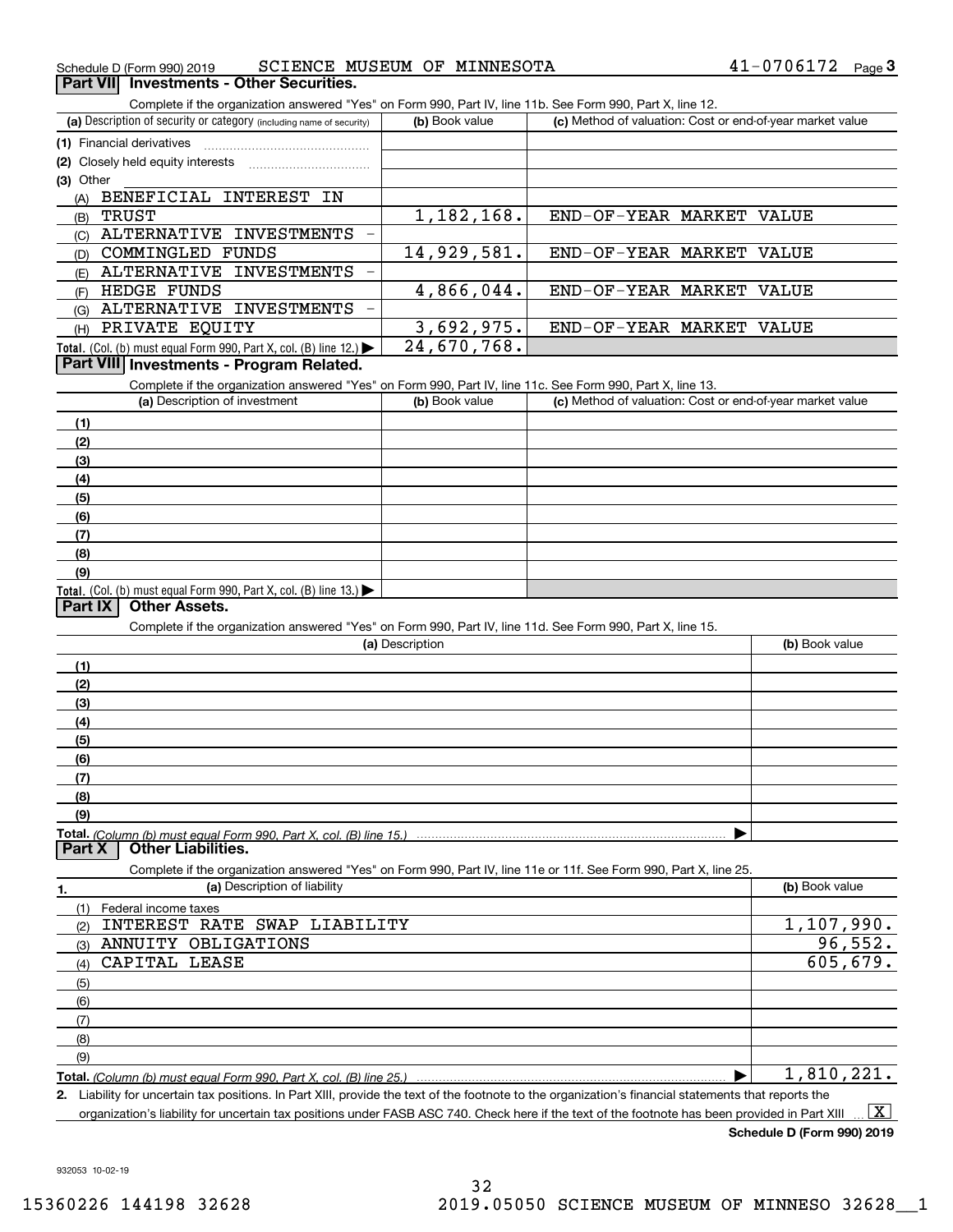| Schedule D (Form 990) 2019                                                                                                                           | SCIENCE MUSEUM OF MINNESOTA |                                                           | 41-0706172<br>$Page$ <sup>3</sup> |
|------------------------------------------------------------------------------------------------------------------------------------------------------|-----------------------------|-----------------------------------------------------------|-----------------------------------|
| Part VII Investments - Other Securities.                                                                                                             |                             |                                                           |                                   |
| Complete if the organization answered "Yes" on Form 990, Part IV, line 11b. See Form 990, Part X, line 12.                                           |                             |                                                           |                                   |
| (a) Description of security or category (including name of security)                                                                                 | (b) Book value              | (c) Method of valuation: Cost or end-of-year market value |                                   |
| (1) Financial derivatives                                                                                                                            |                             |                                                           |                                   |
|                                                                                                                                                      |                             |                                                           |                                   |
| (3) Other                                                                                                                                            |                             |                                                           |                                   |
| BENEFICIAL INTEREST IN<br>(A)                                                                                                                        |                             |                                                           |                                   |
| <b>TRUST</b><br>(B)                                                                                                                                  | 1,182,168.                  | END-OF-YEAR MARKET VALUE                                  |                                   |
| ALTERNATIVE INVESTMENTS<br>(C)                                                                                                                       |                             |                                                           |                                   |
| <b>COMMINGLED FUNDS</b><br>(D)                                                                                                                       | 14,929,581.                 | END-OF-YEAR MARKET VALUE                                  |                                   |
| ALTERNATIVE INVESTMENTS<br>(E)                                                                                                                       |                             |                                                           |                                   |
| HEDGE FUNDS<br>(F)                                                                                                                                   | 4,866,044.                  | END-OF-YEAR MARKET VALUE                                  |                                   |
| ALTERNATIVE INVESTMENTS<br>(G)                                                                                                                       |                             |                                                           |                                   |
| PRIVATE EQUITY<br>(H)                                                                                                                                | 3,692,975.                  | END-OF-YEAR MARKET VALUE                                  |                                   |
| Total. (Col. (b) must equal Form 990, Part X, col. (B) line 12.)                                                                                     | 24,670,768.                 |                                                           |                                   |
| Part VIII Investments - Program Related.                                                                                                             |                             |                                                           |                                   |
| Complete if the organization answered "Yes" on Form 990, Part IV, line 11c. See Form 990, Part X, line 13.                                           |                             |                                                           |                                   |
| (a) Description of investment                                                                                                                        | (b) Book value              | (c) Method of valuation: Cost or end-of-year market value |                                   |
|                                                                                                                                                      |                             |                                                           |                                   |
| (1)                                                                                                                                                  |                             |                                                           |                                   |
| (2)                                                                                                                                                  |                             |                                                           |                                   |
| (3)                                                                                                                                                  |                             |                                                           |                                   |
| (4)                                                                                                                                                  |                             |                                                           |                                   |
| (5)                                                                                                                                                  |                             |                                                           |                                   |
| (6)                                                                                                                                                  |                             |                                                           |                                   |
| (7)                                                                                                                                                  |                             |                                                           |                                   |
| (8)                                                                                                                                                  |                             |                                                           |                                   |
| (9)<br>Total. (Col. (b) must equal Form 990, Part X, col. (B) line 13.)                                                                              |                             |                                                           |                                   |
| <b>Other Assets.</b><br>Part IX                                                                                                                      |                             |                                                           |                                   |
| Complete if the organization answered "Yes" on Form 990, Part IV, line 11d. See Form 990, Part X, line 15.                                           |                             |                                                           |                                   |
|                                                                                                                                                      | (a) Description             |                                                           | (b) Book value                    |
| (1)                                                                                                                                                  |                             |                                                           |                                   |
|                                                                                                                                                      |                             |                                                           |                                   |
| (2)                                                                                                                                                  |                             |                                                           |                                   |
| (3)                                                                                                                                                  |                             |                                                           |                                   |
| (4)                                                                                                                                                  |                             |                                                           |                                   |
| (5)                                                                                                                                                  |                             |                                                           |                                   |
| (6)                                                                                                                                                  |                             |                                                           |                                   |
| (7)                                                                                                                                                  |                             |                                                           |                                   |
| (8)                                                                                                                                                  |                             |                                                           |                                   |
| (9)                                                                                                                                                  |                             |                                                           |                                   |
| Total. (Column (b) must equal Form 990. Part X. col. (B) line 15.) ……………………………………………………………………<br><b>Other Liabilities.</b><br>Part X                 |                             |                                                           |                                   |
|                                                                                                                                                      |                             |                                                           |                                   |
| Complete if the organization answered "Yes" on Form 990, Part IV, line 11e or 11f. See Form 990, Part X, line 25.<br>(a) Description of liability    |                             |                                                           | (b) Book value                    |
| 1.                                                                                                                                                   |                             |                                                           |                                   |
| (1)<br>Federal income taxes                                                                                                                          |                             |                                                           |                                   |
| INTEREST RATE SWAP LIABILITY<br>(2)                                                                                                                  |                             |                                                           | $\overline{1}$ , 107, 990.        |
| ANNUITY OBLIGATIONS<br>(3)                                                                                                                           |                             |                                                           | 96,552.                           |
| CAPITAL LEASE<br>(4)                                                                                                                                 |                             |                                                           | 605,679.                          |
| (5)                                                                                                                                                  |                             |                                                           |                                   |
| (6)                                                                                                                                                  |                             |                                                           |                                   |
| (7)                                                                                                                                                  |                             |                                                           |                                   |
| (8)                                                                                                                                                  |                             |                                                           |                                   |
| (9)                                                                                                                                                  |                             |                                                           |                                   |
|                                                                                                                                                      |                             |                                                           | 1,810,221.                        |
| 2. Liability for uncertain tax positions. In Part XIII, provide the text of the footnote to the organization's financial statements that reports the |                             |                                                           |                                   |

organization's liability for uncertain tax positions under FASB ASC 740. Check here if the text of the footnote has been provided in Part XIII.  $\boxed{\text{X}}$ 

**Schedule D (Form 990) 2019**

932053 10-02-19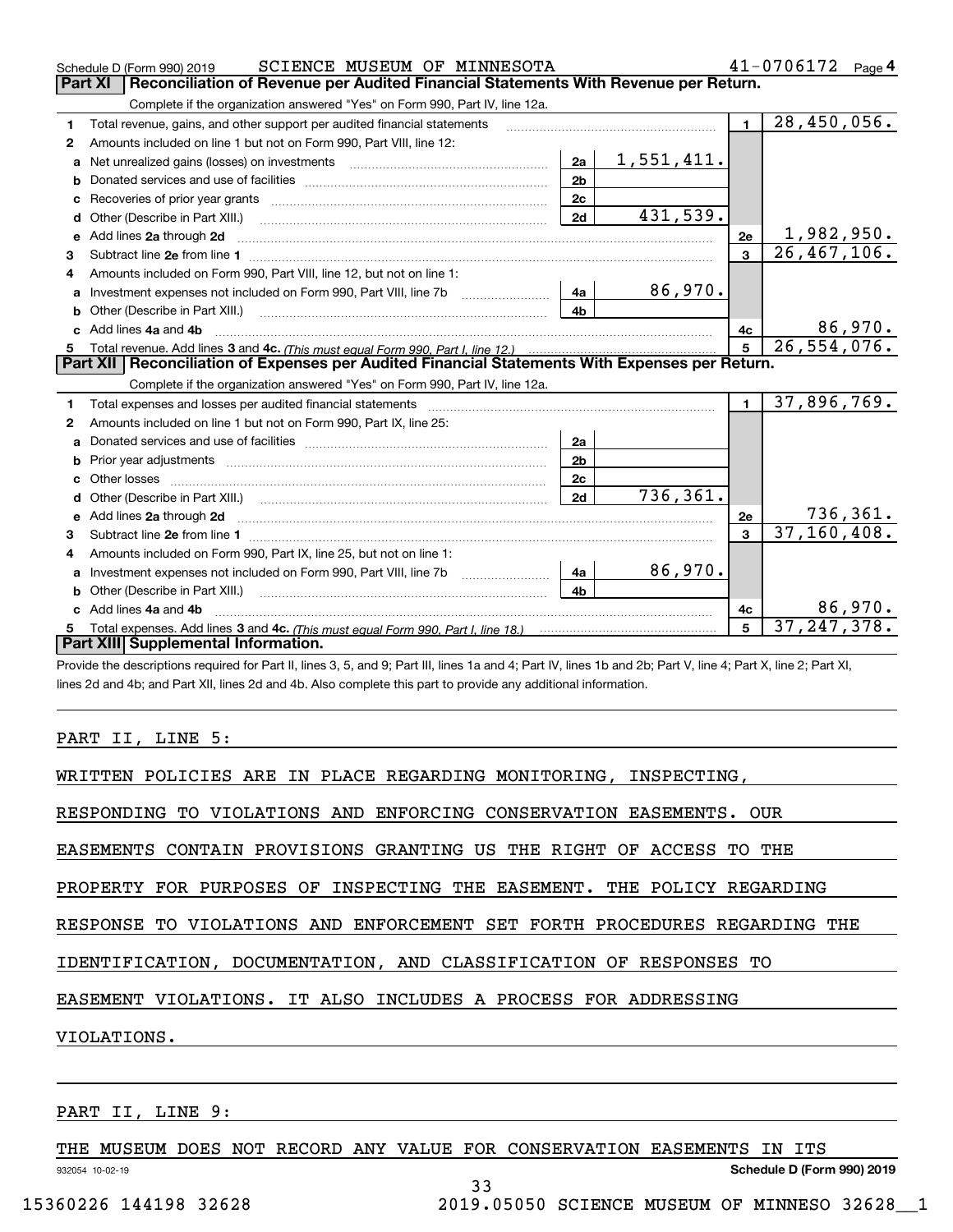|    | SCIENCE MUSEUM OF MINNESOTA<br>Schedule D (Form 990) 2019                                                                                                                                                                           |                |            |                | 41-0706172<br>Page 4 |
|----|-------------------------------------------------------------------------------------------------------------------------------------------------------------------------------------------------------------------------------------|----------------|------------|----------------|----------------------|
|    | Reconciliation of Revenue per Audited Financial Statements With Revenue per Return.<br>Part XI                                                                                                                                      |                |            |                |                      |
|    | Complete if the organization answered "Yes" on Form 990, Part IV, line 12a.                                                                                                                                                         |                |            |                |                      |
| 1  | Total revenue, gains, and other support per audited financial statements                                                                                                                                                            |                |            | $\blacksquare$ | 28,450,056.          |
| 2  | Amounts included on line 1 but not on Form 990, Part VIII, line 12:                                                                                                                                                                 |                |            |                |                      |
| a  | Net unrealized gains (losses) on investments [11] matter contracts and the unrealized gains (losses) on investments                                                                                                                 | 2a             | 1,551,411. |                |                      |
| b  |                                                                                                                                                                                                                                     | 2 <sub>b</sub> |            |                |                      |
| c  |                                                                                                                                                                                                                                     | 2c             |            |                |                      |
| d  | Other (Describe in Part XIII.) <b>Construction Contract Construction</b> Chemistry Chemistry Chemistry Chemistry Chemistry                                                                                                          | 2d             | 431,539.   |                |                      |
| е  | Add lines 2a through 2d                                                                                                                                                                                                             |                |            | 2e             | <u>1,982,950.</u>    |
| 3  |                                                                                                                                                                                                                                     |                |            | 3              | 26, 467, 106.        |
| 4  | Amounts included on Form 990. Part VIII, line 12, but not on line 1:                                                                                                                                                                |                |            |                |                      |
| a  |                                                                                                                                                                                                                                     | -4a l          | 86,970.    |                |                      |
| b  |                                                                                                                                                                                                                                     | 4 <sub>b</sub> |            |                |                      |
| c. | Add lines 4a and 4b                                                                                                                                                                                                                 |                |            | 4c             | 86,970.              |
| 5. |                                                                                                                                                                                                                                     |                |            | 5              | 26, 554, 076.        |
|    |                                                                                                                                                                                                                                     |                |            |                |                      |
|    | Part XII   Reconciliation of Expenses per Audited Financial Statements With Expenses per Return.                                                                                                                                    |                |            |                |                      |
|    | Complete if the organization answered "Yes" on Form 990, Part IV, line 12a.                                                                                                                                                         |                |            |                |                      |
| 1  | Total expenses and losses per audited financial statements                                                                                                                                                                          |                |            | $\mathbf{1}$   | 37,896,769.          |
| 2  | Amounts included on line 1 but not on Form 990, Part IX, line 25:                                                                                                                                                                   |                |            |                |                      |
| a  |                                                                                                                                                                                                                                     | 2a             |            |                |                      |
|    |                                                                                                                                                                                                                                     | 2 <sub>b</sub> |            |                |                      |
| c  |                                                                                                                                                                                                                                     | 2 <sub>c</sub> |            |                |                      |
| d  |                                                                                                                                                                                                                                     | 2d             | 736, 361.  |                |                      |
| е  | Add lines 2a through 2d <b>contained a contained a contained a</b> contained a contact the state of the contained and contained a contact the state of the contact of the contact of the contact of the contact of the contact of t |                |            | 2e             | 736, 361.            |
| 3  |                                                                                                                                                                                                                                     |                |            | $\mathbf{a}$   | 37, 160, 408.        |
| 4  | Amounts included on Form 990, Part IX, line 25, but not on line 1:                                                                                                                                                                  |                |            |                |                      |
| a  |                                                                                                                                                                                                                                     | 4a             | 86,970.    |                |                      |
| b  |                                                                                                                                                                                                                                     | 4 <sub>h</sub> |            |                |                      |
|    | Add lines 4a and 4b                                                                                                                                                                                                                 |                |            | 4c             | 86,970.              |
| 5  | Part XIII Supplemental Information.                                                                                                                                                                                                 |                |            | 5              | 37, 247, 378.        |

Provide the descriptions required for Part II, lines 3, 5, and 9; Part III, lines 1a and 4; Part IV, lines 1b and 2b; Part V, line 4; Part X, line 2; Part XI, lines 2d and 4b; and Part XII, lines 2d and 4b. Also complete this part to provide any additional information.

#### PART II, LINE 5:

WRITTEN POLICIES ARE IN PLACE REGARDING MONITORING, INSPECTING,

RESPONDING TO VIOLATIONS AND ENFORCING CONSERVATION EASEMENTS. OUR

EASEMENTS CONTAIN PROVISIONS GRANTING US THE RIGHT OF ACCESS TO THE

PROPERTY FOR PURPOSES OF INSPECTING THE EASEMENT. THE POLICY REGARDING

RESPONSE TO VIOLATIONS AND ENFORCEMENT SET FORTH PROCEDURES REGARDING THE

IDENTIFICATION, DOCUMENTATION, AND CLASSIFICATION OF RESPONSES TO

EASEMENT VIOLATIONS. IT ALSO INCLUDES A PROCESS FOR ADDRESSING

VIOLATIONS.

932054 10-02-19

#### PART II, LINE 9:

THE MUSEUM DOES NOT RECORD ANY VALUE FOR CONSERVATION EASEMENTS IN ITS

33

**Schedule D (Form 990) 2019**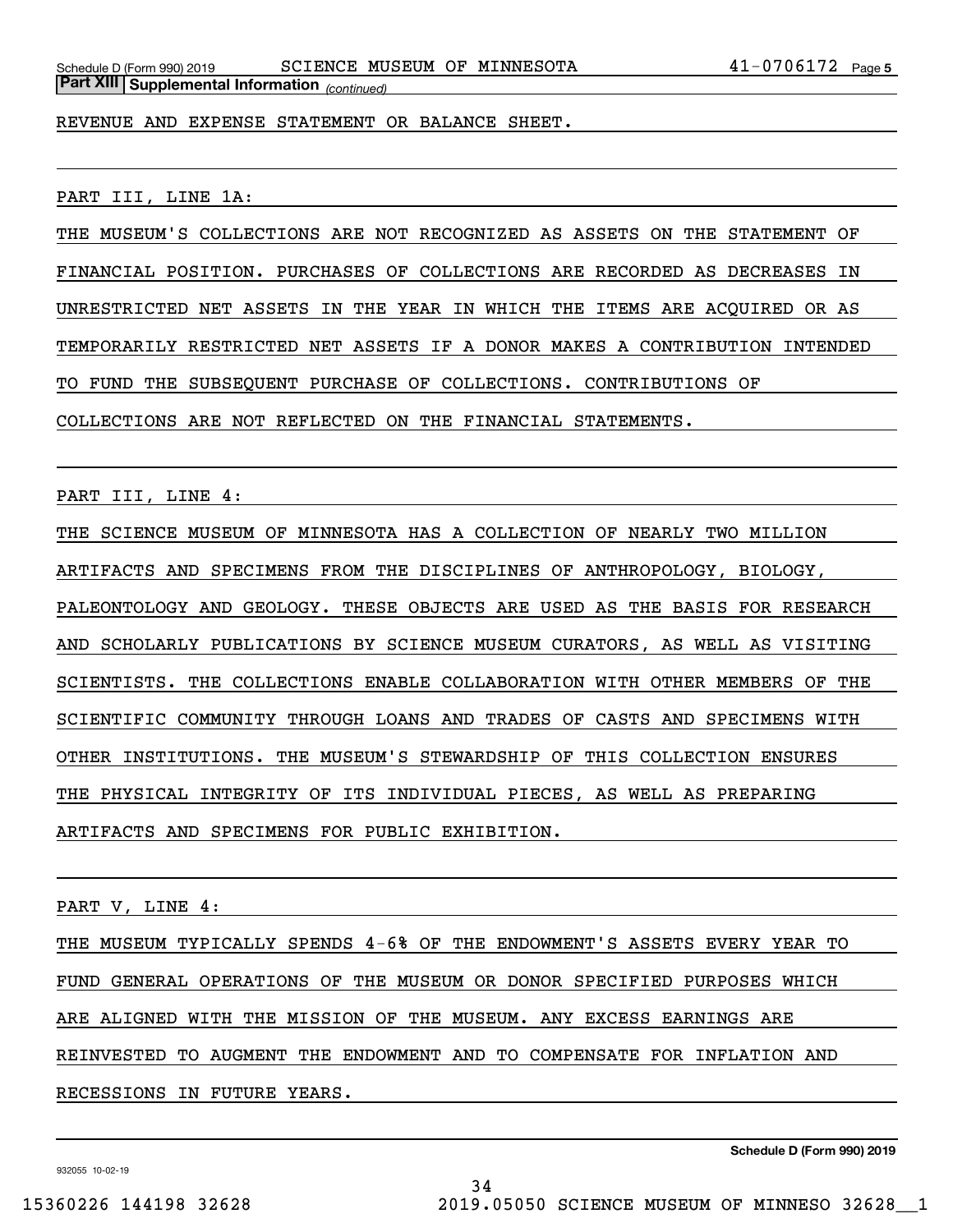*(continued)* **Part XIII Supplemental Information** 

REVENUE AND EXPENSE STATEMENT OR BALANCE SHEET.

PART III, LINE 1A:

THE MUSEUM'S COLLECTIONS ARE NOT RECOGNIZED AS ASSETS ON THE STATEMENT OF FINANCIAL POSITION. PURCHASES OF COLLECTIONS ARE RECORDED AS DECREASES IN UNRESTRICTED NET ASSETS IN THE YEAR IN WHICH THE ITEMS ARE ACQUIRED OR AS TEMPORARILY RESTRICTED NET ASSETS IF A DONOR MAKES A CONTRIBUTION INTENDED TO FUND THE SUBSEQUENT PURCHASE OF COLLECTIONS. CONTRIBUTIONS OF COLLECTIONS ARE NOT REFLECTED ON THE FINANCIAL STATEMENTS.

PART III, LINE 4:

THE SCIENCE MUSEUM OF MINNESOTA HAS A COLLECTION OF NEARLY TWO MILLION ARTIFACTS AND SPECIMENS FROM THE DISCIPLINES OF ANTHROPOLOGY, BIOLOGY, PALEONTOLOGY AND GEOLOGY. THESE OBJECTS ARE USED AS THE BASIS FOR RESEARCH AND SCHOLARLY PUBLICATIONS BY SCIENCE MUSEUM CURATORS, AS WELL AS VISITING SCIENTISTS. THE COLLECTIONS ENABLE COLLABORATION WITH OTHER MEMBERS OF THE SCIENTIFIC COMMUNITY THROUGH LOANS AND TRADES OF CASTS AND SPECIMENS WITH OTHER INSTITUTIONS. THE MUSEUM'S STEWARDSHIP OF THIS COLLECTION ENSURES THE PHYSICAL INTEGRITY OF ITS INDIVIDUAL PIECES, AS WELL AS PREPARING ARTIFACTS AND SPECIMENS FOR PUBLIC EXHIBITION.

PART V, LINE 4:

THE MUSEUM TYPICALLY SPENDS 4-6% OF THE ENDOWMENT'S ASSETS EVERY YEAR TO FUND GENERAL OPERATIONS OF THE MUSEUM OR DONOR SPECIFIED PURPOSES WHICH ARE ALIGNED WITH THE MISSION OF THE MUSEUM. ANY EXCESS EARNINGS ARE REINVESTED TO AUGMENT THE ENDOWMENT AND TO COMPENSATE FOR INFLATION AND RECESSIONS IN FUTURE YEARS.

34

**Schedule D (Form 990) 2019**

932055 10-02-19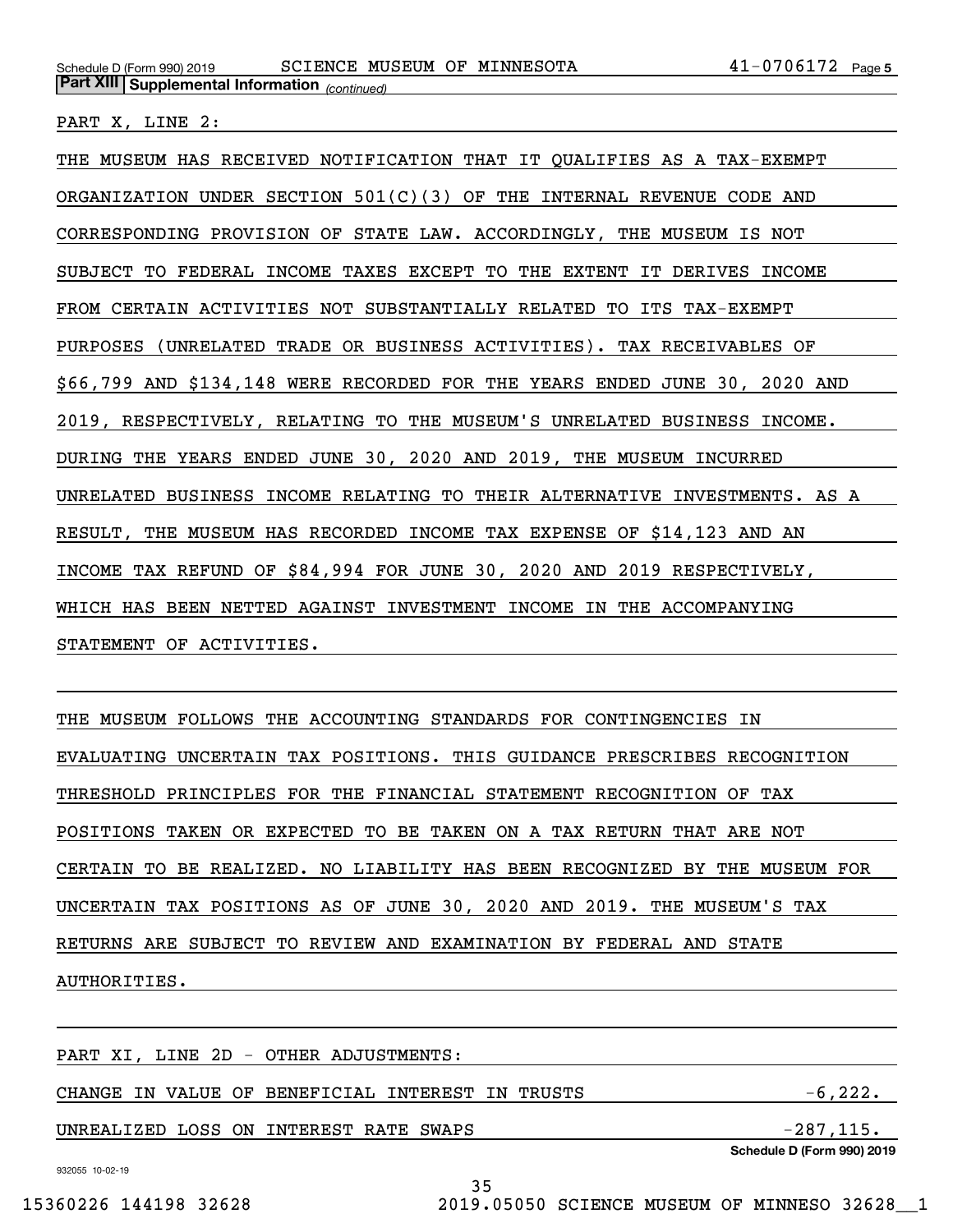PART X, LINE 2:

THE MUSEUM HAS RECEIVED NOTIFICATION THAT IT QUALIFIES AS A TAX-EXEMPT ORGANIZATION UNDER SECTION  $501(C)(3)$  OF THE INTERNAL REVENUE CODE AND CORRESPONDING PROVISION OF STATE LAW. ACCORDINGLY, THE MUSEUM IS NOT SUBJECT TO FEDERAL INCOME TAXES EXCEPT TO THE EXTENT IT DERIVES INCOME FROM CERTAIN ACTIVITIES NOT SUBSTANTIALLY RELATED TO ITS TAX-EXEMPT PURPOSES (UNRELATED TRADE OR BUSINESS ACTIVITIES). TAX RECEIVABLES OF \$66,799 AND \$134,148 WERE RECORDED FOR THE YEARS ENDED JUNE 30, 2020 AND 2019, RESPECTIVELY, RELATING TO THE MUSEUM'S UNRELATED BUSINESS INCOME. DURING THE YEARS ENDED JUNE 30, 2020 AND 2019, THE MUSEUM INCURRED UNRELATED BUSINESS INCOME RELATING TO THEIR ALTERNATIVE INVESTMENTS. AS A RESULT, THE MUSEUM HAS RECORDED INCOME TAX EXPENSE OF \$14,123 AND AN INCOME TAX REFUND OF \$84,994 FOR JUNE 30, 2020 AND 2019 RESPECTIVELY, WHICH HAS BEEN NETTED AGAINST INVESTMENT INCOME IN THE ACCOMPANYING STATEMENT OF ACTIVITIES.

THE MUSEUM FOLLOWS THE ACCOUNTING STANDARDS FOR CONTINGENCIES IN EVALUATING UNCERTAIN TAX POSITIONS. THIS GUIDANCE PRESCRIBES RECOGNITION THRESHOLD PRINCIPLES FOR THE FINANCIAL STATEMENT RECOGNITION OF TAX POSITIONS TAKEN OR EXPECTED TO BE TAKEN ON A TAX RETURN THAT ARE NOT CERTAIN TO BE REALIZED. NO LIABILITY HAS BEEN RECOGNIZED BY THE MUSEUM FOR UNCERTAIN TAX POSITIONS AS OF JUNE 30, 2020 AND 2019. THE MUSEUM'S TAX RETURNS ARE SUBJECT TO REVIEW AND EXAMINATION BY FEDERAL AND STATE AUTHORITIES.

**Schedule D (Form 990) 2019** PART XI, LINE 2D - OTHER ADJUSTMENTS: CHANGE IN VALUE OF BENEFICIAL INTEREST IN TRUSTS  $-6,222$ . UNREALIZED LOSS ON INTEREST RATE SWAPS  $-287,115$ .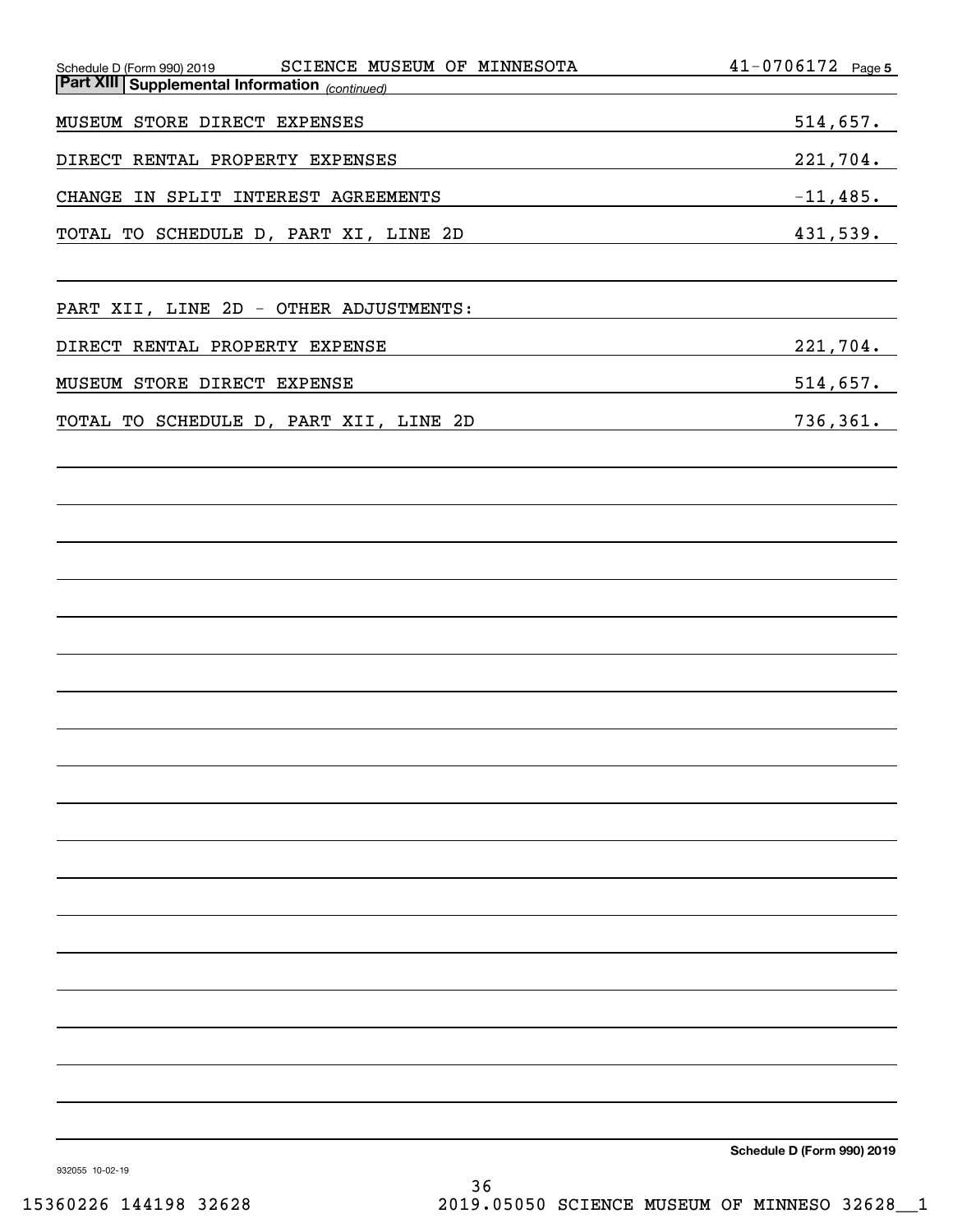| SCIENCE MUSEUM OF MINNESOTA<br>Schedule D (Form 990) 2019 | $41 - 0706172$ Page 5      |
|-----------------------------------------------------------|----------------------------|
| <b>Part XIII Supplemental Information</b> (continued)     |                            |
| MUSEUM STORE DIRECT EXPENSES                              | 514,657.                   |
| DIRECT RENTAL PROPERTY EXPENSES                           | $221,704$ .                |
| CHANGE IN SPLIT INTEREST AGREEMENTS                       | $-11,485.$                 |
| TOTAL TO SCHEDULE D, PART XI, LINE 2D                     | 431,539.                   |
| PART XII, LINE 2D - OTHER ADJUSTMENTS:                    |                            |
|                                                           |                            |
| DIRECT RENTAL PROPERTY EXPENSE                            | $221,704$ .                |
| MUSEUM STORE DIRECT EXPENSE                               | 514,657.                   |
| TOTAL TO SCHEDULE D, PART XII, LINE 2D                    | 736, 361.                  |
|                                                           |                            |
|                                                           |                            |
|                                                           |                            |
|                                                           |                            |
|                                                           |                            |
|                                                           |                            |
|                                                           |                            |
|                                                           |                            |
|                                                           |                            |
|                                                           |                            |
|                                                           |                            |
|                                                           |                            |
|                                                           |                            |
|                                                           |                            |
|                                                           |                            |
|                                                           |                            |
|                                                           |                            |
|                                                           | Schedule D (Form 990) 2019 |

932055 10-02-19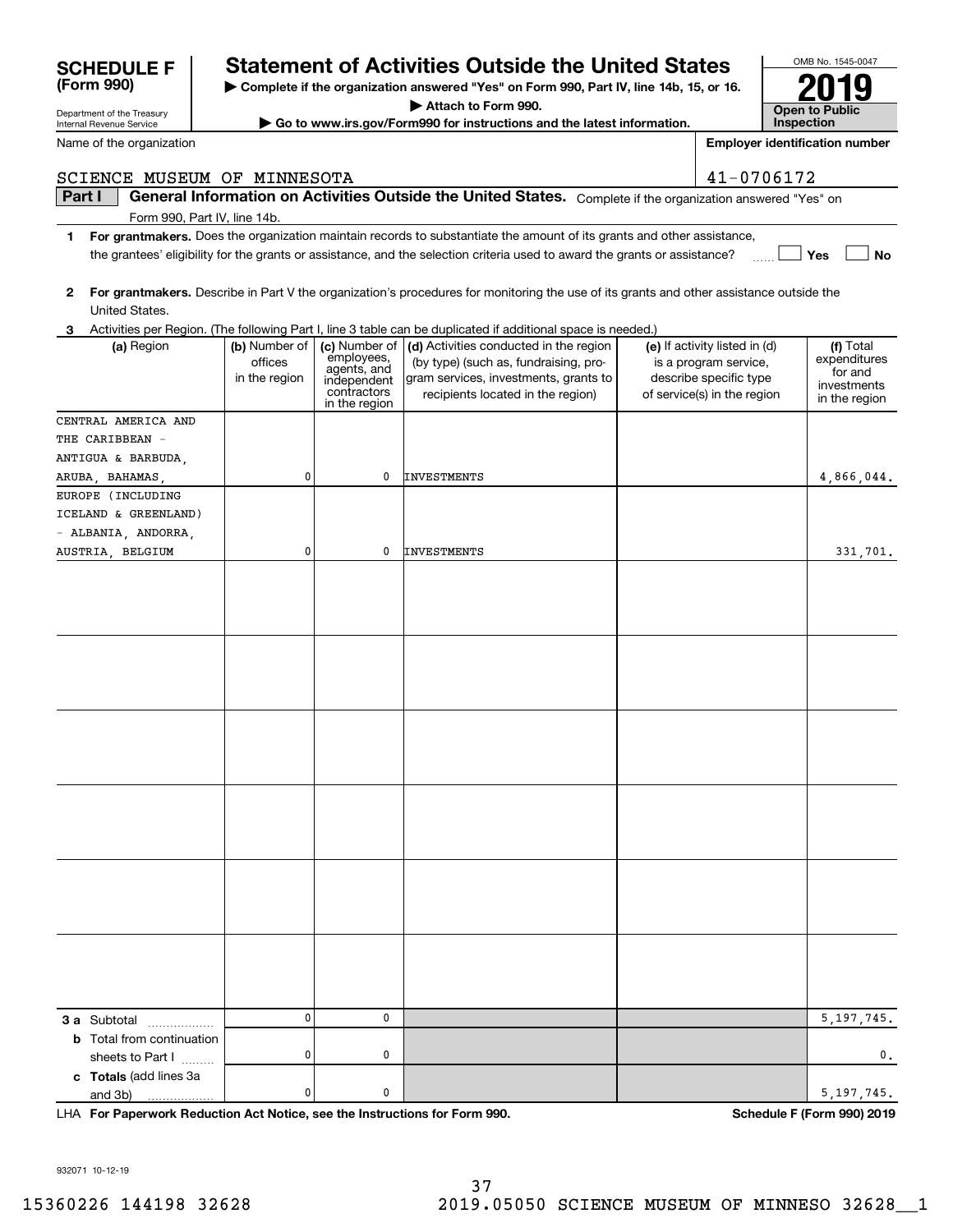# **SCHEDULE F Statement of Activities Outside the United States**

**| Complete if the organization answered "Yes" on Form 990, Part IV, line 14b, 15, or 16.**

**| Attach to Form 990.**

**| Go to www.irs.gov/Form990 for instructions and the latest information.**

| 2                                 |                                           |                                                                          | For grantmakers. Describe in Part V the organization's procedures for monitoring the use of its grants and other assistance outside the                                                                                                  |                                                                                  |                                      |
|-----------------------------------|-------------------------------------------|--------------------------------------------------------------------------|------------------------------------------------------------------------------------------------------------------------------------------------------------------------------------------------------------------------------------------|----------------------------------------------------------------------------------|--------------------------------------|
| United States.                    |                                           |                                                                          |                                                                                                                                                                                                                                          |                                                                                  |                                      |
| 3<br>(a) Region                   | (b) Number of<br>offices<br>in the region | (c) Number of<br>employees,<br>agents, and<br>independent<br>contractors | Activities per Region. (The following Part I, line 3 table can be duplicated if additional space is needed.)<br>(d) Activities conducted in the region<br>(by type) (such as, fundraising, pro-<br>gram services, investments, grants to | (e) If activity listed in (d)<br>is a program service,<br>describe specific type | (f) Total<br>expenditures<br>for and |
|                                   |                                           | in the region                                                            | recipients located in the region)                                                                                                                                                                                                        | of service(s) in the region                                                      | investments<br>in the region         |
| CENTRAL AMERICA AND               |                                           |                                                                          |                                                                                                                                                                                                                                          |                                                                                  |                                      |
| THE CARIBBEAN -                   |                                           |                                                                          |                                                                                                                                                                                                                                          |                                                                                  |                                      |
| ANTIGUA & BARBUDA,                |                                           |                                                                          |                                                                                                                                                                                                                                          |                                                                                  |                                      |
| ARUBA, BAHAMAS,                   | 0                                         | 0                                                                        | <b>INVESTMENTS</b>                                                                                                                                                                                                                       |                                                                                  | 4,866,044.                           |
| EUROPE (INCLUDING                 |                                           |                                                                          |                                                                                                                                                                                                                                          |                                                                                  |                                      |
| ICELAND & GREENLAND)              |                                           |                                                                          |                                                                                                                                                                                                                                          |                                                                                  |                                      |
| - ALBANIA, ANDORRA,               |                                           |                                                                          |                                                                                                                                                                                                                                          |                                                                                  |                                      |
| AUSTRIA, BELGIUM                  | 0                                         | 0                                                                        | <b>INVESTMENTS</b>                                                                                                                                                                                                                       |                                                                                  | 331,701.                             |
|                                   |                                           |                                                                          |                                                                                                                                                                                                                                          |                                                                                  |                                      |
|                                   |                                           |                                                                          |                                                                                                                                                                                                                                          |                                                                                  |                                      |
|                                   |                                           |                                                                          |                                                                                                                                                                                                                                          |                                                                                  |                                      |
|                                   |                                           |                                                                          |                                                                                                                                                                                                                                          |                                                                                  |                                      |
|                                   |                                           |                                                                          |                                                                                                                                                                                                                                          |                                                                                  |                                      |
|                                   |                                           |                                                                          |                                                                                                                                                                                                                                          |                                                                                  |                                      |
|                                   |                                           |                                                                          |                                                                                                                                                                                                                                          |                                                                                  |                                      |
|                                   |                                           |                                                                          |                                                                                                                                                                                                                                          |                                                                                  |                                      |
|                                   |                                           |                                                                          |                                                                                                                                                                                                                                          |                                                                                  |                                      |
|                                   |                                           |                                                                          |                                                                                                                                                                                                                                          |                                                                                  |                                      |
|                                   |                                           |                                                                          |                                                                                                                                                                                                                                          |                                                                                  |                                      |
|                                   |                                           |                                                                          |                                                                                                                                                                                                                                          |                                                                                  |                                      |
|                                   |                                           |                                                                          |                                                                                                                                                                                                                                          |                                                                                  |                                      |
|                                   |                                           |                                                                          |                                                                                                                                                                                                                                          |                                                                                  |                                      |
|                                   |                                           |                                                                          |                                                                                                                                                                                                                                          |                                                                                  |                                      |
|                                   |                                           |                                                                          |                                                                                                                                                                                                                                          |                                                                                  |                                      |
|                                   |                                           |                                                                          |                                                                                                                                                                                                                                          |                                                                                  |                                      |
|                                   |                                           |                                                                          |                                                                                                                                                                                                                                          |                                                                                  |                                      |
|                                   |                                           |                                                                          |                                                                                                                                                                                                                                          |                                                                                  |                                      |
|                                   |                                           |                                                                          |                                                                                                                                                                                                                                          |                                                                                  |                                      |
|                                   |                                           |                                                                          |                                                                                                                                                                                                                                          |                                                                                  |                                      |
|                                   |                                           |                                                                          |                                                                                                                                                                                                                                          |                                                                                  |                                      |
|                                   | $\mathbf 0$                               | 0                                                                        |                                                                                                                                                                                                                                          |                                                                                  |                                      |
| 3 a Subtotal                      |                                           |                                                                          |                                                                                                                                                                                                                                          |                                                                                  | 5, 197, 745.                         |
| <b>b</b> Total from continuation  | 0                                         | 0                                                                        |                                                                                                                                                                                                                                          |                                                                                  | 0.                                   |
| sheets to Part I                  |                                           |                                                                          |                                                                                                                                                                                                                                          |                                                                                  |                                      |
| c Totals (add lines 3a<br>and 3b) | 0                                         | 0                                                                        |                                                                                                                                                                                                                                          |                                                                                  | 5, 197, 745.                         |
| .                                 |                                           |                                                                          |                                                                                                                                                                                                                                          |                                                                                  |                                      |

Department of the Treasury Internal Revenue Service

**(Form 990)**

Name of the organization

**Part I**  $\parallel$  General Information on Activities Outside the United States. Complete if the organization answered "Yes" on SCIENCE MUSEUM OF MINNESOTA | 41-0706172

Form 990, Part IV, line 14b.

- **1For grantmakers.**  Does the organization maintain records to substantiate the amount of its grants and other assistance, **Yes No** the grantees' eligibility for the grants or assistance, and the selection criteria used to award the grants or assistance?  $\frac{1}{2}$
- 



**Employer identification number**



 $5,197,745.$ 

932071 10-12-19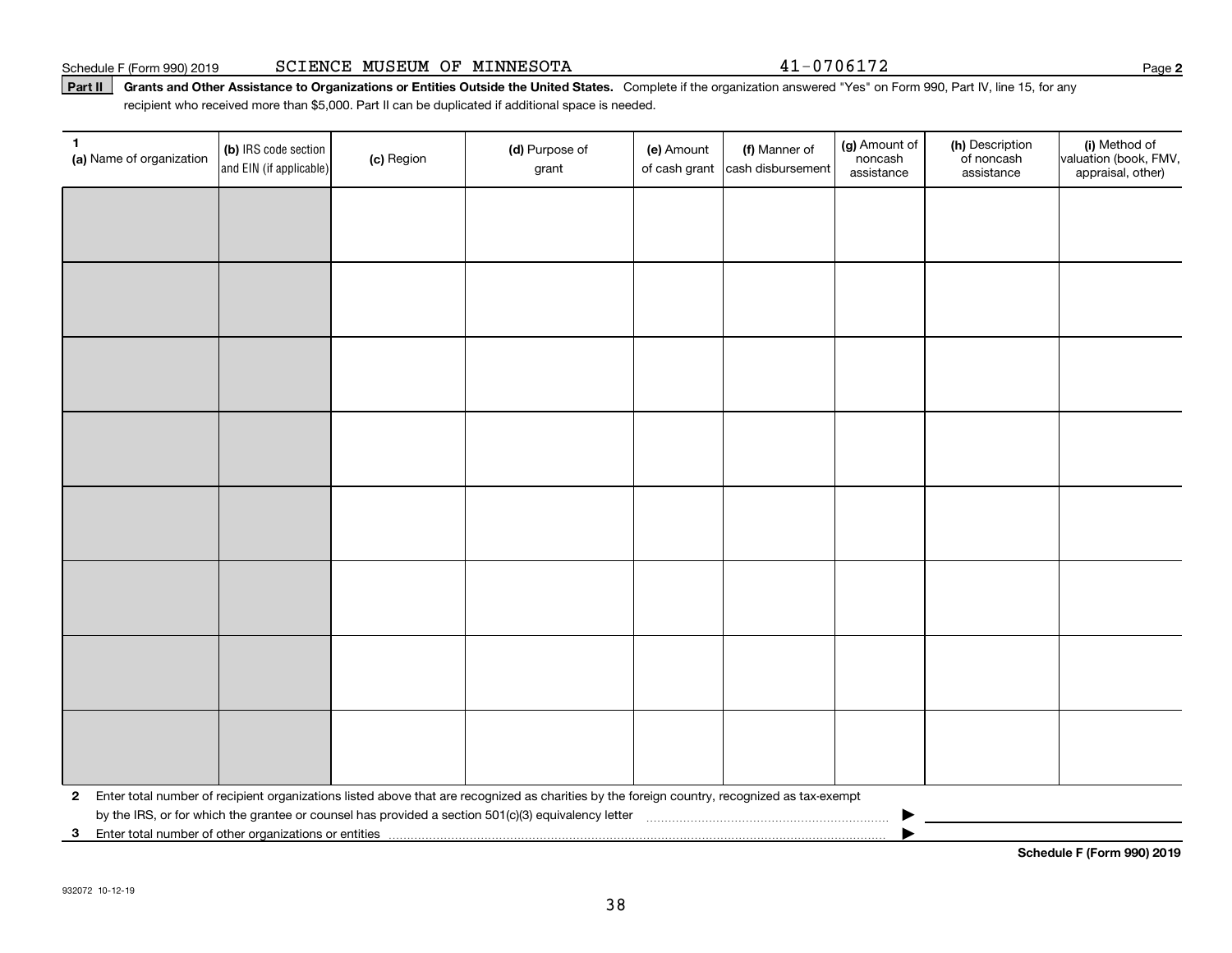Schedule F (Form 990) 2019 Page SCIENCE MUSEUM OF MINNESOTA 41-0706172

Part II | Grants and Other Assistance to Organizations or Entities Outside the United States. Complete if the organization answered "Yes" on Form 990, Part IV, line 15, for any recipient who received more than \$5,000. Part II can be duplicated if additional space is needed.

| 1<br>(a) Name of organization                           | (b) IRS code section<br>and EIN (if applicable) | (c) Region | (d) Purpose of<br>grant                                                                                                                      | (e) Amount<br>of cash grant | (f) Manner of<br>cash disbursement | (g) Amount of<br>noncash<br>assistance | (h) Description<br>of noncash<br>assistance | (i) Method of<br>valuation (book, FMV,<br>appraisal, other) |
|---------------------------------------------------------|-------------------------------------------------|------------|----------------------------------------------------------------------------------------------------------------------------------------------|-----------------------------|------------------------------------|----------------------------------------|---------------------------------------------|-------------------------------------------------------------|
|                                                         |                                                 |            |                                                                                                                                              |                             |                                    |                                        |                                             |                                                             |
|                                                         |                                                 |            |                                                                                                                                              |                             |                                    |                                        |                                             |                                                             |
|                                                         |                                                 |            |                                                                                                                                              |                             |                                    |                                        |                                             |                                                             |
|                                                         |                                                 |            |                                                                                                                                              |                             |                                    |                                        |                                             |                                                             |
|                                                         |                                                 |            |                                                                                                                                              |                             |                                    |                                        |                                             |                                                             |
|                                                         |                                                 |            |                                                                                                                                              |                             |                                    |                                        |                                             |                                                             |
|                                                         |                                                 |            |                                                                                                                                              |                             |                                    |                                        |                                             |                                                             |
|                                                         |                                                 |            |                                                                                                                                              |                             |                                    |                                        |                                             |                                                             |
|                                                         |                                                 |            |                                                                                                                                              |                             |                                    |                                        |                                             |                                                             |
|                                                         |                                                 |            |                                                                                                                                              |                             |                                    |                                        |                                             |                                                             |
|                                                         |                                                 |            |                                                                                                                                              |                             |                                    |                                        |                                             |                                                             |
|                                                         |                                                 |            |                                                                                                                                              |                             |                                    |                                        |                                             |                                                             |
|                                                         |                                                 |            |                                                                                                                                              |                             |                                    |                                        |                                             |                                                             |
|                                                         |                                                 |            |                                                                                                                                              |                             |                                    |                                        |                                             |                                                             |
|                                                         |                                                 |            |                                                                                                                                              |                             |                                    |                                        |                                             |                                                             |
|                                                         |                                                 |            |                                                                                                                                              |                             |                                    |                                        |                                             |                                                             |
| $\mathbf{2}$                                            |                                                 |            | Enter total number of recipient organizations listed above that are recognized as charities by the foreign country, recognized as tax-exempt |                             |                                    |                                        |                                             |                                                             |
| 3 Enter total number of other organizations or entities |                                                 |            |                                                                                                                                              |                             |                                    |                                        |                                             |                                                             |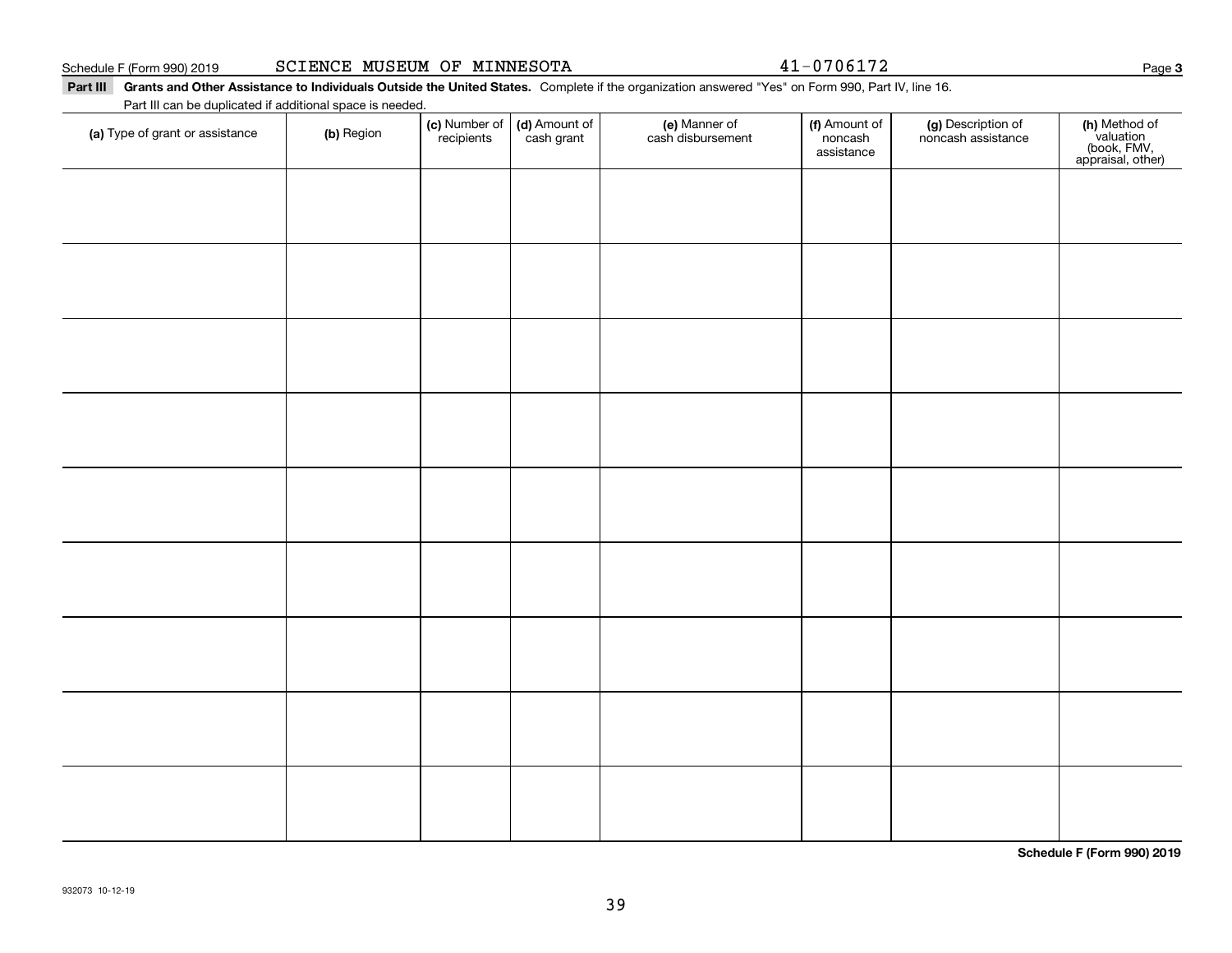Schedule F (Form 990) 2019

|  |  |  | SCIENCE MUSEUM OF MINNESOTA |
|--|--|--|-----------------------------|
|--|--|--|-----------------------------|

41-0706172

#### Part III Grants and Other Assistance to Individuals Outside the United States. Complete if the organization answered "Yes" on Form 990, Part IV, line 16. Part III can be duplicated if additional space is needed.

| (a) Type of grant or assistance | (b) Region | (c) Number of<br>recipients | (d) Amount of | (e) Manner of<br>cash disbursement | (f) Amount of<br>noncash<br>assistance | (g) Description of<br>noncash assistance | (h) Method of<br>valuation<br>(book, FMV,<br>appraisal, other) |
|---------------------------------|------------|-----------------------------|---------------|------------------------------------|----------------------------------------|------------------------------------------|----------------------------------------------------------------|
|                                 |            |                             |               |                                    |                                        |                                          |                                                                |
|                                 |            |                             |               |                                    |                                        |                                          |                                                                |
|                                 |            |                             |               |                                    |                                        |                                          |                                                                |
|                                 |            |                             |               |                                    |                                        |                                          |                                                                |
|                                 |            |                             |               |                                    |                                        |                                          |                                                                |
|                                 |            |                             |               |                                    |                                        |                                          |                                                                |
|                                 |            |                             |               |                                    |                                        |                                          |                                                                |
|                                 |            |                             |               |                                    |                                        |                                          |                                                                |
|                                 |            |                             |               |                                    |                                        |                                          |                                                                |
|                                 |            |                             |               |                                    |                                        |                                          |                                                                |

**Schedule F (Form 990) 2019**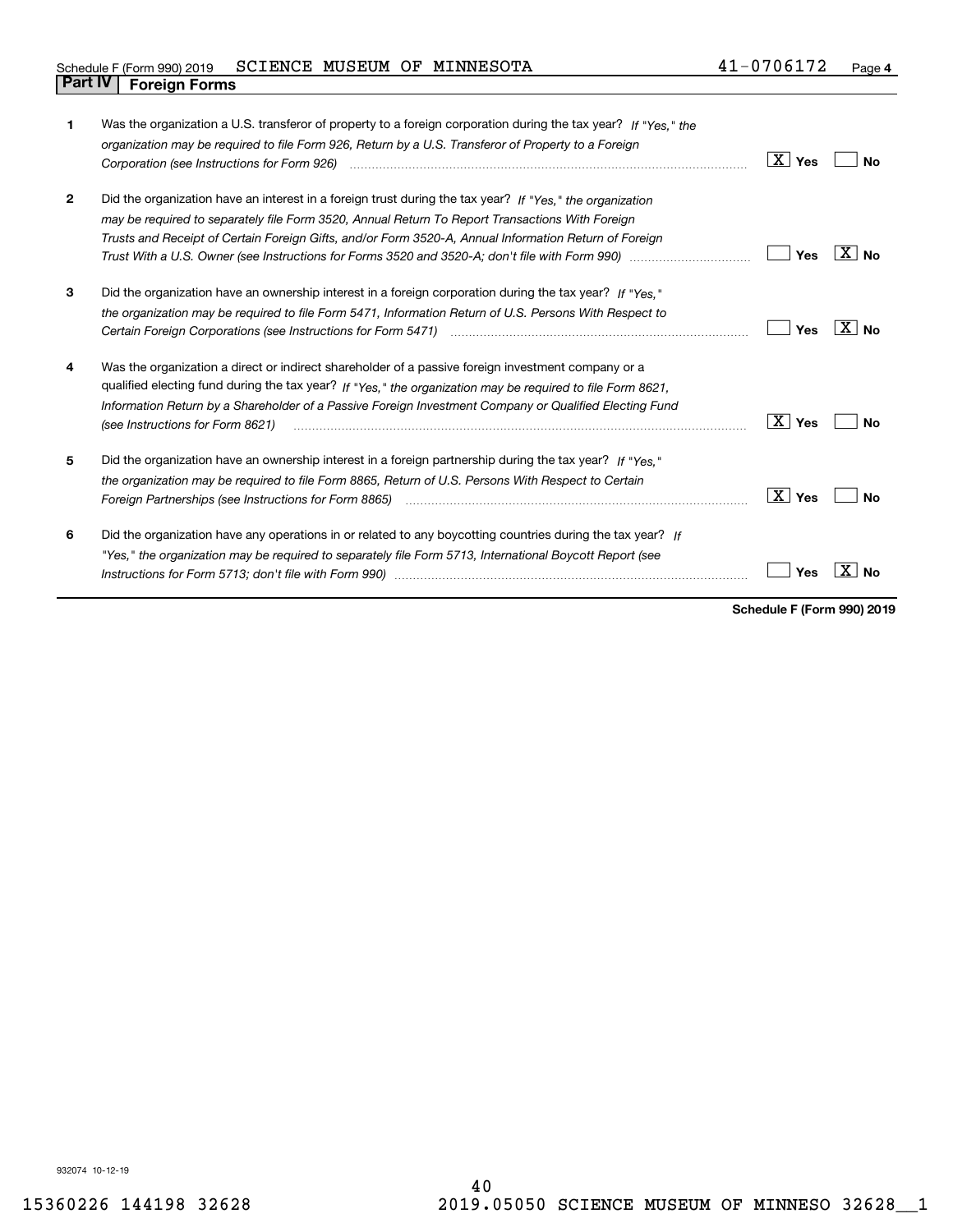#### Schedule F (Form 990) 2019  $\verb|SCIENCE |$  MUSEUM OF MINNESOTA  $41$  –  $0706172$   $\>$   $\>$  Page **Part IV Foreign Forms**

| 1              | Was the organization a U.S. transferor of property to a foreign corporation during the tax year? If "Yes." the<br>organization may be required to file Form 926, Return by a U.S. Transferor of Property to a Foreign<br>Corporation (see Instructions for Form 926) <i>manual content content corporation</i> (see Instructions for Form 926)                 | ∣X ∣ γes               | N٥                        |
|----------------|----------------------------------------------------------------------------------------------------------------------------------------------------------------------------------------------------------------------------------------------------------------------------------------------------------------------------------------------------------------|------------------------|---------------------------|
| $\overline{2}$ | Did the organization have an interest in a foreign trust during the tax year? If "Yes." the organization<br>may be required to separately file Form 3520, Annual Return To Report Transactions With Foreign<br>Trusts and Receipt of Certain Foreign Gifts, and/or Form 3520-A, Annual Information Return of Foreign                                           | Yes                    | $\mathbf{X}$<br><b>No</b> |
| 3              | Did the organization have an ownership interest in a foreign corporation during the tax year? If "Yes."<br>the organization may be required to file Form 5471, Information Return of U.S. Persons With Respect to                                                                                                                                              | Yes                    | X∣No                      |
| 4              | Was the organization a direct or indirect shareholder of a passive foreign investment company or a<br>qualified electing fund during the tax year? If "Yes," the organization may be required to file Form 8621,<br>Information Return by a Shareholder of a Passive Foreign Investment Company or Qualified Electing Fund<br>(see Instructions for Form 8621) | $\boxed{\text{X}}$ Yes | N٥                        |
| 5              | Did the organization have an ownership interest in a foreign partnership during the tax year? If "Yes."<br>the organization may be required to file Form 8865, Return of U.S. Persons With Respect to Certain<br>Foreign Partnerships (see Instructions for Form 8865)                                                                                         | $\vert X \vert$ Yes    | N٥                        |
| 6              | Did the organization have any operations in or related to any boycotting countries during the tax year? If<br>"Yes," the organization may be required to separately file Form 5713, International Boycott Report (see                                                                                                                                          | Yes                    |                           |

**Schedule F (Form 990) 2019**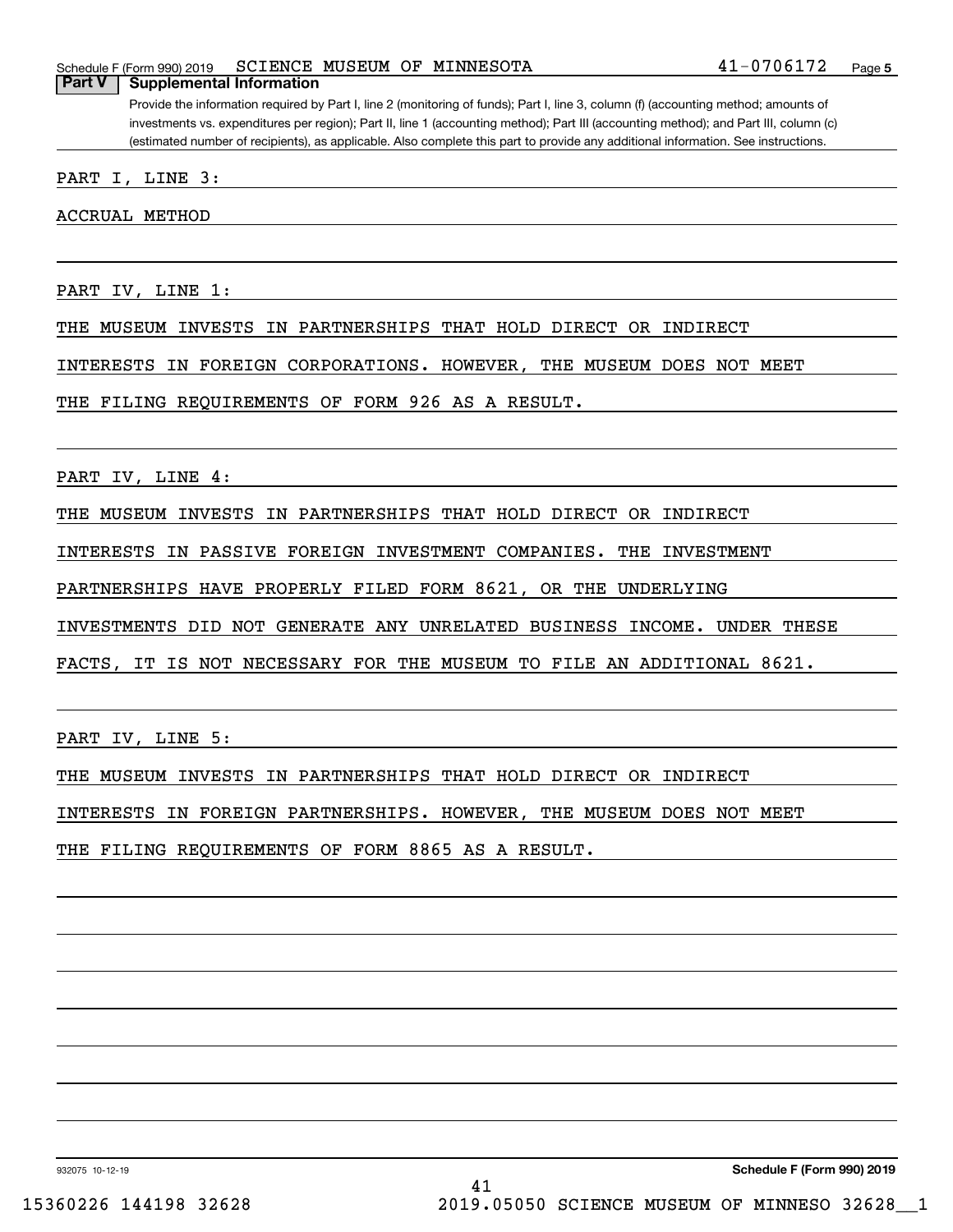#### Schedule F (Form 990) 2019  $\verb|SCIENCE |$  MUSEUM OF MINNESOTA  $41$  –  $0706172$   $\>$   $\>$  Page **Part V Supplemental Information**

Provide the information required by Part I, line 2 (monitoring of funds); Part I, line 3, column (f) (accounting method; amounts of investments vs. expenditures per region); Part II, line 1 (accounting method); Part III (accounting method); and Part III, column (c) (estimated number of recipients), as applicable. Also complete this part to provide any additional information. See instructions.

PART I, LINE 3:

ACCRUAL METHOD

PART IV, LINE 1:

THE MUSEUM INVESTS IN PARTNERSHIPS THAT HOLD DIRECT OR INDIRECT

INTERESTS IN FOREIGN CORPORATIONS. HOWEVER, THE MUSEUM DOES NOT MEET

THE FILING REQUIREMENTS OF FORM 926 AS A RESULT.

PART IV, LINE 4:

THE MUSEUM INVESTS IN PARTNERSHIPS THAT HOLD DIRECT OR INDIRECT

INTERESTS IN PASSIVE FOREIGN INVESTMENT COMPANIES. THE INVESTMENT

PARTNERSHIPS HAVE PROPERLY FILED FORM 8621, OR THE UNDERLYING

INVESTMENTS DID NOT GENERATE ANY UNRELATED BUSINESS INCOME. UNDER THESE

FACTS, IT IS NOT NECESSARY FOR THE MUSEUM TO FILE AN ADDITIONAL 8621.

PART IV, LINE 5:

THE MUSEUM INVESTS IN PARTNERSHIPS THAT HOLD DIRECT OR INDIRECT

INTERESTS IN FOREIGN PARTNERSHIPS. HOWEVER, THE MUSEUM DOES NOT MEET

THE FILING REQUIREMENTS OF FORM 8865 AS A RESULT.

932075 10-12-19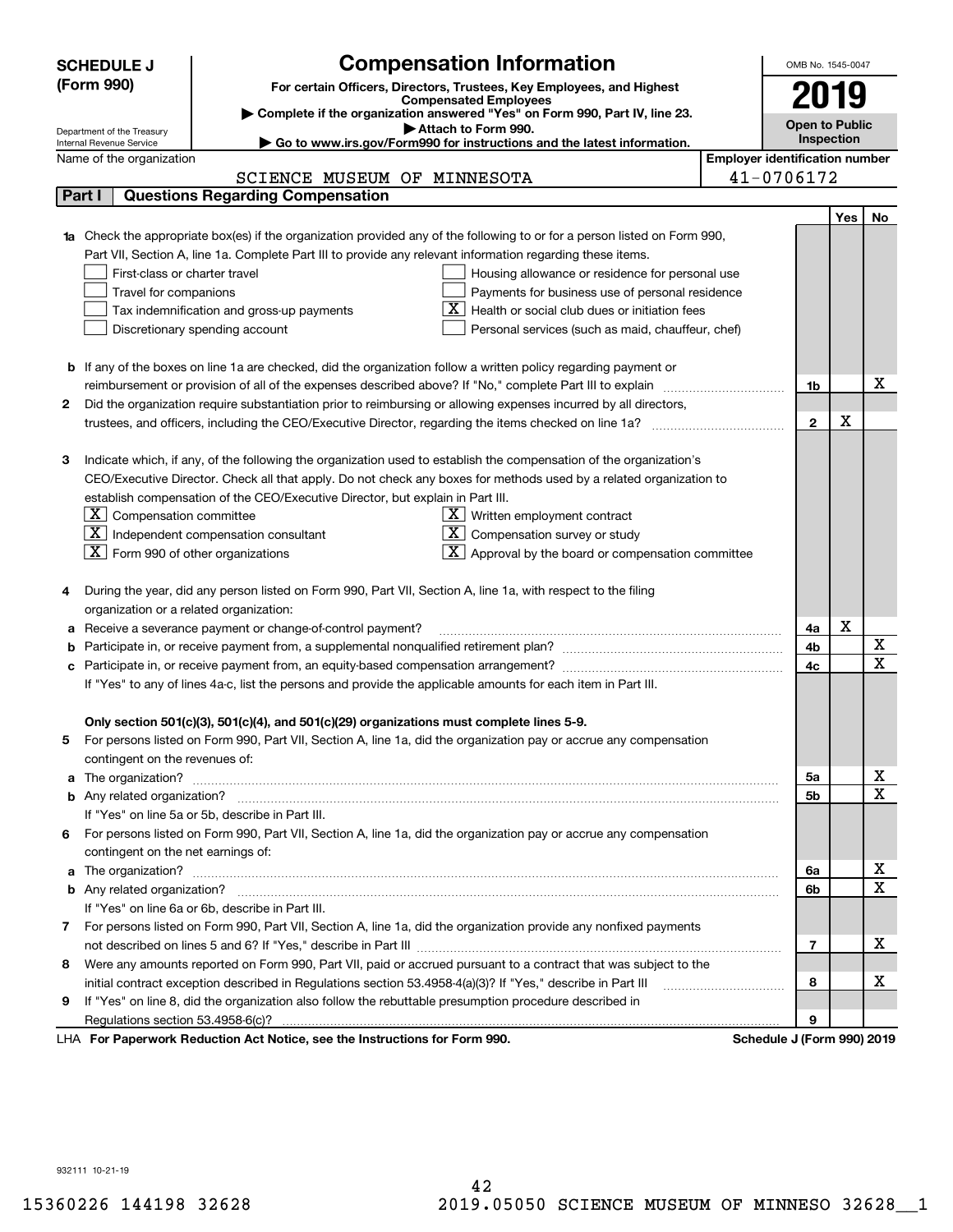|                                                                                                                        | <b>SCHEDULE J</b>                                                                                                          |                                                                                                              | <b>Compensation Information</b>                                                                                                  |  | OMB No. 1545-0047          |     |                              |  |
|------------------------------------------------------------------------------------------------------------------------|----------------------------------------------------------------------------------------------------------------------------|--------------------------------------------------------------------------------------------------------------|----------------------------------------------------------------------------------------------------------------------------------|--|----------------------------|-----|------------------------------|--|
|                                                                                                                        | (Form 990)<br>For certain Officers, Directors, Trustees, Key Employees, and Highest                                        |                                                                                                              |                                                                                                                                  |  |                            |     |                              |  |
|                                                                                                                        | <b>Compensated Employees</b>                                                                                               |                                                                                                              |                                                                                                                                  |  |                            |     |                              |  |
|                                                                                                                        | Complete if the organization answered "Yes" on Form 990, Part IV, line 23.<br><b>Open to Public</b><br>Attach to Form 990. |                                                                                                              |                                                                                                                                  |  |                            |     |                              |  |
|                                                                                                                        | Department of the Treasury<br>Internal Revenue Service                                                                     |                                                                                                              | Go to www.irs.gov/Form990 for instructions and the latest information.                                                           |  | Inspection                 |     |                              |  |
| <b>Employer identification number</b><br>Name of the organization                                                      |                                                                                                                            |                                                                                                              |                                                                                                                                  |  |                            |     |                              |  |
|                                                                                                                        |                                                                                                                            | SCIENCE MUSEUM OF MINNESOTA                                                                                  |                                                                                                                                  |  | 41-0706172                 |     |                              |  |
|                                                                                                                        | Part I                                                                                                                     | <b>Questions Regarding Compensation</b>                                                                      |                                                                                                                                  |  |                            |     |                              |  |
|                                                                                                                        |                                                                                                                            |                                                                                                              |                                                                                                                                  |  |                            | Yes | No                           |  |
|                                                                                                                        |                                                                                                                            |                                                                                                              | <b>1a</b> Check the appropriate box(es) if the organization provided any of the following to or for a person listed on Form 990, |  |                            |     |                              |  |
|                                                                                                                        |                                                                                                                            | Part VII, Section A, line 1a. Complete Part III to provide any relevant information regarding these items.   |                                                                                                                                  |  |                            |     |                              |  |
|                                                                                                                        | First-class or charter travel                                                                                              |                                                                                                              | Housing allowance or residence for personal use                                                                                  |  |                            |     |                              |  |
|                                                                                                                        | Travel for companions                                                                                                      |                                                                                                              | Payments for business use of personal residence                                                                                  |  |                            |     |                              |  |
|                                                                                                                        |                                                                                                                            | Tax indemnification and gross-up payments                                                                    | Health or social club dues or initiation fees                                                                                    |  |                            |     |                              |  |
|                                                                                                                        |                                                                                                                            | Discretionary spending account                                                                               | Personal services (such as maid, chauffeur, chef)                                                                                |  |                            |     |                              |  |
|                                                                                                                        |                                                                                                                            |                                                                                                              |                                                                                                                                  |  |                            |     |                              |  |
| <b>b</b> If any of the boxes on line 1a are checked, did the organization follow a written policy regarding payment or |                                                                                                                            |                                                                                                              |                                                                                                                                  |  |                            |     |                              |  |
|                                                                                                                        |                                                                                                                            |                                                                                                              |                                                                                                                                  |  |                            |     | x                            |  |
| 2                                                                                                                      | Did the organization require substantiation prior to reimbursing or allowing expenses incurred by all directors,           |                                                                                                              |                                                                                                                                  |  |                            |     |                              |  |
|                                                                                                                        |                                                                                                                            |                                                                                                              |                                                                                                                                  |  | $\overline{2}$             | X   |                              |  |
|                                                                                                                        |                                                                                                                            |                                                                                                              |                                                                                                                                  |  |                            |     |                              |  |
| з                                                                                                                      |                                                                                                                            |                                                                                                              | Indicate which, if any, of the following the organization used to establish the compensation of the organization's               |  |                            |     |                              |  |
|                                                                                                                        |                                                                                                                            |                                                                                                              | CEO/Executive Director. Check all that apply. Do not check any boxes for methods used by a related organization to               |  |                            |     |                              |  |
|                                                                                                                        |                                                                                                                            | establish compensation of the CEO/Executive Director, but explain in Part III.                               |                                                                                                                                  |  |                            |     |                              |  |
|                                                                                                                        | $ \mathbf{X} $ Compensation committee                                                                                      |                                                                                                              | $X$ Written employment contract                                                                                                  |  |                            |     |                              |  |
|                                                                                                                        |                                                                                                                            | $X$ Independent compensation consultant                                                                      | $X$ Compensation survey or study                                                                                                 |  |                            |     |                              |  |
|                                                                                                                        | $ \mathbf{X} $ Form 990 of other organizations                                                                             |                                                                                                              | $\lfloor x \rfloor$ Approval by the board or compensation committee                                                              |  |                            |     |                              |  |
|                                                                                                                        |                                                                                                                            |                                                                                                              |                                                                                                                                  |  |                            |     |                              |  |
|                                                                                                                        |                                                                                                                            | During the year, did any person listed on Form 990, Part VII, Section A, line 1a, with respect to the filing |                                                                                                                                  |  |                            |     |                              |  |
|                                                                                                                        | organization or a related organization:                                                                                    |                                                                                                              |                                                                                                                                  |  |                            |     |                              |  |
|                                                                                                                        |                                                                                                                            | Receive a severance payment or change-of-control payment?                                                    |                                                                                                                                  |  | 4a                         | X   |                              |  |
|                                                                                                                        |                                                                                                                            |                                                                                                              |                                                                                                                                  |  | 4b<br>4c                   |     | X<br>$\overline{\mathbf{x}}$ |  |
|                                                                                                                        |                                                                                                                            |                                                                                                              |                                                                                                                                  |  |                            |     |                              |  |
| If "Yes" to any of lines 4a-c, list the persons and provide the applicable amounts for each item in Part III.          |                                                                                                                            |                                                                                                              |                                                                                                                                  |  |                            |     |                              |  |
|                                                                                                                        |                                                                                                                            |                                                                                                              |                                                                                                                                  |  |                            |     |                              |  |
| 5                                                                                                                      |                                                                                                                            | Only section 501(c)(3), 501(c)(4), and 501(c)(29) organizations must complete lines 5-9.                     | For persons listed on Form 990, Part VII, Section A, line 1a, did the organization pay or accrue any compensation                |  |                            |     |                              |  |
|                                                                                                                        | contingent on the revenues of:                                                                                             |                                                                                                              |                                                                                                                                  |  |                            |     |                              |  |
|                                                                                                                        |                                                                                                                            |                                                                                                              |                                                                                                                                  |  | 5a                         |     | x                            |  |
|                                                                                                                        |                                                                                                                            |                                                                                                              |                                                                                                                                  |  | 5b                         |     | $\overline{\mathbf{x}}$      |  |
|                                                                                                                        |                                                                                                                            | If "Yes" on line 5a or 5b, describe in Part III.                                                             |                                                                                                                                  |  |                            |     |                              |  |
|                                                                                                                        |                                                                                                                            |                                                                                                              | 6 For persons listed on Form 990, Part VII, Section A, line 1a, did the organization pay or accrue any compensation              |  |                            |     |                              |  |
|                                                                                                                        |                                                                                                                            |                                                                                                              |                                                                                                                                  |  |                            |     |                              |  |
|                                                                                                                        | contingent on the net earnings of:                                                                                         |                                                                                                              |                                                                                                                                  |  |                            |     | x                            |  |
|                                                                                                                        |                                                                                                                            |                                                                                                              |                                                                                                                                  |  |                            |     | $\overline{\mathbf{x}}$      |  |
|                                                                                                                        |                                                                                                                            | If "Yes" on line 6a or 6b, describe in Part III.                                                             |                                                                                                                                  |  | 6b                         |     |                              |  |
|                                                                                                                        |                                                                                                                            |                                                                                                              | 7 For persons listed on Form 990, Part VII, Section A, line 1a, did the organization provide any nonfixed payments               |  |                            |     |                              |  |
|                                                                                                                        |                                                                                                                            |                                                                                                              |                                                                                                                                  |  | 7                          |     | х                            |  |
| 8                                                                                                                      |                                                                                                                            |                                                                                                              | Were any amounts reported on Form 990, Part VII, paid or accrued pursuant to a contract that was subject to the                  |  |                            |     |                              |  |
|                                                                                                                        |                                                                                                                            |                                                                                                              |                                                                                                                                  |  | 8                          |     | х                            |  |
| 9                                                                                                                      |                                                                                                                            | If "Yes" on line 8, did the organization also follow the rebuttable presumption procedure described in       |                                                                                                                                  |  |                            |     |                              |  |
|                                                                                                                        |                                                                                                                            |                                                                                                              |                                                                                                                                  |  | 9                          |     |                              |  |
|                                                                                                                        |                                                                                                                            | LHA For Paperwork Reduction Act Notice, see the Instructions for Form 990.                                   |                                                                                                                                  |  | Schedule J (Form 990) 2019 |     |                              |  |

932111 10-21-19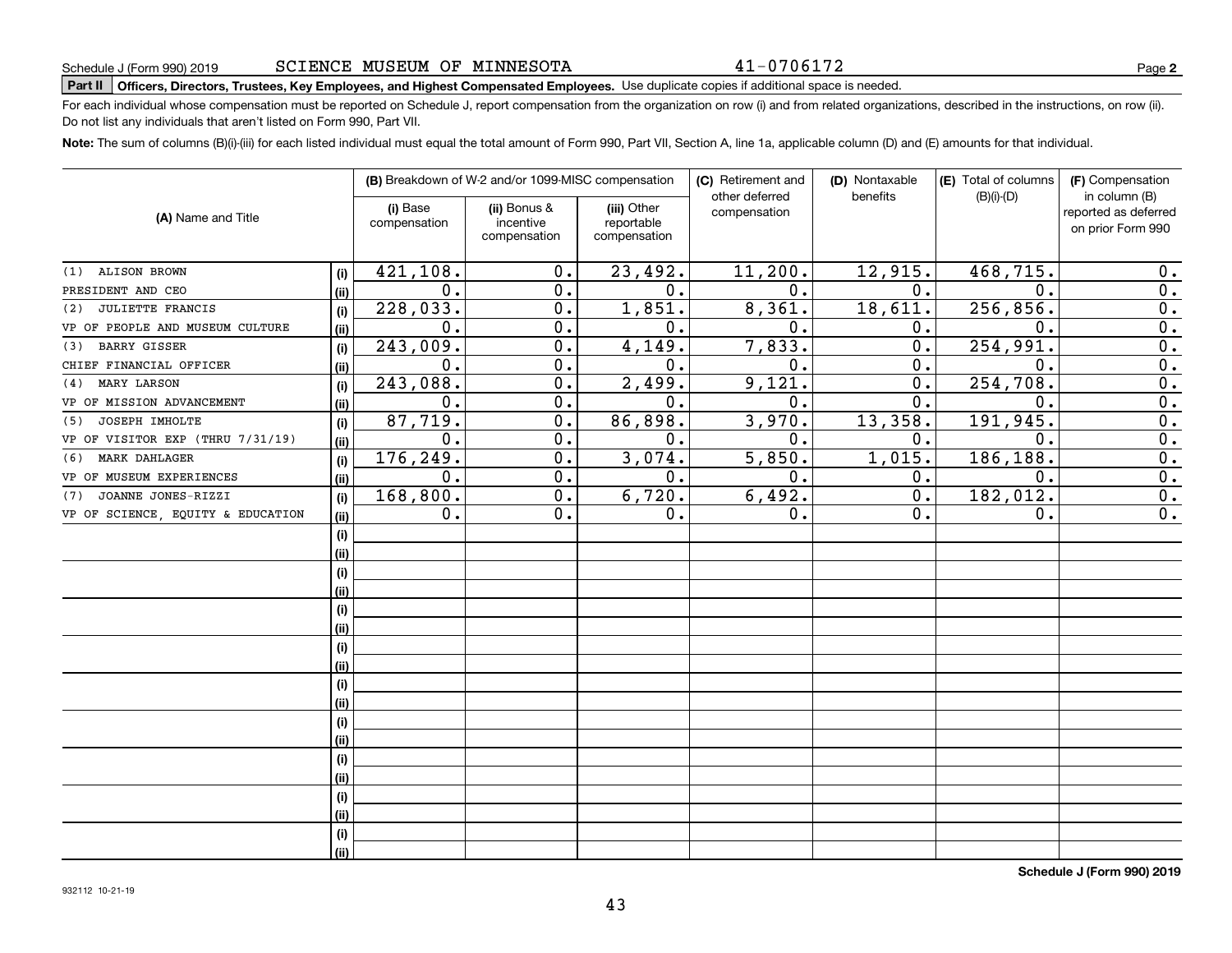# **Part II Officers, Directors, Trustees, Key Employees, and Highest Compensated Employees.**  Schedule J (Form 990) 2019 Page Use duplicate copies if additional space is needed.

For each individual whose compensation must be reported on Schedule J, report compensation from the organization on row (i) and from related organizations, described in the instructions, on row (ii). Do not list any individuals that aren't listed on Form 990, Part VII.

**Note:**  The sum of columns (B)(i)-(iii) for each listed individual must equal the total amount of Form 990, Part VII, Section A, line 1a, applicable column (D) and (E) amounts for that individual.

|                                   |      |                          | (B) Breakdown of W-2 and/or 1099-MISC compensation |                                           | (C) Retirement and<br>other deferred | (D) Nontaxable<br>benefits | (E) Total of columns<br>$(B)(i)-(D)$ | (F) Compensation<br>in column (B)         |
|-----------------------------------|------|--------------------------|----------------------------------------------------|-------------------------------------------|--------------------------------------|----------------------------|--------------------------------------|-------------------------------------------|
| (A) Name and Title                |      | (i) Base<br>compensation | (ii) Bonus &<br>incentive<br>compensation          | (iii) Other<br>reportable<br>compensation | compensation                         |                            |                                      | reported as deferred<br>on prior Form 990 |
| <b>ALISON BROWN</b><br>(1)        | (i)  | 421,108.                 | 0.                                                 | 23,492.                                   | 11,200.                              | 12,915.                    | 468,715.                             | 0.                                        |
| PRESIDENT AND CEO                 | (ii) | $\mathbf 0$ .            | 0.                                                 | 0.                                        | 0.                                   | 0.                         | $\mathbf 0$ .                        | $\overline{0}$ .                          |
| JULIETTE FRANCIS<br>(2)           | (i)  | 228,033.                 | 0.                                                 | 1,851.                                    | 8,361.                               | 18,611.                    | 256, 856                             | 0.                                        |
| VP OF PEOPLE AND MUSEUM CULTURE   | (ii) | $\mathbf 0$ .            | $\overline{0}$ .                                   | 0.                                        | $\mathbf 0$                          | 0.                         | $\mathbf 0$                          | $\overline{0}$ .                          |
| <b>BARRY GISSER</b><br>(3)        | (i)  | 243,009.                 | $\overline{0}$ .                                   | 4,149.                                    | 7,833.                               | 0.                         | 254,991                              | $\overline{0}$ .                          |
| CHIEF FINANCIAL OFFICER           | (ii) | $\mathbf 0$ .            | $\overline{0}$ .                                   | 0.                                        | $\mathbf 0$                          | 0.                         | $\mathbf 0$ .                        | $\overline{0}$ .                          |
| <b>MARY LARSON</b><br>(4)         | (i)  | 243,088.                 | $\mathbf 0$ .                                      | 2,499.                                    | 9,121                                | 0.                         | 254, 708                             | $\overline{0}$ .                          |
| VP OF MISSION ADVANCEMENT         | (ii) | $\mathbf 0$ .            | $\mathbf 0$ .                                      | 0.                                        | $\mathbf 0$ .                        | 0.                         | 0.                                   | $\overline{0}$ .                          |
| JOSEPH IMHOLTE<br>(5)             | (i)  | 87,719.                  | $\mathbf 0$ .                                      | 86,898.                                   | 3,970.                               | 13,358.                    | 191,945.                             | $\overline{0}$ .                          |
| VP OF VISITOR EXP (THRU 7/31/19)  | (ii) | $\mathbf 0$ .            | $\mathbf 0$ .                                      | 0.                                        | $\mathbf 0$ .                        | 0.                         | 0.                                   | $\overline{0}$ .                          |
| <b>MARK DAHLAGER</b><br>(6)       | (i)  | 176,249.                 | 0.                                                 | 3,074.                                    | 5,850.                               | 1,015.                     | 186,188.                             | $\overline{0}$ .                          |
| VP OF MUSEUM EXPERIENCES          | (ii) | 0.                       | 0.                                                 | 0.                                        | 0.                                   | 0.                         | $\mathbf 0$ .                        | $\overline{0}$ .                          |
| JOANNE JONES-RIZZI<br>(7)         | (i)  | 168,800.                 | 0.                                                 | 6,720.                                    | 6,492.                               | 0.                         | 182,012.                             | 0.                                        |
| VP OF SCIENCE, EQUITY & EDUCATION | (ii) | 0.                       | 0.                                                 | 0.                                        | 0.                                   | 0.                         | 0.                                   | $\overline{0}$ .                          |
|                                   | (i)  |                          |                                                    |                                           |                                      |                            |                                      |                                           |
|                                   | (ii) |                          |                                                    |                                           |                                      |                            |                                      |                                           |
|                                   | (i)  |                          |                                                    |                                           |                                      |                            |                                      |                                           |
|                                   | (ii) |                          |                                                    |                                           |                                      |                            |                                      |                                           |
|                                   | (i)  |                          |                                                    |                                           |                                      |                            |                                      |                                           |
|                                   | (i)  |                          |                                                    |                                           |                                      |                            |                                      |                                           |
|                                   | (i)  |                          |                                                    |                                           |                                      |                            |                                      |                                           |
|                                   | (ii) |                          |                                                    |                                           |                                      |                            |                                      |                                           |
|                                   | (i)  |                          |                                                    |                                           |                                      |                            |                                      |                                           |
|                                   | (ii) |                          |                                                    |                                           |                                      |                            |                                      |                                           |
|                                   | (i)  |                          |                                                    |                                           |                                      |                            |                                      |                                           |
|                                   | (i)  |                          |                                                    |                                           |                                      |                            |                                      |                                           |
|                                   | (i)  |                          |                                                    |                                           |                                      |                            |                                      |                                           |
|                                   | (i)  |                          |                                                    |                                           |                                      |                            |                                      |                                           |
|                                   | (i)  |                          |                                                    |                                           |                                      |                            |                                      |                                           |
|                                   | (i)  |                          |                                                    |                                           |                                      |                            |                                      |                                           |
|                                   | (i)  |                          |                                                    |                                           |                                      |                            |                                      |                                           |
|                                   | (ii) |                          |                                                    |                                           |                                      |                            |                                      |                                           |

**Schedule J (Form 990) 2019**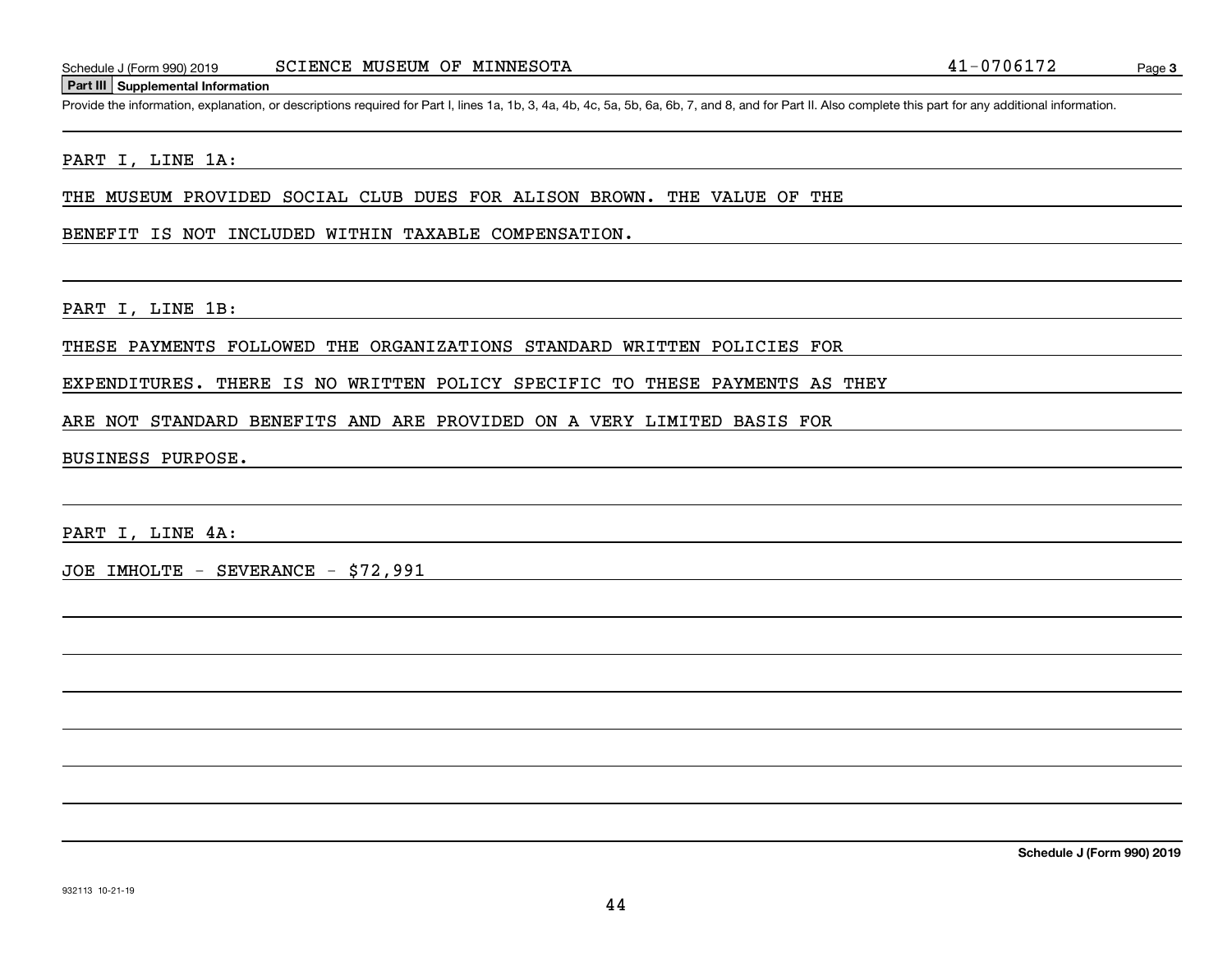#### **Part III Supplemental Information**

Schedule J (Form 990) 2019 SCIENCE MUSEUM OF MINNESOTA 41 – 0706172<br>Part III Supplemental Information<br>Provide the information, explanation, or descriptions required for Part I, lines 1a, 1b, 3, 4a, 4b, 4c, 5a, 5b, 6a, 6b,

#### PART I, LINE 1A:

THE MUSEUM PROVIDED SOCIAL CLUB DUES FOR ALISON BROWN. THE VALUE OF THE

#### BENEFIT IS NOT INCLUDED WITHIN TAXABLE COMPENSATION.

PART I, LINE 1B:

#### THESE PAYMENTS FOLLOWED THE ORGANIZATIONS STANDARD WRITTEN POLICIES FOR

#### EXPENDITURES. THERE IS NO WRITTEN POLICY SPECIFIC TO THESE PAYMENTS AS THEY

#### ARE NOT STANDARD BENEFITS AND ARE PROVIDED ON A VERY LIMITED BASIS FOR

#### BUSINESS PURPOSE.

PART I, LINE 4A:

JOE IMHOLTE - SEVERANCE - \$72,991

**Schedule J (Form 990) 2019**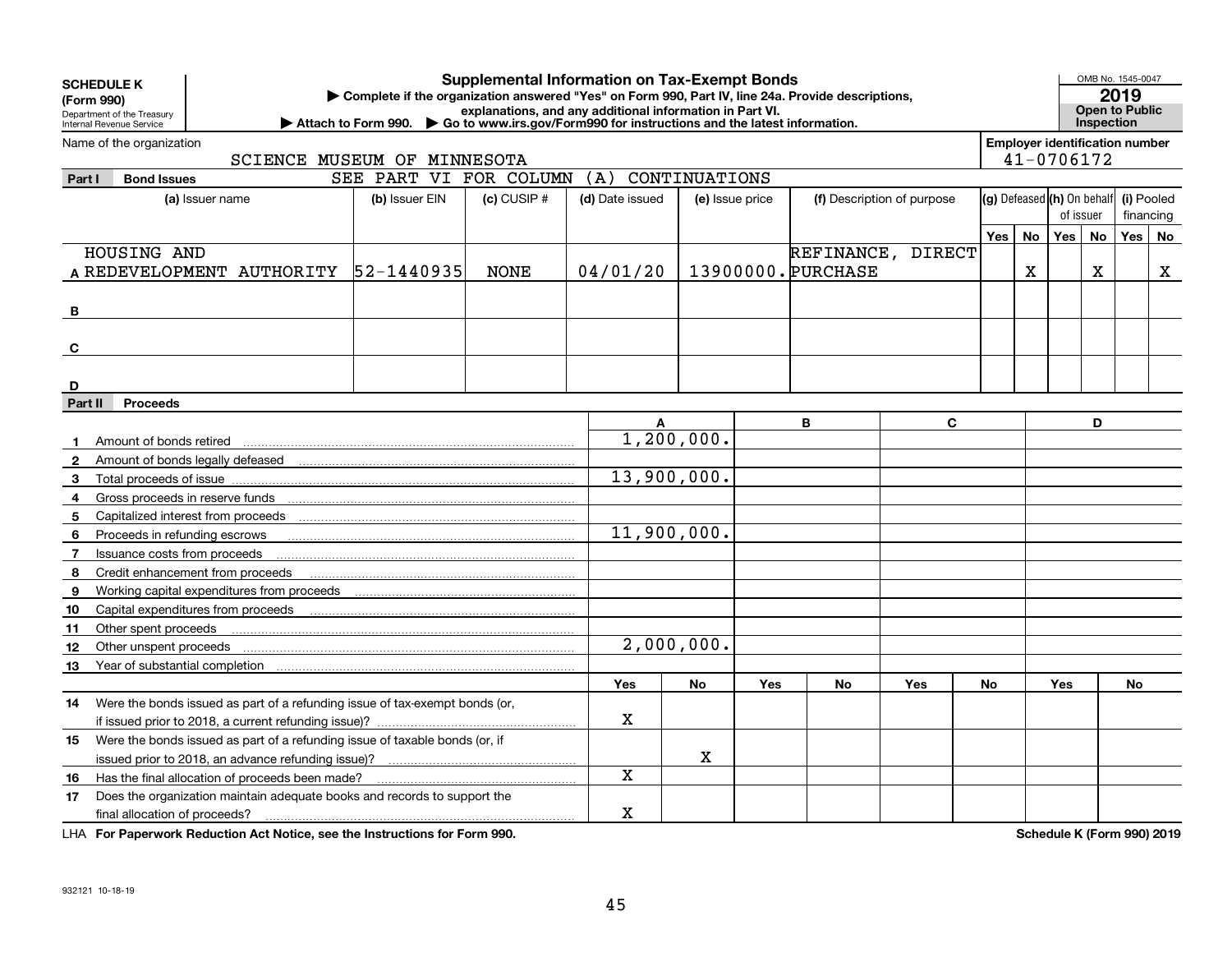|                | <b>Supplemental Information on Tax-Exempt Bonds</b><br><b>SCHEDULE K</b><br>Complete if the organization answered "Yes" on Form 990, Part IV, line 24a. Provide descriptions,<br>(Form 990)<br>explanations, and any additional information in Part VI.<br>Department of the Treasury<br>Attach to Form 990. Co to www.irs.gov/Form990 for instructions and the latest information.<br>Internal Revenue Service |                        |                 |                 |                 |            |                    |                            |     |           | OMB No. 1545-0047<br>2019<br><b>Open to Public</b><br><b>Inspection</b> |           |            |             |
|----------------|-----------------------------------------------------------------------------------------------------------------------------------------------------------------------------------------------------------------------------------------------------------------------------------------------------------------------------------------------------------------------------------------------------------------|------------------------|-----------------|-----------------|-----------------|------------|--------------------|----------------------------|-----|-----------|-------------------------------------------------------------------------|-----------|------------|-------------|
|                | Name of the organization<br>SCIENCE MUSEUM OF MINNESOTA                                                                                                                                                                                                                                                                                                                                                         |                        |                 |                 |                 |            |                    |                            |     |           | <b>Employer identification number</b><br>41-0706172                     |           |            |             |
| Part I         | <b>Bond Issues</b>                                                                                                                                                                                                                                                                                                                                                                                              | SEE PART VI FOR COLUMN |                 | (A)             | CONTINUATIONS   |            |                    |                            |     |           |                                                                         |           |            |             |
|                | (a) Issuer name                                                                                                                                                                                                                                                                                                                                                                                                 | (b) Issuer EIN         | $(c)$ CUSIP $#$ | (d) Date issued | (e) Issue price |            |                    | (f) Description of purpose |     |           | (g) Defeased (h) On behalf                                              |           | (i) Pooled |             |
|                |                                                                                                                                                                                                                                                                                                                                                                                                                 |                        |                 |                 |                 |            |                    |                            |     |           | of issuer                                                               |           | financing  |             |
|                |                                                                                                                                                                                                                                                                                                                                                                                                                 |                        |                 |                 |                 |            |                    |                            | Yes | <b>No</b> | Yes I                                                                   | <b>No</b> | Yes        | No          |
|                | HOUSING AND                                                                                                                                                                                                                                                                                                                                                                                                     |                        |                 |                 |                 |            |                    | REFINANCE, DIRECT          |     |           |                                                                         |           |            |             |
|                | A REDEVELOPMENT AUTHORITY  52-1440935                                                                                                                                                                                                                                                                                                                                                                           |                        | <b>NONE</b>     | 04/01/20        |                 |            | 13900000. PURCHASE |                            |     | X         |                                                                         | x         |            | $\mathbf X$ |
| B              |                                                                                                                                                                                                                                                                                                                                                                                                                 |                        |                 |                 |                 |            |                    |                            |     |           |                                                                         |           |            |             |
| C              |                                                                                                                                                                                                                                                                                                                                                                                                                 |                        |                 |                 |                 |            |                    |                            |     |           |                                                                         |           |            |             |
| D              |                                                                                                                                                                                                                                                                                                                                                                                                                 |                        |                 |                 |                 |            |                    |                            |     |           |                                                                         |           |            |             |
| Part II        | <b>Proceeds</b>                                                                                                                                                                                                                                                                                                                                                                                                 |                        |                 |                 |                 |            |                    |                            |     |           |                                                                         |           |            |             |
|                |                                                                                                                                                                                                                                                                                                                                                                                                                 |                        |                 | A               |                 |            | B                  | $\mathbf{C}$               |     |           |                                                                         | D         |            |             |
|                | Amount of bonds retired                                                                                                                                                                                                                                                                                                                                                                                         |                        |                 |                 | 1, 200, 000.    |            |                    |                            |     |           |                                                                         |           |            |             |
| $\overline{2}$ |                                                                                                                                                                                                                                                                                                                                                                                                                 |                        |                 |                 |                 |            |                    |                            |     |           |                                                                         |           |            |             |
| 3              |                                                                                                                                                                                                                                                                                                                                                                                                                 |                        |                 | 13,900,000.     |                 |            |                    |                            |     |           |                                                                         |           |            |             |
| 4              | Gross proceeds in reserve funds                                                                                                                                                                                                                                                                                                                                                                                 |                        |                 |                 |                 |            |                    |                            |     |           |                                                                         |           |            |             |
| 5              |                                                                                                                                                                                                                                                                                                                                                                                                                 |                        |                 |                 |                 |            |                    |                            |     |           |                                                                         |           |            |             |
| 6              | Proceeds in refunding escrows                                                                                                                                                                                                                                                                                                                                                                                   |                        |                 | 11,900,000.     |                 |            |                    |                            |     |           |                                                                         |           |            |             |
| 7              | Issuance costs from proceeds                                                                                                                                                                                                                                                                                                                                                                                    |                        |                 |                 |                 |            |                    |                            |     |           |                                                                         |           |            |             |
| 8              | Credit enhancement from proceeds                                                                                                                                                                                                                                                                                                                                                                                |                        |                 |                 |                 |            |                    |                            |     |           |                                                                         |           |            |             |
| 9              |                                                                                                                                                                                                                                                                                                                                                                                                                 |                        |                 |                 |                 |            |                    |                            |     |           |                                                                         |           |            |             |
| 10             |                                                                                                                                                                                                                                                                                                                                                                                                                 |                        |                 |                 |                 |            |                    |                            |     |           |                                                                         |           |            |             |
| 11             | Other spent proceeds                                                                                                                                                                                                                                                                                                                                                                                            |                        |                 |                 |                 |            |                    |                            |     |           |                                                                         |           |            |             |
| 12             | Other unspent proceeds                                                                                                                                                                                                                                                                                                                                                                                          |                        |                 |                 | 2,000,000.      |            |                    |                            |     |           |                                                                         |           |            |             |
| 13             | Year of substantial completion                                                                                                                                                                                                                                                                                                                                                                                  |                        |                 |                 |                 |            |                    |                            |     |           |                                                                         |           |            |             |
|                |                                                                                                                                                                                                                                                                                                                                                                                                                 |                        |                 | Yes             | No              | <b>Yes</b> | <b>No</b>          | Yes                        | No  |           | Yes                                                                     |           | No         |             |
| 14             | Were the bonds issued as part of a refunding issue of tax-exempt bonds (or,                                                                                                                                                                                                                                                                                                                                     |                        |                 | X               |                 |            |                    |                            |     |           |                                                                         |           |            |             |
|                |                                                                                                                                                                                                                                                                                                                                                                                                                 |                        |                 |                 |                 |            |                    |                            |     |           |                                                                         |           |            |             |
| 15             | Were the bonds issued as part of a refunding issue of taxable bonds (or, if                                                                                                                                                                                                                                                                                                                                     |                        |                 |                 | X               |            |                    |                            |     |           |                                                                         |           |            |             |
|                |                                                                                                                                                                                                                                                                                                                                                                                                                 |                        |                 | X               |                 |            |                    |                            |     |           |                                                                         |           |            |             |
| 16             | Has the final allocation of proceeds been made?                                                                                                                                                                                                                                                                                                                                                                 |                        |                 |                 |                 |            |                    |                            |     |           |                                                                         |           |            |             |
| 17             | Does the organization maintain adequate books and records to support the<br>final allocation of proceeds?                                                                                                                                                                                                                                                                                                       |                        |                 | X               |                 |            |                    |                            |     |           |                                                                         |           |            |             |
|                |                                                                                                                                                                                                                                                                                                                                                                                                                 |                        |                 |                 |                 |            |                    |                            |     |           |                                                                         |           |            |             |

**For Paperwork Reduction Act Notice, see the Instructions for Form 990. Schedule K (Form 990) 2019** LHA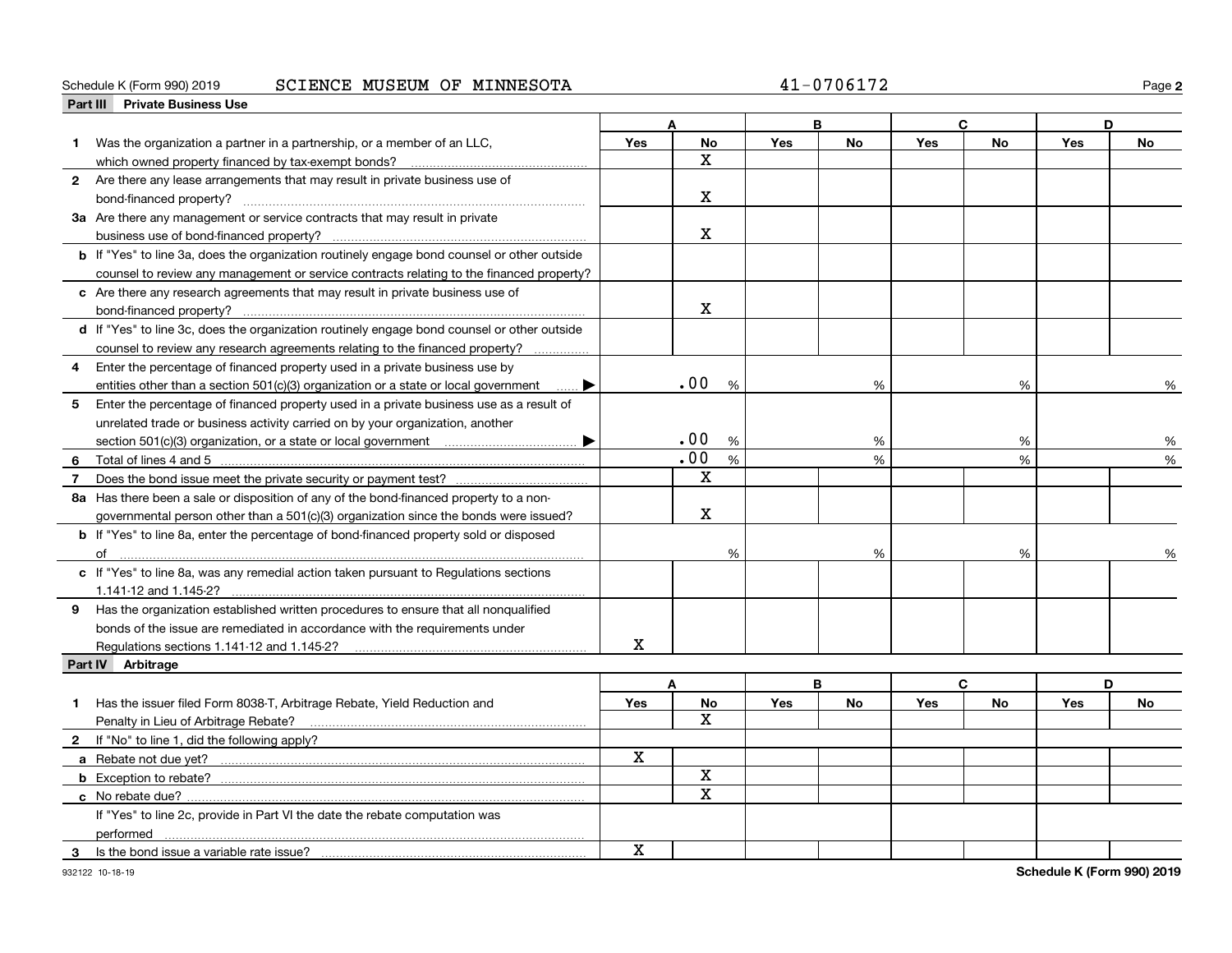#### Schedule K (Form 990) 2019 Page SCIENCE MUSEUM OF MINNESOTA 41-0706172

|                | Part III Private Business Use                                                                      |             |                    |            |           |             |           |     |           |
|----------------|----------------------------------------------------------------------------------------------------|-------------|--------------------|------------|-----------|-------------|-----------|-----|-----------|
|                |                                                                                                    |             | Δ                  |            | B         | $\mathbf c$ |           | D   |           |
| 1              | Was the organization a partner in a partnership, or a member of an LLC,                            | Yes         | <b>No</b>          | Yes        | <b>No</b> | Yes         | <b>No</b> | Yes | <b>No</b> |
|                | which owned property financed by tax-exempt bonds?                                                 |             | X                  |            |           |             |           |     |           |
|                | 2 Are there any lease arrangements that may result in private business use of                      |             |                    |            |           |             |           |     |           |
|                |                                                                                                    |             | $\mathbf X$        |            |           |             |           |     |           |
|                | 3a Are there any management or service contracts that may result in private                        |             |                    |            |           |             |           |     |           |
|                |                                                                                                    |             | х                  |            |           |             |           |     |           |
|                | <b>b</b> If "Yes" to line 3a, does the organization routinely engage bond counsel or other outside |             |                    |            |           |             |           |     |           |
|                | counsel to review any management or service contracts relating to the financed property?           |             |                    |            |           |             |           |     |           |
|                | c Are there any research agreements that may result in private business use of                     |             |                    |            |           |             |           |     |           |
|                | bond-financed property?                                                                            |             | X                  |            |           |             |           |     |           |
|                | d If "Yes" to line 3c, does the organization routinely engage bond counsel or other outside        |             |                    |            |           |             |           |     |           |
|                | counsel to review any research agreements relating to the financed property?                       |             |                    |            |           |             |           |     |           |
| 4              | Enter the percentage of financed property used in a private business use by                        |             |                    |            |           |             |           |     |           |
|                | entities other than a section $501(c)(3)$ organization or a state or local government              |             | .00<br>%           |            | %         |             | %         |     | %         |
| 5              | Enter the percentage of financed property used in a private business use as a result of            |             |                    |            |           |             |           |     |           |
|                | unrelated trade or business activity carried on by your organization, another                      |             |                    |            |           |             |           |     |           |
|                | $\blacktriangleright$                                                                              |             | .00<br>%           |            | %         |             | %         |     | %         |
| 6              | Total of lines 4 and 5                                                                             |             | .00<br>%           |            | %         |             | %         |     | %         |
| $\overline{7}$ |                                                                                                    |             | $\mathbf X$        |            |           |             |           |     |           |
|                | 8a Has there been a sale or disposition of any of the bond-financed property to a non-             |             |                    |            |           |             |           |     |           |
|                | governmental person other than a $501(c)(3)$ organization since the bonds were issued?             |             | $\mathbf x$        |            |           |             |           |     |           |
|                | <b>b</b> If "Yes" to line 8a, enter the percentage of bond-financed property sold or disposed      |             |                    |            |           |             |           |     |           |
|                |                                                                                                    |             | %                  |            | %         |             | %         |     |           |
|                | c If "Yes" to line 8a, was any remedial action taken pursuant to Regulations sections              |             |                    |            |           |             |           |     |           |
|                | 1.141-12 and 1.145-2?                                                                              |             |                    |            |           |             |           |     |           |
|                | 9 Has the organization established written procedures to ensure that all nonqualified              |             |                    |            |           |             |           |     |           |
|                | bonds of the issue are remediated in accordance with the requirements under                        |             |                    |            |           |             |           |     |           |
|                |                                                                                                    | $\mathbf X$ |                    |            |           |             |           |     |           |
|                | Regulations sections 1.141-12 and 1.145-2?<br>Part IV Arbitrage                                    |             |                    |            |           |             |           |     |           |
|                |                                                                                                    |             | A                  |            | В         |             | C         |     | D         |
|                |                                                                                                    |             |                    |            | <b>No</b> |             | <b>No</b> |     | <b>No</b> |
|                | Has the issuer filed Form 8038-T, Arbitrage Rebate, Yield Reduction and                            | <b>Yes</b>  | No<br>$\mathbf{x}$ | <b>Yes</b> |           | Yes         |           | Yes |           |
|                | Penalty in Lieu of Arbitrage Rebate?                                                               |             |                    |            |           |             |           |     |           |
|                | 2 If "No" to line 1, did the following apply?                                                      | X           |                    |            |           |             |           |     |           |
|                |                                                                                                    |             | $\mathbf X$        |            |           |             |           |     |           |
|                | <b>b</b> Exception to rebate?                                                                      |             | $\mathbf x$        |            |           |             |           |     |           |
|                |                                                                                                    |             |                    |            |           |             |           |     |           |
|                | If "Yes" to line 2c, provide in Part VI the date the rebate computation was                        |             |                    |            |           |             |           |     |           |
|                | performed                                                                                          |             |                    |            |           |             |           |     |           |
| 3              | Is the bond issue a variable rate issue?                                                           | $\mathbf X$ |                    |            |           |             |           |     |           |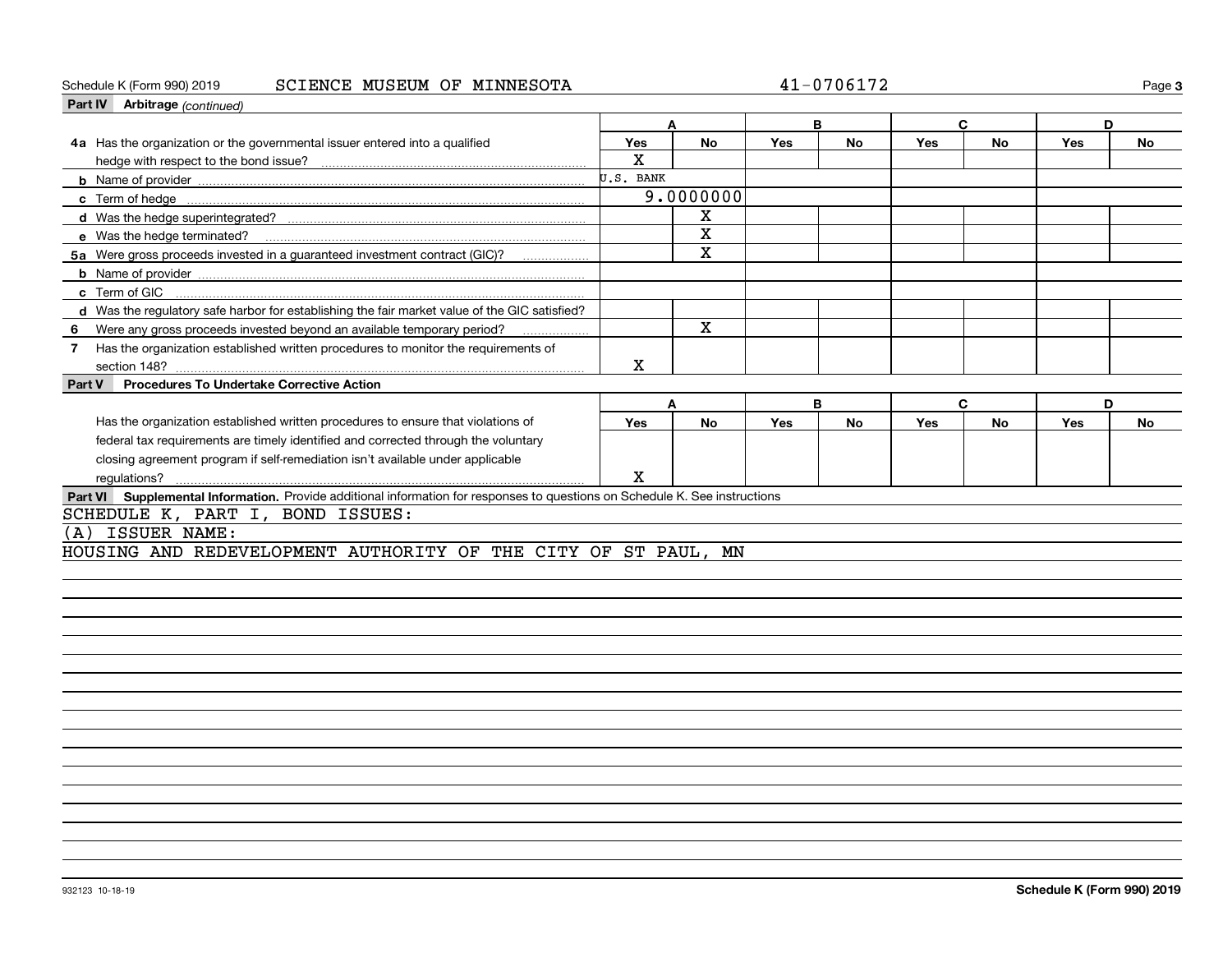#### Schedule K (Form 990) 2019 Page SCIENCE MUSEUM OF MINNESOTA 41-0706172

| Part IV Arbitrage (continued)                                                                                               |           |           |     |           |            |              |     |           |
|-----------------------------------------------------------------------------------------------------------------------------|-----------|-----------|-----|-----------|------------|--------------|-----|-----------|
|                                                                                                                             |           | A         |     | B         |            | C            | D   |           |
| 4a Has the organization or the governmental issuer entered into a qualified                                                 | Yes       | <b>No</b> | Yes | <b>No</b> | <b>Yes</b> | <b>No</b>    | Yes | <b>No</b> |
|                                                                                                                             | X         |           |     |           |            |              |     |           |
|                                                                                                                             | U.S. BANK |           |     |           |            |              |     |           |
|                                                                                                                             |           | 9.0000000 |     |           |            |              |     |           |
|                                                                                                                             |           | X         |     |           |            |              |     |           |
|                                                                                                                             |           | x         |     |           |            |              |     |           |
| 5a Were gross proceeds invested in a guaranteed investment contract (GIC)?                                                  |           | X         |     |           |            |              |     |           |
|                                                                                                                             |           |           |     |           |            |              |     |           |
| c Term of GIC                                                                                                               |           |           |     |           |            |              |     |           |
| d Was the regulatory safe harbor for establishing the fair market value of the GIC satisfied?                               |           |           |     |           |            |              |     |           |
| Were any gross proceeds invested beyond an available temporary period?<br>6                                                 |           | X         |     |           |            |              |     |           |
| Has the organization established written procedures to monitor the requirements of<br>$\mathbf{7}$                          |           |           |     |           |            |              |     |           |
|                                                                                                                             | X         |           |     |           |            |              |     |           |
| <b>Procedures To Undertake Corrective Action</b><br>Part V                                                                  |           |           |     |           |            |              |     |           |
|                                                                                                                             | A         |           |     | B         |            | $\mathbf{C}$ | D   |           |
| Has the organization established written procedures to ensure that violations of                                            | Yes       | <b>No</b> | Yes | <b>No</b> | <b>Yes</b> | <b>No</b>    | Yes | <b>No</b> |
| federal tax requirements are timely identified and corrected through the voluntary                                          |           |           |     |           |            |              |     |           |
| closing agreement program if self-remediation isn't available under applicable                                              |           |           |     |           |            |              |     |           |
| regulations?                                                                                                                | X         |           |     |           |            |              |     |           |
| Part VI Supplemental Information. Provide additional information for responses to questions on Schedule K. See instructions |           |           |     |           |            |              |     |           |
| SCHEDULE K, PART I, BOND ISSUES:                                                                                            |           |           |     |           |            |              |     |           |
| ISSUER NAME:<br>(A)                                                                                                         |           |           |     |           |            |              |     |           |
| HOUSING AND REDEVELOPMENT AUTHORITY OF THE CITY OF ST PAUL, MN                                                              |           |           |     |           |            |              |     |           |
|                                                                                                                             |           |           |     |           |            |              |     |           |
|                                                                                                                             |           |           |     |           |            |              |     |           |
|                                                                                                                             |           |           |     |           |            |              |     |           |
|                                                                                                                             |           |           |     |           |            |              |     |           |
|                                                                                                                             |           |           |     |           |            |              |     |           |
|                                                                                                                             |           |           |     |           |            |              |     |           |
|                                                                                                                             |           |           |     |           |            |              |     |           |
|                                                                                                                             |           |           |     |           |            |              |     |           |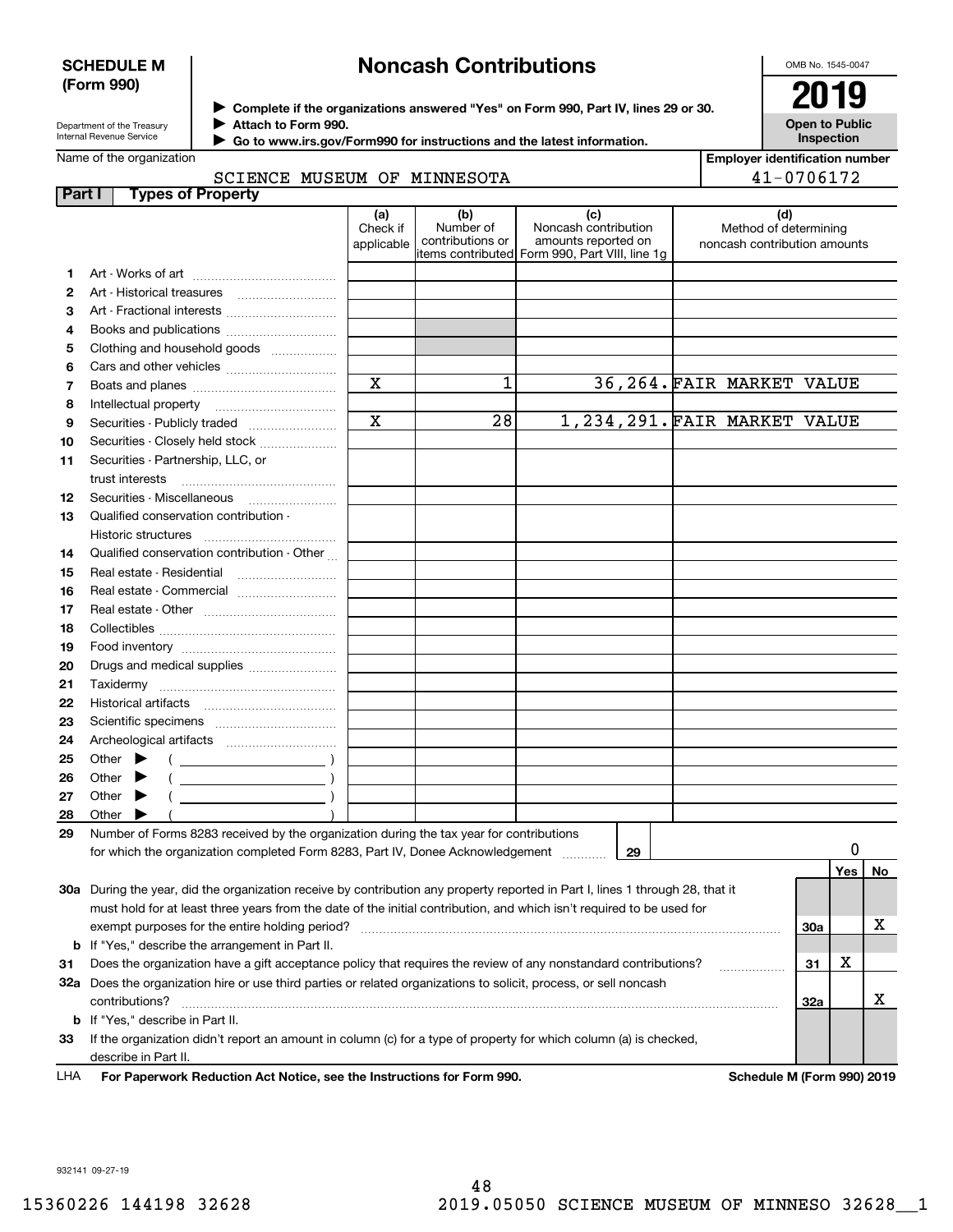#### **SCHEDULE M (Form 990)**

# **Noncash Contributions**

OMB No. 1545-0047

| Department of the Treasury |
|----------------------------|
| Internal Revenue Service   |

**Complete if the organizations answered "Yes" on Form 990, Part IV, lines 29 or 30.** <sup>J</sup>**2019 Attach to Form 990.** J

**Open to Public Inspection**

| Go to www.irs.gov/Form990 for instructions and the latest information. |
|------------------------------------------------------------------------|
|------------------------------------------------------------------------|

| Name of the organization |  |
|--------------------------|--|
|--------------------------|--|

 $\blacktriangleright$ 

|  | <b>Employer identification number</b> |
|--|---------------------------------------|
|  | 41-0706172                            |

### SCIENCE MUSEUM OF MINNESOTA

| Part I | <b>Types of Property</b>                                                                                                                   |                               |                                      |                                                                                                       |    |  |                                                              |  |     |    |
|--------|--------------------------------------------------------------------------------------------------------------------------------------------|-------------------------------|--------------------------------------|-------------------------------------------------------------------------------------------------------|----|--|--------------------------------------------------------------|--|-----|----|
|        |                                                                                                                                            | (a)<br>Check if<br>applicable | (b)<br>Number of<br>contributions or | (c)<br>Noncash contribution<br>amounts reported on<br>litems contributed Form 990, Part VIII, line 1g |    |  | (d)<br>Method of determining<br>noncash contribution amounts |  |     |    |
| 1      |                                                                                                                                            |                               |                                      |                                                                                                       |    |  |                                                              |  |     |    |
| 2      | Art - Historical treasures                                                                                                                 |                               |                                      |                                                                                                       |    |  |                                                              |  |     |    |
| З      | Art - Fractional interests                                                                                                                 |                               |                                      |                                                                                                       |    |  |                                                              |  |     |    |
| 4      | Books and publications                                                                                                                     |                               |                                      |                                                                                                       |    |  |                                                              |  |     |    |
| 5      | Clothing and household goods                                                                                                               |                               |                                      |                                                                                                       |    |  |                                                              |  |     |    |
| 6      |                                                                                                                                            |                               |                                      |                                                                                                       |    |  |                                                              |  |     |    |
| 7      |                                                                                                                                            | X                             | 1                                    |                                                                                                       |    |  | 36,264. FAIR MARKET VALUE                                    |  |     |    |
| 8      | Intellectual property                                                                                                                      |                               |                                      |                                                                                                       |    |  |                                                              |  |     |    |
| 9      | Securities - Publicly traded                                                                                                               | $\mathbf X$                   | 28                                   |                                                                                                       |    |  | 1,234,291. FAIR MARKET VALUE                                 |  |     |    |
| 10     | Securities - Closely held stock                                                                                                            |                               |                                      |                                                                                                       |    |  |                                                              |  |     |    |
| 11     | Securities - Partnership, LLC, or<br>trust interests                                                                                       |                               |                                      |                                                                                                       |    |  |                                                              |  |     |    |
| 12     |                                                                                                                                            |                               |                                      |                                                                                                       |    |  |                                                              |  |     |    |
| 13     | Qualified conservation contribution -                                                                                                      |                               |                                      |                                                                                                       |    |  |                                                              |  |     |    |
|        | Historic structures                                                                                                                        |                               |                                      |                                                                                                       |    |  |                                                              |  |     |    |
| 14     | Qualified conservation contribution - Other                                                                                                |                               |                                      |                                                                                                       |    |  |                                                              |  |     |    |
| 15     | Real estate - Residential                                                                                                                  |                               |                                      |                                                                                                       |    |  |                                                              |  |     |    |
| 16     |                                                                                                                                            |                               |                                      |                                                                                                       |    |  |                                                              |  |     |    |
| 17     |                                                                                                                                            |                               |                                      |                                                                                                       |    |  |                                                              |  |     |    |
| 18     |                                                                                                                                            |                               |                                      |                                                                                                       |    |  |                                                              |  |     |    |
| 19     |                                                                                                                                            |                               |                                      |                                                                                                       |    |  |                                                              |  |     |    |
| 20     | Drugs and medical supplies                                                                                                                 |                               |                                      |                                                                                                       |    |  |                                                              |  |     |    |
| 21     |                                                                                                                                            |                               |                                      |                                                                                                       |    |  |                                                              |  |     |    |
| 22     | Historical artifacts                                                                                                                       |                               |                                      |                                                                                                       |    |  |                                                              |  |     |    |
| 23     |                                                                                                                                            |                               |                                      |                                                                                                       |    |  |                                                              |  |     |    |
| 24     |                                                                                                                                            |                               |                                      |                                                                                                       |    |  |                                                              |  |     |    |
| 25     | Other                                                                                                                                      |                               |                                      |                                                                                                       |    |  |                                                              |  |     |    |
| 26     | Other<br>$\overline{\phantom{a}}$ ( $\overline{\phantom{a}}$ )                                                                             |                               |                                      |                                                                                                       |    |  |                                                              |  |     |    |
| 27     | Other<br>$\overline{\phantom{a}}$ ( )                                                                                                      |                               |                                      |                                                                                                       |    |  |                                                              |  |     |    |
| 28     | Other                                                                                                                                      |                               |                                      |                                                                                                       |    |  |                                                              |  |     |    |
| 29     | Number of Forms 8283 received by the organization during the tax year for contributions                                                    |                               |                                      |                                                                                                       |    |  |                                                              |  |     |    |
|        | for which the organization completed Form 8283, Part IV, Donee Acknowledgement                                                             |                               |                                      | .                                                                                                     | 29 |  |                                                              |  |     |    |
|        |                                                                                                                                            |                               |                                      |                                                                                                       |    |  |                                                              |  | Yes | No |
|        | 30a During the year, did the organization receive by contribution any property reported in Part I, lines 1 through 28, that it             |                               |                                      |                                                                                                       |    |  |                                                              |  |     |    |
|        | must hold for at least three years from the date of the initial contribution, and which isn't required to be used for                      |                               |                                      |                                                                                                       |    |  |                                                              |  |     |    |
|        | exempt purposes for the entire holding period?                                                                                             |                               |                                      |                                                                                                       |    |  |                                                              |  |     | х  |
|        | <b>b</b> If "Yes," describe the arrangement in Part II.                                                                                    |                               |                                      |                                                                                                       |    |  |                                                              |  |     |    |
| 31     | Does the organization have a gift acceptance policy that requires the review of any nonstandard contributions?<br>31                       |                               |                                      |                                                                                                       |    |  |                                                              |  |     |    |
|        | 32a Does the organization hire or use third parties or related organizations to solicit, process, or sell noncash<br>contributions?<br>32a |                               |                                      |                                                                                                       |    |  |                                                              |  |     | x  |
|        | <b>b</b> If "Yes," describe in Part II.                                                                                                    |                               |                                      |                                                                                                       |    |  |                                                              |  |     |    |
| 33     | If the organization didn't report an amount in column (c) for a type of property for which column (a) is checked,                          |                               |                                      |                                                                                                       |    |  |                                                              |  |     |    |
|        | describe in Part II.                                                                                                                       |                               |                                      |                                                                                                       |    |  |                                                              |  |     |    |
| LHA    | For Paperwork Reduction Act Notice, see the Instructions for Form 990.                                                                     |                               |                                      |                                                                                                       |    |  | Schedule M (Form 990) 2019                                   |  |     |    |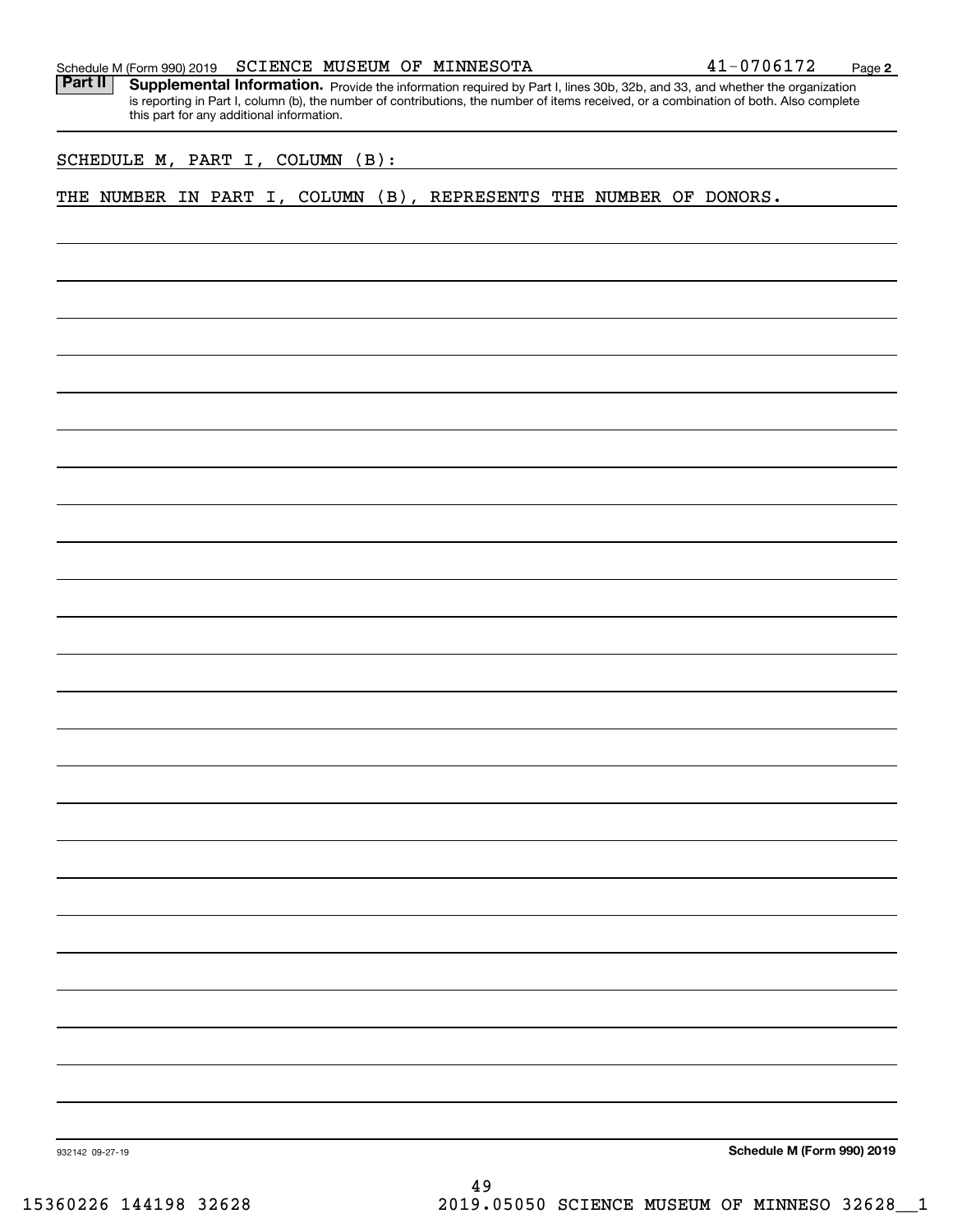|  | Schedule M (Form 990) 2019 |  |  |  | SCIENCE MUSEUM OF MINNESOTA | 1-0706172 | Page |  |
|--|----------------------------|--|--|--|-----------------------------|-----------|------|--|
|--|----------------------------|--|--|--|-----------------------------|-----------|------|--|

Part II | Supplemental Information. Provide the information required by Part I, lines 30b, 32b, and 33, and whether the organization is reporting in Part I, column (b), the number of contributions, the number of items received, or a combination of both. Also complete this part for any additional information.

SCHEDULE M, PART I, COLUMN (B):

THE NUMBER IN PART I, COLUMN (B), REPRESENTS THE NUMBER OF DONORS.

**Schedule M (Form 990) 2019**

932142 09-27-19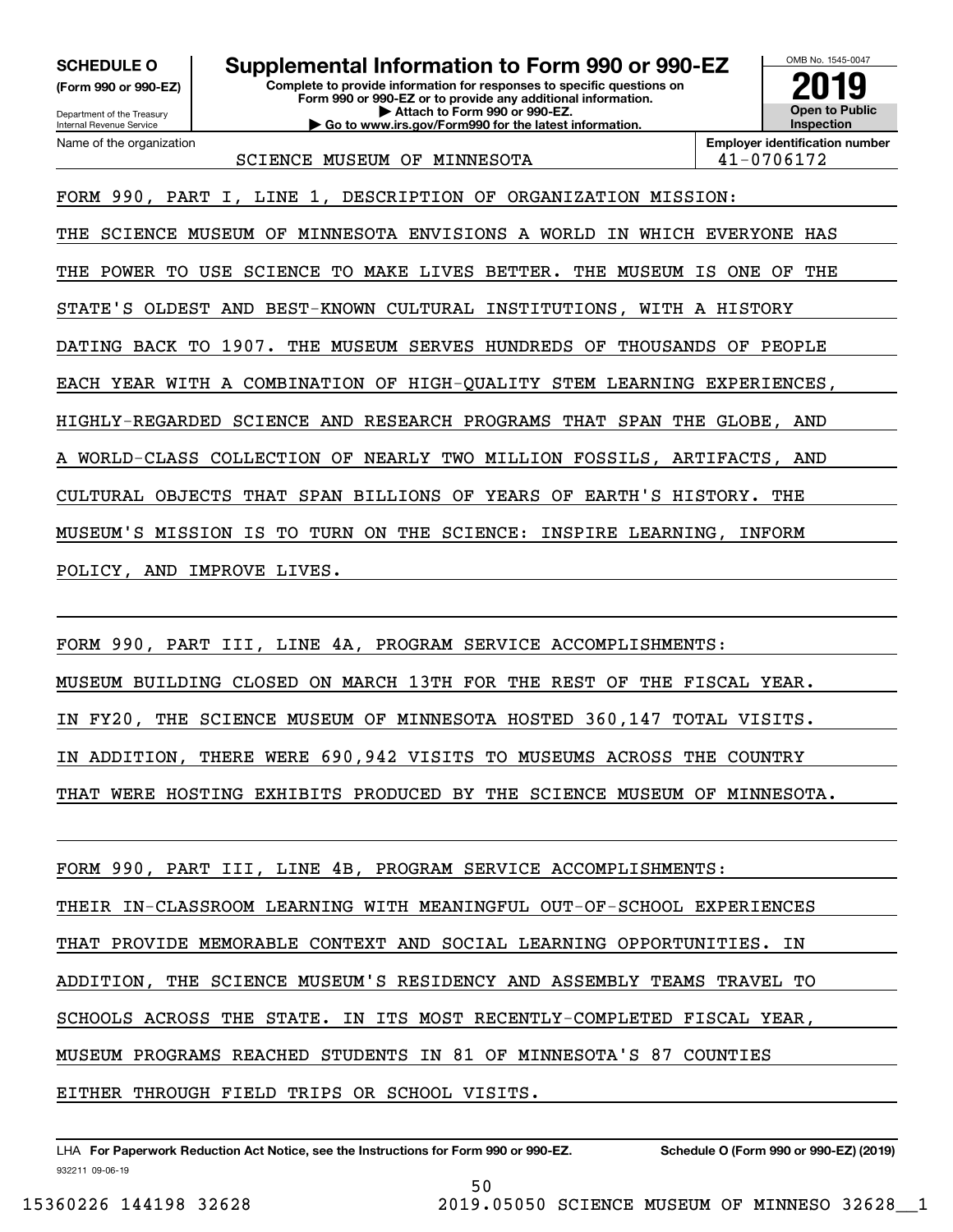**(Form 990 or 990-EZ)**

Department of the Treasury Internal Revenue Service Name of the organization

# **SCHEDULE O Supplemental Information to Form 990 or 990-EZ**

**Complete to provide information for responses to specific questions on Form 990 or 990-EZ or to provide any additional information. | Attach to Form 990 or 990-EZ. | Go to www.irs.gov/Form990 for the latest information.**



SCIENCE MUSEUM OF MINNESOTA  $|41-0706172$ 

FORM 990, PART I, LINE 1, DESCRIPTION OF ORGANIZATION MISSION:

THE SCIENCE MUSEUM OF MINNESOTA ENVISIONS A WORLD IN WHICH EVERYONE HAS THE POWER TO USE SCIENCE TO MAKE LIVES BETTER. THE MUSEUM IS ONE OF THE STATE'S OLDEST AND BEST-KNOWN CULTURAL INSTITUTIONS, WITH A HISTORY DATING BACK TO 1907. THE MUSEUM SERVES HUNDREDS OF THOUSANDS OF PEOPLE EACH YEAR WITH A COMBINATION OF HIGH-QUALITY STEM LEARNING EXPERIENCES, HIGHLY-REGARDED SCIENCE AND RESEARCH PROGRAMS THAT SPAN THE GLOBE, AND WORLD-CLASS COLLECTION OF NEARLY TWO MILLION FOSSILS, ARTIFACTS, AND CULTURAL OBJECTS THAT SPAN BILLIONS OF YEARS OF EARTH'S HISTORY. THE MUSEUM'S MISSION IS TO TURN ON THE SCIENCE: INSPIRE LEARNING, INFORM POLICY, AND IMPROVE LIVES.

FORM 990, PART III, LINE 4A, PROGRAM SERVICE ACCOMPLISHMENTS: MUSEUM BUILDING CLOSED ON MARCH 13TH FOR THE REST OF THE FISCAL YEAR. IN FY20, THE SCIENCE MUSEUM OF MINNESOTA HOSTED 360,147 TOTAL VISITS. IN ADDITION, THERE WERE 690,942 VISITS TO MUSEUMS ACROSS THE COUNTRY THAT WERE HOSTING EXHIBITS PRODUCED BY THE SCIENCE MUSEUM OF MINNESOTA.

FORM 990, PART III, LINE 4B, PROGRAM SERVICE ACCOMPLISHMENTS: THEIR IN-CLASSROOM LEARNING WITH MEANINGFUL OUT-OF-SCHOOL EXPERIENCES THAT PROVIDE MEMORABLE CONTEXT AND SOCIAL LEARNING OPPORTUNITIES. IN ADDITION, THE SCIENCE MUSEUM'S RESIDENCY AND ASSEMBLY TEAMS TRAVEL TO SCHOOLS ACROSS THE STATE. IN ITS MOST RECENTLY-COMPLETED FISCAL YEAR, MUSEUM PROGRAMS REACHED STUDENTS IN 81 OF MINNESOTA'S 87 COUNTIES EITHER THROUGH FIELD TRIPS OR SCHOOL VISITS.

50

932211 09-06-19 LHA For Paperwork Reduction Act Notice, see the Instructions for Form 990 or 990-EZ. Schedule O (Form 990 or 990-EZ) (2019)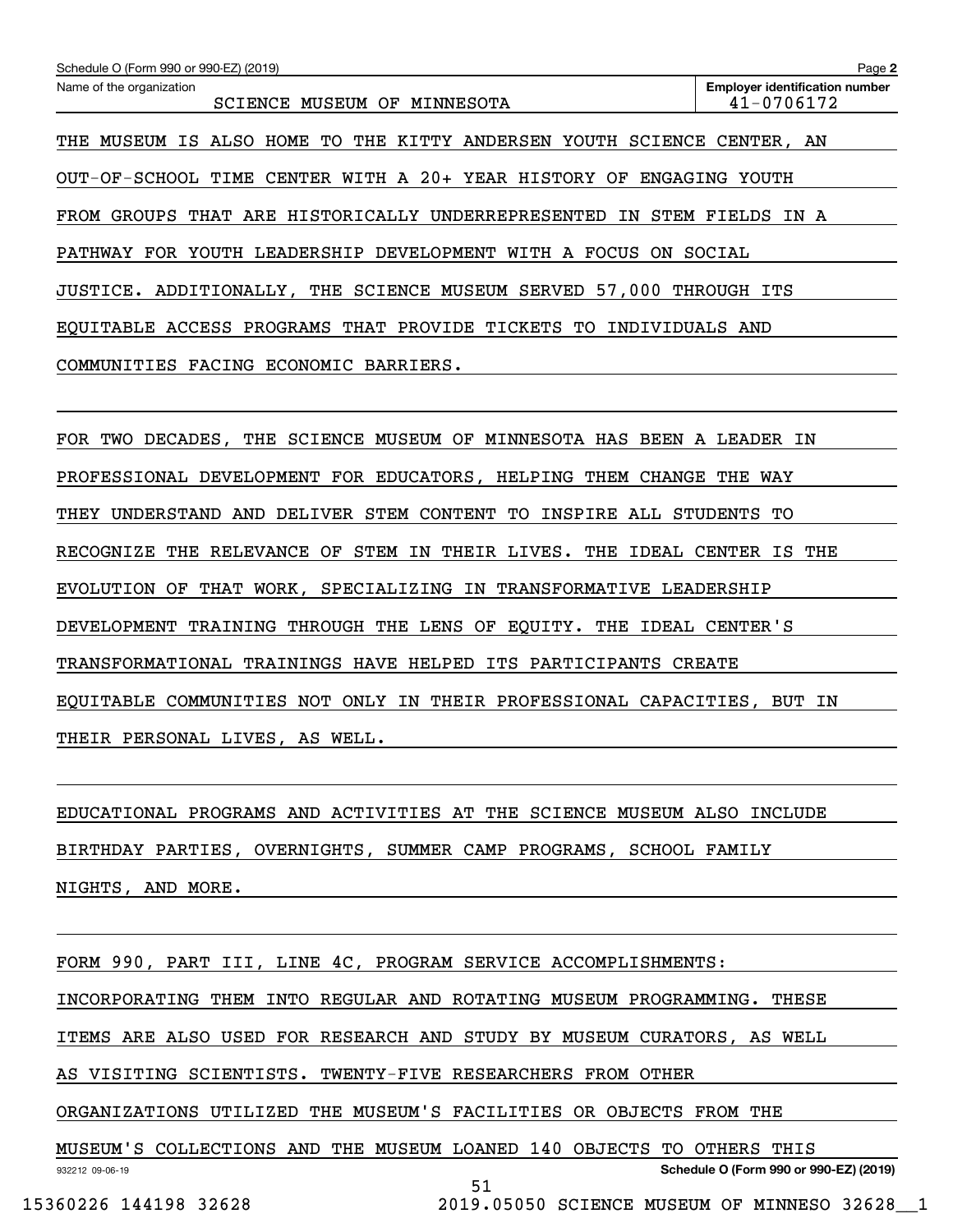| Name of the organization<br><b>Employer identification number</b><br>41-0706172<br>SCIENCE MUSEUM OF MINNESOTA |
|----------------------------------------------------------------------------------------------------------------|
| ALSO HOME TO THE KITTY ANDERSEN YOUTH SCIENCE<br>MUSEUM IS<br>THE<br>CENTER, AN                                |
| OUT-OF-SCHOOL TIME CENTER WITH A 20+ YEAR HISTORY OF<br>ENGAGING<br>YOUTH                                      |
| FROM GROUPS<br>THAT ARE HISTORICALLY UNDERREPRESENTED IN<br>STEM<br>FIELDS<br>IN A                             |
| PATHWAY FOR YOUTH LEADERSHIP DEVELOPMENT WITH A FOCUS<br>ON.<br>SOCIAL                                         |
| JUSTICE. ADDITIONALLY, THE SCIENCE MUSEUM SERVED 57,000 THROUGH ITS                                            |
| EQUITABLE ACCESS PROGRAMS THAT PROVIDE TICKETS TO<br>INDIVIDUALS AND                                           |
| COMMUNITIES FACING ECONOMIC<br>BARRIERS.                                                                       |
|                                                                                                                |
| DECADES, THE SCIENCE MUSEUM OF MINNESOTA HAS BEEN<br>FOR<br>TWO<br>A LEADER<br>ΙN                              |

PROFESSIONAL DEVELOPMENT FOR EDUCATORS, HELPING THEM CHANGE THE WAY THEY UNDERSTAND AND DELIVER STEM CONTENT TO INSPIRE ALL STUDENTS TO

RECOGNIZE THE RELEVANCE OF STEM IN THEIR LIVES. THE IDEAL CENTER IS THE

EVOLUTION OF THAT WORK, SPECIALIZING IN TRANSFORMATIVE LEADERSHIP

DEVELOPMENT TRAINING THROUGH THE LENS OF EQUITY. THE IDEAL CENTER'S

TRANSFORMATIONAL TRAININGS HAVE HELPED ITS PARTICIPANTS CREATE

EQUITABLE COMMUNITIES NOT ONLY IN THEIR PROFESSIONAL CAPACITIES, BUT IN

THEIR PERSONAL LIVES, AS WELL.

EDUCATIONAL PROGRAMS AND ACTIVITIES AT THE SCIENCE MUSEUM ALSO INCLUDE BIRTHDAY PARTIES, OVERNIGHTS, SUMMER CAMP PROGRAMS, SCHOOL FAMILY NIGHTS, AND MORE.

FORM 990, PART III, LINE 4C, PROGRAM SERVICE ACCOMPLISHMENTS:

INCORPORATING THEM INTO REGULAR AND ROTATING MUSEUM PROGRAMMING. THESE

ITEMS ARE ALSO USED FOR RESEARCH AND STUDY BY MUSEUM CURATORS, AS WELL

AS VISITING SCIENTISTS. TWENTY-FIVE RESEARCHERS FROM OTHER

ORGANIZATIONS UTILIZED THE MUSEUM'S FACILITIES OR OBJECTS FROM THE

932212 09-06-19 **Schedule O (Form 990 or 990-EZ) (2019)** MUSEUM'S COLLECTIONS AND THE MUSEUM LOANED 140 OBJECTS TO OTHERS THIS 51

15360226 144198 32628 2019.05050 SCIENCE MUSEUM OF MINNESO 32628\_\_1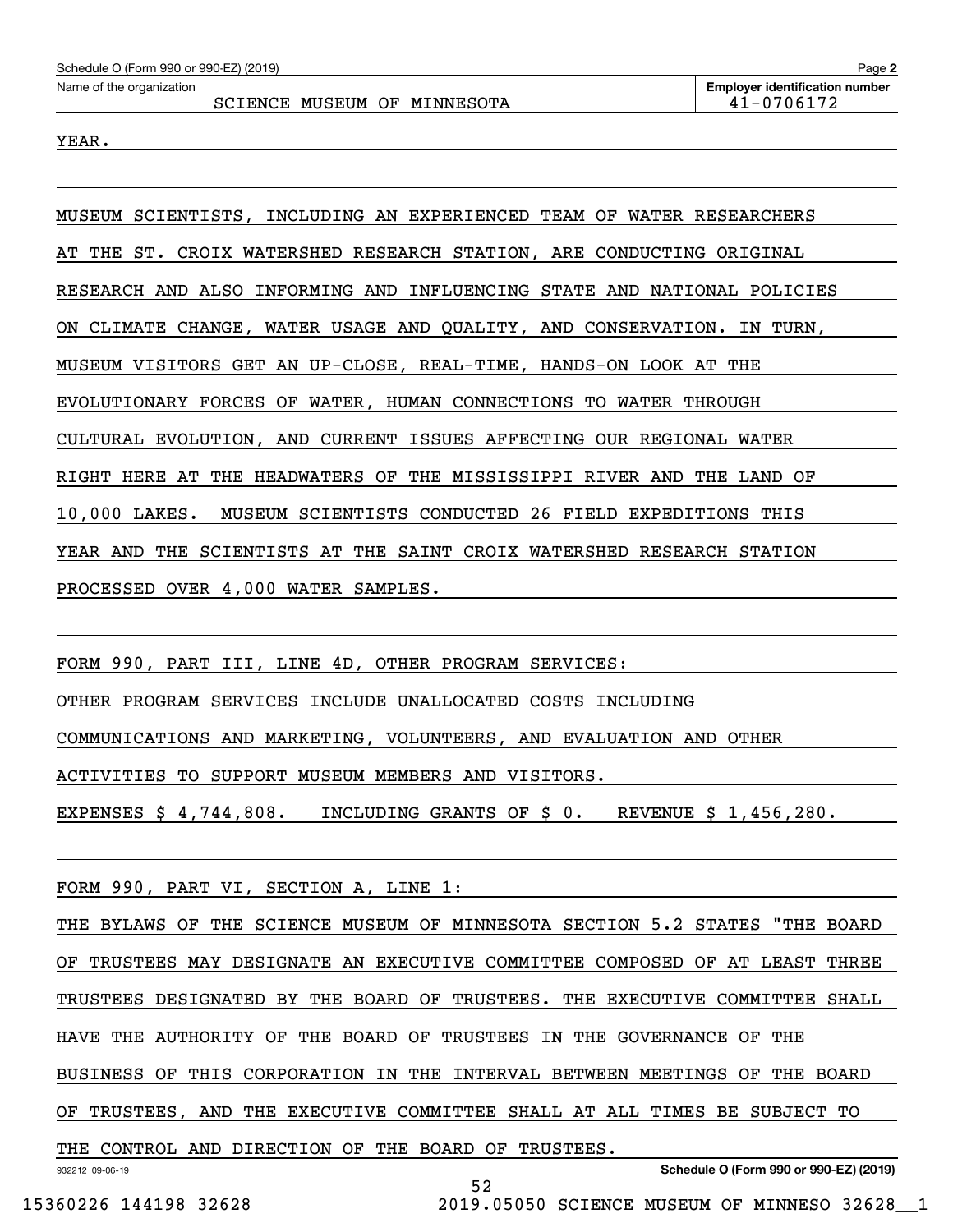YEAR.

MUSEUM SCIENTISTS, INCLUDING AN EXPERIENCED TEAM OF WATER RESEARCHERS AT THE ST. CROIX WATERSHED RESEARCH STATION, ARE CONDUCTING ORIGINAL RESEARCH AND ALSO INFORMING AND INFLUENCING STATE AND NATIONAL POLICIES ON CLIMATE CHANGE, WATER USAGE AND QUALITY, AND CONSERVATION. IN TURN, MUSEUM VISITORS GET AN UP-CLOSE, REAL-TIME, HANDS-ON LOOK AT THE EVOLUTIONARY FORCES OF WATER, HUMAN CONNECTIONS TO WATER THROUGH CULTURAL EVOLUTION, AND CURRENT ISSUES AFFECTING OUR REGIONAL WATER RIGHT HERE AT THE HEADWATERS OF THE MISSISSIPPI RIVER AND THE LAND OF 10,000 LAKES. MUSEUM SCIENTISTS CONDUCTED 26 FIELD EXPEDITIONS THIS YEAR AND THE SCIENTISTS AT THE SAINT CROIX WATERSHED RESEARCH STATION PROCESSED OVER 4,000 WATER SAMPLES.

FORM 990, PART III, LINE 4D, OTHER PROGRAM SERVICES: OTHER PROGRAM SERVICES INCLUDE UNALLOCATED COSTS INCLUDING COMMUNICATIONS AND MARKETING, VOLUNTEERS, AND EVALUATION AND OTHER ACTIVITIES TO SUPPORT MUSEUM MEMBERS AND VISITORS.

EXPENSES \$ 4,744,808. INCLUDING GRANTS OF \$ 0. REVENUE \$ 1,456,280.

FORM 990, PART VI, SECTION A, LINE 1:

932212 09-06-19 **Schedule O (Form 990 or 990-EZ) (2019)** THE BYLAWS OF THE SCIENCE MUSEUM OF MINNESOTA SECTION 5.2 STATES "THE BOARD OF TRUSTEES MAY DESIGNATE AN EXECUTIVE COMMITTEE COMPOSED OF AT LEAST THREE TRUSTEES DESIGNATED BY THE BOARD OF TRUSTEES. THE EXECUTIVE COMMITTEE SHALL HAVE THE AUTHORITY OF THE BOARD OF TRUSTEES IN THE GOVERNANCE OF THE BUSINESS OF THIS CORPORATION IN THE INTERVAL BETWEEN MEETINGS OF THE BOARD OF TRUSTEES, AND THE EXECUTIVE COMMITTEE SHALL AT ALL TIMES BE SUBJECT TO THE CONTROL AND DIRECTION OF THE BOARD OF TRUSTEES.

15360226 144198 32628 2019.05050 SCIENCE MUSEUM OF MINNESO 32628\_\_1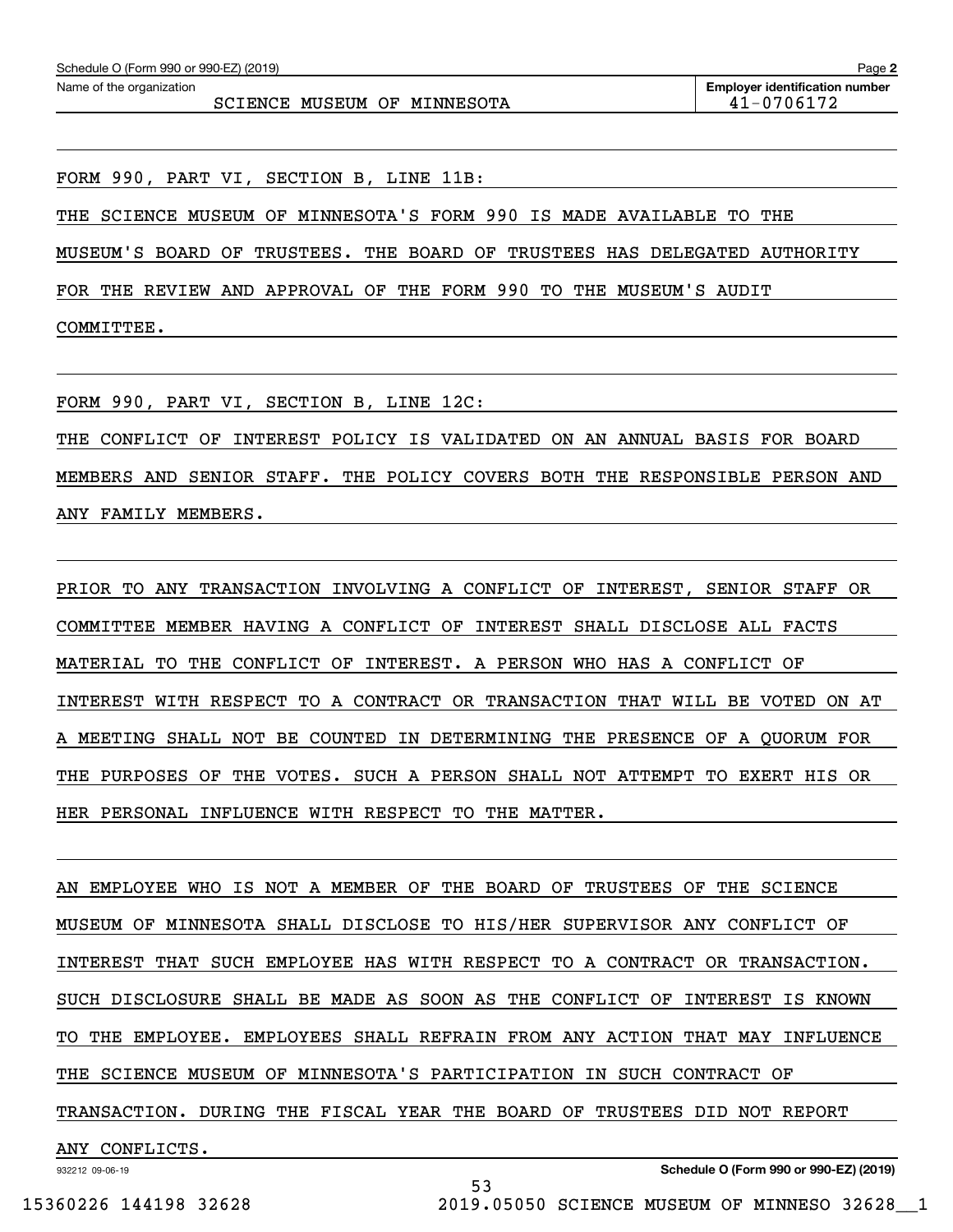SCIENCE MUSEUM OF MINNESOTA  $|$  41-0706172

FORM 990, PART VI, SECTION B, LINE 11B:

THE SCIENCE MUSEUM OF MINNESOTA'S FORM 990 IS MADE AVAILABLE TO THE

MUSEUM'S BOARD OF TRUSTEES. THE BOARD OF TRUSTEES HAS DELEGATED AUTHORITY

FOR THE REVIEW AND APPROVAL OF THE FORM 990 TO THE MUSEUM'S AUDIT

COMMITTEE.

FORM 990, PART VI, SECTION B, LINE 12C:

THE CONFLICT OF INTEREST POLICY IS VALIDATED ON AN ANNUAL BASIS FOR BOARD MEMBERS AND SENIOR STAFF. THE POLICY COVERS BOTH THE RESPONSIBLE PERSON AND ANY FAMILY MEMBERS.

PRIOR TO ANY TRANSACTION INVOLVING A CONFLICT OF INTEREST, SENIOR STAFF OR COMMITTEE MEMBER HAVING A CONFLICT OF INTEREST SHALL DISCLOSE ALL FACTS MATERIAL TO THE CONFLICT OF INTEREST. A PERSON WHO HAS A CONFLICT OF INTEREST WITH RESPECT TO A CONTRACT OR TRANSACTION THAT WILL BE VOTED ON AT A MEETING SHALL NOT BE COUNTED IN DETERMINING THE PRESENCE OF A QUORUM FOR THE PURPOSES OF THE VOTES. SUCH A PERSON SHALL NOT ATTEMPT TO EXERT HIS OR HER PERSONAL INFLUENCE WITH RESPECT TO THE MATTER.

AN EMPLOYEE WHO IS NOT A MEMBER OF THE BOARD OF TRUSTEES OF THE SCIENCE MUSEUM OF MINNESOTA SHALL DISCLOSE TO HIS/HER SUPERVISOR ANY CONFLICT OF INTEREST THAT SUCH EMPLOYEE HAS WITH RESPECT TO A CONTRACT OR TRANSACTION. SUCH DISCLOSURE SHALL BE MADE AS SOON AS THE CONFLICT OF INTEREST IS KNOWN TO THE EMPLOYEE. EMPLOYEES SHALL REFRAIN FROM ANY ACTION THAT MAY INFLUENCE THE SCIENCE MUSEUM OF MINNESOTA'S PARTICIPATION IN SUCH CONTRACT OF TRANSACTION. DURING THE FISCAL YEAR THE BOARD OF TRUSTEES DID NOT REPORT ANY CONFLICTS.

53

932212 09-06-19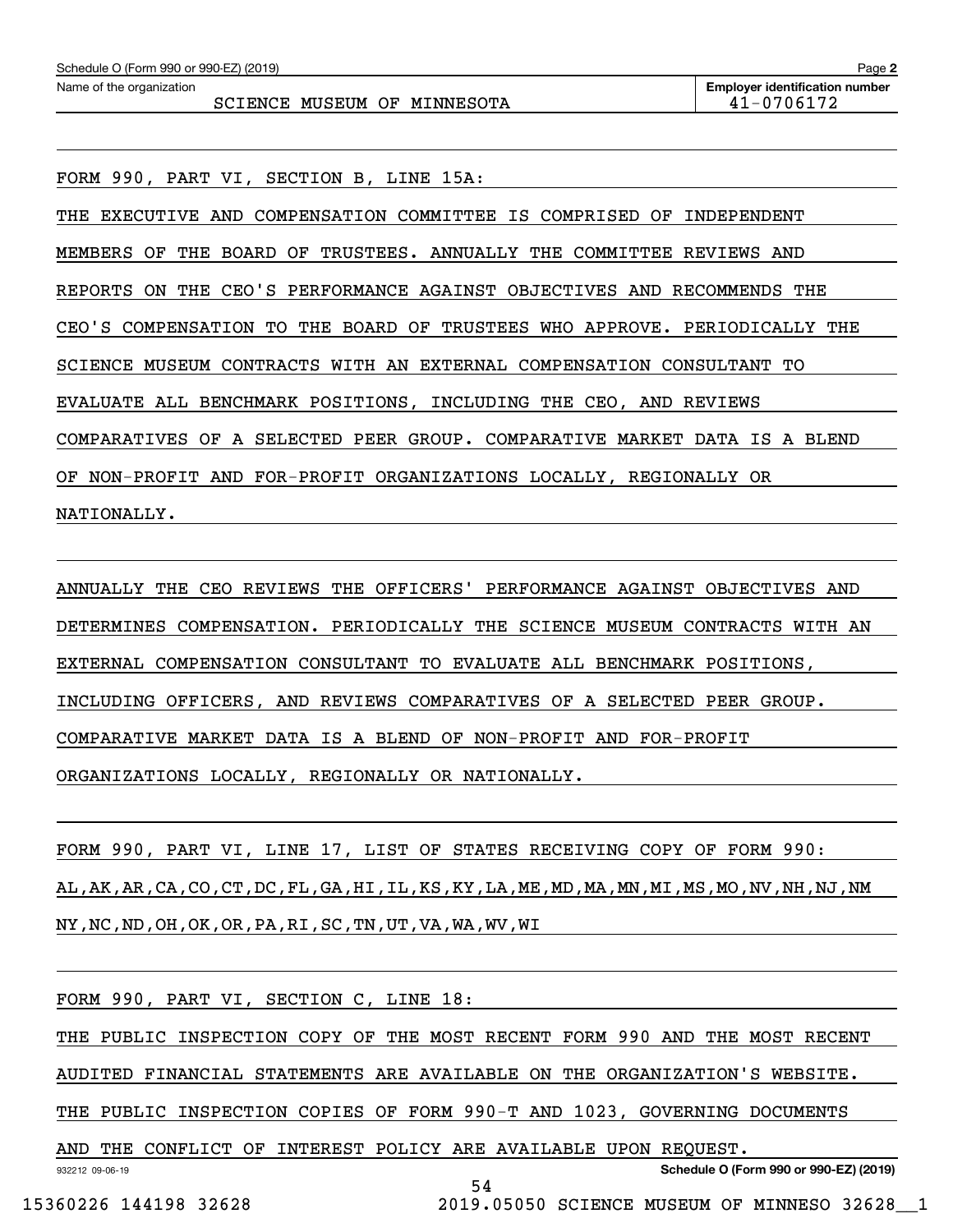FORM 990, PART VI, SECTION B, LINE 15A:

THE EXECUTIVE AND COMPENSATION COMMITTEE IS COMPRISED OF INDEPENDENT MEMBERS OF THE BOARD OF TRUSTEES. ANNUALLY THE COMMITTEE REVIEWS AND REPORTS ON THE CEO'S PERFORMANCE AGAINST OBJECTIVES AND RECOMMENDS THE CEO'S COMPENSATION TO THE BOARD OF TRUSTEES WHO APPROVE. PERIODICALLY THE SCIENCE MUSEUM CONTRACTS WITH AN EXTERNAL COMPENSATION CONSULTANT TO EVALUATE ALL BENCHMARK POSITIONS, INCLUDING THE CEO, AND REVIEWS COMPARATIVES OF A SELECTED PEER GROUP. COMPARATIVE MARKET DATA IS A BLEND OF NON-PROFIT AND FOR-PROFIT ORGANIZATIONS LOCALLY, REGIONALLY OR NATIONALLY.

ANNUALLY THE CEO REVIEWS THE OFFICERS' PERFORMANCE AGAINST OBJECTIVES AND DETERMINES COMPENSATION. PERIODICALLY THE SCIENCE MUSEUM CONTRACTS WITH AN EXTERNAL COMPENSATION CONSULTANT TO EVALUATE ALL BENCHMARK POSITIONS, INCLUDING OFFICERS, AND REVIEWS COMPARATIVES OF A SELECTED PEER GROUP. COMPARATIVE MARKET DATA IS A BLEND OF NON-PROFIT AND FOR-PROFIT ORGANIZATIONS LOCALLY, REGIONALLY OR NATIONALLY.

FORM 990, PART VI, LINE 17, LIST OF STATES RECEIVING COPY OF FORM 990: AL,AK,AR,CA,CO,CT,DC,FL,GA,HI,IL,KS,KY,LA,ME,MD,MA,MN,MI,MS,MO,NV,NH,NJ,NM NY,NC,ND,OH,OK,OR,PA,RI,SC,TN,UT,VA,WA,WV,WI

932212 09-06-19 **Schedule O (Form 990 or 990-EZ) (2019)** FORM 990, PART VI, SECTION C, LINE 18: THE PUBLIC INSPECTION COPY OF THE MOST RECENT FORM 990 AND THE MOST RECENT AUDITED FINANCIAL STATEMENTS ARE AVAILABLE ON THE ORGANIZATION'S WEBSITE. THE PUBLIC INSPECTION COPIES OF FORM 990-T AND 1023, GOVERNING DOCUMENTS AND THE CONFLICT OF INTEREST POLICY ARE AVAILABLE UPON REQUEST. 54

15360226 144198 32628 2019.05050 SCIENCE MUSEUM OF MINNESO 32628\_\_1